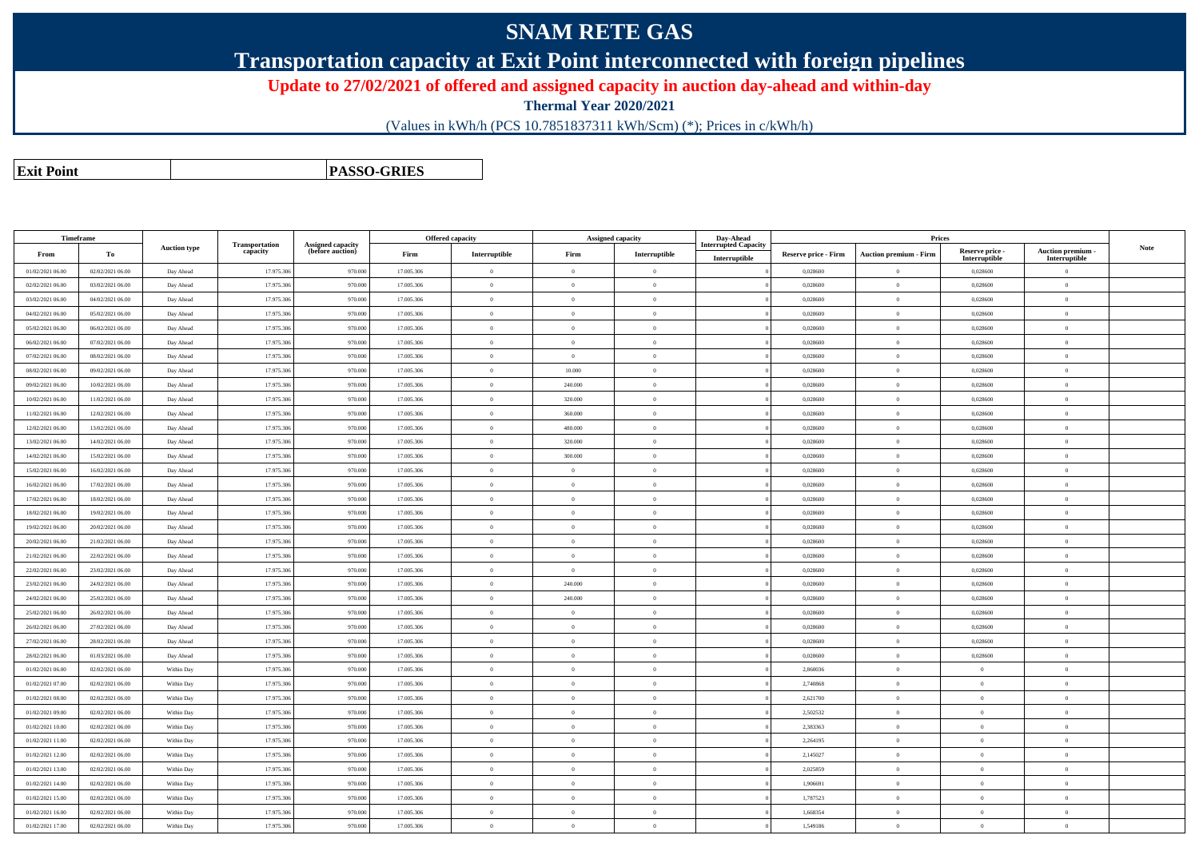# **SNAM RETE GAS**

### **Transportation capacity at Exit Point interconnected with foreign pipelines**

#### **Update to 27/02/2021 of offered and assigned capacity in auction day-ahead and within-day**

**Thermal Year 2020/2021**

(Values in kWh/h (PCS 10.7851837311 kWh/Scm) (\*); Prices in c/kWh/h)

**Exit PointPASSO-GRIES**

| Timeframe        |                  |                     |                            |                                              |            | <b>Offered capacity</b> |                | <b>Assigned capacity</b> | Day-Ahead                                    |                             | Prices                        |                                  |                                    |      |
|------------------|------------------|---------------------|----------------------------|----------------------------------------------|------------|-------------------------|----------------|--------------------------|----------------------------------------------|-----------------------------|-------------------------------|----------------------------------|------------------------------------|------|
| From             | To               | <b>Auction type</b> | Transportation<br>capacity | <b>Assigned capacity</b><br>(before auction) | Firm       | Interruptible           | Firm           | Interruptible            | <b>Interrupted Capacity</b><br>Interruptible | <b>Reserve price - Firm</b> | <b>Auction premium - Firm</b> | Reserve price -<br>Interruptible | Auction premium -<br>Interruptible | Note |
| 01/02/2021 06:00 | 02/02/2021 06:00 | Day Ahead           | 17.975.306                 | 970.000                                      | 17.005.306 | $\overline{0}$          | $\Omega$       | $\overline{0}$           |                                              | 0,028600                    | $\overline{0}$                | 0,028600                         | $\overline{0}$                     |      |
| 02/02/2021 06:00 | 03/02/2021 06:00 | Day Ahead           | 17.975.306                 | 970.000                                      | 17.005.306 | $\overline{0}$          | $\Omega$       | $\overline{0}$           |                                              | 0,028600                    | $\mathbf{0}$                  | 0,028600                         | $\overline{0}$                     |      |
| 03/02/2021 06:00 | 04/02/2021 06:00 | Day Ahead           | 17.975.306                 | 970.000                                      | 17.005.306 | $\overline{0}$          | $\overline{0}$ | $\overline{0}$           |                                              | 0,028600                    | $\mathbf{0}$                  | 0,028600                         | $\overline{0}$                     |      |
| 04/02/2021 06:00 | 05/02/2021 06:00 | Day Ahead           | 17.975.306                 | 970.000                                      | 17.005.306 | $\overline{0}$          | $\overline{0}$ | $\theta$                 |                                              | 0,028600                    | $\overline{0}$                | 0,028600                         | $\overline{0}$                     |      |
| 05/02/2021 06:00 | 06/02/2021 06:00 | Day Ahead           | 17.975.306                 | 970.000                                      | 17.005.306 | $\overline{0}$          | $\theta$       | $\overline{0}$           |                                              | 0,028600                    | $\mathbf{0}$                  | 0,028600                         | $\overline{0}$                     |      |
| 06/02/2021 06:00 | 07/02/2021 06:00 | Day Ahead           | 17.975.306                 | 970.000                                      | 17.005.306 | $\overline{0}$          | $\theta$       | $\theta$                 |                                              | 0,028600                    | $\overline{0}$                | 0,028600                         | $\overline{0}$                     |      |
| 07/02/2021 06:00 | 08/02/2021 06:00 | Day Ahead           | 17.975.306                 | 970.000                                      | 17.005.306 | $\overline{0}$          | $\overline{0}$ | $\overline{0}$           |                                              | 0,028600                    | $\mathbf{0}$                  | 0,028600                         | $\overline{0}$                     |      |
| 08/02/2021 06:00 | 09/02/2021 06:00 | Day Ahead           | 17.975.306                 | 970.000                                      | 17.005.306 | $\mathbf{0}$            | 10.000         | $\theta$                 |                                              | 0,028600                    | $\overline{0}$                | 0,028600                         | $\overline{0}$                     |      |
| 09/02/2021 06:00 | 10/02/2021 06:00 | Day Ahead           | 17.975.306                 | 970.000                                      | 17.005.306 | $\overline{0}$          | 240.000        | $\overline{0}$           |                                              | 0,028600                    | $\overline{0}$                | 0,028600                         | $\overline{0}$                     |      |
| 10/02/2021 06:00 | 11/02/2021 06:00 | Day Ahead           | 17.975.306                 | 970.000                                      | 17.005.306 | $\overline{0}$          | 320.000        | $\theta$                 |                                              | 0,028600                    | $\overline{0}$                | 0,028600                         | $\overline{0}$                     |      |
| 11/02/2021 06:00 | 12/02/2021 06:00 | Day Ahead           | 17.975.306                 | 970.000                                      | 17.005.306 | $\overline{0}$          | 360.000        | $\overline{0}$           |                                              | 0,028600                    | $\mathbf{0}$                  | 0,028600                         | $\overline{0}$                     |      |
| 12/02/2021 06:00 | 13/02/2021 06:00 | Day Ahead           | 17.975.306                 | 970.000                                      | 17.005.306 | $\overline{0}$          | 480.000        | $\overline{0}$           |                                              | 0,028600                    | $\overline{0}$                | 0,028600                         | $\overline{0}$                     |      |
| 13/02/2021 06:00 | 14/02/2021 06:00 | Day Ahead           | 17.975.306                 | 970.000                                      | 17.005.306 | $\overline{0}$          | 320.000        | $\overline{0}$           |                                              | 0,028600                    | $\overline{0}$                | 0,028600                         | $\overline{0}$                     |      |
| 14/02/2021 06:00 | 15/02/2021 06:00 | Day Ahead           | 17.975.306                 | 970.000                                      | 17.005.306 | $\overline{0}$          | 300.000        | $\overline{0}$           |                                              | 0,028600                    | $\overline{0}$                | 0,028600                         | $\overline{0}$                     |      |
| 15/02/2021 06:00 | 16/02/2021 06:00 | Day Ahead           | 17.975.306                 | 970.000                                      | 17.005.306 | $\overline{0}$          | $\Omega$       | $\overline{0}$           |                                              | 0,028600                    | $\mathbf{0}$                  | 0,028600                         | $\overline{0}$                     |      |
| 16/02/2021 06:00 | 17/02/2021 06:00 | Day Ahead           | 17.975.306                 | 970.000                                      | 17.005.306 | $\overline{0}$          | $\theta$       | $\theta$                 |                                              | 0,028600                    | $\overline{0}$                | 0,028600                         | $\overline{0}$                     |      |
| 17/02/2021 06:00 | 18/02/2021 06:00 | Day Ahead           | 17.975.306                 | 970.000                                      | 17.005.306 | $\overline{0}$          | $\overline{0}$ | $\overline{0}$           |                                              | 0,028600                    | $\overline{0}$                | 0,028600                         | $\overline{0}$                     |      |
| 18/02/2021 06:00 | 19/02/2021 06:00 | Day Ahead           | 17.975.306                 | 970.000                                      | 17.005.306 | $\overline{0}$          | $\theta$       | $\overline{0}$           |                                              | 0,028600                    | $\overline{0}$                | 0,028600                         | $\overline{0}$                     |      |
| 19/02/2021 06:00 | 20/02/2021 06:00 | Day Ahead           | 17.975.306                 | 970.000                                      | 17.005.306 | $\theta$                | $\Omega$       | $\overline{0}$           |                                              | 0,028600                    | $\overline{0}$                | 0,028600                         | $\overline{0}$                     |      |
| 20/02/2021 06:00 | 21/02/2021 06:00 | Day Ahead           | 17.975.306                 | 970.000                                      | 17.005.306 | $\Omega$                | $\Omega$       | $\theta$                 |                                              | 0,028600                    | $\overline{0}$                | 0,028600                         | $\overline{0}$                     |      |
| 21/02/2021 06:00 | 22/02/2021 06:00 | Day Ahead           | 17.975.306                 | 970.000                                      | 17.005.306 | $\bf{0}$                | $\theta$       | $\overline{0}$           |                                              | 0,028600                    | $\overline{0}$                | 0,028600                         | $\overline{0}$                     |      |
| 22/02/2021 06:00 | 23/02/2021 06:00 | Day Ahead           | 17.975.306                 | 970,000                                      | 17.005.306 | $\theta$                | $\sqrt{2}$     | $\theta$                 |                                              | 0.028600                    | $\theta$                      | 0.028600                         | $\overline{0}$                     |      |
| 23/02/2021 06:00 | 24/02/2021 06:00 | Day Ahead           | 17.975.306                 | 970,000                                      | 17.005.306 | $\Omega$                | 240,000        | $\theta$                 |                                              | 0.028600                    | $\overline{0}$                | 0,028600                         | $\Omega$                           |      |
| 24/02/2021 06:00 | 25/02/2021 06:00 | Day Ahead           | 17.975.306                 | 970.000                                      | 17.005.306 | $\mathbf{0}$            | 240.000        | $\theta$                 |                                              | 0,028600                    | $\overline{0}$                | 0,028600                         | $\bf{0}$                           |      |
| 25/02/2021 06:00 | 26/02/2021 06:00 | Day Ahead           | 17.975.306                 | 970.000                                      | 17.005.306 | $\overline{0}$          | $\Omega$       | $\overline{0}$           |                                              | 0,028600                    | $\bf{0}$                      | 0,028600                         | $\overline{0}$                     |      |
| 26/02/2021 06:00 | 27/02/2021 06:00 | Day Ahead           | 17.975.306                 | 970.000                                      | 17.005.306 | $\theta$                | $\theta$       | $\theta$                 |                                              | 0.028600                    | $\theta$                      | 0,028600                         | $\overline{0}$                     |      |
| 27/02/2021 06:00 | 28/02/2021 06:00 | Day Ahead           | 17.975.306                 | 970,000                                      | 17.005.306 | $\Omega$                | $\Omega$       | $\Omega$                 |                                              | 0.028600                    | $\Omega$                      | 0.028600                         | $\Omega$                           |      |
| 28/02/2021 06:00 | 01/03/2021 06:00 | Day Ahead           | 17.975.306                 | 970.000                                      | 17.005.306 | $\theta$                | $\Omega$       | $\Omega$                 |                                              | 0,028600                    | $\overline{0}$                | 0,028600                         | $\overline{0}$                     |      |
| 01/02/2021 06:00 | 02/02/2021 06:00 | Within Day          | 17.975.306                 | 970.000                                      | 17.005.306 | $\mathbf{0}$            | $\theta$       | $\overline{0}$           |                                              | 2.860036                    | $\mathbf{0}$                  | $\theta$                         | $\overline{0}$                     |      |
| 01/02/2021 07:00 | 02/02/2021 06:00 | Within Day          | 17.975.306                 | 970.000                                      | 17.005.306 | $\theta$                | $\theta$       | $\theta$                 |                                              | 2.740868                    | $\theta$                      | $\theta$                         | $\overline{0}$                     |      |
| 01/02/2021 08:00 | 02/02/2021 06:00 | Within Day          | 17.975.306                 | 970,000                                      | 17.005.306 | $\theta$                | $\sqrt{2}$     | $\theta$                 |                                              | 2,621700                    | $\theta$                      | $\theta$                         | $\Omega$                           |      |
| 01/02/2021 09:00 | 02/02/2021 06:00 | Within Day          | 17.975.306                 | 970.000                                      | 17.005.306 | $\overline{0}$          | $\overline{0}$ | $\theta$                 |                                              | 2,502532                    | $\,$ 0 $\,$                   | $\overline{0}$                   | $\overline{0}$                     |      |
| 01/02/2021 10:00 | 02/02/2021 06:00 | Within Day          | 17.975.306                 | 970.000                                      | 17 005 306 | $\theta$                | $\Omega$       | $\theta$                 |                                              | 2.383363                    | $\mathbf{0}$                  | $\theta$                         | $\overline{0}$                     |      |
| 01/02/2021 11:00 | 02/02/2021 06:00 | Within Day          | 17.975.306                 | 970.000                                      | 17.005.306 | $\overline{0}$          | $\overline{0}$ | $\overline{0}$           |                                              | 2,264195                    | $\mathbf{0}$                  | $\bf{0}$                         | $\overline{0}$                     |      |
| 01/02/2021 12:00 | 02/02/2021 06:00 | Within Day          | 17.975.306                 | 970,000                                      | 17.005.306 | $\Omega$                | $\sqrt{2}$     | $\theta$                 |                                              | 2.145027                    | $\theta$                      | $\Omega$                         | $\Omega$                           |      |
| 01/02/2021 13:00 | 02/02/2021 06:00 | Within Day          | 17.975.306                 | 970.000                                      | 17.005.306 | $\theta$                | $\mathbf{0}$   | $\theta$                 |                                              | 2,025859                    | $\overline{0}$                | $\overline{0}$                   | $\overline{0}$                     |      |
| 01/02/2021 14:00 | 02/02/2021 06:00 | Within Day          | 17.975.306                 | 970.000                                      | 17.005.306 | $\mathbf{0}$            | $\Omega$       | $\overline{0}$           |                                              | 1,906691                    | $\overline{0}$                | $\overline{0}$                   | $\overline{0}$                     |      |
| 01/02/2021 15:00 | 02/02/2021 06:00 | Within Day          | 17.975.306                 | 970.000                                      | 17.005.306 | $\overline{0}$          | $\Omega$       | $\overline{0}$           |                                              | 1,787523                    | $\overline{0}$                | $\overline{0}$                   | $\overline{0}$                     |      |
| 01/02/2021 16:00 | 02/02/2021 06:00 | Within Day          | 17.975.306                 | 970,000                                      | 17.005.306 | $\theta$                | $\sqrt{2}$     | $\theta$                 |                                              | 1.668354                    | $\theta$                      | $\theta$                         | $\overline{0}$                     |      |
| 01/02/2021 17:00 | 02/02/2021 06:00 | Within Day          | 17.975.306                 | 970.000                                      | 17.005.306 | $\theta$                | $\theta$       | $\overline{0}$           |                                              | 1,549186                    | $\overline{0}$                | $\overline{0}$                   | $\overline{0}$                     |      |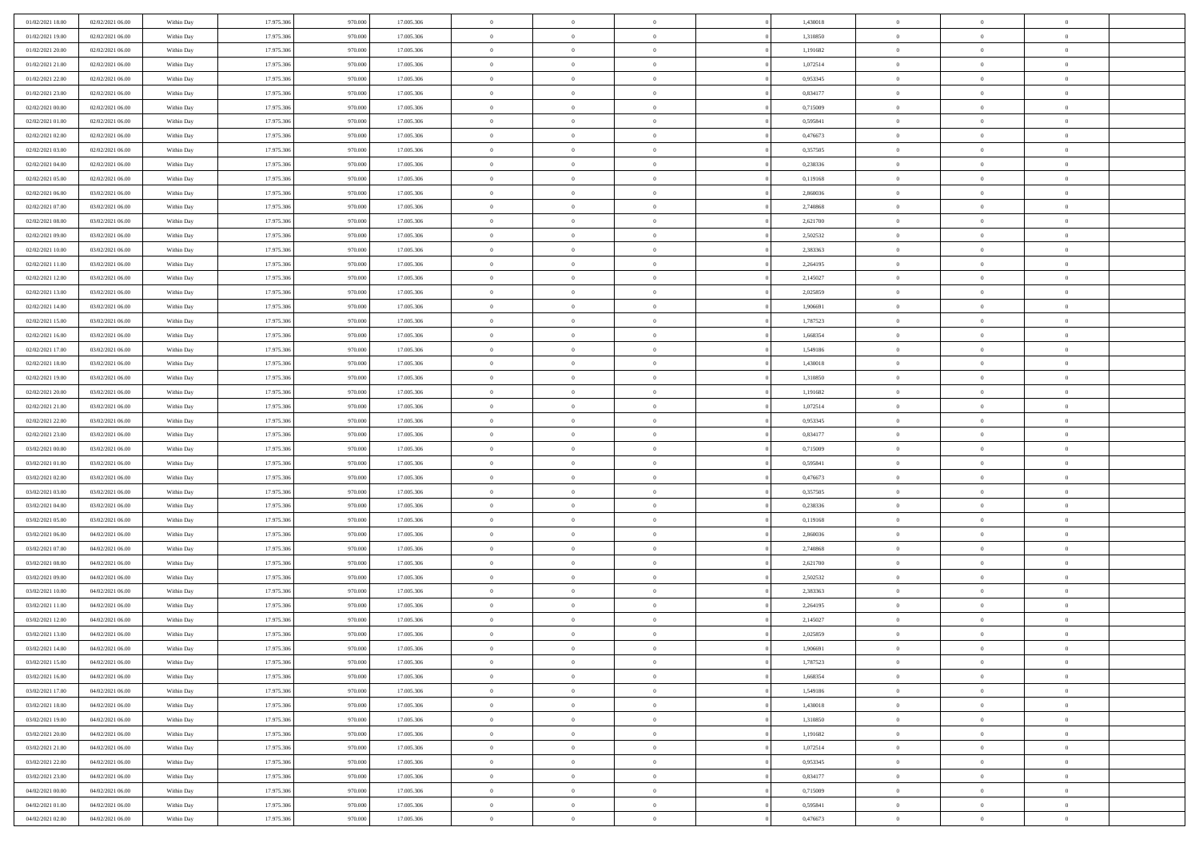| 01/02/2021 18:00                     | 02/02/2021 06:00                     | Within Day | 17.975.306 | 970.000 | 17.005.306               | $\,0\,$                | $\overline{0}$ | $\bf{0}$                         |                | 1,430018 | $\,$ 0 $\,$          | $\overline{0}$ | $\bf{0}$       |  |
|--------------------------------------|--------------------------------------|------------|------------|---------|--------------------------|------------------------|----------------|----------------------------------|----------------|----------|----------------------|----------------|----------------|--|
| 01/02/2021 19:00                     | 02/02/2021 06:00                     | Within Day | 17.975.306 | 970.000 | 17.005.306               | $\overline{0}$         | $\overline{0}$ | $\overline{0}$                   |                | 1,310850 | $\,$ 0 $\,$          | $\overline{0}$ | $\theta$       |  |
| 01/02/2021 20:00                     | 02/02/2021 06:00                     | Within Day | 17.975.306 | 970.000 | 17.005.306               | $\mathbf{0}$           | $\overline{0}$ | $\overline{0}$                   |                | 1,191682 | $\theta$             | $\overline{0}$ | $\overline{0}$ |  |
| 01/02/2021 21:00                     | 02/02/2021 06:00                     | Within Day | 17.975.306 | 970.000 | 17.005.306               | $\bf{0}$               | $\overline{0}$ | $\bf{0}$                         |                | 1,072514 | $\bf{0}$             | $\overline{0}$ | $\bf{0}$       |  |
| 01/02/2021 22:00                     | 02/02/2021 06:00                     | Within Day | 17.975.306 | 970.000 | 17.005.306               | $\bf{0}$               | $\overline{0}$ | $\overline{0}$                   |                | 0,953345 | $\bf{0}$             | $\bf{0}$       | $\bf{0}$       |  |
| 01/02/2021 23:00                     | 02/02/2021 06:00                     | Within Day | 17.975.306 | 970.000 | 17.005.306               | $\mathbf{0}$           | $\overline{0}$ | $\overline{0}$                   |                | 0,834177 | $\theta$             | $\overline{0}$ | $\theta$       |  |
| 02/02/2021 00:00                     | 02/02/2021 06:00                     | Within Day | 17.975.306 | 970.000 | 17.005.306               | $\mathbf{0}$           | $\overline{0}$ | $\overline{0}$                   |                | 0,715009 | $\bf{0}$             | $\overline{0}$ | $\theta$       |  |
| 02/02/2021 01:00                     | 02/02/2021 06:00                     | Within Day | 17.975.306 | 970.000 | 17.005.306               | $\overline{0}$         | $\mathbf{0}$   | $\overline{0}$                   |                | 0,595841 | $\,0\,$              | $\overline{0}$ | $\theta$       |  |
| 02/02/2021 02:00                     | 02/02/2021 06:00                     | Within Day | 17.975.306 | 970.000 | 17.005.306               | $\mathbf{0}$           | $\overline{0}$ | $\overline{0}$                   |                | 0,476673 | $\theta$             | $\overline{0}$ | $\overline{0}$ |  |
| 02/02/2021 03:00                     | 02/02/2021 06:00                     | Within Day | 17.975.306 | 970.000 | 17.005.306               | $\bf{0}$               | $\overline{0}$ | $\overline{0}$                   |                | 0,357505 | $\bf{0}$             | $\overline{0}$ | $\bf{0}$       |  |
| 02/02/2021 04:00                     | 02/02/2021 06:00                     | Within Day | 17.975.306 | 970.000 | 17.005.306               | $\bf{0}$               | $\overline{0}$ | $\overline{0}$                   |                | 0,238336 | $\bf{0}$             | $\theta$       | $\theta$       |  |
| 02/02/2021 05:00                     | 02/02/2021 06:00                     | Within Day | 17.975.306 | 970.000 | 17.005.306               | $\mathbf{0}$           | $\overline{0}$ | $\overline{0}$                   |                | 0,119168 | $\theta$             | $\overline{0}$ | $\overline{0}$ |  |
| 02/02/2021 06:00                     | 03/02/2021 06:00                     | Within Day | 17.975.306 | 970.000 | 17.005.306               | $\,0\,$                | $\overline{0}$ | $\overline{0}$                   |                | 2,860036 | $\bf{0}$             | $\overline{0}$ | $\bf{0}$       |  |
| 02/02/2021 07:00                     | 03/02/2021 06:00                     | Within Day | 17.975.306 | 970.000 | 17.005.306               | $\bf{0}$               | $\overline{0}$ | $\overline{0}$                   |                | 2,740868 | $\,0\,$              | $\overline{0}$ | $\theta$       |  |
| 02/02/2021 08:00                     | 03/02/2021 06:00                     | Within Day | 17.975.306 | 970.000 | 17.005.306               | $\mathbf{0}$           | $\overline{0}$ | $\overline{0}$                   |                | 2,621700 | $\theta$             | $\overline{0}$ | $\overline{0}$ |  |
| 02/02/2021 09:00                     | 03/02/2021 06:00                     | Within Day | 17.975.306 | 970.000 | 17.005.306               | $\,0\,$                | $\overline{0}$ | $\overline{0}$                   |                | 2,502532 | $\bf{0}$             | $\overline{0}$ | $\bf{0}$       |  |
|                                      |                                      |            | 17.975.306 | 970.000 |                          | $\bf{0}$               | $\overline{0}$ |                                  |                | 2,383363 |                      | $\overline{0}$ | $\overline{0}$ |  |
| 02/02/2021 10:00<br>02/02/2021 11:00 | 03/02/2021 06:00<br>03/02/2021 06:00 | Within Day | 17.975.306 | 970.000 | 17.005.306<br>17.005.306 | $\mathbf{0}$           | $\overline{0}$ | $\overline{0}$<br>$\overline{0}$ |                | 2,264195 | $\bf{0}$<br>$\theta$ | $\overline{0}$ | $\overline{0}$ |  |
|                                      |                                      | Within Day |            |         |                          | $\bf{0}$               |                |                                  |                |          | $\bf{0}$             |                | $\bf{0}$       |  |
| 02/02/2021 12:00                     | 03/02/2021 06:00                     | Within Day | 17.975.306 | 970.000 | 17.005.306               |                        | $\overline{0}$ | $\bf{0}$                         |                | 2,145027 |                      | $\overline{0}$ |                |  |
| 02/02/2021 13:00<br>02/02/2021 14:00 | 03/02/2021 06:00<br>03/02/2021 06:00 | Within Day | 17.975.306 | 970.000 | 17.005.306               | $\bf{0}$               | $\overline{0}$ | $\overline{0}$                   |                | 2,025859 | $\,$ 0 $\,$          | $\overline{0}$ | $\bf{0}$       |  |
|                                      |                                      | Within Day | 17.975.306 | 970.000 | 17.005.306               | $\mathbf{0}$           | $\overline{0}$ | $\overline{0}$                   |                | 1,906691 | $\theta$             | $\overline{0}$ | $\overline{0}$ |  |
| 02/02/2021 15:00                     | 03/02/2021 06:00                     | Within Day | 17.975.306 | 970.000 | 17.005.306               | $\mathbf{0}$           | $\overline{0}$ | $\overline{0}$                   |                | 1,787523 | $\bf{0}$             | $\overline{0}$ | $\theta$       |  |
| 02/02/2021 16:00                     | 03/02/2021 06:00                     | Within Day | 17.975.306 | 970.00  | 17.005.306               | $\bf{0}$               | $\overline{0}$ | $\overline{0}$                   |                | 1,668354 | $\,$ 0 $\,$          | $\overline{0}$ | $\overline{0}$ |  |
| 02/02/2021 17:00                     | 03/02/2021 06:00                     | Within Day | 17.975.306 | 970.000 | 17.005.306               | $\mathbf{0}$           | $\overline{0}$ | $\overline{0}$                   |                | 1,549186 | $\theta$             | $\overline{0}$ | $\overline{0}$ |  |
| 02/02/2021 18:00                     | 03/02/2021 06:00                     | Within Day | 17.975.306 | 970.000 | 17.005.306               | $\bf{0}$               | $\overline{0}$ | $\overline{0}$                   |                | 1,430018 | $\bf{0}$             | $\overline{0}$ | $\bf{0}$       |  |
| 02/02/2021 19:00                     | 03/02/2021 06:00                     | Within Day | 17.975.306 | 970.000 | 17.005.306               | $\bf{0}$               | $\overline{0}$ | $\overline{0}$                   |                | 1,310850 | $\,$ 0 $\,$          | $\overline{0}$ | $\bf{0}$       |  |
| 02/02/2021 20:00                     | 03/02/2021 06:00                     | Within Day | 17.975.306 | 970.000 | 17.005.306               | $\mathbf{0}$           | $\overline{0}$ | $\overline{0}$                   |                | 1,191682 | $\theta$             | $\overline{0}$ | $\overline{0}$ |  |
| 02/02/2021 21:00                     | 03/02/2021 06:00                     | Within Day | 17.975.306 | 970.000 | 17.005.306               | $\,0\,$                | $\overline{0}$ | $\bf{0}$                         |                | 1,072514 | $\bf{0}$             | $\overline{0}$ | $\bf{0}$       |  |
| 02/02/2021 22:00                     | 03/02/2021 06:00                     | Within Day | 17.975.306 | 970.000 | 17.005.306               | $\overline{0}$         | $\overline{0}$ | $\overline{0}$                   |                | 0,953345 | $\,$ 0 $\,$          | $\overline{0}$ | $\overline{0}$ |  |
| 02/02/2021 23:00                     | 03/02/2021 06:00                     | Within Day | 17.975.306 | 970.000 | 17.005.306               | $\mathbf{0}$           | $\overline{0}$ | $\overline{0}$                   |                | 0,834177 | $\theta$             | $\overline{0}$ | $\overline{0}$ |  |
| 03/02/2021 00:00                     | 03/02/2021 06:00                     | Within Day | 17.975.306 | 970.000 | 17.005.306               | $\mathbf{0}$           | $\overline{0}$ | $\overline{0}$                   |                | 0,715009 | $\,$ 0 $\,$          | $\overline{0}$ | $\theta$       |  |
| 03/02/2021 01:00                     | 03/02/2021 06:00                     | Within Day | 17.975.306 | 970.000 | 17.005.306               | $\bf{0}$               | $\overline{0}$ | $\overline{0}$                   |                | 0,595841 | $\bf{0}$             | $\overline{0}$ | $\overline{0}$ |  |
| 03/02/2021 02:00                     | 03/02/2021 06:00                     | Within Day | 17.975.306 | 970.000 | 17.005.306               | $\mathbf{0}$           | $\overline{0}$ | $\overline{0}$                   |                | 0,476673 | $\theta$             | $\overline{0}$ | $\overline{0}$ |  |
| 03/02/2021 03:00                     | 03/02/2021 06:00                     | Within Day | 17.975.306 | 970.000 | 17.005.306               | $\mathbf{0}$           | $\overline{0}$ | $\overline{0}$                   |                | 0,357505 | $\,$ 0 $\,$          | $\overline{0}$ | $\theta$       |  |
| 03/02/2021 04:00                     | 03/02/2021 06:00                     | Within Day | 17.975.306 | 970.000 | 17.005.306               | $\overline{0}$         | $\overline{0}$ | $\overline{0}$                   |                | 0,238336 | $\,$ 0 $\,$          | $\overline{0}$ | $\overline{0}$ |  |
| 03/02/2021 05:00                     | 03/02/2021 06:00                     | Within Day | 17.975.306 | 970.000 | 17.005.306               | $\mathbf{0}$           | $\overline{0}$ | $\overline{0}$                   |                | 0,119168 | $\theta$             | $\overline{0}$ | $\overline{0}$ |  |
| 03/02/2021 06:00                     | 04/02/2021 06:00                     | Within Day | 17.975.306 | 970.000 | 17.005.306               | $\mathbf{0}$           | $\overline{0}$ | $\theta$                         |                | 2,860036 | $\,$ 0 $\,$          | $\overline{0}$ | $\theta$       |  |
| 03/02/2021 07:00                     | 04/02/2021 06:00                     | Within Day | 17.975.306 | 970.000 | 17.005.306               | $\bf{0}$               | $\overline{0}$ | $\overline{0}$                   |                | 2,740868 | $\bf{0}$             | $\overline{0}$ | $\overline{0}$ |  |
| 03/02/2021 08:00                     | 04/02/2021 06:00                     | Within Day | 17.975.306 | 970.000 | 17.005.306               | $\mathbf{0}$           | $\overline{0}$ | $\overline{0}$                   |                | 2,621700 | $\theta$             | $\overline{0}$ | $\overline{0}$ |  |
| 03/02/2021 09:00                     | 04/02/2021 06:00                     | Within Day | 17.975.306 | 970.000 | 17.005.306               | $\mathbf{0}$           | $\overline{0}$ | $\bf{0}$                         |                | 2,502532 | $\,$ 0 $\,$          | $\overline{0}$ | $\theta$       |  |
| 03/02/2021 10:00                     | 04/02/2021 06:00                     | Within Day | 17.975.306 | 970.000 | 17.005.306               | $\bf{0}$               | $\overline{0}$ | $\overline{0}$                   |                | 2,383363 | $\bf{0}$             | $\overline{0}$ | $\overline{0}$ |  |
| 03/02/2021 11:00                     | 04/02/2021 06:00                     | Within Day | 17.975.306 | 970.000 | 17.005.306               | $\mathbf{0}$           | $\overline{0}$ | $\overline{0}$                   |                | 2,264195 | $\theta$             | $\overline{0}$ | $\overline{0}$ |  |
| 03/02/2021 12:00                     | 04/02/2021 06:00                     | Within Day | 17.975.306 | 970.000 | 17.005.306               | $\mathbf{0}$           | $\overline{0}$ | $\theta$                         |                | 2,145027 | $\,$ 0 $\,$          | $\overline{0}$ | $\theta$       |  |
| 03/02/2021 13:00                     | 04/02/2021 06:00                     | Within Day | 17.975.306 | 970.000 | 17.005.306               | $\bf{0}$               | $\overline{0}$ | $\overline{0}$                   |                | 2,025859 | $\,$ 0 $\,$          | $\overline{0}$ | $\overline{0}$ |  |
| 03/02/2021 14:00                     | 04/02/2021 06:00                     | Within Day | 17.975.306 | 970.000 | 17.005.306               | $\bf{0}$               | $\overline{0}$ | $\Omega$                         |                | 1,906691 | $\overline{0}$       | $^{\circ}$     | $\theta$       |  |
| 03/02/2021 15:00                     | 04/02/2021 06:00                     | Within Day | 17.975.306 | 970.000 | 17.005.306               | $\,$ 0                 | $\overline{0}$ | $\bf{0}$                         |                | 1,787523 | $\,$ 0 $\,$          | $\overline{0}$ | $\theta$       |  |
| 03/02/2021 16:00                     | 04/02/2021 06:00                     | Within Day | 17.975.306 | 970.000 | 17.005.306               | $\mathbf{0}$           | $\overline{0}$ | $\overline{0}$                   |                | 1,668354 | $\,$ 0 $\,$          | $\overline{0}$ | $\overline{0}$ |  |
| 03/02/2021 17:00                     | 04/02/2021 06:00                     | Within Day | 17.975.306 | 970.000 | 17.005.306               | $\mathbf{0}$           | $\overline{0}$ | $\overline{0}$                   |                | 1,549186 | $\mathbf{0}$         | $\overline{0}$ | $\mathbf{0}$   |  |
| 03/02/2021 18:00                     | 04/02/2021 06:00                     | Within Day | 17.975.306 | 970.000 | 17.005.306               | $\,$ 0                 | $\overline{0}$ | $\overline{0}$                   | $\overline{0}$ | 1,430018 | $\,$ 0 $\,$          | $\bf{0}$       | $\,$ 0 $\,$    |  |
| 03/02/2021 19:00                     | 04/02/2021 06:00                     | Within Day | 17.975.306 | 970.000 | 17.005.306               | $\hspace{0.1mm}\bm{0}$ | $\overline{0}$ | $\overline{0}$                   |                | 1,310850 | $\,$ 0 $\,$          | $\overline{0}$ | $\overline{0}$ |  |
| 03/02/2021 20:00                     | 04/02/2021 06:00                     | Within Day | 17.975.306 | 970.000 | 17.005.306               | $\mathbf{0}$           | $\overline{0}$ | $\overline{0}$                   |                | 1,191682 | $\overline{0}$       | $\overline{0}$ | $\overline{0}$ |  |
| 03/02/2021 21:00                     | 04/02/2021 06:00                     | Within Day | 17.975.306 | 970.000 | 17.005.306               | $\,$ 0 $\,$            | $\overline{0}$ | $\overline{0}$                   |                | 1,072514 | $\,$ 0 $\,$          | $\overline{0}$ | $\,$ 0 $\,$    |  |
| 03/02/2021 22.00                     | 04/02/2021 06:00                     | Within Day | 17.975.306 | 970.000 | 17.005.306               | $\overline{0}$         | $\overline{0}$ | $\overline{0}$                   |                | 0,953345 | $\overline{0}$       | $\overline{0}$ | $\overline{0}$ |  |
| 03/02/2021 23:00                     | 04/02/2021 06:00                     | Within Day | 17.975.306 | 970.000 | 17.005.306               | $\mathbf{0}$           | $\overline{0}$ | $\overline{0}$                   |                | 0,834177 | $\mathbf{0}$         | $\overline{0}$ | $\mathbf{0}$   |  |
| 04/02/2021 00:00                     | 04/02/2021 06:00                     | Within Day | 17.975.306 | 970.000 | 17.005.306               | $\,$ 0 $\,$            | $\overline{0}$ | $\overline{0}$                   | $\overline{0}$ | 0,715009 | $\,$ 0 $\,$          | $\bf{0}$       | $\,$ 0 $\,$    |  |
| 04/02/2021 01:00                     | 04/02/2021 06:00                     | Within Day | 17.975.306 | 970.000 | 17.005.306               | $\bf{0}$               | $\overline{0}$ | $\overline{0}$                   |                | 0,595841 | $\,$ 0 $\,$          | $\mathbf{0}$   | $\overline{0}$ |  |
| 04/02/2021 02:00                     | 04/02/2021 06:00                     | Within Day | 17.975.306 | 970.000 | 17.005.306               | $\mathbf{0}$           | $\overline{0}$ | $\overline{0}$                   |                | 0,476673 | $\overline{0}$       | $\overline{0}$ | $\overline{0}$ |  |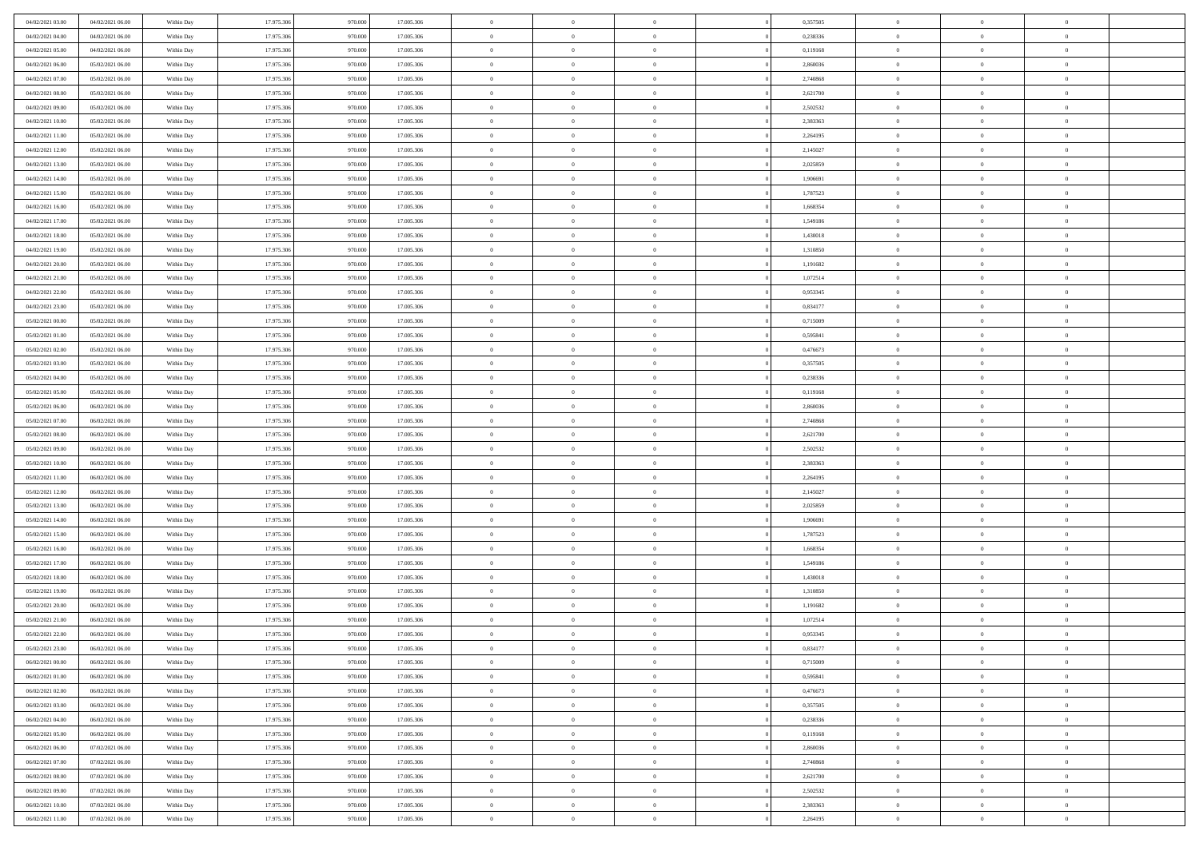| 04/02/2021 03:00                     | 04/02/2021 06:00                     | Within Day               | 17.975.306               | 970.000            | 17.005.306               | $\,$ 0                   | $\overline{0}$                   | $\theta$                         |          | 0,357505             | $\bf{0}$                 | $\overline{0}$                   | $\,0\,$                    |  |
|--------------------------------------|--------------------------------------|--------------------------|--------------------------|--------------------|--------------------------|--------------------------|----------------------------------|----------------------------------|----------|----------------------|--------------------------|----------------------------------|----------------------------|--|
| 04/02/2021 04:00                     | 04/02/2021 06:00                     | Within Day               | 17.975.306               | 970,000            | 17.005.306               | $\overline{0}$           | $\overline{0}$                   | $\overline{0}$                   |          | 0,238336             | $\overline{0}$           | $\overline{0}$                   | $\theta$                   |  |
| 04/02/2021 05:00                     | 04/02/2021 06:00                     | Within Dav               | 17.975.306               | 970.000            | 17.005.306               | $\mathbf{0}$             | $\overline{0}$                   | $\overline{0}$                   |          | 0,119168             | $\mathbf{0}$             | $\overline{0}$                   | $\overline{0}$             |  |
| 04/02/2021 06:00                     | 05/02/2021 06:00                     | Within Day               | 17.975.306               | 970.000            | 17.005.306               | $\bf{0}$                 | $\overline{0}$                   | $\bf{0}$                         |          | 2,860036             | $\bf{0}$                 | $\overline{0}$                   | $\bf{0}$                   |  |
| 04/02/2021 07:00                     | 05/02/2021 06:00                     | Within Day               | 17.975.306               | 970.000            | 17.005.306               | $\bf{0}$                 | $\overline{0}$                   | $\overline{0}$                   |          | 2,740868             | $\bf{0}$                 | $\bf{0}$                         | $\,0\,$                    |  |
| 04/02/2021 08:00                     | 05/02/2021 06:00                     | Within Dav               | 17.975.306               | 970.000            | 17.005.306               | $\mathbf{0}$             | $\overline{0}$                   | $\overline{0}$                   |          | 2,621700             | $\mathbf{0}$             | $\overline{0}$                   | $\overline{0}$             |  |
| 04/02/2021 09:00                     | 05/02/2021 06:00                     | Within Day               | 17.975.306               | 970.000            | 17.005.306               | $\bf{0}$                 | $\overline{0}$                   | $\overline{0}$                   |          | 2,502532             | $\bf{0}$                 | $\overline{0}$                   | $\,0\,$                    |  |
| 04/02/2021 10:00                     | 05/02/2021 06:00                     | Within Day               | 17.975.306               | 970.000            | 17.005.306               | $\overline{0}$           | $\overline{0}$                   | $\overline{0}$                   |          | 2,383363             | $\,$ 0 $\,$              | $\overline{0}$                   | $\theta$                   |  |
| 04/02/2021 11:00                     | 05/02/2021 06:00                     | Within Day               | 17.975.306               | 970.000            | 17.005.306               | $\mathbf{0}$             | $\overline{0}$                   | $\overline{0}$                   |          | 2,264195             | $\mathbf{0}$             | $\overline{0}$                   | $\overline{0}$             |  |
| 04/02/2021 12:00                     | 05/02/2021 06:00                     | Within Day               | 17.975.306               | 970.000            | 17.005.306               | $\bf{0}$                 | $\overline{0}$                   | $\theta$                         |          | 2,145027             | $\bf{0}$                 | $\overline{0}$                   | $\,0\,$                    |  |
| 04/02/2021 13:00                     | 05/02/2021 06:00                     | Within Day               | 17.975.306               | 970.000            | 17.005.306               | $\bf{0}$                 | $\overline{0}$                   | $\overline{0}$                   |          | 2,025859             | $\bf{0}$                 | $\overline{0}$                   | $\theta$                   |  |
| 04/02/2021 14:00                     | 05/02/2021 06:00                     | Within Dav               | 17.975.306               | 970.000            | 17.005.306               | $\mathbf{0}$             | $\overline{0}$                   | $\overline{0}$                   |          | 1,906691             | $\mathbf{0}$             | $\overline{0}$                   | $\overline{0}$             |  |
| 04/02/2021 15:00                     | 05/02/2021 06:00                     | Within Day               | 17.975.306               | 970.000            | 17.005.306               | $\bf{0}$                 | $\overline{0}$                   | $\bf{0}$                         |          | 1,787523             | $\bf{0}$                 | $\overline{0}$                   | $\bf{0}$                   |  |
| 04/02/2021 16:00                     | 05/02/2021 06:00                     | Within Day               | 17.975.306               | 970.000            | 17.005.306               | $\bf{0}$                 | $\overline{0}$                   | $\overline{0}$                   |          | 1,668354             | $\bf{0}$                 | $\theta$                         | $\,0\,$                    |  |
| 04/02/2021 17:00                     | 05/02/2021 06:00                     | Within Dav               | 17.975.306               | 970.000            | 17.005.306               | $\overline{0}$           | $\overline{0}$                   | $\overline{0}$                   |          | 1,549186             | $\mathbf{0}$             | $\overline{0}$                   | $\overline{0}$             |  |
| 04/02/2021 18:00                     | 05/02/2021 06:00                     | Within Day               | 17.975.306               | 970.000            | 17.005.306               | $\bf{0}$                 | $\overline{0}$                   | $\overline{0}$                   |          | 1,430018             | $\bf{0}$                 | $\overline{0}$                   | $\bf{0}$                   |  |
| 04/02/2021 19:00                     | 05/02/2021 06:00                     | Within Day               | 17.975.306               | 970.000            | 17.005.306               | $\overline{0}$           | $\overline{0}$                   | $\overline{0}$                   |          | 1,310850             | $\,$ 0 $\,$              | $\overline{0}$                   | $\theta$                   |  |
| 04/02/2021 20:00                     | 05/02/2021 06:00                     | Within Day               | 17.975.306               | 970.000            | 17.005.306               | $\mathbf{0}$             | $\overline{0}$                   | $\overline{0}$                   |          | 1,191682             | $\mathbf{0}$             | $\overline{0}$                   | $\overline{0}$             |  |
| 04/02/2021 21:00                     | 05/02/2021 06:00                     | Within Day               | 17.975.306               | 970.000            | 17.005.306               | $\,$ 0                   | $\bf{0}$                         | $\overline{0}$                   |          | 1,072514             | $\bf{0}$                 | $\overline{0}$                   | $\,0\,$                    |  |
| 04/02/2021 22.00                     | 05/02/2021 06:00                     | Within Day               | 17.975.306               | 970,000            | 17.005.306               | $\bf{0}$                 | $\overline{0}$                   | $\overline{0}$                   |          | 0,953345             | $\bf{0}$                 | $\overline{0}$                   | $\overline{0}$             |  |
| 04/02/2021 23:00                     | 05/02/2021 06:00                     | Within Dav               | 17.975.306               | 970.000            | 17.005.306               | $\mathbf{0}$             | $\overline{0}$                   | $\overline{0}$                   |          | 0,834177             | $\mathbf{0}$             | $\overline{0}$                   | $\overline{0}$             |  |
| 05/02/2021 00:00                     | 05/02/2021 06:00                     | Within Day               | 17.975.306               | 970.000            | 17.005.306               | $\bf{0}$                 | $\overline{0}$                   | $\bf{0}$                         |          | 0,715009             | $\bf{0}$                 | $\overline{0}$                   | $\bf{0}$                   |  |
| 05/02/2021 01:00                     | 05/02/2021 06:00                     |                          | 17.975.306               | 970.000            | 17.005.306               | $\bf{0}$                 | $\bf{0}$                         | $\overline{0}$                   |          | 0,595841             | $\bf{0}$                 | $\overline{0}$                   | $\,0\,$                    |  |
| 05/02/2021 02:00                     | 05/02/2021 06:00                     | Within Day<br>Within Dav | 17.975.306               | 970.000            | 17.005.306               | $\mathbf{0}$             | $\overline{0}$                   | $\overline{0}$                   |          | 0,476673             | $\mathbf{0}$             | $\overline{0}$                   | $\overline{0}$             |  |
| 05/02/2021 03:00                     | 05/02/2021 06:00                     | Within Day               | 17.975.306               | 970.000            | 17.005.306               | $\bf{0}$                 | $\bf{0}$                         | $\overline{0}$                   |          | 0,357505             | $\bf{0}$                 | $\overline{0}$                   | $\,0\,$                    |  |
|                                      |                                      |                          | 17.975.306               | 970.000            |                          | $\overline{0}$           | $\overline{0}$                   | $\overline{0}$                   |          |                      | $\bf{0}$                 | $\overline{0}$                   | $\theta$                   |  |
| 05/02/2021 04:00<br>05/02/2021 05:00 | 05/02/2021 06:00<br>05/02/2021 06:00 | Within Day               | 17.975.306               |                    | 17.005.306               | $\mathbf{0}$             |                                  |                                  |          | 0,238336             | $\mathbf{0}$             |                                  | $\overline{0}$             |  |
|                                      |                                      | Within Day               |                          | 970.000            | 17.005.306               |                          | $\overline{0}$                   | $\overline{0}$<br>$\overline{0}$ |          | 0,119168             |                          | $\overline{0}$<br>$\overline{0}$ |                            |  |
| 05/02/2021 06:00                     | 06/02/2021 06:00                     | Within Day               | 17.975.306               | 970.000<br>970,000 | 17.005.306               | $\bf{0}$                 | $\bf{0}$                         |                                  |          | 2,860036             | $\bf{0}$                 | $\mathbf{0}$                     | $\,0\,$<br>$\overline{0}$  |  |
| 05/02/2021 07:00                     | 06/02/2021 06:00                     | Within Day               | 17.975.306               |                    | 17.005.306               | $\bf{0}$<br>$\mathbf{0}$ | $\overline{0}$                   | $\overline{0}$                   |          | 2,740868             | $\bf{0}$<br>$\mathbf{0}$ |                                  | $\overline{0}$             |  |
| 05/02/2021 08:00                     | 06/02/2021 06:00                     | Within Dav               | 17.975.306               | 970.000            | 17.005.306               |                          | $\overline{0}$                   | $\overline{0}$                   |          | 2,621700             |                          | $\overline{0}$<br>$\overline{0}$ | $\theta$                   |  |
| 05/02/2021 09:00                     | 06/02/2021 06:00                     | Within Day               | 17.975.306<br>17.975.306 | 970.000<br>970.000 | 17.005.306               | $\bf{0}$<br>$\bf{0}$     | $\overline{0}$                   | $\theta$                         |          | 2,502532<br>2,383363 | $\,$ 0<br>$\bf{0}$       | $\overline{0}$                   |                            |  |
| 05/02/2021 10:00<br>05/02/2021 11:00 | 06/02/2021 06:00<br>06/02/2021 06:00 | Within Day<br>Within Dav | 17.975.306               | 970.000            | 17.005.306<br>17.005.306 | $\mathbf{0}$             | $\bf{0}$<br>$\overline{0}$       | $\overline{0}$<br>$\overline{0}$ |          | 2,264195             | $\mathbf{0}$             | $\overline{0}$                   | $\bf{0}$<br>$\overline{0}$ |  |
|                                      |                                      |                          |                          |                    |                          | $\bf{0}$                 | $\overline{0}$                   | $\theta$                         |          |                      | $\,$ 0                   | $\overline{0}$                   | $\theta$                   |  |
| 05/02/2021 12:00                     | 06/02/2021 06:00                     | Within Day               | 17.975.306<br>17.975.306 | 970.000<br>970,000 | 17.005.306               | $\bf{0}$                 | $\overline{0}$                   | $\overline{0}$                   |          | 2,145027             |                          | $\overline{0}$                   | $\overline{0}$             |  |
| 05/02/2021 13:00<br>05/02/2021 14:00 | 06/02/2021 06:00<br>06/02/2021 06:00 | Within Day<br>Within Day | 17.975.306               | 970.000            | 17.005.306<br>17.005.306 | $\mathbf{0}$             | $\overline{0}$                   |                                  |          | 2,025859<br>1,906691 | $\bf{0}$<br>$\mathbf{0}$ | $\overline{0}$                   | $\overline{0}$             |  |
|                                      |                                      |                          |                          |                    |                          | $\bf{0}$                 |                                  | $\overline{0}$                   |          |                      |                          | $\overline{0}$                   | $\theta$                   |  |
| 05/02/2021 15:00                     | 06/02/2021 06:00                     | Within Day               | 17.975.306<br>17.975.306 | 970.000<br>970,000 | 17.005.306               | $\bf{0}$                 | $\overline{0}$                   | $\theta$<br>$\overline{0}$       |          | 1,787523             | $\,$ 0                   | $\overline{0}$                   |                            |  |
| 05/02/2021 16:00<br>05/02/2021 17:00 | 06/02/2021 06:00<br>06/02/2021 06:00 | Within Day<br>Within Dav | 17.975.306               | 970.000            | 17.005.306<br>17.005.306 | $\mathbf{0}$             | $\overline{0}$<br>$\overline{0}$ | $\overline{0}$                   |          | 1,668354<br>1,549186 | $\bf{0}$<br>$\mathbf{0}$ | $\overline{0}$                   | $\bf{0}$<br>$\overline{0}$ |  |
|                                      |                                      |                          |                          |                    |                          |                          |                                  |                                  |          |                      |                          | $\overline{0}$                   | $\theta$                   |  |
| 05/02/2021 18:00                     | 06/02/2021 06:00                     | Within Day               | 17.975.306<br>17.975.306 | 970.000<br>970.000 | 17.005.306               | $\,0\,$<br>$\bf{0}$      | $\overline{0}$<br>$\overline{0}$ | $\theta$<br>$\overline{0}$       |          | 1,430018<br>1,310850 | $\,$ 0                   | $\overline{0}$                   | $\bf{0}$                   |  |
| 05/02/2021 19:00<br>05/02/2021 20:00 | 06/02/2021 06:00<br>06/02/2021 06:00 | Within Day<br>Within Dav | 17.975.306               | 970.000            | 17.005.306<br>17.005.306 | $\mathbf{0}$             | $\overline{0}$                   | $\overline{0}$                   |          | 1,191682             | $\bf{0}$<br>$\mathbf{0}$ | $\overline{0}$                   | $\overline{0}$             |  |
| 05/02/2021 21:00                     | 06/02/2021 06:00                     | Within Day               | 17.975.306               | 970.000            | 17.005.306               | $\bf{0}$                 | $\overline{0}$                   | $\theta$                         |          | 1,072514             | $\,$ 0                   | $\overline{0}$                   | $\theta$                   |  |
| 05/02/2021 22:00                     | 06/02/2021 06:00                     |                          | 17.975.306               | 970.000            | 17.005.306               | $\bf{0}$                 | $\overline{0}$                   | $\overline{0}$                   |          | 0,953345             | $\,$ 0 $\,$              | $\overline{0}$                   | $\overline{0}$             |  |
| 05/02/2021 23:00                     | 06/02/2021 06:00                     | Within Day<br>Within Day | 17.975.306               | 970.000            | 17.005.306               | $\bf{0}$                 | $\overline{0}$                   |                                  |          | 0,834177             | $\overline{0}$           | $\theta$                         | $\theta$                   |  |
| 06/02/2021 00:00                     | 06/02/2021 06:00                     | Within Day               | 17.975.306               | 970.000            | 17.005.306               | $\,0\,$                  | $\overline{0}$                   | $\theta$                         |          | 0,715009             | $\,$ 0 $\,$              | $\bf{0}$                         | $\theta$                   |  |
| 06/02/2021 01:00                     | 06/02/2021 06:00                     |                          | 17.975.306               | 970.000            | 17.005.306               | $\overline{0}$           | $\overline{0}$                   | $\overline{0}$                   |          | 0.595841             | $\overline{0}$           | $\overline{0}$                   | $\overline{0}$             |  |
|                                      |                                      | Within Day               | 17.975.306               |                    |                          |                          |                                  |                                  |          |                      | $\overline{0}$           |                                  |                            |  |
| 06/02/2021 02:00                     | 06/02/2021 06:00                     | Within Day               |                          | 970.000            | 17.005.306               | $\bf{0}$                 | $\overline{0}$                   | $\overline{0}$                   |          | 0,476673             |                          | $\bf{0}$                         | $\mathbf{0}$               |  |
| 06/02/2021 03:00                     | 06/02/2021 06:00                     | Within Day               | 17.975.306               | 970.000<br>970.000 | 17.005.306               | $\bf{0}$                 | $\overline{0}$                   | $\overline{0}$                   | $\theta$ | 0,357505             | $\mathbf{0}$             | $\bf{0}$<br>$\overline{0}$       | $\,$ 0 $\,$                |  |
| 06/02/2021 04:00                     | 06/02/2021 06:00                     | Within Day               | 17.975.306               |                    | 17.005.306               | $\bf{0}$                 | $\overline{0}$                   | $\overline{0}$                   |          | 0,238336             | $\,$ 0 $\,$              |                                  | $\overline{0}$             |  |
| 06/02/2021 05:00                     | 06/02/2021 06:00                     | Within Day               | 17.975.306               | 970.000            | 17.005.306               | $\bf{0}$                 | $\overline{0}$                   | $\overline{0}$                   |          | 0,119168             | $\mathbf{0}$             | $\overline{0}$                   | $\overline{0}$             |  |
| 06/02/2021 06:00                     | 07/02/2021 06:00                     | Within Day               | 17.975.306               | 970.000            | 17.005.306               | $\,0\,$                  | $\overline{0}$                   | $\overline{0}$                   | $\theta$ | 2,860036             | $\,$ 0 $\,$              | $\overline{0}$                   | $\overline{0}$             |  |
| 06/02/2021 07:00                     | 07/02/2021 06:00                     | Within Day               | 17.975.306               | 970.000            | 17.005.306               | $\bf{0}$                 | $\overline{0}$                   | $\overline{0}$                   |          | 2,740868             | $\overline{0}$           | $\overline{0}$                   | $\overline{0}$             |  |
| 06/02/2021 08:00                     | 07/02/2021 06:00                     | Within Day               | 17.975.306               | 970.000            | 17.005.306               | $\bf{0}$                 | $\overline{0}$                   | $\overline{0}$                   |          | 2,621700             | $\mathbf{0}$             | $\overline{0}$                   | $\overline{0}$             |  |
| 06/02/2021 09:00                     | 07/02/2021 06:00                     | Within Day               | 17.975.306               | 970.000            | 17.005.306               | $\,0\,$                  | $\overline{0}$                   | $\overline{0}$                   |          | 2,502532             | $\,$ 0 $\,$              | $\overline{0}$                   | $\,$ 0 $\,$                |  |
| 06/02/2021 10:00                     | 07/02/2021 06:00                     | Within Day               | 17.975.306               | 970.000            | 17.005.306               | $\bf{0}$                 | $\overline{0}$                   | $\overline{0}$                   |          | 2,383363             | $\mathbf{0}$             | $\mathbf{0}$                     | $\overline{0}$             |  |
| 06/02/2021 11:00                     | 07/02/2021 06:00                     | Within Day               | 17.975.306               | 970.000            | 17.005.306               | $\bf{0}$                 | $\overline{0}$                   | $\overline{0}$                   |          | 2,264195             | $\mathbf{0}$             | $\overline{0}$                   | $\overline{0}$             |  |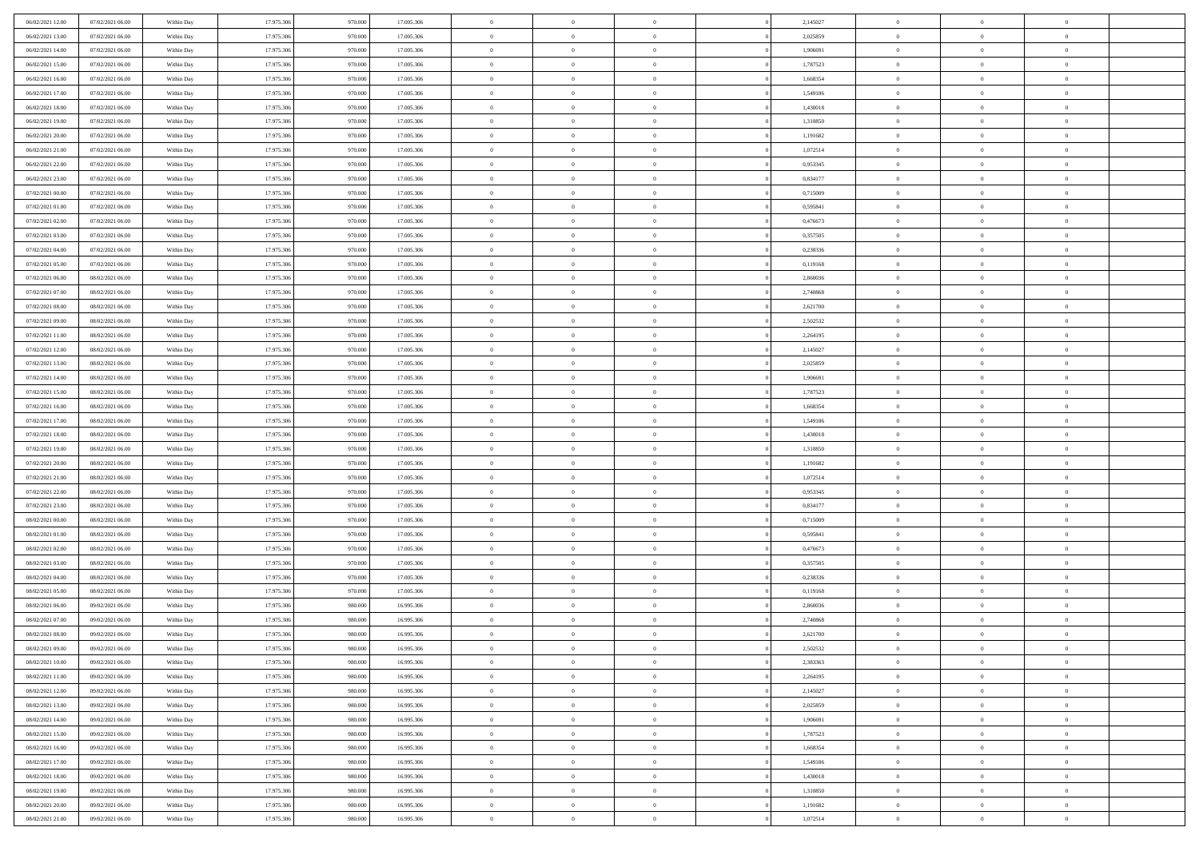| 06/02/2021 12:00                     | 07/02/2021 06:00                     | Within Day               | 17.975.306               | 970.000            | 17.005.306               | $\,$ 0         | $\overline{0}$                   | $\theta$                         |          | 2,145027             | $\bf{0}$                 | $\overline{0}$                   | $\,0\,$        |  |
|--------------------------------------|--------------------------------------|--------------------------|--------------------------|--------------------|--------------------------|----------------|----------------------------------|----------------------------------|----------|----------------------|--------------------------|----------------------------------|----------------|--|
| 06/02/2021 13:00                     | 07/02/2021 06:00                     | Within Day               | 17.975.306               | 970,000            | 17.005.306               | $\overline{0}$ | $\overline{0}$                   | $\overline{0}$                   |          | 2,025859             | $\overline{0}$           | $\overline{0}$                   | $\theta$       |  |
| 06/02/2021 14:00                     | 07/02/2021 06:00                     | Within Dav               | 17.975.306               | 970.000            | 17.005.306               | $\mathbf{0}$   | $\overline{0}$                   | $\overline{0}$                   |          | 1,906691             | $\mathbf{0}$             | $\overline{0}$                   | $\overline{0}$ |  |
| 06/02/2021 15:00                     | 07/02/2021 06:00                     | Within Day               | 17.975.306               | 970.000            | 17.005.306               | $\bf{0}$       | $\overline{0}$                   | $\bf{0}$                         |          | 1,787523             | $\bf{0}$                 | $\overline{0}$                   | $\bf{0}$       |  |
| 06/02/2021 16:00                     | 07/02/2021 06:00                     | Within Day               | 17.975.306               | 970.000            | 17.005.306               | $\bf{0}$       | $\overline{0}$                   | $\overline{0}$                   |          | 1,668354             | $\bf{0}$                 | $\bf{0}$                         | $\theta$       |  |
| 06/02/2021 17:00                     | 07/02/2021 06:00                     | Within Dav               | 17.975.306               | 970.000            | 17.005.306               | $\mathbf{0}$   | $\overline{0}$                   | $\overline{0}$                   |          | 1,549186             | $\mathbf{0}$             | $\overline{0}$                   | $\overline{0}$ |  |
| 06/02/2021 18:00                     | 07/02/2021 06:00                     | Within Day               | 17.975.306               | 970.000            | 17.005.306               | $\bf{0}$       | $\overline{0}$                   | $\overline{0}$                   |          | 1,430018             | $\bf{0}$                 | $\overline{0}$                   | $\,0\,$        |  |
| 06/02/2021 19:00                     | 07/02/2021 06:00                     | Within Day               | 17.975.306               | 970.000            | 17.005.306               | $\overline{0}$ | $\overline{0}$                   | $\overline{0}$                   |          | 1,310850             | $\,$ 0 $\,$              | $\overline{0}$                   | $\theta$       |  |
| 06/02/2021 20:00                     | 07/02/2021 06:00                     | Within Day               | 17.975.306               | 970.000            | 17.005.306               | $\mathbf{0}$   | $\overline{0}$                   | $\overline{0}$                   |          | 1,191682             | $\mathbf{0}$             | $\overline{0}$                   | $\overline{0}$ |  |
| 06/02/2021 21:00                     | 07/02/2021 06:00                     | Within Day               | 17.975.306               | 970.000            | 17.005.306               | $\bf{0}$       | $\bf{0}$                         | $\overline{0}$                   |          | 1,072514             | $\bf{0}$                 | $\overline{0}$                   | $\,0\,$        |  |
| 06/02/2021 22.00                     | 07/02/2021 06:00                     | Within Day               | 17.975.306               | 970.000            | 17.005.306               | $\bf{0}$       | $\overline{0}$                   | $\overline{0}$                   |          | 0,953345             | $\bf{0}$                 | $\overline{0}$                   | $\theta$       |  |
| 06/02/2021 23:00                     | 07/02/2021 06:00                     | Within Dav               | 17.975.306               | 970.000            | 17.005.306               | $\mathbf{0}$   | $\overline{0}$                   | $\overline{0}$                   |          | 0,834177             | $\mathbf{0}$             | $\overline{0}$                   | $\overline{0}$ |  |
| 07/02/2021 00:00                     | 07/02/2021 06:00                     | Within Day               | 17.975.306               | 970.000            | 17.005.306               | $\bf{0}$       | $\overline{0}$                   | $\bf{0}$                         |          | 0,715009             | $\bf{0}$                 | $\overline{0}$                   | $\bf{0}$       |  |
| 07/02/2021 01:00                     | 07/02/2021 06:00                     | Within Day               | 17.975.306               | 970.000            | 17.005.306               | $\bf{0}$       | $\overline{0}$                   | $\overline{0}$                   |          | 0,595841             | $\bf{0}$                 | $\mathbf{0}$                     | $\,0\,$        |  |
| 07/02/2021 02:00                     | 07/02/2021 06:00                     | Within Dav               | 17.975.306               | 970.000            | 17.005.306               | $\overline{0}$ | $\overline{0}$                   | $\overline{0}$                   |          | 0,476673             | $\mathbf{0}$             | $\overline{0}$                   | $\overline{0}$ |  |
| 07/02/2021 03:00                     | 07/02/2021 06:00                     | Within Day               | 17.975.306               | 970.000            | 17.005.306               | $\bf{0}$       | $\bf{0}$                         | $\overline{0}$                   |          | 0,357505             | $\bf{0}$                 | $\overline{0}$                   | $\bf{0}$       |  |
| 07/02/2021 04:00                     | 07/02/2021 06:00                     | Within Day               | 17.975.306               | 970.000            | 17.005.306               | $\overline{0}$ | $\overline{0}$                   | $\overline{0}$                   |          | 0,238336             | $\,$ 0 $\,$              | $\overline{0}$                   | $\theta$       |  |
| 07/02/2021 05:00                     | 07/02/2021 06:00                     | Within Day               | 17.975.306               | 970.000            | 17.005.306               | $\mathbf{0}$   | $\overline{0}$                   | $\overline{0}$                   |          | 0,119168             | $\mathbf{0}$             | $\overline{0}$                   | $\overline{0}$ |  |
| 07/02/2021 06:00                     | 08/02/2021 06:00                     | Within Day               | 17.975.306               | 970.000            | 17.005.306               | $\,$ 0         | $\bf{0}$                         | $\overline{0}$                   |          | 2,860036             | $\bf{0}$                 | $\overline{0}$                   | $\,0\,$        |  |
| 07/02/2021 07:00                     | 08/02/2021 06:00                     | Within Day               | 17.975.306               | 970,000            | 17.005.306               | $\bf{0}$       | $\overline{0}$                   | $\overline{0}$                   |          | 2,740868             | $\bf{0}$                 | $\overline{0}$                   | $\overline{0}$ |  |
| 07/02/2021 08:00                     | 08/02/2021 06:00                     | Within Dav               | 17.975.306               | 970.000            | 17.005.306               | $\mathbf{0}$   | $\overline{0}$                   | $\overline{0}$                   |          | 2,621700             | $\mathbf{0}$             | $\overline{0}$                   | $\overline{0}$ |  |
| 07/02/2021 09:00                     | 08/02/2021 06:00                     | Within Day               | 17.975.306               | 970.000            | 17.005.306               | $\bf{0}$       | $\overline{0}$                   | $\bf{0}$                         |          | 2,502532             | $\bf{0}$                 | $\overline{0}$                   | $\bf{0}$       |  |
| 07/02/2021 11:00                     | 08/02/2021 06:00                     |                          | 17.975.306               | 970.000            | 17.005.306               | $\bf{0}$       | $\bf{0}$                         | $\overline{0}$                   |          | 2,264195             | $\bf{0}$                 | $\overline{0}$                   | $\,0\,$        |  |
| 07/02/2021 12:00                     | 08/02/2021 06:00                     | Within Day<br>Within Dav | 17.975.306               | 970.000            | 17.005.306               | $\mathbf{0}$   | $\overline{0}$                   | $\overline{0}$                   |          | 2,145027             | $\mathbf{0}$             | $\overline{0}$                   | $\overline{0}$ |  |
| 07/02/2021 13:00                     | 08/02/2021 06:00                     | Within Day               | 17.975.306               | 970.000            | 17.005.306               | $\bf{0}$       | $\bf{0}$                         | $\overline{0}$                   |          | 2,025859             | $\bf{0}$                 | $\overline{0}$                   | $\,0\,$        |  |
|                                      |                                      |                          | 17.975.306               | 970.000            |                          | $\overline{0}$ | $\overline{0}$                   | $\overline{0}$                   |          |                      | $\bf{0}$                 | $\mathbf{0}$                     | $\overline{0}$ |  |
| 07/02/2021 14:00<br>07/02/2021 15:00 | 08/02/2021 06:00<br>08/02/2021 06:00 | Within Day<br>Within Day | 17.975.306               | 970.000            | 17.005.306<br>17.005.306 | $\mathbf{0}$   | $\overline{0}$                   |                                  |          | 1,906691<br>1,787523 | $\mathbf{0}$             | $\overline{0}$                   | $\overline{0}$ |  |
|                                      | 08/02/2021 06:00                     |                          | 17.975.306               |                    |                          | $\bf{0}$       |                                  | $\overline{0}$<br>$\overline{0}$ |          |                      | $\bf{0}$                 | $\overline{0}$                   | $\,0\,$        |  |
| 07/02/2021 16:00                     |                                      | Within Day               |                          | 970.000<br>970,000 | 17.005.306               | $\bf{0}$       | $\bf{0}$                         | $\overline{0}$                   |          | 1,668354             |                          | $\overline{0}$                   | $\overline{0}$ |  |
| 07/02/2021 17:00<br>07/02/2021 18:00 | 08/02/2021 06:00<br>08/02/2021 06:00 | Within Day<br>Within Dav | 17.975.306<br>17.975.306 | 970.000            | 17.005.306<br>17.005.306 | $\mathbf{0}$   | $\overline{0}$<br>$\overline{0}$ | $\overline{0}$                   |          | 1,549186<br>1,430018 | $\bf{0}$<br>$\mathbf{0}$ | $\overline{0}$                   | $\overline{0}$ |  |
|                                      |                                      |                          |                          |                    |                          | $\bf{0}$       |                                  | $\theta$                         |          |                      | $\,$ 0                   | $\overline{0}$                   | $\theta$       |  |
| 07/02/2021 19:00                     | 08/02/2021 06:00<br>08/02/2021 06:00 | Within Day               | 17.975.306<br>17.975.306 | 970.000<br>970.000 | 17.005.306               | $\bf{0}$       | $\overline{0}$<br>$\bf{0}$       | $\overline{0}$                   |          | 1,310850             | $\bf{0}$                 | $\overline{0}$                   | $\bf{0}$       |  |
| 07/02/2021 20:00<br>07/02/2021 21:00 | 08/02/2021 06:00                     | Within Day<br>Within Dav | 17.975.306               | 970.000            | 17.005.306<br>17.005.306 | $\mathbf{0}$   | $\overline{0}$                   | $\overline{0}$                   |          | 1,191682<br>1,072514 | $\mathbf{0}$             | $\overline{0}$                   | $\overline{0}$ |  |
| 07/02/2021 22:00                     | 08/02/2021 06:00                     | Within Day               | 17.975.306               | 970.000            | 17.005.306               | $\bf{0}$       | $\overline{0}$                   | $\theta$                         |          | 0,953345             | $\,$ 0                   | $\overline{0}$                   | $\theta$       |  |
| 07/02/2021 23:00                     | 08/02/2021 06:00                     |                          | 17.975.306               | 970,000            | 17.005.306               | $\bf{0}$       | $\overline{0}$                   | $\overline{0}$                   |          | 0,834177             | $\bf{0}$                 | $\overline{0}$                   | $\overline{0}$ |  |
| 08/02/2021 00:00                     | 08/02/2021 06:00                     | Within Day<br>Within Day | 17.975.306               | 970.000            | 17.005.306               | $\mathbf{0}$   | $\overline{0}$                   | $\overline{0}$                   |          | 0,715009             | $\mathbf{0}$             | $\overline{0}$                   | $\overline{0}$ |  |
| 08/02/2021 01:00                     | 08/02/2021 06:00                     | Within Day               | 17.975.306               | 970.000            | 17.005.306               | $\bf{0}$       | $\overline{0}$                   | $\theta$                         |          | 0,595841             | $\,$ 0                   | $\overline{0}$                   | $\theta$       |  |
| 08/02/2021 02:00                     | 08/02/2021 06:00                     |                          | 17.975.306               | 970.000            | 17.005.306               | $\bf{0}$       | $\overline{0}$                   | $\overline{0}$                   |          | 0,476673             | $\bf{0}$                 | $\overline{0}$                   | $\bf{0}$       |  |
| 08/02/2021 03:00                     | 08/02/2021 06:00                     | Within Day<br>Within Dav | 17.975.306               | 970.000            | 17.005.306               | $\mathbf{0}$   | $\overline{0}$                   | $\overline{0}$                   |          | 0,357505             | $\mathbf{0}$             | $\overline{0}$                   | $\overline{0}$ |  |
|                                      |                                      |                          |                          |                    |                          | $\,0\,$        | $\overline{0}$                   | $\theta$                         |          |                      | $\,$ 0                   | $\overline{0}$                   | $\theta$       |  |
| 08/02/2021 04:00<br>08/02/2021 05:00 | 08/02/2021 06:00<br>08/02/2021 06:00 | Within Day               | 17.975.306<br>17.975.306 | 970.000<br>970.000 | 17.005.306<br>17.005.306 | $\bf{0}$       | $\overline{0}$                   | $\overline{0}$                   |          | 0,238336<br>0,119168 | $\bf{0}$                 | $\overline{0}$                   | $\overline{0}$ |  |
| 08/02/2021 06:00                     | 09/02/2021 06:00                     | Within Day<br>Within Dav | 17.975.306               | 980.000            | 16.995.306               | $\mathbf{0}$   | $\overline{0}$                   | $\overline{0}$                   |          | 2,860036             | $\mathbf{0}$             | $\overline{0}$                   | $\overline{0}$ |  |
| 08/02/2021 07:00                     | 09/02/2021 06:00                     | Within Day               | 17.975.306               | 980,000            | 16.995.306               | $\bf{0}$       | $\overline{0}$                   | $\theta$                         |          | 2,740868             | $\,$ 0                   | $\overline{0}$                   | $\theta$       |  |
| 08/02/2021 08:00                     | 09/02/2021 06:00                     | Within Day               | 17.975.306               | 980,000            | 16.995.306               | $\bf{0}$       | $\overline{0}$                   | $\overline{0}$                   |          | 2,621700             | $\,$ 0 $\,$              | $\overline{0}$                   | $\overline{0}$ |  |
| 08/02/2021 09:00                     | 09/02/2021 06:00                     | Within Day               | 17.975.306               | 980.000            | 16.995.306               | $\bf{0}$       | $\overline{0}$                   |                                  |          | 2,502532             | $\overline{0}$           | $\theta$                         | $\theta$       |  |
| 08/02/2021 10:00                     | 09/02/2021 06:00                     | Within Day               | 17.975.306               | 980.000            | 16.995.306               | $\,0\,$        | $\overline{0}$                   | $\theta$                         |          | 2,383363             | $\,$ 0 $\,$              | $\bf{0}$                         | $\theta$       |  |
| 08/02/2021 11:00                     | 09/02/2021 06:00                     | Within Day               | 17.975.306               | 980.000            | 16.995.306               | $\overline{0}$ | $\overline{0}$                   | $\overline{0}$                   |          | 2,264195             | $\overline{0}$           | $\overline{0}$                   | $\overline{0}$ |  |
| 08/02/2021 12:00                     | 09/02/2021 06:00                     | Within Day               | 17.975.306               | 980.000            | 16.995.306               | $\bf{0}$       | $\overline{0}$                   | $\overline{0}$                   |          | 2,145027             | $\overline{0}$           | $\bf{0}$                         | $\mathbf{0}$   |  |
| 08/02/2021 13:00                     | 09/02/2021 06:00                     | Within Day               | 17.975.306               | 980,000            | 16.995.306               | $\bf{0}$       | $\overline{0}$                   | $\overline{0}$                   | $\theta$ | 2,025859             | $\mathbf{0}$             | $\bf{0}$                         | $\,$ 0 $\,$    |  |
|                                      | 09/02/2021 06:00                     |                          | 17.975.306               | 980.000            | 16.995.306               | $\bf{0}$       | $\overline{0}$                   | $\overline{0}$                   |          | 1,906691             | $\,$ 0 $\,$              | $\overline{0}$                   | $\overline{0}$ |  |
| 08/02/2021 14:00<br>08/02/2021 15:00 | 09/02/2021 06:00                     | Within Day<br>Within Day | 17.975.306               | 980.000            | 16.995.306               | $\bf{0}$       | $\overline{0}$                   | $\overline{0}$                   |          | 1,787523             | $\mathbf{0}$             | $\overline{0}$                   | $\overline{0}$ |  |
|                                      |                                      |                          |                          |                    |                          |                |                                  |                                  |          |                      |                          |                                  |                |  |
| 08/02/2021 16:00                     | 09/02/2021 06:00                     | Within Day               | 17.975.306               | 980,000<br>980,000 | 16.995.306               | $\,0\,$        | $\overline{0}$                   | $\overline{0}$<br>$\overline{0}$ | $\theta$ | 1,668354             | $\,$ 0 $\,$              | $\overline{0}$<br>$\overline{0}$ | $\,$ 0 $\,$    |  |
| 08/02/2021 17:00                     | 09/02/2021 06:00                     | Within Day               | 17.975.306<br>17.975.306 |                    | 16.995.306               | $\bf{0}$       | $\overline{0}$                   |                                  |          | 1,549186             | $\overline{0}$           |                                  | $\overline{0}$ |  |
| 08/02/2021 18:00                     | 09/02/2021 06:00                     | Within Day               |                          | 980.000            | 16.995.306               | $\bf{0}$       | $\overline{0}$                   | $\overline{0}$                   |          | 1,430018             | $\mathbf{0}$             | $\bf{0}$                         | $\overline{0}$ |  |
| 08/02/2021 19:00                     | 09/02/2021 06:00                     | Within Day               | 17.975.306               | 980,000            | 16.995.306               | $\,0\,$        | $\overline{0}$                   | $\overline{0}$                   |          | 1,310850             | $\,$ 0 $\,$              | $\overline{0}$                   | $\,$ 0 $\,$    |  |
| 08/02/2021 20:00                     | 09/02/2021 06:00                     | Within Day               | 17.975.306               | 980,000            | 16.995.306               | $\bf{0}$       | $\overline{0}$                   | $\overline{0}$                   |          | 1,191682             | $\mathbf{0}$             | $\mathbf{0}$                     | $\overline{0}$ |  |
| 08/02/2021 21:00                     | 09/02/2021 06:00                     | Within Day               | 17.975.306               | 980.000            | 16.995.306               | $\mathbf{0}$   | $\overline{0}$                   | $\overline{0}$                   |          | 1,072514             | $\mathbf{0}$             | $\overline{0}$                   | $\overline{0}$ |  |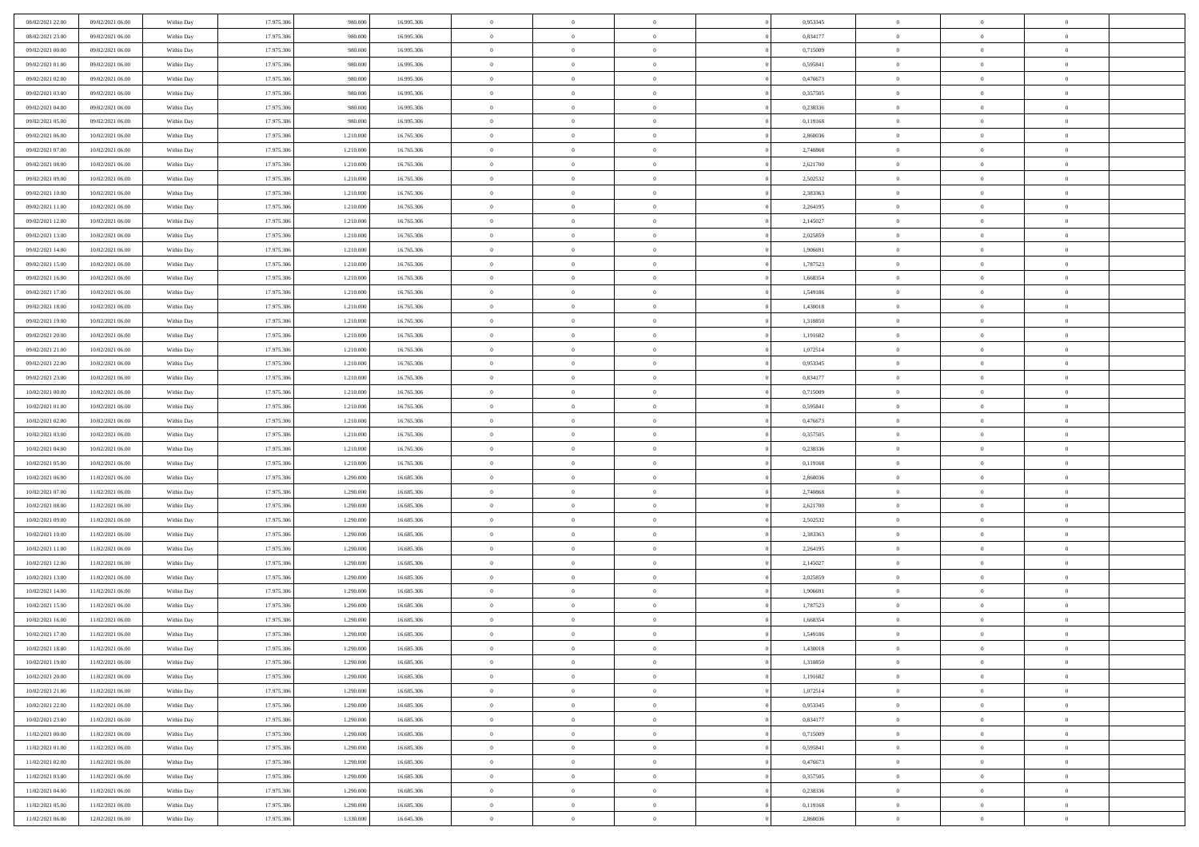| 08/02/2021 22.00 | 09/02/2021 06:00 | Within Day | 17.975.306 | 980.000   | 16.995.306 | $\,$ 0                   | $\overline{0}$ | $\theta$       |          | 0,953345 | $\bf{0}$                 | $\overline{0}$ | $\,0\,$        |  |
|------------------|------------------|------------|------------|-----------|------------|--------------------------|----------------|----------------|----------|----------|--------------------------|----------------|----------------|--|
| 08/02/2021 23:00 | 09/02/2021 06:00 | Within Day | 17.975.306 | 980,000   | 16.995.306 | $\overline{0}$           | $\overline{0}$ | $\overline{0}$ |          | 0.834177 | $\overline{0}$           | $\overline{0}$ | $\theta$       |  |
| 09/02/2021 00:00 | 09/02/2021 06:00 | Within Dav | 17.975.306 | 980.000   | 16.995.306 | $\mathbf{0}$             | $\overline{0}$ | $\overline{0}$ |          | 0,715009 | $\mathbf{0}$             | $\overline{0}$ | $\overline{0}$ |  |
| 09/02/2021 01:00 | 09/02/2021 06:00 | Within Day | 17.975.306 | 980.000   | 16.995.306 | $\bf{0}$                 | $\overline{0}$ | $\bf{0}$       |          | 0,595841 | $\bf{0}$                 | $\overline{0}$ | $\bf{0}$       |  |
| 09/02/2021 02:00 | 09/02/2021 06:00 | Within Day | 17.975.306 | 980,000   | 16.995.306 | $\bf{0}$                 | $\bf{0}$       | $\overline{0}$ |          | 0,476673 | $\bf{0}$                 | $\bf{0}$       | $\theta$       |  |
| 09/02/2021 03:00 | 09/02/2021 06:00 | Within Dav | 17.975.306 | 980.000   | 16.995.306 | $\mathbf{0}$             | $\overline{0}$ | $\overline{0}$ |          | 0,357505 | $\mathbf{0}$             | $\overline{0}$ | $\overline{0}$ |  |
| 09/02/2021 04:00 | 09/02/2021 06:00 | Within Day | 17.975.306 | 980.000   | 16.995.306 | $\bf{0}$                 | $\bf{0}$       | $\overline{0}$ |          | 0,238336 | $\bf{0}$                 | $\overline{0}$ | $\,0\,$        |  |
| 09/02/2021 05:00 | 09/02/2021 06:00 | Within Day | 17.975.306 | 980,000   | 16.995.306 | $\overline{0}$           | $\overline{0}$ | $\overline{0}$ |          | 0,119168 | $\,$ 0 $\,$              | $\overline{0}$ | $\theta$       |  |
| 09/02/2021 06:00 | 10/02/2021 06:00 | Within Day | 17.975.306 | 1.210.000 | 16.765.306 | $\mathbf{0}$             | $\overline{0}$ | $\overline{0}$ |          | 2,860036 | $\mathbf{0}$             | $\overline{0}$ | $\overline{0}$ |  |
| 09/02/2021 07:00 | 10/02/2021 06:00 |            | 17.975.306 | 1.210.000 | 16.765.306 | $\bf{0}$                 | $\bf{0}$       | $\overline{0}$ |          | 2,740868 | $\bf{0}$                 | $\overline{0}$ | $\,0\,$        |  |
|                  |                  | Within Day |            |           |            |                          | $\overline{0}$ |                |          |          |                          | $\overline{0}$ | $\theta$       |  |
| 09/02/2021 08:00 | 10/02/2021 06:00 | Within Day | 17.975.306 | 1.210.000 | 16.765.306 | $\bf{0}$<br>$\mathbf{0}$ |                | $\overline{0}$ |          | 2,621700 | $\bf{0}$<br>$\mathbf{0}$ |                | $\overline{0}$ |  |
| 09/02/2021 09:00 | 10/02/2021 06:00 | Within Dav | 17.975.306 | 1.210.000 | 16.765.306 |                          | $\overline{0}$ | $\overline{0}$ |          | 2,502532 |                          | $\overline{0}$ |                |  |
| 09/02/2021 10:00 | 10/02/2021 06:00 | Within Day | 17.975.306 | 1.210.000 | 16.765.306 | $\bf{0}$                 | $\overline{0}$ | $\bf{0}$       |          | 2,383363 | $\bf{0}$                 | $\overline{0}$ | $\bf{0}$       |  |
| 09/02/2021 11:00 | 10/02/2021 06:00 | Within Day | 17.975.306 | 1.210.000 | 16.765.306 | $\bf{0}$                 | $\overline{0}$ | $\overline{0}$ |          | 2,264195 | $\bf{0}$                 | $\theta$       | $\,0\,$        |  |
| 09/02/2021 12:00 | 10/02/2021 06:00 | Within Dav | 17.975.306 | 1.210.000 | 16.765.306 | $\overline{0}$           | $\overline{0}$ | $\overline{0}$ |          | 2,145027 | $\mathbf{0}$             | $\overline{0}$ | $\overline{0}$ |  |
| 09/02/2021 13:00 | 10/02/2021 06:00 | Within Day | 17.975.306 | 1.210.000 | 16.765.306 | $\bf{0}$                 | $\bf{0}$       | $\overline{0}$ |          | 2,025859 | $\bf{0}$                 | $\overline{0}$ | $\bf{0}$       |  |
| 09/02/2021 14:00 | 10/02/2021 06:00 | Within Day | 17.975.306 | 1.210.000 | 16.765.306 | $\overline{0}$           | $\overline{0}$ | $\overline{0}$ |          | 1,906691 | $\,$ 0 $\,$              | $\overline{0}$ | $\theta$       |  |
| 09/02/2021 15:00 | 10/02/2021 06:00 | Within Day | 17.975.306 | 1.210.000 | 16.765.306 | $\mathbf{0}$             | $\overline{0}$ | $\overline{0}$ |          | 1,787523 | $\mathbf{0}$             | $\overline{0}$ | $\overline{0}$ |  |
| 09/02/2021 16:00 | 10/02/2021 06:00 | Within Day | 17.975.306 | 1.210.000 | 16.765.306 | $\bf{0}$                 | $\bf{0}$       | $\overline{0}$ |          | 1,668354 | $\bf{0}$                 | $\overline{0}$ | $\,0\,$        |  |
| 09/02/2021 17:00 | 10/02/2021 06:00 | Within Day | 17.975.306 | 1.210.000 | 16.765.306 | $\bf{0}$                 | $\overline{0}$ | $\overline{0}$ |          | 1,549186 | $\bf{0}$                 | $\overline{0}$ | $\overline{0}$ |  |
| 09/02/2021 18:00 | 10/02/2021 06:00 | Within Dav | 17.975.306 | 1.210.000 | 16.765.306 | $\mathbf{0}$             | $\overline{0}$ | $\overline{0}$ |          | 1,430018 | $\mathbf{0}$             | $\overline{0}$ | $\overline{0}$ |  |
| 09/02/2021 19:00 | 10/02/2021 06:00 | Within Day | 17.975.306 | 1.210.000 | 16.765.306 | $\bf{0}$                 | $\overline{0}$ | $\bf{0}$       |          | 1,310850 | $\bf{0}$                 | $\overline{0}$ | $\bf{0}$       |  |
| 09/02/2021 20:00 | 10/02/2021 06:00 | Within Day | 17.975.306 | 1.210.000 | 16.765.306 | $\bf{0}$                 | $\bf{0}$       | $\overline{0}$ |          | 1,191682 | $\bf{0}$                 | $\overline{0}$ | $\,0\,$        |  |
| 09/02/2021 21:00 | 10/02/2021 06:00 | Within Dav | 17.975.306 | 1.210.000 | 16.765.306 | $\mathbf{0}$             | $\overline{0}$ | $\overline{0}$ |          | 1,072514 | $\mathbf{0}$             | $\overline{0}$ | $\theta$       |  |
| 09/02/2021 22.00 | 10/02/2021 06:00 | Within Day | 17.975.306 | 1.210.000 | 16.765.306 | $\bf{0}$                 | $\bf{0}$       | $\overline{0}$ |          | 0,953345 | $\bf{0}$                 | $\overline{0}$ | $\,0\,$        |  |
| 09/02/2021 23.00 | 10/02/2021 06:00 | Within Day | 17.975.306 | 1.210.000 | 16.765.306 | $\bf{0}$                 | $\overline{0}$ | $\overline{0}$ |          | 0,834177 | $\bf{0}$                 | $\mathbf{0}$   | $\theta$       |  |
| 10/02/2021 00:00 | 10/02/2021 06:00 | Within Dav | 17.975.306 | 1.210.000 | 16.765.306 | $\mathbf{0}$             | $\overline{0}$ | $\overline{0}$ |          | 0,715009 | $\mathbf{0}$             | $\overline{0}$ | $\overline{0}$ |  |
| 10/02/2021 01:00 | 10/02/2021 06:00 | Within Day | 17.975.306 | 1.210.000 | 16.765.306 | $\bf{0}$                 | $\bf{0}$       | $\overline{0}$ |          | 0,595841 | $\bf{0}$                 | $\overline{0}$ | $\,0\,$        |  |
| 10/02/2021 02:00 | 10/02/2021 06:00 | Within Day | 17.975.306 | 1.210.000 | 16.765.306 | $\bf{0}$                 | $\bf{0}$       | $\overline{0}$ |          | 0,476673 | $\bf{0}$                 | $\mathbf{0}$   | $\overline{0}$ |  |
| 10/02/2021 03:00 | 10/02/2021 06:00 | Within Dav | 17.975.306 | 1.210.000 | 16.765.306 | $\mathbf{0}$             | $\overline{0}$ | $\overline{0}$ |          | 0,357505 | $\mathbf{0}$             | $\overline{0}$ | $\overline{0}$ |  |
| 10/02/2021 04:00 | 10/02/2021 06:00 | Within Day | 17.975.306 | 1.210.000 | 16.765.306 | $\bf{0}$                 | $\overline{0}$ | $\theta$       |          | 0,238336 | $\,$ 0                   | $\overline{0}$ | $\theta$       |  |
| 10/02/2021 05:00 | 10/02/2021 06:00 | Within Day | 17.975.306 | 1.210.000 | 16.765.306 | $\bf{0}$                 | $\overline{0}$ | $\overline{0}$ |          | 0,119168 | $\bf{0}$                 | $\overline{0}$ | $\overline{0}$ |  |
| 10/02/2021 06:00 | 11/02/2021 06:00 | Within Dav | 17.975.306 | 1.290.000 | 16.685.306 | $\mathbf{0}$             | $\overline{0}$ | $\overline{0}$ |          | 2,860036 | $\mathbf{0}$             | $\overline{0}$ | $\overline{0}$ |  |
| 10/02/2021 07:00 | 11/02/2021 06:00 | Within Day | 17.975.306 | 1.290.000 | 16.685.306 | $\bf{0}$                 | $\overline{0}$ | $\theta$       |          | 2,740868 | $\,$ 0                   | $\overline{0}$ | $\theta$       |  |
| 10/02/2021 08:00 | 11/02/2021 06:00 | Within Day | 17.975.306 | 1.290.000 | 16.685.306 | $\bf{0}$                 | $\overline{0}$ | $\overline{0}$ |          | 2,621700 | $\bf{0}$                 | $\overline{0}$ | $\overline{0}$ |  |
| 10/02/2021 09:00 | 11/02/2021 06:00 | Within Day | 17.975.306 | 1.290.000 | 16.685.306 | $\mathbf{0}$             | $\overline{0}$ | $\overline{0}$ |          | 2,502532 | $\mathbf{0}$             | $\overline{0}$ | $\overline{0}$ |  |
| 10/02/2021 10:00 | 11/02/2021 06:00 | Within Day | 17.975.306 | 1.290.000 | 16.685.306 | $\bf{0}$                 | $\overline{0}$ | $\theta$       |          | 2,383363 | $\,$ 0                   | $\overline{0}$ | $\theta$       |  |
| 10/02/2021 11:00 | 11/02/2021 06:00 | Within Day | 17.975.306 | 1.290.000 | 16.685.306 | $\bf{0}$                 | $\overline{0}$ | $\overline{0}$ |          | 2,264195 | $\bf{0}$                 | $\overline{0}$ | $\overline{0}$ |  |
| 10/02/2021 12:00 | 11/02/2021 06:00 | Within Dav | 17.975.306 | 1.290.000 | 16.685.306 | $\mathbf{0}$             | $\overline{0}$ | $\overline{0}$ |          | 2,145027 | $\mathbf{0}$             | $\overline{0}$ | $\overline{0}$ |  |
| 10/02/2021 13:00 | 11/02/2021 06:00 | Within Day | 17.975.306 | 1.290.000 | 16.685.306 | $\,0\,$                  | $\overline{0}$ | $\theta$       |          | 2,025859 | $\,$ 0                   | $\overline{0}$ | $\theta$       |  |
| 10/02/2021 14:00 | 11/02/2021 06:00 | Within Day | 17.975.306 | 1.290.000 | 16.685.306 | $\bf{0}$                 | $\overline{0}$ | $\overline{0}$ |          | 1,906691 | $\bf{0}$                 | $\overline{0}$ | $\overline{0}$ |  |
| 10/02/2021 15:00 | 11/02/2021 06:00 | Within Dav | 17.975.306 | 1.290.000 | 16.685.306 | $\mathbf{0}$             | $\overline{0}$ | $\overline{0}$ |          | 1,787523 | $\mathbf{0}$             | $\overline{0}$ | $\overline{0}$ |  |
| 10/02/2021 16:00 | 11/02/2021 06:00 | Within Day | 17.975.306 | 1.290.000 | 16.685.306 | $\bf{0}$                 | $\overline{0}$ | $\theta$       |          | 1,668354 | $\,$ 0                   | $\overline{0}$ | $\theta$       |  |
| 10/02/2021 17:00 | 11/02/2021 06:00 | Within Day | 17.975.306 | 1.290.000 | 16.685.306 | $\bf{0}$                 | $\overline{0}$ | $\overline{0}$ |          | 1,549186 | $\,$ 0 $\,$              | $\overline{0}$ | $\overline{0}$ |  |
| 10/02/2021 18:00 | 11/02/2021 06:00 | Within Day | 17.975.306 | 1.290.000 | 16.685.306 | $\bf{0}$                 | $\overline{0}$ |                |          | 1,430018 | $\overline{0}$           | $\theta$       | $\theta$       |  |
| 10/02/2021 19:00 | 11/02/2021 06:00 | Within Day | 17.975.306 | 1.290.000 | 16.685.306 | $\,0\,$                  | $\overline{0}$ | $\theta$       |          | 1,310850 | $\,$ 0 $\,$              | $\bf{0}$       | $\theta$       |  |
| 10/02/2021 20:00 | 11/02/2021 06:00 | Within Day | 17.975.306 | 1.290.000 | 16.685.306 | $\overline{0}$           | $\overline{0}$ | $\overline{0}$ |          | 1,191682 | $\overline{0}$           | $\overline{0}$ | $\overline{0}$ |  |
| 10/02/2021 21:00 | 11/02/2021 06:00 | Within Day | 17.975.306 | 1.290.000 | 16.685.306 | $\bf{0}$                 | $\overline{0}$ | $\overline{0}$ |          | 1,072514 | $\overline{0}$           | $\bf{0}$       | $\mathbf{0}$   |  |
|                  |                  |            |            |           |            |                          |                |                |          |          |                          |                |                |  |
| 10/02/2021 22:00 | 11/02/2021 06:00 | Within Day | 17.975.306 | 1.290.000 | 16.685.306 | $\bf{0}$                 | $\overline{0}$ | $\overline{0}$ | $\theta$ | 0,953345 | $\,$ 0 $\,$              | $\bf{0}$       | $\,$ 0 $\,$    |  |
| 10/02/2021 23:00 | 11/02/2021 06:00 | Within Day | 17.975.306 | 1.290.000 | 16.685.306 | $\overline{0}$           | $\overline{0}$ | $\overline{0}$ |          | 0,834177 | $\,$ 0 $\,$              | $\overline{0}$ | $\overline{0}$ |  |
| 11/02/2021 00:00 | 11/02/2021 06:00 | Within Day | 17.975.306 | 1.290.000 | 16.685.306 | $\bf{0}$                 | $\overline{0}$ | $\overline{0}$ |          | 0,715009 | $\mathbf{0}$             | $\overline{0}$ | $\overline{0}$ |  |
| 11/02/2021 01:00 | 11/02/2021 06:00 | Within Day | 17.975.306 | 1.290.000 | 16.685.306 | $\,$ 0 $\,$              | $\overline{0}$ | $\overline{0}$ | $\theta$ | 0,595841 | $\,$ 0 $\,$              | $\mathbf{0}$   | $\,$ 0 $\,$    |  |
| 11/02/2021 02:00 | 11/02/2021 06:00 | Within Day | 17.975.306 | 1.290.000 | 16.685.306 | $\bf{0}$                 | $\overline{0}$ | $\overline{0}$ |          | 0,476673 | $\overline{0}$           | $\overline{0}$ | $\overline{0}$ |  |
| 11/02/2021 03:00 | 11/02/2021 06:00 | Within Day | 17.975.306 | 1.290.000 | 16.685.306 | $\bf{0}$                 | $\overline{0}$ | $\overline{0}$ |          | 0,357505 | $\mathbf{0}$             | $\bf{0}$       | $\overline{0}$ |  |
| 11/02/2021 04:00 | 11/02/2021 06:00 | Within Day | 17.975.306 | 1.290.000 | 16.685.306 | $\,0\,$                  | $\overline{0}$ | $\overline{0}$ |          | 0,238336 | $\,$ 0 $\,$              | $\mathbf{0}$   | $\,$ 0 $\,$    |  |
| 11/02/2021 05:00 | 11/02/2021 06:00 | Within Day | 17.975.306 | 1.290.000 | 16.685.306 | $\overline{0}$           | $\overline{0}$ | $\overline{0}$ |          | 0,119168 | $\mathbf{0}$             | $\mathbf{0}$   | $\overline{0}$ |  |
| 11/02/2021 06:00 | 12/02/2021 06:00 | Within Day | 17.975.306 | 1.330.000 | 16.645.306 | $\bf{0}$                 | $\overline{0}$ | $\overline{0}$ |          | 2,860036 | $\mathbf{0}$             | $\overline{0}$ | $\overline{0}$ |  |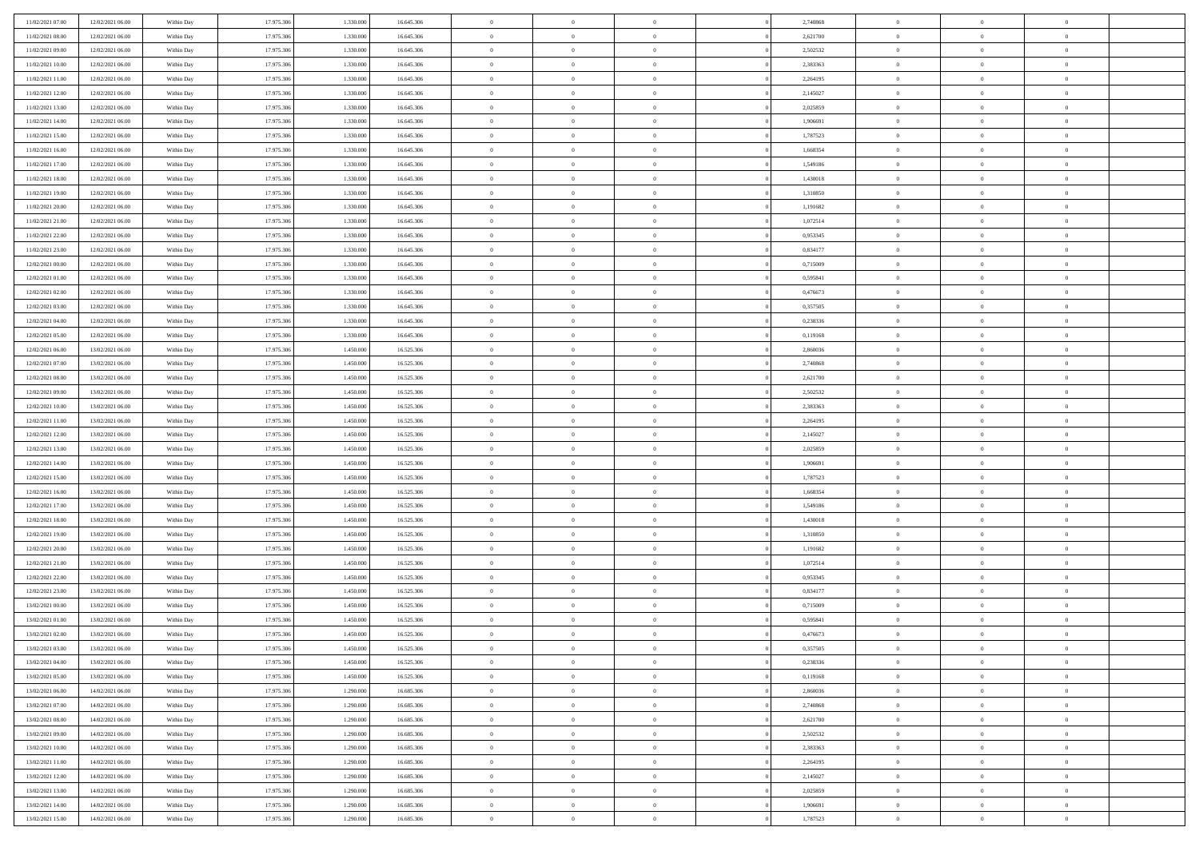| 11/02/2021 07:00 | 12/02/2021 06:00 | Within Day | 17.975.306 | 1.330.000 | 16.645.306 | $\,$ 0 $\,$    | $\overline{0}$ | $\overline{0}$ |          | 2,740868 | $\bf{0}$       | $\overline{0}$ | $\,0\,$        |  |
|------------------|------------------|------------|------------|-----------|------------|----------------|----------------|----------------|----------|----------|----------------|----------------|----------------|--|
| 11/02/2021 08:00 | 12/02/2021 06:00 | Within Day | 17.975.306 | 1.330,000 | 16.645.306 | $\overline{0}$ | $\overline{0}$ | $\mathbf{0}$   |          | 2,621700 | $\theta$       | $\overline{0}$ | $\theta$       |  |
| 11/02/2021 09:00 | 12/02/2021 06:00 | Within Day | 17.975.306 | 1.330.000 | 16.645.306 | $\theta$       | $\overline{0}$ | $\overline{0}$ |          | 2,502532 | $\mathbf{0}$   | $\overline{0}$ | $\overline{0}$ |  |
| 11/02/2021 10:00 | 12/02/2021 06:00 | Within Day | 17.975.306 | 1.330.000 | 16.645.306 | $\,$ 0 $\,$    | $\overline{0}$ | $\overline{0}$ |          | 2,383363 | $\bf{0}$       | $\overline{0}$ | $\bf{0}$       |  |
| 11/02/2021 11:00 | 12/02/2021 06:00 | Within Day | 17.975.306 | 1.330.000 | 16.645.306 | $\,$ 0         | $\overline{0}$ | $\mathbf{0}$   |          | 2,264195 | $\bf{0}$       | $\theta$       | $\,0\,$        |  |
| 11/02/2021 12:00 | 12/02/2021 06:00 | Within Day | 17.975.306 | 1.330.000 | 16.645.306 | $\theta$       | $\overline{0}$ | $\mathbf{0}$   |          | 2,145027 | $\mathbf{0}$   | $\overline{0}$ | $\overline{0}$ |  |
| 11/02/2021 13:00 | 12/02/2021 06:00 | Within Day | 17.975.306 | 1.330.000 | 16.645.306 | $\,$ 0 $\,$    | $\overline{0}$ | $\overline{0}$ |          | 2,025859 | $\bf{0}$       | $\overline{0}$ | $\bf{0}$       |  |
| 11/02/2021 14:00 | 12/02/2021 06:00 | Within Day | 17.975.306 | 1.330,000 | 16.645.306 | $\,$ 0         | $\overline{0}$ | $\mathbf{0}$   |          | 1,906691 | $\,$ 0 $\,$    | $\overline{0}$ | $\theta$       |  |
| 11/02/2021 15:00 | 12/02/2021 06:00 | Within Day | 17.975.306 | 1.330.000 | 16.645.306 | $\theta$       | $\overline{0}$ | $\mathbf{0}$   |          | 1,787523 | $\mathbf{0}$   | $\overline{0}$ | $\overline{0}$ |  |
| 11/02/2021 16:00 | 12/02/2021 06:00 | Within Day | 17.975.306 | 1.330.000 | 16.645.306 | $\,$ 0 $\,$    | $\overline{0}$ | $\Omega$       |          | 1,668354 | $\bf{0}$       | $\overline{0}$ | $\bf{0}$       |  |
| 11/02/2021 17:00 | 12/02/2021 06:00 | Within Day | 17.975.306 | 1.330,000 | 16.645.306 | $\bf{0}$       | $\overline{0}$ | $\mathbf{0}$   |          | 1,549186 | $\bf{0}$       | $\mathbf{0}$   | $\theta$       |  |
| 11/02/2021 18:00 | 12/02/2021 06:00 | Within Day | 17.975.306 | 1.330.000 | 16.645.306 | $\theta$       | $\overline{0}$ | $\overline{0}$ |          | 1,430018 | $\mathbf{0}$   | $\overline{0}$ | $\overline{0}$ |  |
| 11/02/2021 19:00 | 12/02/2021 06:00 | Within Day | 17.975.306 | 1.330.000 | 16.645.306 | $\,$ 0 $\,$    | $\overline{0}$ | $\overline{0}$ |          | 1,310850 | $\bf{0}$       | $\overline{0}$ | $\bf{0}$       |  |
| 11/02/2021 20:00 | 12/02/2021 06:00 | Within Day | 17.975.306 | 1.330.000 | 16.645.306 | $\bf{0}$       | $\overline{0}$ | $\mathbf{0}$   |          | 1,191682 | $\bf{0}$       | $\mathbf{0}$   | $\,0\,$        |  |
| 11/02/2021 21:00 | 12/02/2021 06:00 | Within Day | 17.975.306 | 1.330.000 | 16.645.306 | $\theta$       | $\overline{0}$ | $\overline{0}$ |          | 1,072514 | $\mathbf{0}$   | $\overline{0}$ | $\overline{0}$ |  |
| 11/02/2021 22:00 | 12/02/2021 06:00 | Within Day | 17.975.306 | 1.330.000 | 16.645.306 | $\,$ 0 $\,$    | $\overline{0}$ | $\Omega$       |          | 0,953345 | $\bf{0}$       | $\overline{0}$ | $\bf{0}$       |  |
| 11/02/2021 23:00 | 12/02/2021 06:00 | Within Day | 17.975.306 | 1.330,000 | 16.645.306 | $\,$ 0 $\,$    | $\overline{0}$ | $\mathbf{0}$   |          | 0,834177 | $\bf{0}$       | $\overline{0}$ | $\theta$       |  |
| 12/02/2021 00:00 | 12/02/2021 06:00 | Within Day | 17.975.306 | 1.330.000 | 16.645.306 | $\theta$       | $\overline{0}$ | $\mathbf{0}$   |          | 0,715009 | $\mathbf{0}$   | $\overline{0}$ | $\overline{0}$ |  |
| 12/02/2021 01:00 | 12/02/2021 06:00 | Within Day | 17.975.306 | 1.330.000 | 16.645.306 | $\,$ 0 $\,$    | $\overline{0}$ | $\Omega$       |          | 0,595841 | $\bf{0}$       | $\overline{0}$ | $\,0\,$        |  |
| 12/02/2021 02:00 | 12/02/2021 06:00 | Within Day | 17.975.306 | 1.330,000 | 16.645.306 | $\bf{0}$       | $\overline{0}$ | $\mathbf{0}$   |          | 0,476673 | $\bf{0}$       | $\overline{0}$ | $\overline{0}$ |  |
| 12/02/2021 03:00 | 12/02/2021 06:00 | Within Day | 17.975.306 | 1.330.000 | 16.645.306 | $\theta$       | $\overline{0}$ | $\mathbf{0}$   |          | 0,357505 | $\mathbf{0}$   | $\overline{0}$ | $\overline{0}$ |  |
| 12/02/2021 04:00 | 12/02/2021 06:00 | Within Day | 17.975.306 | 1.330.000 | 16.645.306 | $\,$ 0 $\,$    | $\overline{0}$ | $\overline{0}$ |          | 0,238336 | $\bf{0}$       | $\overline{0}$ | $\bf{0}$       |  |
| 12/02/2021 05:00 | 12/02/2021 06:00 | Within Day | 17.975.306 | 1.330.000 | 16.645.306 | $\,$ 0         | $\overline{0}$ | $\mathbf{0}$   |          | 0,119168 | $\bf{0}$       | $\overline{0}$ | $\,0\,$        |  |
| 12/02/2021 06:00 | 13/02/2021 06:00 | Within Day | 17.975.306 | 1.450.000 | 16.525.306 | $\theta$       | $\overline{0}$ | $\mathbf{0}$   |          | 2,860036 | $\mathbf{0}$   | $\overline{0}$ | $\overline{0}$ |  |
| 12/02/2021 07:00 | 13/02/2021 06:00 | Within Day | 17.975.306 | 1.450.000 | 16.525.306 | $\,$ 0 $\,$    | $\overline{0}$ | $\overline{0}$ |          | 2,740868 | $\bf{0}$       | $\overline{0}$ | $\bf{0}$       |  |
| 12/02/2021 08:00 | 13/02/2021 06:00 | Within Day | 17.975.306 | 1.450.000 | 16.525.306 | $\,$ 0         | $\overline{0}$ | $\mathbf{0}$   |          | 2,621700 | $\mathbf{0}$   | $\overline{0}$ | $\overline{0}$ |  |
| 12/02/2021 09:00 | 13/02/2021 06:00 | Within Day | 17.975.306 | 1.450.000 | 16.525.306 | $\theta$       | $\overline{0}$ | $\overline{0}$ |          | 2,502532 | $\mathbf{0}$   | $\overline{0}$ | $\overline{0}$ |  |
| 12/02/2021 10:00 | 13/02/2021 06:00 | Within Day | 17.975.306 | 1.450.000 | 16.525.306 | $\,$ 0 $\,$    | $\overline{0}$ | $\Omega$       |          | 2,383363 | $\bf{0}$       | $\overline{0}$ | $\bf{0}$       |  |
| 12/02/2021 11:00 | 13/02/2021 06:00 | Within Day | 17.975.306 | 1.450,000 | 16.525.306 | $\bf{0}$       | $\overline{0}$ | $\mathbf{0}$   |          | 2,264195 | $\bf{0}$       | $\mathbf{0}$   | $\overline{0}$ |  |
| 12/02/2021 12:00 | 13/02/2021 06:00 | Within Day | 17.975.306 | 1.450.000 | 16.525.306 | $\theta$       | $\overline{0}$ | $\overline{0}$ |          | 2,145027 | $\mathbf{0}$   | $\overline{0}$ | $\overline{0}$ |  |
| 12/02/2021 13:00 | 13/02/2021 06:00 | Within Day | 17.975.306 | 1.450.000 | 16.525.306 | $\,$ 0 $\,$    | $\overline{0}$ | $\overline{0}$ |          | 2,025859 | $\,$ 0         | $\overline{0}$ | $\,$ 0 $\,$    |  |
| 12/02/2021 14:00 | 13/02/2021 06:00 | Within Day | 17.975.306 | 1.450.000 | 16.525.306 | $\,$ 0         | $\overline{0}$ | $\mathbf{0}$   |          | 1,906691 | $\bf{0}$       | $\mathbf{0}$   | $\overline{0}$ |  |
| 12/02/2021 15:00 | 13/02/2021 06:00 | Within Day | 17.975.306 | 1.450.000 | 16.525.306 | $\theta$       | $\overline{0}$ | $\overline{0}$ |          | 1,787523 | $\mathbf{0}$   | $\overline{0}$ | $\overline{0}$ |  |
| 12/02/2021 16:00 | 13/02/2021 06:00 | Within Day | 17.975.306 | 1.450.000 | 16.525.306 | $\theta$       | $\overline{0}$ | $\overline{0}$ |          | 1,668354 | $\,$ 0         | $\overline{0}$ | $\theta$       |  |
| 12/02/2021 17:00 | 13/02/2021 06:00 | Within Day | 17.975.306 | 1.450.000 | 16.525.306 | $\bf{0}$       | $\overline{0}$ | $\mathbf{0}$   |          | 1,549186 | $\mathbf{0}$   | $\overline{0}$ | $\overline{0}$ |  |
| 12/02/2021 18:00 | 13/02/2021 06:00 | Within Day | 17.975.306 | 1.450.000 | 16.525.306 | $\theta$       | $\overline{0}$ | $\mathbf{0}$   |          | 1,430018 | $\mathbf{0}$   | $\overline{0}$ | $\overline{0}$ |  |
| 12/02/2021 19:00 | 13/02/2021 06:00 | Within Day | 17.975.306 | 1.450.000 | 16.525.306 | $\theta$       | $\overline{0}$ | $\overline{0}$ |          | 1,310850 | $\,$ 0         | $\overline{0}$ | $\theta$       |  |
| 12/02/2021 20:00 | 13/02/2021 06:00 | Within Day | 17.975.306 | 1.450.000 | 16.525.306 | $\bf{0}$       | $\overline{0}$ | $\mathbf{0}$   |          | 1,191682 | $\bf{0}$       | $\mathbf{0}$   | $\overline{0}$ |  |
| 12/02/2021 21:00 | 13/02/2021 06:00 | Within Day | 17.975.306 | 1.450.000 | 16.525.306 | $\theta$       | $\overline{0}$ | $\overline{0}$ |          | 1,072514 | $\mathbf{0}$   | $\overline{0}$ | $\overline{0}$ |  |
| 12/02/2021 22:00 | 13/02/2021 06:00 | Within Day | 17.975.306 | 1.450.000 | 16.525.306 | $\,$ 0 $\,$    | $\overline{0}$ | $\overline{0}$ |          | 0,953345 | $\,$ 0         | $\overline{0}$ | $\,$ 0 $\,$    |  |
| 12/02/2021 23:00 | 13/02/2021 06:00 | Within Day | 17.975.306 | 1.450.000 | 16.525.306 | $\bf{0}$       | $\,$ 0 $\,$    | $\overline{0}$ |          | 0,834177 | $\,$ 0 $\,$    | $\overline{0}$ | $\overline{0}$ |  |
| 13/02/2021 00:00 | 13/02/2021 06:00 | Within Day | 17.975.306 | 1.450.000 | 16.525.306 | $\theta$       | $\overline{0}$ | $\mathbf{0}$   |          | 0,715009 | $\mathbf{0}$   | $\overline{0}$ | $\theta$       |  |
| 13/02/2021 01:00 | 13/02/2021 06:00 | Within Day | 17.975.306 | 1.450.000 | 16.525.306 | $\theta$       | $\overline{0}$ | $\overline{0}$ |          | 0,595841 | $\,$ 0         | $\overline{0}$ | $\theta$       |  |
| 13/02/2021 02:00 | 13/02/2021 06:00 | Within Day | 17.975.306 | 1.450.000 | 16.525.306 | $\,$ 0         | $\overline{0}$ | $\mathbf{0}$   |          | 0,476673 | $\,$ 0 $\,$    | $\overline{0}$ | $\overline{0}$ |  |
| 13/02/2021 03:00 | 13/02/2021 06:00 | Within Day | 17.975.306 | 1.450.000 | 16.525.306 | $\overline{0}$ | $\theta$       |                |          | 0,357505 | $\overline{0}$ | $^{\circ}$     | $\theta$       |  |
| 13/02/2021 04:00 | 13/02/2021 06:00 | Within Day | 17.975.306 | 1.450.000 | 16.525.306 | $\,$ 0 $\,$    | $\overline{0}$ | $\overline{0}$ |          | 0,238336 | $\,$ 0 $\,$    | $\bf{0}$       | $\theta$       |  |
| 13/02/2021 05:00 | 13/02/2021 06:00 | Within Day | 17.975.306 | 1.450,000 | 16.525.306 | $\overline{0}$ | $\,$ 0 $\,$    | $\overline{0}$ |          | 0,119168 | $\,$ 0 $\,$    | $\overline{0}$ | $\overline{0}$ |  |
| 13/02/2021 06:00 | 14/02/2021 06:00 | Within Day | 17.975.306 | 1.290.000 | 16.685.306 | $\mathbf{0}$   | $\overline{0}$ | $\overline{0}$ |          | 2,860036 | $\,$ 0 $\,$    | $\bf{0}$       | $\overline{0}$ |  |
| 13/02/2021 07:00 | 14/02/2021 06:00 | Within Day | 17.975.306 | 1.290.000 | 16.685.306 | $\,$ 0 $\,$    | $\overline{0}$ | $\overline{0}$ | $\theta$ | 2,740868 | $\,$ 0 $\,$    | $\bf{0}$       | $\,$ 0 $\,$    |  |
| 13/02/2021 08:00 | 14/02/2021 06:00 | Within Day | 17.975.306 | 1.290.000 | 16.685.306 | $\,$ 0 $\,$    | $\,$ 0 $\,$    | $\overline{0}$ |          | 2,621700 | $\,$ 0 $\,$    | $\overline{0}$ | $\overline{0}$ |  |
| 13/02/2021 09:00 | 14/02/2021 06:00 | Within Day | 17.975.306 | 1.290.000 | 16.685.306 | $\mathbf{0}$   | $\overline{0}$ | $\overline{0}$ |          | 2,502532 | $\mathbf{0}$   | $\bf{0}$       | $\overline{0}$ |  |
| 13/02/2021 10:00 | 14/02/2021 06:00 | Within Day | 17.975.306 | 1.290.000 | 16.685.306 | $\,$ 0 $\,$    | $\overline{0}$ | $\overline{0}$ |          | 2,383363 | $\,$ 0 $\,$    | $\bf{0}$       | $\,$ 0 $\,$    |  |
| 13/02/2021 11:00 | 14/02/2021 06:00 | Within Day | 17.975.306 | 1.290.000 | 16.685.306 | $\bf{0}$       | $\,$ 0 $\,$    | $\overline{0}$ |          | 2,264195 | $\,$ 0 $\,$    | $\overline{0}$ | $\overline{0}$ |  |
| 13/02/2021 12:00 | 14/02/2021 06:00 | Within Day | 17.975.306 | 1.290.000 | 16.685.306 | $\mathbf{0}$   | $\overline{0}$ | $\overline{0}$ |          | 2,145027 | $\mathbf{0}$   | $\bf{0}$       | $\overline{0}$ |  |
| 13/02/2021 13:00 | 14/02/2021 06:00 | Within Day | 17.975.306 | 1.290.000 | 16.685.306 | $\,$ 0 $\,$    | $\overline{0}$ | $\overline{0}$ |          | 2,025859 | $\,$ 0 $\,$    | $\mathbf{0}$   | $\,$ 0 $\,$    |  |
| 13/02/2021 14:00 | 14/02/2021 06:00 | Within Day | 17.975.306 | 1.290.000 | 16.685.306 | $\,$ 0 $\,$    | $\,$ 0 $\,$    | $\overline{0}$ |          | 1,906691 | $\,$ 0 $\,$    | $\overline{0}$ | $\overline{0}$ |  |
| 13/02/2021 15:00 | 14/02/2021 06:00 | Within Day | 17.975.306 | 1.290.000 | 16.685.306 | $\theta$       | $\overline{0}$ | $\overline{0}$ |          | 1,787523 | $\,$ 0 $\,$    | $\mathbf{0}$   | $\overline{0}$ |  |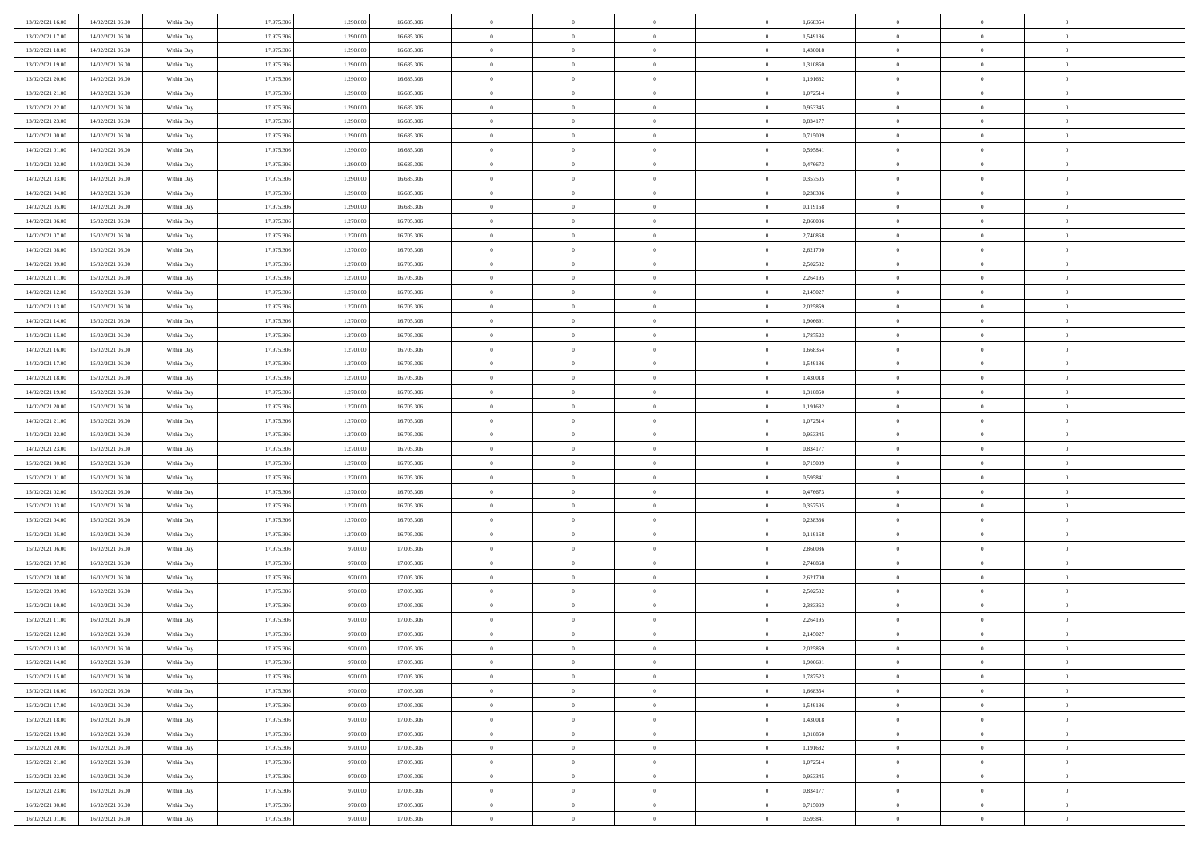| 13/02/2021 16:00 | 14/02/2021 06:00 | Within Day | 17.975.306 | 1.290.000 | 16.685.306 | $\overline{0}$ | $\overline{0}$ | $\Omega$       |          | 1,668354 | $\bf{0}$       | $\mathbf{0}$   | $\bf{0}$       |  |
|------------------|------------------|------------|------------|-----------|------------|----------------|----------------|----------------|----------|----------|----------------|----------------|----------------|--|
| 13/02/2021 17:00 | 14/02/2021 06:00 | Within Day | 17.975.306 | 1.290.000 | 16.685.306 | $\mathbf{0}$   | $\overline{0}$ | $\overline{0}$ |          | 1,549186 | $\overline{0}$ | $\overline{0}$ | $\overline{0}$ |  |
| 13/02/2021 18:00 | 14/02/2021 06:00 | Within Day | 17.975.306 | 1.290.000 | 16.685.306 | $\,$ 0         | $\overline{0}$ | $\bf{0}$       |          | 1,430018 | $\,$ 0         | $\overline{0}$ | $\,$ 0 $\,$    |  |
| 13/02/2021 19:00 | 14/02/2021 06:00 | Within Day | 17.975.306 | 1.290.000 | 16.685.306 | $\bf{0}$       | $\overline{0}$ | $\Omega$       |          | 1,310850 | $\bf{0}$       | $\mathbf{0}$   | $\theta$       |  |
| 13/02/2021 20:00 | 14/02/2021 06:00 | Within Day | 17.975.306 | 1.290.000 | 16.685.306 | $\bf{0}$       | $\overline{0}$ | $\overline{0}$ |          | 1,191682 | $\mathbf{0}$   | $\overline{0}$ | $\overline{0}$ |  |
| 13/02/2021 21:00 | 14/02/2021 06:00 | Within Day | 17.975.306 | 1.290.000 | 16.685.306 | $\bf{0}$       | $\overline{0}$ | $\bf{0}$       |          | 1,072514 | $\,$ 0         | $\overline{0}$ | $\,$ 0 $\,$    |  |
| 13/02/2021 22.00 | 14/02/2021 06:00 | Within Day | 17.975.306 | 1.290.000 | 16.685.306 | $\bf{0}$       | $\overline{0}$ | $\overline{0}$ |          | 0.953345 | $\bf{0}$       | $\overline{0}$ | $\theta$       |  |
| 13/02/2021 23:00 | 14/02/2021 06:00 | Within Day | 17.975.306 | 1.290.000 | 16.685.306 | $\overline{0}$ | $\overline{0}$ | $\overline{0}$ |          | 0,834177 | $\mathbf{0}$   | $\overline{0}$ | $\overline{0}$ |  |
| 14/02/2021 00:00 | 14/02/2021 06:00 | Within Day | 17.975.306 | 1.290.000 | 16.685.306 | $\bf{0}$       | $\overline{0}$ | $\bf{0}$       |          | 0,715009 | $\,$ 0         | $\overline{0}$ | $\,$ 0 $\,$    |  |
| 14/02/2021 01:00 | 14/02/2021 06:00 | Within Day | 17.975.306 | 1.290.000 | 16,685,306 | $\bf{0}$       | $\overline{0}$ | $\Omega$       |          | 0.595841 | $\theta$       | $\mathbf{0}$   | $\theta$       |  |
| 14/02/2021 02:00 | 14/02/2021 06:00 | Within Day | 17.975.306 | 1.290.000 | 16.685.306 | $\overline{0}$ | $\overline{0}$ | $\overline{0}$ |          | 0,476673 | $\mathbf{0}$   | $\overline{0}$ | $\overline{0}$ |  |
| 14/02/2021 03:00 | 14/02/2021 06:00 | Within Day | 17.975.306 | 1.290.000 | 16.685.306 | $\bf{0}$       | $\overline{0}$ | $\bf{0}$       |          | 0,357505 | $\,$ 0         | $\overline{0}$ | $\,$ 0 $\,$    |  |
| 14/02/2021 04:00 | 14/02/2021 06:00 | Within Day | 17.975.306 | 1.290.000 | 16.685.306 | $\bf{0}$       | $\overline{0}$ | $\Omega$       |          | 0.238336 | $\theta$       | $\mathbf{0}$   | $\theta$       |  |
| 14/02/2021 05:00 | 14/02/2021 06:00 | Within Day | 17.975.306 | 1.290.000 | 16.685.306 | $\overline{0}$ | $\overline{0}$ | $\overline{0}$ |          | 0,119168 | $\overline{0}$ | $\overline{0}$ | $\overline{0}$ |  |
| 14/02/2021 06:00 | 15/02/2021 06:00 | Within Day | 17.975.306 | 1.270.000 | 16.705.306 | $\bf{0}$       | $\overline{0}$ | $\bf{0}$       |          | 2,860036 | $\,$ 0         | $\overline{0}$ | $\,$ 0 $\,$    |  |
| 14/02/2021 07:00 | 15/02/2021 06:00 | Within Day | 17.975.306 | 1.270.000 | 16.705.306 | $\bf{0}$       | $\overline{0}$ | $\overline{0}$ |          | 2,740868 | $\bf{0}$       | $\overline{0}$ | $\theta$       |  |
| 14/02/2021 08:00 | 15/02/2021 06:00 | Within Day | 17.975.306 | 1.270.000 | 16.705.306 | $\overline{0}$ | $\overline{0}$ | $\overline{0}$ |          | 2,621700 | $\mathbf{0}$   | $\overline{0}$ | $\overline{0}$ |  |
| 14/02/2021 09:00 | 15/02/2021 06:00 | Within Day | 17.975.306 | 1.270.000 | 16.705.306 | $\bf{0}$       | $\overline{0}$ | $\bf{0}$       |          | 2,502532 | $\,$ 0         | $\overline{0}$ | $\,$ 0 $\,$    |  |
| 14/02/2021 11:00 | 15/02/2021 06:00 | Within Day | 17.975.306 | 1.270.000 | 16.705.306 | $\bf{0}$       | $\overline{0}$ | $\Omega$       |          | 2.264195 | $\theta$       | $\mathbf{0}$   | $\theta$       |  |
| 14/02/2021 12:00 | 15/02/2021 06:00 | Within Day | 17.975.306 | 1.270.000 | 16.705.306 | $\overline{0}$ | $\overline{0}$ | $\overline{0}$ |          | 2,145027 | $\mathbf{0}$   | $\overline{0}$ | $\overline{0}$ |  |
| 14/02/2021 13:00 | 15/02/2021 06:00 | Within Day | 17.975.306 | 1.270.000 | 16.705.306 | $\bf{0}$       | $\overline{0}$ | $\bf{0}$       |          | 2,025859 | $\,$ 0         | $\overline{0}$ | $\,$ 0 $\,$    |  |
| 14/02/2021 14:00 | 15/02/2021 06:00 | Within Day | 17.975.306 | 1.270.000 | 16,705,306 | $\bf{0}$       | $\overline{0}$ | $\Omega$       |          | 1.906691 | $\theta$       | $\mathbf{0}$   | $\theta$       |  |
| 14/02/2021 15:00 | 15/02/2021 06:00 | Within Day | 17.975.306 | 1.270.000 | 16.705.306 | $\overline{0}$ | $\overline{0}$ | $\overline{0}$ |          | 1,787523 | $\mathbf{0}$   | $\overline{0}$ | $\overline{0}$ |  |
| 14/02/2021 16:00 | 15/02/2021 06:00 | Within Day | 17.975.306 | 1.270.000 | 16.705.306 | $\bf{0}$       | $\overline{0}$ | $\bf{0}$       |          | 1,668354 | $\,$ 0         | $\overline{0}$ | $\,$ 0 $\,$    |  |
| 14/02/2021 17.00 | 15/02/2021 06:00 | Within Day | 17.975.306 | 1.270.000 | 16.705.306 | $\bf{0}$       | $\overline{0}$ | $\overline{0}$ |          | 1,549186 | $\bf{0}$       | $\overline{0}$ | $\bf{0}$       |  |
| 14/02/2021 18:00 | 15/02/2021 06:00 | Within Day | 17.975.306 | 1.270.000 | 16.705.306 | $\overline{0}$ | $\overline{0}$ | $\overline{0}$ |          | 1,430018 | $\mathbf{0}$   | $\overline{0}$ | $\overline{0}$ |  |
| 14/02/2021 19:00 | 15/02/2021 06:00 | Within Day | 17.975.306 | 1.270.000 | 16.705.306 | $\bf{0}$       | $\overline{0}$ | $\bf{0}$       |          | 1,310850 | $\,$ 0         | $\overline{0}$ | $\,$ 0 $\,$    |  |
| 14/02/2021 20:00 | 15/02/2021 06:00 | Within Day | 17.975.306 | 1.270.000 | 16,705,306 | $\bf{0}$       | $\overline{0}$ | $\Omega$       |          | 1.191682 | $\theta$       | $\mathbf{0}$   | $\theta$       |  |
| 14/02/2021 21:00 | 15/02/2021 06:00 | Within Day | 17.975.306 | 1.270.000 | 16.705.306 | $\overline{0}$ | $\overline{0}$ | $\overline{0}$ |          | 1,072514 | $\mathbf{0}$   | $\overline{0}$ | $\overline{0}$ |  |
| 14/02/2021 22.00 | 15/02/2021 06:00 | Within Day | 17.975.306 | 1.270.000 | 16.705.306 | $\bf{0}$       | $\overline{0}$ | $\bf{0}$       |          | 0,953345 | $\,$ 0         | $\overline{0}$ | $\,$ 0 $\,$    |  |
| 14/02/2021 23.00 | 15/02/2021 06:00 | Within Day | 17.975.306 | 1.270.000 | 16.705.306 | $\bf{0}$       | $\overline{0}$ | $\overline{0}$ |          | 0,834177 | $\bf{0}$       | $\overline{0}$ | $\,0\,$        |  |
| 15/02/2021 00:00 | 15/02/2021 06:00 | Within Day | 17.975.306 | 1.270.000 | 16.705.306 | $\overline{0}$ | $\overline{0}$ | $\overline{0}$ |          | 0,715009 | $\mathbf{0}$   | $\overline{0}$ | $\overline{0}$ |  |
| 15/02/2021 01:00 | 15/02/2021 06:00 | Within Day | 17.975.306 | 1.270.000 | 16.705.306 | $\bf{0}$       | $\overline{0}$ | $\bf{0}$       |          | 0,595841 | $\,$ 0         | $\overline{0}$ | $\,$ 0 $\,$    |  |
| 15/02/2021 02:00 | 15/02/2021 06:00 | Within Day | 17.975.306 | 1.270.000 | 16.705.306 | $\bf{0}$       | $\overline{0}$ | $\bf{0}$       |          | 0,476673 | $\bf{0}$       | $\overline{0}$ | $\,0\,$        |  |
| 15/02/2021 03:00 | 15/02/2021 06:00 | Within Day | 17.975.306 | 1.270.000 | 16.705.306 | $\overline{0}$ | $\overline{0}$ | $\overline{0}$ |          | 0,357505 | $\mathbf{0}$   | $\overline{0}$ | $\overline{0}$ |  |
| 15/02/2021 04:00 | 15/02/2021 06:00 | Within Day | 17.975.306 | 1.270.000 | 16.705.306 | $\bf{0}$       | $\overline{0}$ | $\bf{0}$       |          | 0,238336 | $\,$ 0         | $\overline{0}$ | $\,$ 0 $\,$    |  |
| 15/02/2021 05:00 | 15/02/2021 06:00 | Within Day | 17.975.306 | 1.270.000 | 16.705.306 | $\bf{0}$       | $\bf{0}$       | $\overline{0}$ |          | 0,119168 | $\bf{0}$       | $\overline{0}$ | $\,0\,$        |  |
| 15/02/2021 06:00 | 16/02/2021 06:00 | Within Day | 17.975.306 | 970.000   | 17.005.306 | $\overline{0}$ | $\overline{0}$ | $\overline{0}$ |          | 2,860036 | $\mathbf{0}$   | $\overline{0}$ | $\overline{0}$ |  |
| 15/02/2021 07:00 | 16/02/2021 06:00 | Within Day | 17.975.306 | 970.000   | 17.005.306 | $\bf{0}$       | $\overline{0}$ | $\bf{0}$       |          | 2,740868 | $\,$ 0         | $\overline{0}$ | $\,$ 0 $\,$    |  |
| 15/02/2021 08:00 | 16/02/2021 06:00 | Within Day | 17.975.306 | 970.000   | 17.005.306 | $\bf{0}$       | $\bf{0}$       | $\overline{0}$ |          | 2,621700 | $\bf{0}$       | $\overline{0}$ | $\,0\,$        |  |
| 15/02/2021 09:00 | 16/02/2021 06:00 | Within Day | 17.975.306 | 970.000   | 17.005.306 | $\overline{0}$ | $\overline{0}$ | $\overline{0}$ |          | 2,502532 | $\overline{0}$ | $\overline{0}$ | $\overline{0}$ |  |
| 15/02/2021 10:00 | 16/02/2021 06:00 | Within Day | 17.975.306 | 970.000   | 17.005.306 | $\bf{0}$       | $\overline{0}$ | $\bf{0}$       |          | 2,383363 | $\,$ 0         | $\overline{0}$ | $\,$ 0 $\,$    |  |
| 15/02/2021 11:00 | 16/02/2021 06:00 | Within Day | 17.975.306 | 970.000   | 17.005.306 | $\bf{0}$       | $\bf{0}$       | $\bf{0}$       |          | 2,264195 | $\bf{0}$       | $\overline{0}$ | $\,0\,$        |  |
| 15/02/2021 12:00 | 16/02/2021 06:00 | Within Dav | 17.975.306 | 970.000   | 17.005.306 | $\mathbf{0}$   | $\overline{0}$ | $\overline{0}$ |          | 2,145027 | $\overline{0}$ | $\overline{0}$ | $\overline{0}$ |  |
| 15/02/2021 13:00 | 16/02/2021 06:00 | Within Day | 17.975.306 | 970.000   | 17.005.306 | $\bf{0}$       | $\overline{0}$ | $\theta$       |          | 2,025859 | $\overline{0}$ | $\overline{0}$ | $\theta$       |  |
| 15/02/2021 14:00 | 16/02/2021 06:00 | Within Day | 17.975.306 | 970.000   | 17.005.306 | $\bf{0}$       | $\bf{0}$       | $\bf{0}$       |          | 1,906691 | $\bf{0}$       | $\overline{0}$ | $\bf{0}$       |  |
| 15/02/2021 15:00 | 16/02/2021 06:00 | Within Day | 17.975.306 | 970.000   | 17.005.306 | $\overline{0}$ | $\overline{0}$ | $\overline{0}$ |          | 1,787523 | $\overline{0}$ | $\overline{0}$ | $\overline{0}$ |  |
| 15/02/2021 16:00 | 16/02/2021 06:00 | Within Day | 17.975.306 | 970.000   | 17.005.306 | $\,$ 0 $\,$    | $\overline{0}$ | $\overline{0}$ |          | 1,668354 | $\mathbf{0}$   | $\,$ 0 $\,$    | $\,$ 0 $\,$    |  |
| 15/02/2021 17:00 | 16/02/2021 06:00 | Within Day | 17.975.306 | 970.000   | 17.005.306 | $\bf{0}$       | $\bf{0}$       | $\overline{0}$ |          | 1,549186 | $\bf{0}$       | $\overline{0}$ | $\bf{0}$       |  |
| 15/02/2021 18:00 | 16/02/2021 06:00 | Within Day | 17.975.306 | 970.000   | 17.005.306 | $\overline{0}$ | $\overline{0}$ | $\overline{0}$ |          | 1,430018 | $\overline{0}$ | $\bf{0}$       | $\overline{0}$ |  |
| 15/02/2021 19:00 | 16/02/2021 06:00 | Within Day | 17.975.306 | 970.000   | 17.005.306 | $\,$ 0 $\,$    | $\overline{0}$ | $\overline{0}$ |          | 1,310850 | $\,$ 0 $\,$    | $\overline{0}$ | $\,$ 0 $\,$    |  |
| 15/02/2021 20:00 | 16/02/2021 06:00 | Within Day | 17.975.306 | 970.000   | 17.005.306 | $\overline{0}$ | $\overline{0}$ | $\overline{0}$ | $\Omega$ | 1,191682 | $\bf{0}$       | $\overline{0}$ | $\overline{0}$ |  |
| 15/02/2021 21:00 | 16/02/2021 06:00 | Within Day | 17.975.306 | 970.000   | 17.005.306 | $\overline{0}$ | $\overline{0}$ | $\overline{0}$ |          | 1,072514 | $\overline{0}$ | $\bf{0}$       | $\overline{0}$ |  |
| 15/02/2021 22:00 | 16/02/2021 06:00 | Within Day | 17.975.306 | 970.000   | 17.005.306 | $\,$ 0 $\,$    | $\overline{0}$ | $\overline{0}$ |          | 0,953345 | $\mathbf{0}$   | $\,$ 0 $\,$    | $\,$ 0 $\,$    |  |
| 15/02/2021 23:00 | 16/02/2021 06:00 | Within Day | 17.975.306 | 970.000   | 17.005.306 | $\bf{0}$       | $\overline{0}$ | $\overline{0}$ |          | 0,834177 | $\mathbf{0}$   | $\overline{0}$ | $\bf{0}$       |  |
| 16/02/2021 00:00 | 16/02/2021 06:00 | Within Day | 17.975.306 | 970.000   | 17.005.306 | $\overline{0}$ | $\overline{0}$ | $\overline{0}$ |          | 0,715009 | $\mathbf{0}$   | $\bf{0}$       | $\overline{0}$ |  |
| 16/02/2021 01:00 | 16/02/2021 06:00 | Within Day | 17.975.306 | 970.000   | 17.005.306 | $\,0\,$        | $\overline{0}$ | $\overline{0}$ |          | 0,595841 | $\,$ 0 $\,$    | $\overline{0}$ | $\,$ 0 $\,$    |  |
|                  |                  |            |            |           |            |                |                |                |          |          |                |                |                |  |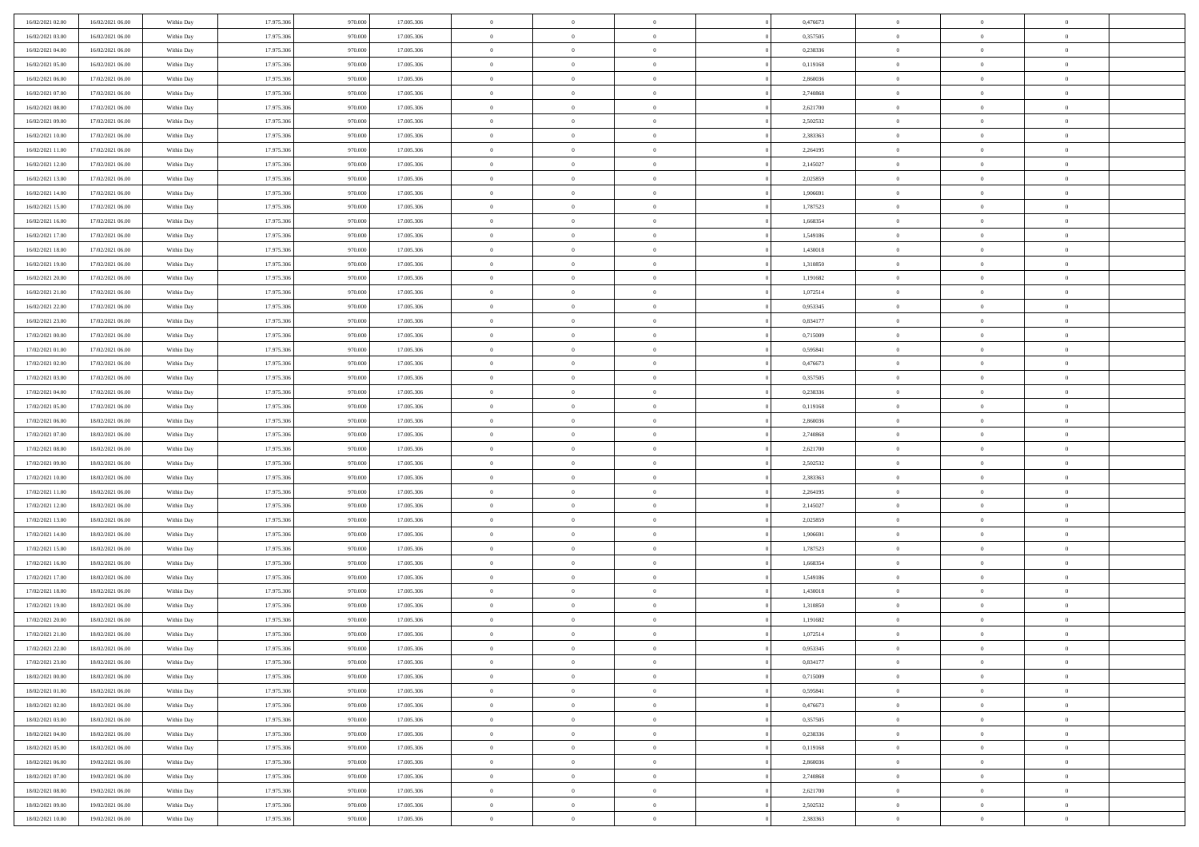| 16/02/2021 02:00                     | 16/02/2021 06:00 | Within Day               | 17.975.306 | 970.000 | 17.005.306               | $\,$ 0         | $\overline{0}$ | $\theta$       |          | 0,476673 | $\bf{0}$       | $\overline{0}$ | $\,0\,$        |  |
|--------------------------------------|------------------|--------------------------|------------|---------|--------------------------|----------------|----------------|----------------|----------|----------|----------------|----------------|----------------|--|
| 16/02/2021 03:00                     | 16/02/2021 06:00 | Within Day               | 17.975.306 | 970,000 | 17.005.306               | $\overline{0}$ | $\overline{0}$ | $\overline{0}$ |          | 0,357505 | $\overline{0}$ | $\overline{0}$ | $\theta$       |  |
| 16/02/2021 04:00                     | 16/02/2021 06:00 | Within Dav               | 17.975.306 | 970.000 | 17.005.306               | $\mathbf{0}$   | $\overline{0}$ | $\overline{0}$ |          | 0,238336 | $\mathbf{0}$   | $\overline{0}$ | $\overline{0}$ |  |
| 16/02/2021 05:00                     | 16/02/2021 06:00 | Within Day               | 17.975.306 | 970.000 | 17.005.306               | $\bf{0}$       | $\overline{0}$ | $\overline{0}$ |          | 0,119168 | $\bf{0}$       | $\overline{0}$ | $\bf{0}$       |  |
| 16/02/2021 06:00                     | 17/02/2021 06:00 | Within Day               | 17.975.306 | 970.000 | 17.005.306               | $\bf{0}$       | $\overline{0}$ | $\overline{0}$ |          | 2,860036 | $\bf{0}$       | $\bf{0}$       | $\,0\,$        |  |
| 16/02/2021 07:00                     | 17/02/2021 06:00 | Within Dav               | 17.975.306 | 970.000 | 17.005.306               | $\overline{0}$ | $\overline{0}$ | $\overline{0}$ |          | 2,740868 | $\mathbf{0}$   | $\overline{0}$ | $\overline{0}$ |  |
| 16/02/2021 08:00                     | 17/02/2021 06:00 | Within Day               | 17.975.306 | 970.000 | 17.005.306               | $\bf{0}$       | $\overline{0}$ | $\overline{0}$ |          | 2,621700 | $\bf{0}$       | $\overline{0}$ | $\,0\,$        |  |
| 16/02/2021 09:00                     | 17/02/2021 06:00 | Within Day               | 17.975.306 | 970,000 | 17.005.306               | $\overline{0}$ | $\overline{0}$ | $\overline{0}$ |          | 2,502532 | $\,$ 0 $\,$    | $\overline{0}$ | $\theta$       |  |
| 16/02/2021 10:00                     | 17/02/2021 06:00 | Within Day               | 17.975.306 | 970.000 | 17.005.306               | $\mathbf{0}$   | $\overline{0}$ | $\overline{0}$ |          | 2,383363 | $\mathbf{0}$   | $\overline{0}$ | $\overline{0}$ |  |
| 16/02/2021 11:00                     | 17/02/2021 06:00 | Within Day               | 17.975.306 | 970.000 | 17.005.306               | $\bf{0}$       | $\bf{0}$       | $\overline{0}$ |          | 2,264195 | $\bf{0}$       | $\overline{0}$ | $\,0\,$        |  |
| 16/02/2021 12:00                     | 17/02/2021 06:00 | Within Day               | 17.975.306 | 970,000 | 17.005.306               | $\bf{0}$       | $\overline{0}$ | $\overline{0}$ |          | 2,145027 | $\bf{0}$       | $\overline{0}$ | $\theta$       |  |
| 16/02/2021 13:00                     | 17/02/2021 06:00 | Within Dav               | 17.975.306 | 970.000 | 17.005.306               | $\mathbf{0}$   | $\overline{0}$ | $\overline{0}$ |          | 2,025859 | $\mathbf{0}$   | $\overline{0}$ | $\overline{0}$ |  |
| 16/02/2021 14:00                     | 17/02/2021 06:00 | Within Day               | 17.975.306 | 970.000 | 17.005.306               | $\bf{0}$       | $\overline{0}$ | $\bf{0}$       |          | 1,906691 | $\bf{0}$       | $\overline{0}$ | $\bf{0}$       |  |
|                                      | 17/02/2021 06:00 |                          | 17.975.306 | 970.000 |                          | $\bf{0}$       | $\overline{0}$ | $\overline{0}$ |          | 1,787523 | $\bf{0}$       | $\mathbf{0}$   | $\,0\,$        |  |
| 16/02/2021 15:00<br>16/02/2021 16:00 | 17/02/2021 06:00 | Within Day<br>Within Dav | 17.975.306 | 970.000 | 17.005.306<br>17.005.306 | $\overline{0}$ | $\overline{0}$ |                |          | 1,668354 | $\mathbf{0}$   | $\overline{0}$ | $\overline{0}$ |  |
|                                      |                  |                          |            |         |                          |                |                | $\overline{0}$ |          |          |                |                |                |  |
| 16/02/2021 17:00                     | 17/02/2021 06:00 | Within Day               | 17.975.306 | 970.000 | 17.005.306               | $\bf{0}$       | $\bf{0}$       | $\overline{0}$ |          | 1,549186 | $\bf{0}$       | $\overline{0}$ | $\bf{0}$       |  |
| 16/02/2021 18:00                     | 17/02/2021 06:00 | Within Day               | 17.975.306 | 970,000 | 17.005.306               | $\overline{0}$ | $\overline{0}$ | $\overline{0}$ |          | 1,430018 | $\,$ 0 $\,$    | $\overline{0}$ | $\theta$       |  |
| 16/02/2021 19:00                     | 17/02/2021 06:00 | Within Day               | 17.975.306 | 970.000 | 17.005.306               | $\mathbf{0}$   | $\overline{0}$ | $\overline{0}$ |          | 1,310850 | $\mathbf{0}$   | $\overline{0}$ | $\overline{0}$ |  |
| 16/02/2021 20:00                     | 17/02/2021 06:00 | Within Day               | 17.975.306 | 970.000 | 17.005.306               | $\bf{0}$       | $\bf{0}$       | $\overline{0}$ |          | 1,191682 | $\bf{0}$       | $\overline{0}$ | $\,0\,$        |  |
| 16/02/2021 21:00                     | 17/02/2021 06:00 | Within Day               | 17.975.306 | 970,000 | 17.005.306               | $\bf{0}$       | $\overline{0}$ | $\overline{0}$ |          | 1,072514 | $\bf{0}$       | $\overline{0}$ | $\overline{0}$ |  |
| 16/02/2021 22:00                     | 17/02/2021 06:00 | Within Dav               | 17.975.306 | 970.000 | 17.005.306               | $\mathbf{0}$   | $\overline{0}$ | $\overline{0}$ |          | 0,953345 | $\mathbf{0}$   | $\overline{0}$ | $\overline{0}$ |  |
| 16/02/2021 23:00                     | 17/02/2021 06:00 | Within Day               | 17.975.306 | 970.000 | 17.005.306               | $\bf{0}$       | $\overline{0}$ | $\overline{0}$ |          | 0,834177 | $\bf{0}$       | $\overline{0}$ | $\bf{0}$       |  |
| 17/02/2021 00:00                     | 17/02/2021 06:00 | Within Day               | 17.975.306 | 970.000 | 17.005.306               | $\bf{0}$       | $\bf{0}$       | $\overline{0}$ |          | 0,715009 | $\bf{0}$       | $\overline{0}$ | $\,0\,$        |  |
| 17/02/2021 01:00                     | 17/02/2021 06:00 | Within Dav               | 17.975.306 | 970.000 | 17.005.306               | $\mathbf{0}$   | $\overline{0}$ | $\overline{0}$ |          | 0,595841 | $\mathbf{0}$   | $\overline{0}$ | $\overline{0}$ |  |
| 17/02/2021 02:00                     | 17/02/2021 06:00 | Within Day               | 17.975.306 | 970.000 | 17.005.306               | $\bf{0}$       | $\bf{0}$       | $\overline{0}$ |          | 0,476673 | $\bf{0}$       | $\overline{0}$ | $\,0\,$        |  |
| 17/02/2021 03:00                     | 17/02/2021 06:00 | Within Day               | 17.975.306 | 970,000 | 17.005.306               | $\bf{0}$       | $\overline{0}$ | $\overline{0}$ |          | 0,357505 | $\bf{0}$       | $\mathbf{0}$   | $\overline{0}$ |  |
| 17/02/2021 04:00                     | 17/02/2021 06:00 | Within Day               | 17.975.306 | 970.000 | 17.005.306               | $\mathbf{0}$   | $\overline{0}$ | $\overline{0}$ |          | 0,238336 | $\mathbf{0}$   | $\overline{0}$ | $\overline{0}$ |  |
| 17/02/2021 05:00                     | 17/02/2021 06:00 | Within Day               | 17.975.306 | 970.000 | 17.005.306               | $\bf{0}$       | $\bf{0}$       | $\overline{0}$ |          | 0,119168 | $\bf{0}$       | $\overline{0}$ | $\,0\,$        |  |
| 17/02/2021 06:00                     | 18/02/2021 06:00 | Within Day               | 17.975.306 | 970,000 | 17.005.306               | $\bf{0}$       | $\overline{0}$ | $\overline{0}$ |          | 2,860036 | $\bf{0}$       | $\overline{0}$ | $\overline{0}$ |  |
| 17/02/2021 07:00                     | 18/02/2021 06:00 | Within Dav               | 17.975.306 | 970.000 | 17.005.306               | $\mathbf{0}$   | $\overline{0}$ | $\overline{0}$ |          | 2,740868 | $\mathbf{0}$   | $\overline{0}$ | $\overline{0}$ |  |
| 17/02/2021 08:00                     | 18/02/2021 06:00 | Within Day               | 17.975.306 | 970.000 | 17.005.306               | $\bf{0}$       | $\overline{0}$ | $\theta$       |          | 2,621700 | $\,$ 0         | $\overline{0}$ | $\theta$       |  |
| 17/02/2021 09:00                     | 18/02/2021 06:00 | Within Day               | 17.975.306 | 970.000 | 17.005.306               | $\bf{0}$       | $\bf{0}$       | $\overline{0}$ |          | 2,502532 | $\bf{0}$       | $\overline{0}$ | $\bf{0}$       |  |
| 17/02/2021 10:00                     | 18/02/2021 06:00 | Within Dav               | 17.975.306 | 970.000 | 17.005.306               | $\overline{0}$ | $\overline{0}$ | $\overline{0}$ |          | 2,383363 | $\mathbf{0}$   | $\overline{0}$ | $\overline{0}$ |  |
| 17/02/2021 11:00                     | 18/02/2021 06:00 | Within Day               | 17.975.306 | 970.000 | 17.005.306               | $\bf{0}$       | $\overline{0}$ | $\theta$       |          | 2,264195 | $\,$ 0         | $\overline{0}$ | $\theta$       |  |
| 17/02/2021 12:00                     | 18/02/2021 06:00 | Within Day               | 17.975.306 | 970,000 | 17.005.306               | $\bf{0}$       | $\overline{0}$ | $\overline{0}$ |          | 2,145027 | $\bf{0}$       | $\overline{0}$ | $\overline{0}$ |  |
| 17/02/2021 13:00                     | 18/02/2021 06:00 | Within Day               | 17.975.306 | 970.000 | 17.005.306               | $\mathbf{0}$   | $\overline{0}$ | $\overline{0}$ |          | 2,025859 | $\mathbf{0}$   | $\overline{0}$ | $\overline{0}$ |  |
| 17/02/2021 14:00                     | 18/02/2021 06:00 | Within Day               | 17.975.306 | 970.000 | 17.005.306               | $\bf{0}$       | $\overline{0}$ | $\theta$       |          | 1,906691 | $\,$ 0         | $\overline{0}$ | $\theta$       |  |
| 17/02/2021 15:00                     | 18/02/2021 06:00 | Within Day               | 17.975.306 | 970,000 | 17.005.306               | $\bf{0}$       | $\overline{0}$ | $\overline{0}$ |          | 1,787523 | $\bf{0}$       | $\overline{0}$ | $\overline{0}$ |  |
| 17/02/2021 16:00                     | 18/02/2021 06:00 | Within Dav               | 17.975.306 | 970.000 | 17.005.306               | $\mathbf{0}$   | $\overline{0}$ | $\overline{0}$ |          | 1,668354 | $\mathbf{0}$   | $\overline{0}$ | $\overline{0}$ |  |
| 17/02/2021 17:00                     | 18/02/2021 06:00 | Within Day               | 17.975.306 | 970.000 | 17.005.306               | $\,0\,$        | $\overline{0}$ | $\theta$       |          | 1,549186 | $\,$ 0         | $\overline{0}$ | $\theta$       |  |
| 17/02/2021 18:00                     | 18/02/2021 06:00 | Within Day               | 17.975.306 | 970.000 | 17.005.306               | $\bf{0}$       | $\overline{0}$ | $\overline{0}$ |          | 1,430018 | $\bf{0}$       | $\overline{0}$ | $\overline{0}$ |  |
| 17/02/2021 19:00                     | 18/02/2021 06:00 | Within Dav               | 17.975.306 | 970.000 | 17.005.306               | $\mathbf{0}$   | $\overline{0}$ | $\overline{0}$ |          | 1,310850 | $\mathbf{0}$   | $\overline{0}$ | $\overline{0}$ |  |
| 17/02/2021 20:00                     | 18/02/2021 06:00 | Within Day               | 17.975.306 | 970.000 | 17.005.306               | $\bf{0}$       | $\overline{0}$ | $\theta$       |          | 1,191682 | $\,$ 0         | $\overline{0}$ | $\theta$       |  |
| 17/02/2021 21:00                     | 18/02/2021 06:00 | Within Day               | 17.975.306 | 970.000 | 17.005.306               | $\bf{0}$       | $\overline{0}$ | $\overline{0}$ |          | 1,072514 | $\,$ 0 $\,$    | $\overline{0}$ | $\overline{0}$ |  |
| 17/02/2021 22:00                     | 18/02/2021 06:00 | Within Day               | 17.975.306 | 970.000 | 17.005.306               | $\bf{0}$       | $\overline{0}$ |                |          | 0,953345 | $\overline{0}$ | $\theta$       | $\theta$       |  |
| 17/02/2021 23:00                     | 18/02/2021 06:00 | Within Day               | 17.975.306 | 970.000 | 17.005.306               | $\,0\,$        | $\overline{0}$ | $\theta$       |          | 0,834177 | $\,$ 0 $\,$    | $\bf{0}$       | $\theta$       |  |
| 18/02/2021 00:00                     | 18/02/2021 06:00 | Within Day               | 17.975.306 | 970.000 | 17.005.306               | $\overline{0}$ | $\overline{0}$ | $\overline{0}$ |          | 0,715009 | $\overline{0}$ | $\overline{0}$ | $\overline{0}$ |  |
| 18/02/2021 01:00                     | 18/02/2021 06:00 | Within Day               | 17.975.306 | 970.000 | 17.005.306               | $\bf{0}$       | $\overline{0}$ | $\overline{0}$ |          | 0,595841 | $\overline{0}$ | $\bf{0}$       | $\mathbf{0}$   |  |
| 18/02/2021 02:00                     | 18/02/2021 06:00 | Within Day               | 17.975.306 | 970.000 | 17.005.306               | $\bf{0}$       | $\overline{0}$ | $\overline{0}$ | $\theta$ | 0,476673 | $\mathbf{0}$   | $\bf{0}$       | $\,$ 0 $\,$    |  |
| 18/02/2021 03:00                     | 18/02/2021 06:00 | Within Day               | 17.975.306 | 970.000 | 17.005.306               | $\bf{0}$       | $\overline{0}$ | $\overline{0}$ |          | 0,357505 | $\,$ 0 $\,$    | $\overline{0}$ | $\overline{0}$ |  |
| 18/02/2021 04:00                     | 18/02/2021 06:00 | Within Day               | 17.975.306 | 970.000 | 17.005.306               | $\bf{0}$       | $\overline{0}$ | $\overline{0}$ |          | 0,238336 | $\mathbf{0}$   | $\overline{0}$ | $\overline{0}$ |  |
| 18/02/2021 05:00                     | 18/02/2021 06:00 | Within Day               | 17.975.306 | 970.000 | 17.005.306               | $\,0\,$        | $\overline{0}$ | $\overline{0}$ | $\theta$ | 0,119168 | $\,$ 0 $\,$    | $\mathbf{0}$   | $\,$ 0 $\,$    |  |
| 18/02/2021 06:00                     | 19/02/2021 06:00 | Within Day               | 17.975.306 | 970.000 | 17.005.306               | $\bf{0}$       | $\overline{0}$ | $\overline{0}$ |          | 2,860036 | $\overline{0}$ | $\overline{0}$ | $\overline{0}$ |  |
| 18/02/2021 07:00                     | 19/02/2021 06:00 | Within Day               | 17.975.306 | 970.000 | 17.005.306               | $\bf{0}$       | $\overline{0}$ | $\overline{0}$ |          | 2,740868 | $\mathbf{0}$   | $\bf{0}$       | $\overline{0}$ |  |
| 18/02/2021 08:00                     | 19/02/2021 06:00 | Within Day               | 17.975.306 | 970.000 | 17.005.306               | $\,0\,$        | $\overline{0}$ | $\overline{0}$ |          | 2,621700 | $\mathbf{0}$   | $\mathbf{0}$   | $\,$ 0 $\,$    |  |
| 18/02/2021 09:00                     | 19/02/2021 06:00 | Within Day               | 17.975.306 | 970.000 | 17.005.306               | $\overline{0}$ | $\overline{0}$ | $\overline{0}$ |          | 2,502532 | $\mathbf{0}$   | $\mathbf{0}$   | $\overline{0}$ |  |
| 18/02/2021 10:00                     | 19/02/2021 06:00 | Within Day               | 17.975.306 | 970.000 | 17.005.306               | $\bf{0}$       | $\overline{0}$ | $\overline{0}$ |          | 2,383363 | $\mathbf{0}$   | $\overline{0}$ | $\overline{0}$ |  |
|                                      |                  |                          |            |         |                          |                |                |                |          |          |                |                |                |  |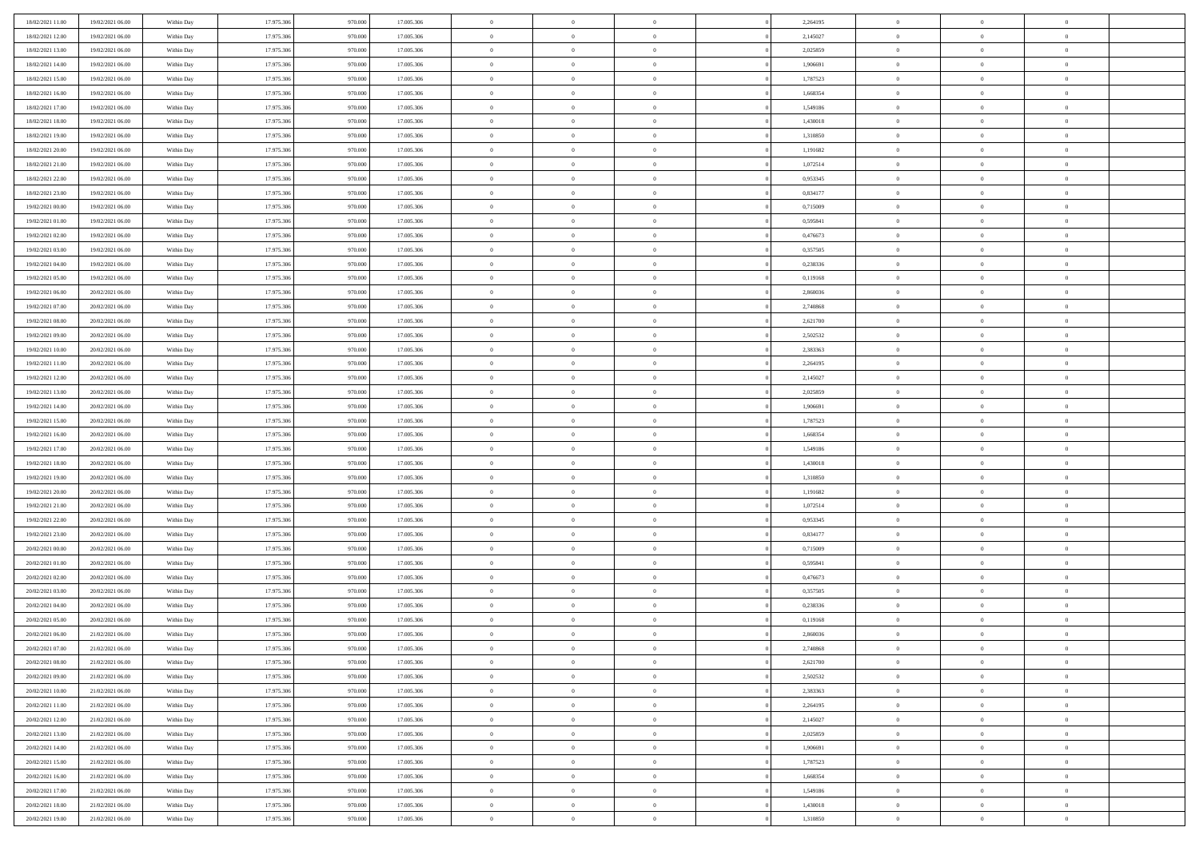| 18/02/2021 11:00                     | 19/02/2021 06:00 | Within Day               | 17.975.306 | 970.000 | 17.005.306               | $\,$ 0         | $\bf{0}$       | $\theta$       |          | 2,264195 | $\bf{0}$       | $\overline{0}$ | $\,0\,$        |  |
|--------------------------------------|------------------|--------------------------|------------|---------|--------------------------|----------------|----------------|----------------|----------|----------|----------------|----------------|----------------|--|
| 18/02/2021 12:00                     | 19/02/2021 06:00 | Within Day               | 17.975.306 | 970,000 | 17.005.306               | $\overline{0}$ | $\overline{0}$ | $\overline{0}$ |          | 2,145027 | $\overline{0}$ | $\overline{0}$ | $\theta$       |  |
| 18/02/2021 13:00                     | 19/02/2021 06:00 | Within Dav               | 17.975.306 | 970.000 | 17.005.306               | $\mathbf{0}$   | $\overline{0}$ | $\overline{0}$ |          | 2,025859 | $\mathbf{0}$   | $\overline{0}$ | $\overline{0}$ |  |
| 18/02/2021 14:00                     | 19/02/2021 06:00 | Within Day               | 17.975.306 | 970.000 | 17.005.306               | $\bf{0}$       | $\overline{0}$ | $\overline{0}$ |          | 1,906691 | $\bf{0}$       | $\overline{0}$ | $\bf{0}$       |  |
| 18/02/2021 15:00                     | 19/02/2021 06:00 | Within Day               | 17.975.306 | 970.000 | 17.005.306               | $\bf{0}$       | $\bf{0}$       | $\overline{0}$ |          | 1,787523 | $\bf{0}$       | $\bf{0}$       | $\,0\,$        |  |
| 18/02/2021 16:00                     | 19/02/2021 06:00 | Within Dav               | 17.975.306 | 970.000 | 17.005.306               | $\overline{0}$ | $\overline{0}$ | $\overline{0}$ |          | 1,668354 | $\mathbf{0}$   | $\overline{0}$ | $\overline{0}$ |  |
| 18/02/2021 17:00                     | 19/02/2021 06:00 | Within Day               | 17.975.306 | 970.000 | 17.005.306               | $\bf{0}$       | $\bf{0}$       | $\overline{0}$ |          | 1,549186 | $\bf{0}$       | $\overline{0}$ | $\,0\,$        |  |
| 18/02/2021 18:00                     | 19/02/2021 06:00 | Within Day               | 17.975.306 | 970,000 | 17.005.306               | $\overline{0}$ | $\overline{0}$ | $\overline{0}$ |          | 1,430018 | $\,$ 0 $\,$    | $\overline{0}$ | $\theta$       |  |
| 18/02/2021 19:00                     | 19/02/2021 06:00 | Within Day               | 17.975.306 | 970.000 | 17.005.306               | $\mathbf{0}$   | $\overline{0}$ | $\overline{0}$ |          | 1,310850 | $\mathbf{0}$   | $\overline{0}$ | $\overline{0}$ |  |
| 18/02/2021 20:00                     | 19/02/2021 06:00 | Within Day               | 17.975.306 | 970.000 | 17.005.306               | $\bf{0}$       | $\bf{0}$       | $\overline{0}$ |          | 1,191682 | $\bf{0}$       | $\overline{0}$ | $\,0\,$        |  |
| 18/02/2021 21:00                     | 19/02/2021 06:00 | Within Day               | 17.975.306 | 970,000 | 17.005.306               | $\bf{0}$       | $\overline{0}$ | $\overline{0}$ |          | 1,072514 | $\bf{0}$       | $\overline{0}$ | $\theta$       |  |
| 18/02/2021 22:00                     | 19/02/2021 06:00 | Within Dav               | 17.975.306 | 970.000 | 17.005.306               | $\mathbf{0}$   | $\overline{0}$ | $\overline{0}$ |          | 0,953345 | $\mathbf{0}$   | $\overline{0}$ | $\overline{0}$ |  |
| 18/02/2021 23:00                     | 19/02/2021 06:00 | Within Day               | 17.975.306 | 970.000 | 17.005.306               | $\bf{0}$       | $\overline{0}$ | $\bf{0}$       |          | 0,834177 | $\bf{0}$       | $\overline{0}$ | $\bf{0}$       |  |
|                                      | 19/02/2021 06:00 |                          | 17.975.306 | 970.000 |                          | $\bf{0}$       | $\overline{0}$ | $\overline{0}$ |          | 0,715009 | $\bf{0}$       | $\mathbf{0}$   | $\,0\,$        |  |
| 19/02/2021 00:00<br>19/02/2021 01:00 | 19/02/2021 06:00 | Within Day<br>Within Dav | 17.975.306 | 970.000 | 17.005.306<br>17.005.306 | $\overline{0}$ | $\overline{0}$ |                |          | 0,595841 | $\mathbf{0}$   | $\overline{0}$ | $\overline{0}$ |  |
|                                      |                  |                          |            |         |                          |                |                | $\overline{0}$ |          |          |                |                |                |  |
| 19/02/2021 02:00                     | 19/02/2021 06:00 | Within Day               | 17.975.306 | 970.000 | 17.005.306               | $\bf{0}$       | $\bf{0}$       | $\overline{0}$ |          | 0,476673 | $\bf{0}$       | $\overline{0}$ | $\bf{0}$       |  |
| 19/02/2021 03:00                     | 19/02/2021 06:00 | Within Day               | 17.975.306 | 970,000 | 17.005.306               | $\overline{0}$ | $\overline{0}$ | $\overline{0}$ |          | 0,357505 | $\,$ 0 $\,$    | $\overline{0}$ | $\theta$       |  |
| 19/02/2021 04:00                     | 19/02/2021 06:00 | Within Day               | 17.975.306 | 970.000 | 17.005.306               | $\mathbf{0}$   | $\overline{0}$ | $\overline{0}$ |          | 0,238336 | $\mathbf{0}$   | $\overline{0}$ | $\overline{0}$ |  |
| 19/02/2021 05:00                     | 19/02/2021 06:00 | Within Day               | 17.975.306 | 970.000 | 17.005.306               | $\bf{0}$       | $\bf{0}$       | $\overline{0}$ |          | 0,119168 | $\bf{0}$       | $\overline{0}$ | $\,0\,$        |  |
| 19/02/2021 06:00                     | 20/02/2021 06:00 | Within Day               | 17.975.306 | 970,000 | 17.005.306               | $\bf{0}$       | $\overline{0}$ | $\overline{0}$ |          | 2,860036 | $\bf{0}$       | $\overline{0}$ | $\overline{0}$ |  |
| 19/02/2021 07:00                     | 20/02/2021 06:00 | Within Dav               | 17.975.306 | 970.000 | 17.005.306               | $\mathbf{0}$   | $\overline{0}$ | $\overline{0}$ |          | 2,740868 | $\mathbf{0}$   | $\overline{0}$ | $\overline{0}$ |  |
| 19/02/2021 08:00                     | 20/02/2021 06:00 | Within Day               | 17.975.306 | 970.000 | 17.005.306               | $\bf{0}$       | $\overline{0}$ | $\overline{0}$ |          | 2,621700 | $\bf{0}$       | $\overline{0}$ | $\bf{0}$       |  |
| 19/02/2021 09:00                     | 20/02/2021 06:00 | Within Day               | 17.975.306 | 970.000 | 17.005.306               | $\bf{0}$       | $\bf{0}$       | $\overline{0}$ |          | 2,502532 | $\bf{0}$       | $\overline{0}$ | $\,0\,$        |  |
| 19/02/2021 10:00                     | 20/02/2021 06:00 | Within Dav               | 17.975.306 | 970.000 | 17.005.306               | $\mathbf{0}$   | $\overline{0}$ | $\overline{0}$ |          | 2,383363 | $\mathbf{0}$   | $\overline{0}$ | $\overline{0}$ |  |
| 19/02/2021 11:00                     | 20/02/2021 06:00 | Within Day               | 17.975.306 | 970.000 | 17.005.306               | $\bf{0}$       | $\bf{0}$       | $\overline{0}$ |          | 2,264195 | $\bf{0}$       | $\overline{0}$ | $\,0\,$        |  |
| 19/02/2021 12:00                     | 20/02/2021 06:00 | Within Day               | 17.975.306 | 970,000 | 17.005.306               | $\bf{0}$       | $\overline{0}$ | $\overline{0}$ |          | 2,145027 | $\bf{0}$       | $\mathbf{0}$   | $\overline{0}$ |  |
| 19/02/2021 13:00                     | 20/02/2021 06:00 | Within Dav               | 17.975.306 | 970.000 | 17.005.306               | $\mathbf{0}$   | $\overline{0}$ | $\overline{0}$ |          | 2,025859 | $\mathbf{0}$   | $\overline{0}$ | $\overline{0}$ |  |
| 19/02/2021 14:00                     | 20/02/2021 06:00 | Within Day               | 17.975.306 | 970.000 | 17.005.306               | $\bf{0}$       | $\bf{0}$       | $\overline{0}$ |          | 1,906691 | $\bf{0}$       | $\overline{0}$ | $\,0\,$        |  |
| 19/02/2021 15:00                     | 20/02/2021 06:00 | Within Day               | 17.975.306 | 970,000 | 17.005.306               | $\bf{0}$       | $\overline{0}$ | $\overline{0}$ |          | 1,787523 | $\bf{0}$       | $\overline{0}$ | $\overline{0}$ |  |
| 19/02/2021 16:00                     | 20/02/2021 06:00 | Within Dav               | 17.975.306 | 970.000 | 17.005.306               | $\mathbf{0}$   | $\overline{0}$ | $\overline{0}$ |          | 1,668354 | $\mathbf{0}$   | $\overline{0}$ | $\overline{0}$ |  |
| 19/02/2021 17:00                     | 20/02/2021 06:00 | Within Day               | 17.975.306 | 970.000 | 17.005.306               | $\bf{0}$       | $\overline{0}$ | $\theta$       |          | 1,549186 | $\,$ 0         | $\overline{0}$ | $\theta$       |  |
| 19/02/2021 18:00                     | 20/02/2021 06:00 | Within Day               | 17.975.306 | 970.000 | 17.005.306               | $\bf{0}$       | $\bf{0}$       | $\overline{0}$ |          | 1,430018 | $\bf{0}$       | $\overline{0}$ | $\overline{0}$ |  |
| 19/02/2021 19:00                     | 20/02/2021 06:00 | Within Dav               | 17.975.306 | 970.000 | 17.005.306               | $\overline{0}$ | $\overline{0}$ | $\overline{0}$ |          | 1,310850 | $\mathbf{0}$   | $\overline{0}$ | $\overline{0}$ |  |
| 19/02/2021 20:00                     | 20/02/2021 06:00 | Within Day               | 17.975.306 | 970.000 | 17.005.306               | $\bf{0}$       | $\overline{0}$ | $\theta$       |          | 1,191682 | $\,$ 0         | $\overline{0}$ | $\theta$       |  |
| 19/02/2021 21:00                     | 20/02/2021 06:00 | Within Day               | 17.975.306 | 970,000 | 17.005.306               | $\bf{0}$       | $\overline{0}$ | $\overline{0}$ |          | 1,072514 | $\bf{0}$       | $\overline{0}$ | $\overline{0}$ |  |
| 19/02/2021 22:00                     | 20/02/2021 06:00 | Within Day               | 17.975.306 | 970.000 | 17.005.306               | $\mathbf{0}$   | $\overline{0}$ | $\overline{0}$ |          | 0,953345 | $\mathbf{0}$   | $\overline{0}$ | $\overline{0}$ |  |
| 19/02/2021 23:00                     | 20/02/2021 06:00 | Within Day               | 17.975.306 | 970.000 | 17.005.306               | $\bf{0}$       | $\overline{0}$ | $\theta$       |          | 0,834177 | $\,$ 0         | $\overline{0}$ | $\theta$       |  |
| 20/02/2021 00:00                     | 20/02/2021 06:00 | Within Day               | 17.975.306 | 970,000 | 17.005.306               | $\bf{0}$       | $\overline{0}$ | $\overline{0}$ |          | 0,715009 | $\bf{0}$       | $\overline{0}$ | $\overline{0}$ |  |
| 20/02/2021 01:00                     | 20/02/2021 06:00 | Within Dav               | 17.975.306 | 970.000 | 17.005.306               | $\mathbf{0}$   | $\overline{0}$ | $\overline{0}$ |          | 0,595841 | $\mathbf{0}$   | $\overline{0}$ | $\overline{0}$ |  |
| 20/02/2021 02:00                     | 20/02/2021 06:00 | Within Day               | 17.975.306 | 970.000 | 17.005.306               | $\,0\,$        | $\overline{0}$ | $\theta$       |          | 0,476673 | $\,$ 0         | $\overline{0}$ | $\theta$       |  |
| 20/02/2021 03:00                     | 20/02/2021 06:00 | Within Day               | 17.975.306 | 970.000 | 17.005.306               | $\bf{0}$       | $\overline{0}$ | $\overline{0}$ |          | 0,357505 | $\bf{0}$       | $\overline{0}$ | $\bf{0}$       |  |
| 20/02/2021 04:00                     | 20/02/2021 06:00 | Within Dav               | 17.975.306 | 970.000 | 17.005.306               | $\mathbf{0}$   | $\overline{0}$ | $\overline{0}$ |          | 0,238336 | $\mathbf{0}$   | $\overline{0}$ | $\overline{0}$ |  |
| 20/02/2021 05:00                     | 20/02/2021 06:00 | Within Day               | 17.975.306 | 970.000 | 17.005.306               | $\bf{0}$       | $\overline{0}$ | $\theta$       |          | 0,119168 | $\,$ 0         | $\overline{0}$ | $\theta$       |  |
| 20/02/2021 06:00                     | 21/02/2021 06:00 | Within Day               | 17.975.306 | 970.000 | 17.005.306               | $\bf{0}$       | $\overline{0}$ | $\overline{0}$ |          | 2,860036 | $\,$ 0 $\,$    | $\overline{0}$ | $\bf{0}$       |  |
| 20/02/2021 07:00                     | 21/02/2021 06:00 | Within Day               | 17.975.306 | 970.000 | 17.005.306               | $\bf{0}$       | $\overline{0}$ |                |          | 2,740868 | $\overline{0}$ | $\theta$       | $\theta$       |  |
| 20/02/2021 08:00                     | 21/02/2021 06:00 | Within Day               | 17.975.306 | 970.000 | 17.005.306               | $\,0\,$        | $\overline{0}$ | $\theta$       |          | 2,621700 | $\,$ 0 $\,$    | $\bf{0}$       | $\theta$       |  |
| 20/02/2021 09:00                     | 21/02/2021 06:00 | Within Day               | 17.975.306 | 970.000 | 17.005.306               | $\overline{0}$ | $\overline{0}$ | $\overline{0}$ |          | 2,502532 | $\overline{0}$ | $\overline{0}$ | $\overline{0}$ |  |
| 20/02/2021 10:00                     | 21/02/2021 06:00 | Within Day               | 17.975.306 | 970.000 | 17.005.306               | $\bf{0}$       | $\overline{0}$ | $\overline{0}$ |          | 2,383363 | $\overline{0}$ | $\bf{0}$       | $\mathbf{0}$   |  |
| 20/02/2021 11:00                     | 21/02/2021 06:00 | Within Day               | 17.975.306 | 970.000 | 17.005.306               | $\bf{0}$       | $\overline{0}$ | $\overline{0}$ | $\theta$ | 2,264195 | $\mathbf{0}$   | $\bf{0}$       | $\,$ 0 $\,$    |  |
| 20/02/2021 12:00                     | 21/02/2021 06:00 | Within Day               | 17.975.306 | 970.000 | 17.005.306               | $\,$ 0 $\,$    | $\overline{0}$ | $\overline{0}$ |          | 2,145027 | $\,$ 0 $\,$    | $\overline{0}$ | $\overline{0}$ |  |
| 20/02/2021 13:00                     | 21/02/2021 06:00 | Within Day               | 17.975.306 | 970.000 | 17.005.306               | $\bf{0}$       | $\overline{0}$ | $\overline{0}$ |          | 2,025859 | $\mathbf{0}$   | $\overline{0}$ | $\overline{0}$ |  |
| 20/02/2021 14:00                     | 21/02/2021 06:00 | Within Day               | 17.975.306 | 970.000 | 17.005.306               | $\,$ 0 $\,$    | $\overline{0}$ | $\overline{0}$ | $\theta$ | 1,906691 | $\mathbf{0}$   | $\mathbf{0}$   | $\,$ 0 $\,$    |  |
| 20/02/2021 15:00                     | 21/02/2021 06:00 | Within Day               | 17.975.306 | 970.000 | 17.005.306               | $\bf{0}$       | $\overline{0}$ | $\overline{0}$ |          | 1,787523 | $\overline{0}$ | $\overline{0}$ | $\overline{0}$ |  |
| 20/02/2021 16:00                     | 21/02/2021 06:00 | Within Day               | 17.975.306 | 970.000 | 17.005.306               | $\bf{0}$       | $\overline{0}$ | $\overline{0}$ |          | 1,668354 | $\overline{0}$ | $\bf{0}$       | $\overline{0}$ |  |
| 20/02/2021 17:00                     | 21/02/2021 06:00 | Within Day               | 17.975.306 | 970.000 | 17.005.306               | $\,0\,$        | $\overline{0}$ | $\overline{0}$ |          | 1,549186 | $\mathbf{0}$   | $\mathbf{0}$   | $\,$ 0 $\,$    |  |
| 20/02/2021 18:00                     | 21/02/2021 06:00 | Within Day               | 17.975.306 | 970.000 | 17.005.306               | $\bf{0}$       | $\overline{0}$ | $\overline{0}$ |          | 1,430018 | $\mathbf 0$    | $\mathbf{0}$   | $\overline{0}$ |  |
| 20/02/2021 19:00                     | 21/02/2021 06:00 | Within Day               | 17.975.306 | 970.000 | 17.005.306               | $\bf{0}$       | $\overline{0}$ | $\overline{0}$ |          | 1,310850 | $\mathbf{0}$   | $\overline{0}$ | $\overline{0}$ |  |
|                                      |                  |                          |            |         |                          |                |                |                |          |          |                |                |                |  |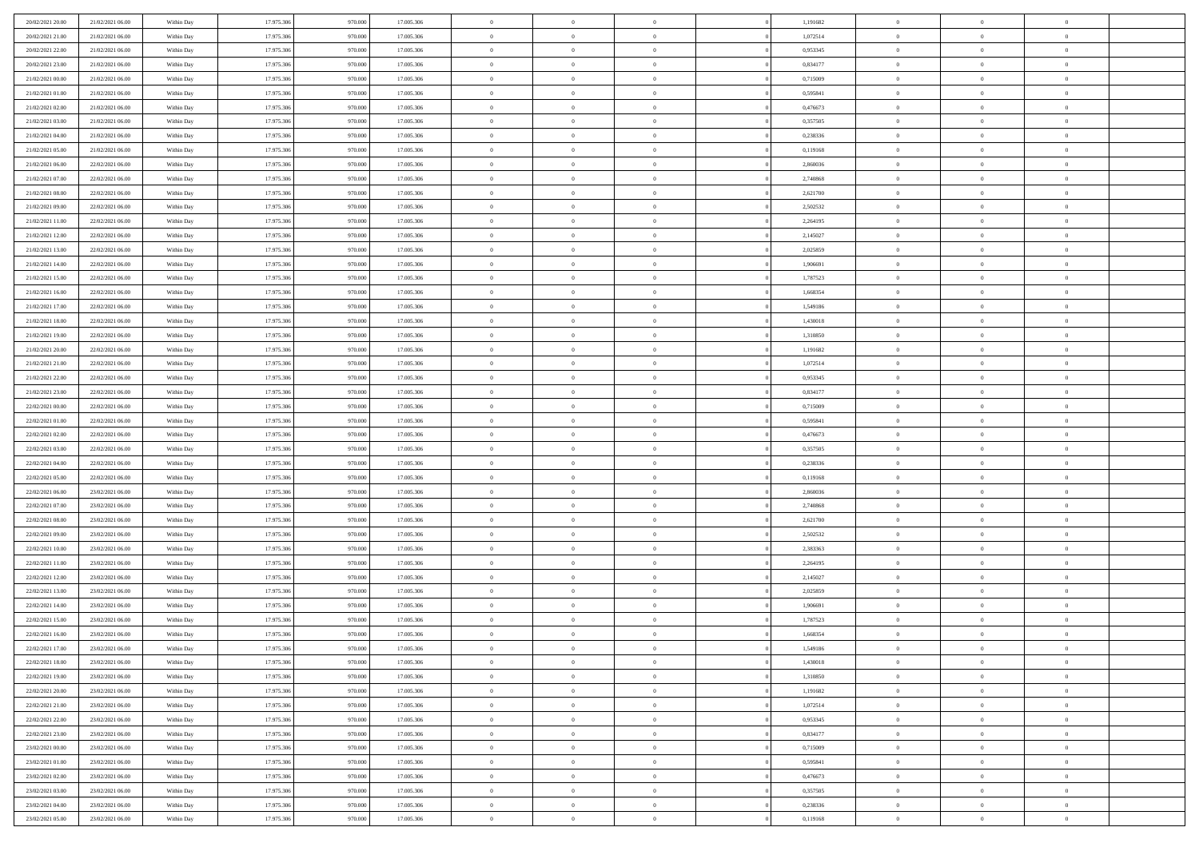| 20/02/2021 20:00 | 21/02/2021 06:00 | Within Day | 17.975.306 | 970.000 | 17.005.306 | $\,0\,$                        | $\overline{0}$ | $\bf{0}$       |                | 1,191682 | $\,$ 0 $\,$    | $\overline{0}$ | $\bf{0}$                         |  |
|------------------|------------------|------------|------------|---------|------------|--------------------------------|----------------|----------------|----------------|----------|----------------|----------------|----------------------------------|--|
| 20/02/2021 21:00 | 21/02/2021 06:00 | Within Day | 17.975.306 | 970.000 | 17.005.306 | $\overline{0}$                 | $\overline{0}$ | $\overline{0}$ |                | 1,072514 | $\theta$       | $\overline{0}$ | $\theta$                         |  |
| 20/02/2021 22:00 | 21/02/2021 06:00 | Within Day | 17.975.306 | 970.000 | 17.005.306 | $\mathbf{0}$                   | $\overline{0}$ | $\overline{0}$ |                | 0,953345 | $\theta$       | $\overline{0}$ | $\overline{0}$                   |  |
| 20/02/2021 23:00 | 21/02/2021 06:00 | Within Day | 17.975.306 | 970.000 | 17.005.306 | $\bf{0}$                       | $\overline{0}$ | $\bf{0}$       |                | 0,834177 | $\bf{0}$       | $\overline{0}$ | $\bf{0}$                         |  |
| 21/02/2021 00:00 | 21/02/2021 06:00 | Within Day | 17.975.306 | 970.000 | 17.005.306 | $\bf{0}$                       | $\overline{0}$ | $\overline{0}$ |                | 0,715009 | $\bf{0}$       | $\overline{0}$ | $\bf{0}$                         |  |
| 21/02/2021 01:00 | 21/02/2021 06:00 | Within Day | 17.975.306 | 970.000 | 17.005.306 | $\mathbf{0}$                   | $\overline{0}$ | $\overline{0}$ |                | 0,595841 | $\theta$       | $\overline{0}$ | $\theta$                         |  |
| 21/02/2021 02:00 |                  |            |            |         |            | $\mathbf{0}$                   | $\overline{0}$ | $\overline{0}$ |                |          | $\bf{0}$       | $\overline{0}$ | $\theta$                         |  |
|                  | 21/02/2021 06:00 | Within Day | 17.975.306 | 970.000 | 17.005.306 |                                |                |                |                | 0,476673 |                |                |                                  |  |
| 21/02/2021 03:00 | 21/02/2021 06:00 | Within Day | 17.975.306 | 970.000 | 17.005.306 | $\bf{0}$                       | $\overline{0}$ | $\overline{0}$ |                | 0,357505 | $\,$ 0 $\,$    | $\overline{0}$ | $\theta$                         |  |
| 21/02/2021 04:00 | 21/02/2021 06:00 | Within Day | 17.975.306 | 970.000 | 17.005.306 | $\mathbf{0}$                   | $\overline{0}$ | $\overline{0}$ |                | 0,238336 | $\theta$       | $\overline{0}$ | $\overline{0}$                   |  |
| 21/02/2021 05:00 | 21/02/2021 06:00 | Within Day | 17.975.306 | 970.000 | 17.005.306 | $\bf{0}$                       | $\overline{0}$ | $\overline{0}$ |                | 0,119168 | $\bf{0}$       | $\overline{0}$ | $\bf{0}$                         |  |
| 21/02/2021 06:00 | 22/02/2021 06:00 | Within Day | 17.975.306 | 970.000 | 17.005.306 | $\bf{0}$                       | $\overline{0}$ | $\overline{0}$ |                | 2,860036 | $\bf{0}$       | $\overline{0}$ | $\bf{0}$                         |  |
| 21/02/2021 07:00 | 22/02/2021 06:00 | Within Day | 17.975.306 | 970.000 | 17.005.306 | $\mathbf{0}$                   | $\overline{0}$ | $\overline{0}$ |                | 2,740868 | $\theta$       | $\overline{0}$ | $\overline{0}$                   |  |
| 21/02/2021 08:00 | 22/02/2021 06:00 | Within Day | 17.975.306 | 970.000 | 17.005.306 | $\,0\,$                        | $\overline{0}$ | $\overline{0}$ |                | 2,621700 | $\bf{0}$       | $\overline{0}$ | $\bf{0}$                         |  |
| 21/02/2021 09:00 | 22/02/2021 06:00 | Within Day | 17.975.306 | 970.000 | 17.005.306 | $\bf{0}$                       | $\overline{0}$ | $\overline{0}$ |                | 2,502532 | $\,$ 0 $\,$    | $\overline{0}$ | $\theta$                         |  |
| 21/02/2021 11:00 | 22/02/2021 06:00 | Within Day | 17.975.306 | 970.000 | 17.005.306 | $\mathbf{0}$                   | $\overline{0}$ | $\overline{0}$ |                | 2,264195 | $\theta$       | $\overline{0}$ | $\overline{0}$                   |  |
| 21/02/2021 12:00 | 22/02/2021 06:00 | Within Day | 17.975.306 | 970.000 | 17.005.306 | $\,0\,$                        | $\overline{0}$ | $\overline{0}$ |                | 2,145027 | $\bf{0}$       | $\overline{0}$ | $\bf{0}$                         |  |
| 21/02/2021 13:00 | 22/02/2021 06:00 | Within Day | 17.975.306 | 970.000 | 17.005.306 | $\bf{0}$                       | $\overline{0}$ | $\overline{0}$ |                | 2,025859 | $\bf{0}$       | $\overline{0}$ | $\bf{0}$                         |  |
| 21/02/2021 14:00 | 22/02/2021 06:00 | Within Day | 17.975.306 | 970.000 | 17.005.306 | $\mathbf{0}$                   | $\overline{0}$ | $\overline{0}$ |                | 1,906691 | $\theta$       | $\overline{0}$ | $\overline{0}$                   |  |
| 21/02/2021 15:00 | 22/02/2021 06:00 | Within Day | 17.975.306 | 970.000 | 17.005.306 | $\bf{0}$                       | $\overline{0}$ | $\bf{0}$       |                | 1,787523 | $\bf{0}$       | $\overline{0}$ | $\bf{0}$                         |  |
| 21/02/2021 16:00 | 22/02/2021 06:00 | Within Day | 17.975.306 | 970.000 | 17.005.306 | $\bf{0}$                       | $\overline{0}$ | $\overline{0}$ |                | 1,668354 | $\,$ 0 $\,$    | $\overline{0}$ | $\bf{0}$                         |  |
| 21/02/2021 17:00 | 22/02/2021 06:00 | Within Day | 17.975.306 | 970.000 | 17.005.306 | $\mathbf{0}$                   | $\overline{0}$ | $\overline{0}$ |                | 1,549186 | $\theta$       | $\overline{0}$ | $\overline{0}$                   |  |
| 21/02/2021 18:00 | 22/02/2021 06:00 | Within Day | 17.975.306 | 970.000 | 17.005.306 | $\mathbf{0}$                   | $\overline{0}$ | $\overline{0}$ |                | 1,430018 | $\bf{0}$       | $\overline{0}$ | $\theta$                         |  |
| 21/02/2021 19:00 | 22/02/2021 06:00 | Within Day | 17.975.306 | 970.00  | 17.005.306 | $\bf{0}$                       | $\overline{0}$ | $\overline{0}$ |                | 1,310850 | $\bf{0}$       | $\overline{0}$ | $\overline{0}$                   |  |
| 21/02/2021 20:00 | 22/02/2021 06:00 | Within Day | 17.975.306 | 970.000 | 17.005.306 | $\mathbf{0}$                   | $\overline{0}$ | $\overline{0}$ |                | 1,191682 | $\theta$       | $\overline{0}$ | $\overline{0}$                   |  |
| 21/02/2021 21:00 | 22/02/2021 06:00 | Within Day | 17.975.306 | 970.000 | 17.005.306 | $\bf{0}$                       | $\overline{0}$ | $\overline{0}$ |                | 1,072514 | $\bf{0}$       | $\overline{0}$ | $\bf{0}$                         |  |
| 21/02/2021 22:00 | 22/02/2021 06:00 | Within Day | 17.975.306 | 970.000 | 17.005.306 | $\bf{0}$                       | $\overline{0}$ | $\overline{0}$ |                | 0,953345 | $\,$ 0 $\,$    | $\overline{0}$ | $\bf{0}$                         |  |
| 21/02/2021 23:00 | 22/02/2021 06:00 | Within Day | 17.975.306 | 970.000 | 17.005.306 | $\mathbf{0}$                   | $\overline{0}$ | $\overline{0}$ |                | 0,834177 | $\theta$       | $\overline{0}$ | $\overline{0}$                   |  |
| 22/02/2021 00:00 | 22/02/2021 06:00 | Within Day | 17.975.306 | 970.000 | 17.005.306 | $\,0\,$                        | $\overline{0}$ | $\bf{0}$       |                | 0,715009 | $\bf{0}$       | $\overline{0}$ | $\bf{0}$                         |  |
|                  |                  |            | 17.975.306 |         |            |                                | $\overline{0}$ |                |                |          | $\,$ 0 $\,$    | $\overline{0}$ |                                  |  |
| 22/02/2021 01:00 | 22/02/2021 06:00 | Within Day | 17.975.306 | 970.000 | 17.005.306 | $\overline{0}$<br>$\mathbf{0}$ |                | $\overline{0}$ |                | 0,595841 | $\theta$       |                | $\overline{0}$<br>$\overline{0}$ |  |
| 22/02/2021 02:00 | 22/02/2021 06:00 | Within Day |            | 970.000 | 17.005.306 |                                | $\overline{0}$ | $\overline{0}$ |                | 0,476673 |                | $\overline{0}$ |                                  |  |
| 22/02/2021 03:00 | 22/02/2021 06:00 | Within Day | 17.975.306 | 970.000 | 17.005.306 | $\mathbf{0}$                   | $\overline{0}$ | $\overline{0}$ |                | 0,357505 | $\,$ 0 $\,$    | $\overline{0}$ | $\theta$                         |  |
| 22/02/2021 04:00 | 22/02/2021 06:00 | Within Day | 17.975.306 | 970.000 | 17.005.306 | $\bf{0}$                       | $\overline{0}$ | $\overline{0}$ |                | 0,238336 | $\bf{0}$       | $\overline{0}$ | $\overline{0}$                   |  |
| 22/02/2021 05:00 | 22/02/2021 06:00 | Within Day | 17.975.306 | 970.000 | 17.005.306 | $\mathbf{0}$                   | $\overline{0}$ | $\overline{0}$ |                | 0,119168 | $\theta$       | $\overline{0}$ | $\overline{0}$                   |  |
| 22/02/2021 06:00 | 23/02/2021 06:00 | Within Day | 17.975.306 | 970.000 | 17.005.306 | $\mathbf{0}$                   | $\overline{0}$ | $\overline{0}$ |                | 2,860036 | $\,$ 0 $\,$    | $\overline{0}$ | $\theta$                         |  |
| 22/02/2021 07:00 | 23/02/2021 06:00 | Within Day | 17.975.306 | 970.000 | 17.005.306 | $\overline{0}$                 | $\overline{0}$ | $\overline{0}$ |                | 2,740868 | $\,$ 0 $\,$    | $\overline{0}$ | $\overline{0}$                   |  |
| 22/02/2021 08:00 | 23/02/2021 06:00 | Within Day | 17.975.306 | 970.000 | 17.005.306 | $\mathbf{0}$                   | $\overline{0}$ | $\overline{0}$ |                | 2,621700 | $\theta$       | $\overline{0}$ | $\overline{0}$                   |  |
| 22/02/2021 09:00 | 23/02/2021 06:00 | Within Day | 17.975.306 | 970.000 | 17.005.306 | $\mathbf{0}$                   | $\overline{0}$ | $\theta$       |                | 2,502532 | $\,$ 0 $\,$    | $\overline{0}$ | $\theta$                         |  |
| 22/02/2021 10:00 | 23/02/2021 06:00 | Within Day | 17.975.306 | 970.000 | 17.005.306 | $\bf{0}$                       | $\overline{0}$ | $\overline{0}$ |                | 2,383363 | $\bf{0}$       | $\overline{0}$ | $\overline{0}$                   |  |
| 22/02/2021 11:00 | 23/02/2021 06:00 | Within Day | 17.975.306 | 970.000 | 17.005.306 | $\mathbf{0}$                   | $\overline{0}$ | $\overline{0}$ |                | 2,264195 | $\theta$       | $\overline{0}$ | $\overline{0}$                   |  |
| 22/02/2021 12:00 | 23/02/2021 06:00 | Within Day | 17.975.306 | 970.000 | 17.005.306 | $\,$ 0 $\,$                    | $\overline{0}$ | $\bf{0}$       |                | 2,145027 | $\,$ 0 $\,$    | $\overline{0}$ | $\theta$                         |  |
| 22/02/2021 13:00 | 23/02/2021 06:00 | Within Day | 17.975.306 | 970.000 | 17.005.306 | $\bf{0}$                       | $\overline{0}$ | $\overline{0}$ |                | 2,025859 | $\bf{0}$       | $\overline{0}$ | $\bf{0}$                         |  |
| 22/02/2021 14:00 | 23/02/2021 06:00 | Within Day | 17.975.306 | 970.000 | 17.005.306 | $\mathbf{0}$                   | $\overline{0}$ | $\overline{0}$ |                | 1,906691 | $\theta$       | $\overline{0}$ | $\overline{0}$                   |  |
| 22/02/2021 15:00 | 23/02/2021 06:00 | Within Day | 17.975.306 | 970.000 | 17.005.306 | $\mathbf{0}$                   | $\overline{0}$ | $\theta$       |                | 1,787523 | $\,$ 0 $\,$    | $\overline{0}$ | $\theta$                         |  |
| 22/02/2021 16:00 | 23/02/2021 06:00 | Within Day | 17.975.306 | 970.000 | 17.005.306 | $\bf{0}$                       | $\overline{0}$ | $\overline{0}$ |                | 1,668354 | $\,$ 0 $\,$    | $\overline{0}$ | $\bf{0}$                         |  |
| 22/02/2021 17:00 | 23/02/2021 06:00 | Within Day | 17.975.306 | 970.000 | 17.005.306 | $\bf{0}$                       | $\overline{0}$ | $\Omega$       |                | 1,549186 | $\overline{0}$ | $^{\circ}$     | $\theta$                         |  |
| 22/02/2021 18:00 | 23/02/2021 06:00 | Within Day | 17.975.306 | 970.000 | 17.005.306 | $\,$ 0 $\,$                    | $\overline{0}$ | $\bf{0}$       |                | 1,430018 | $\,$ 0 $\,$    | $\overline{0}$ | $\theta$                         |  |
| 22/02/2021 19:00 | 23/02/2021 06:00 | Within Day | 17.975.306 | 970.000 | 17.005.306 | $\mathbf{0}$                   | $\overline{0}$ | $\overline{0}$ |                | 1,310850 | $\,$ 0 $\,$    | $\overline{0}$ | $\overline{0}$                   |  |
| 22/02/2021 20:00 | 23/02/2021 06:00 | Within Day | 17.975.306 | 970.000 | 17.005.306 | $\mathbf{0}$                   | $\overline{0}$ | $\overline{0}$ |                | 1,191682 | $\mathbf{0}$   | $\overline{0}$ | $\mathbf{0}$                     |  |
| 22/02/2021 21:00 | 23/02/2021 06:00 | Within Day | 17.975.306 | 970.000 | 17.005.306 | $\,$ 0                         | $\overline{0}$ | $\overline{0}$ | $\overline{0}$ | 1,072514 | $\,$ 0 $\,$    | $\bf{0}$       | $\,$ 0 $\,$                      |  |
| 22/02/2021 22:00 | 23/02/2021 06:00 | Within Day | 17.975.306 | 970.000 | 17.005.306 | $\bf{0}$                       | $\overline{0}$ | $\overline{0}$ |                | 0,953345 | $\,$ 0 $\,$    | $\overline{0}$ | $\bf{0}$                         |  |
| 22/02/2021 23:00 | 23/02/2021 06:00 | Within Day | 17.975.306 | 970.000 | 17.005.306 | $\mathbf{0}$                   | $\overline{0}$ | $\overline{0}$ |                | 0,834177 | $\overline{0}$ | $\overline{0}$ | $\overline{0}$                   |  |
| 23/02/2021 00:00 | 23/02/2021 06:00 | Within Day | 17.975.306 | 970.000 | 17.005.306 | $\,$ 0 $\,$                    | $\overline{0}$ | $\overline{0}$ |                | 0,715009 | $\,$ 0 $\,$    | $\overline{0}$ | $\,$ 0 $\,$                      |  |
| 23/02/2021 01:00 | 23/02/2021 06:00 | Within Day | 17.975.306 | 970.000 | 17.005.306 | $\overline{0}$                 | $\overline{0}$ | $\overline{0}$ |                | 0,595841 | $\overline{0}$ | $\overline{0}$ | $\overline{0}$                   |  |
| 23/02/2021 02:00 | 23/02/2021 06:00 | Within Day | 17.975.306 | 970.000 | 17.005.306 | $\mathbf{0}$                   | $\overline{0}$ | $\overline{0}$ |                | 0,476673 | $\mathbf{0}$   | $\overline{0}$ | $\mathbf{0}$                     |  |
| 23/02/2021 03:00 | 23/02/2021 06:00 | Within Day | 17.975.306 | 970.000 | 17.005.306 | $\,$ 0 $\,$                    | $\overline{0}$ | $\overline{0}$ | $\overline{0}$ | 0,357505 | $\,$ 0 $\,$    | $\bf{0}$       | $\,$ 0 $\,$                      |  |
| 23/02/2021 04:00 | 23/02/2021 06:00 | Within Day | 17.975.306 | 970.000 | 17.005.306 | $\bf{0}$                       | $\overline{0}$ | $\overline{0}$ |                | 0,238336 | $\,$ 0 $\,$    | $\mathbf{0}$   | $\overline{0}$                   |  |
| 23/02/2021 05:00 | 23/02/2021 06:00 | Within Day | 17.975.306 | 970.000 | 17.005.306 | $\mathbf{0}$                   | $\overline{0}$ | $\overline{0}$ |                | 0,119168 | $\overline{0}$ | $\overline{0}$ | $\overline{0}$                   |  |
|                  |                  |            |            |         |            |                                |                |                |                |          |                |                |                                  |  |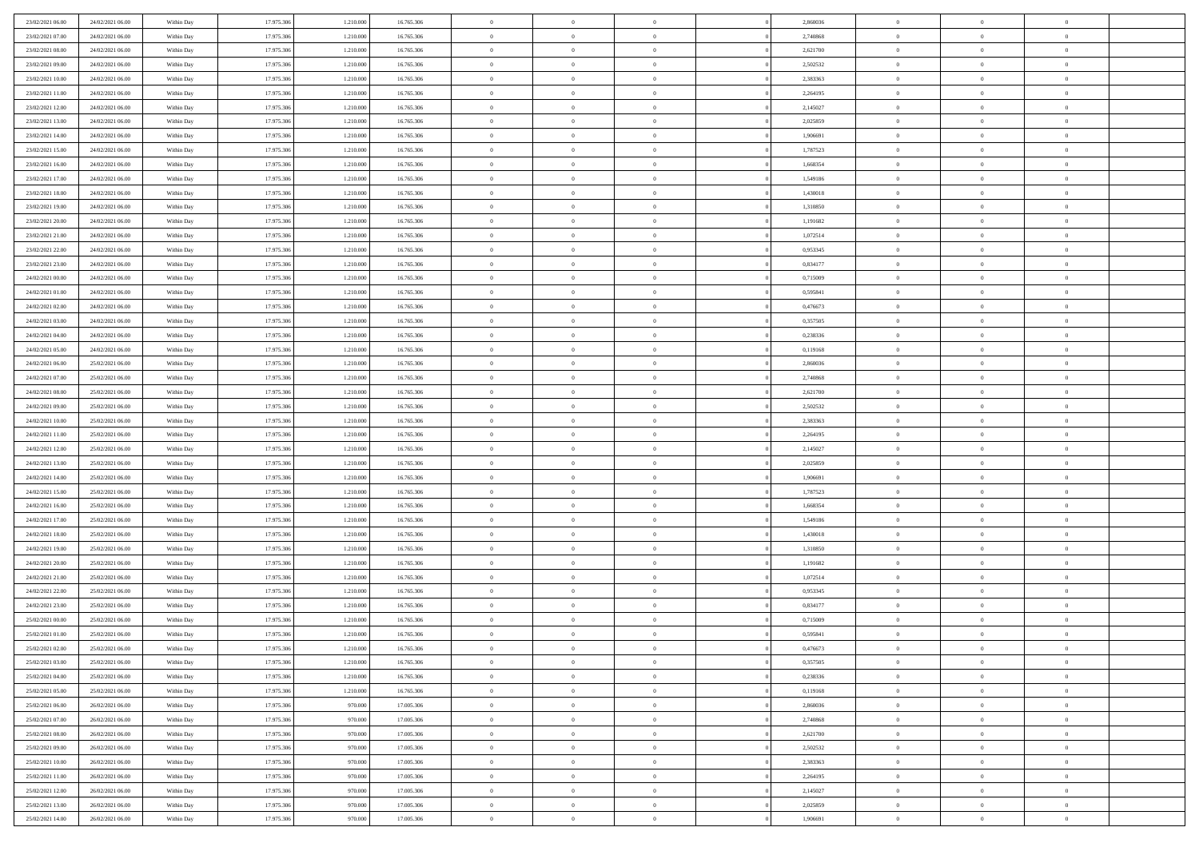| 23/02/2021 06:00 | 24/02/2021 06:00 | Within Day | 17.975.306 | 1.210.000 | 16.765.306 | $\overline{0}$ | $\overline{0}$ | $\Omega$       | 2,860036 | $\bf{0}$       | $\mathbf{0}$   | $\bf{0}$       |  |
|------------------|------------------|------------|------------|-----------|------------|----------------|----------------|----------------|----------|----------------|----------------|----------------|--|
| 23/02/2021 07:00 | 24/02/2021 06:00 | Within Day | 17.975.306 | 1.210.000 | 16.765.306 | $\mathbf{0}$   | $\overline{0}$ | $\overline{0}$ | 2,740868 | $\mathbf{0}$   | $\overline{0}$ | $\overline{0}$ |  |
| 23/02/2021 08:00 | 24/02/2021 06:00 | Within Day | 17.975.306 | 1.210.000 | 16.765.306 | $\,$ 0         | $\overline{0}$ | $\bf{0}$       | 2,621700 | $\,$ 0         | $\overline{0}$ | $\,$ 0 $\,$    |  |
| 23/02/2021 09:00 | 24/02/2021 06:00 | Within Day | 17.975.306 | 1.210.000 | 16.765.306 | $\bf{0}$       | $\overline{0}$ | $\Omega$       | 2,502532 | $\bf{0}$       | $\mathbf{0}$   | $\theta$       |  |
| 23/02/2021 10:00 | 24/02/2021 06:00 | Within Day | 17.975.306 | 1.210.000 | 16.765.306 | $\bf{0}$       | $\overline{0}$ | $\overline{0}$ | 2,383363 | $\mathbf{0}$   | $\bf{0}$       | $\overline{0}$ |  |
| 23/02/2021 11:00 | 24/02/2021 06:00 | Within Day | 17.975.306 | 1.210.000 | 16.765.306 | $\bf{0}$       | $\overline{0}$ | $\bf{0}$       | 2,264195 | $\,$ 0         | $\overline{0}$ | $\,$ 0 $\,$    |  |
| 23/02/2021 12:00 | 24/02/2021 06:00 | Within Day | 17.975.306 | 1.210.000 | 16.765.306 | $\bf{0}$       | $\overline{0}$ | $\overline{0}$ | 2,145027 | $\bf{0}$       | $\overline{0}$ | $\theta$       |  |
| 23/02/2021 13:00 | 24/02/2021 06:00 | Within Day | 17.975.306 | 1.210.000 | 16.765.306 | $\overline{0}$ | $\overline{0}$ | $\overline{0}$ | 2,025859 | $\mathbf{0}$   | $\overline{0}$ | $\overline{0}$ |  |
| 23/02/2021 14:00 | 24/02/2021 06:00 | Within Day | 17.975.306 | 1.210.000 | 16.765.306 | $\bf{0}$       | $\overline{0}$ | $\bf{0}$       | 1,906691 | $\,$ 0         | $\overline{0}$ | $\,$ 0 $\,$    |  |
| 23/02/2021 15:00 | 24/02/2021 06:00 | Within Day | 17.975.306 | 1.210.000 | 16.765.306 | $\bf{0}$       | $\overline{0}$ | $\Omega$       | 1,787523 | $\theta$       | $\mathbf{0}$   | $\theta$       |  |
| 23/02/2021 16:00 | 24/02/2021 06:00 | Within Day | 17.975.306 | 1.210.000 | 16.765.306 | $\bf{0}$       | $\overline{0}$ | $\overline{0}$ | 1,668354 | $\mathbf{0}$   | $\overline{0}$ | $\overline{0}$ |  |
| 23/02/2021 17:00 | 24/02/2021 06:00 | Within Day | 17.975.306 | 1.210.000 | 16.765.306 | $\bf{0}$       | $\overline{0}$ | $\bf{0}$       | 1,549186 | $\,$ 0         | $\overline{0}$ | $\,$ 0 $\,$    |  |
| 23/02/2021 18:00 | 24/02/2021 06:00 | Within Day | 17.975.306 | 1.210.000 | 16.765.306 | $\bf{0}$       | $\overline{0}$ | $\Omega$       | 1,430018 | $\theta$       | $\mathbf{0}$   | $\theta$       |  |
| 23/02/2021 19:00 | 24/02/2021 06:00 | Within Day | 17.975.306 | 1.210.000 | 16.765.306 | $\bf{0}$       | $\overline{0}$ | $\overline{0}$ | 1,310850 | $\mathbf{0}$   | $\overline{0}$ | $\overline{0}$ |  |
| 23/02/2021 20:00 | 24/02/2021 06:00 | Within Day | 17.975.306 | 1.210.000 | 16.765.306 | $\bf{0}$       | $\overline{0}$ | $\bf{0}$       | 1,191682 | $\,$ 0         | $\overline{0}$ | $\,$ 0 $\,$    |  |
| 23/02/2021 21:00 | 24/02/2021 06:00 | Within Day | 17.975.306 | 1.210.000 | 16.765.306 | $\bf{0}$       | $\overline{0}$ | $\overline{0}$ | 1,072514 | $\bf{0}$       | $\overline{0}$ | $\theta$       |  |
| 23/02/2021 22:00 | 24/02/2021 06:00 | Within Day | 17.975.306 | 1.210.000 | 16.765.306 | $\overline{0}$ | $\overline{0}$ | $\overline{0}$ | 0,953345 | $\mathbf{0}$   | $\overline{0}$ | $\overline{0}$ |  |
| 23/02/2021 23:00 | 24/02/2021 06:00 | Within Day | 17.975.306 | 1.210.000 | 16.765.306 | $\bf{0}$       | $\overline{0}$ | $\bf{0}$       | 0,834177 | $\,$ 0         | $\overline{0}$ | $\,$ 0 $\,$    |  |
| 24/02/2021 00:00 | 24/02/2021 06:00 | Within Day | 17.975.306 | 1.210.000 | 16.765.306 | $\bf{0}$       | $\overline{0}$ | $\Omega$       | 0,715009 | $\theta$       | $\mathbf{0}$   | $\theta$       |  |
| 24/02/2021 01:00 | 24/02/2021 06:00 | Within Day | 17.975.306 | 1.210.000 | 16.765.306 | $\overline{0}$ | $\overline{0}$ | $\overline{0}$ | 0,595841 | $\mathbf{0}$   | $\overline{0}$ | $\overline{0}$ |  |
| 24/02/2021 02:00 | 24/02/2021 06:00 | Within Day | 17.975.306 | 1.210.000 | 16.765.306 | $\bf{0}$       | $\overline{0}$ | $\bf{0}$       | 0,476673 | $\,$ 0         | $\overline{0}$ | $\,$ 0 $\,$    |  |
| 24/02/2021 03:00 | 24/02/2021 06:00 | Within Day | 17.975.306 | 1.210.000 | 16.765.306 | $\bf{0}$       | $\overline{0}$ | $\Omega$       | 0.357505 | $\theta$       | $\mathbf{0}$   | $\theta$       |  |
| 24/02/2021 04:00 | 24/02/2021 06:00 | Within Day | 17.975.306 | 1.210.000 | 16.765.306 | $\overline{0}$ | $\overline{0}$ | $\overline{0}$ | 0,238336 | $\overline{0}$ | $\overline{0}$ | $\overline{0}$ |  |
| 24/02/2021 05:00 | 24/02/2021 06:00 | Within Day | 17.975.306 | 1.210.000 | 16.765.306 | $\bf{0}$       | $\overline{0}$ | $\bf{0}$       | 0,119168 | $\,$ 0         | $\overline{0}$ | $\,$ 0 $\,$    |  |
| 24/02/2021 06:00 | 25/02/2021 06:00 | Within Day | 17.975.306 | 1.210.000 | 16.765.306 | $\bf{0}$       | $\overline{0}$ | $\overline{0}$ | 2.860036 | $\bf{0}$       | $\overline{0}$ | $\bf{0}$       |  |
| 24/02/2021 07:00 | 25/02/2021 06:00 | Within Day | 17.975.306 | 1.210.000 | 16.765.306 | $\overline{0}$ | $\overline{0}$ | $\overline{0}$ | 2,740868 | $\mathbf{0}$   | $\overline{0}$ | $\overline{0}$ |  |
| 24/02/2021 08:00 | 25/02/2021 06:00 | Within Day | 17.975.306 | 1.210.000 | 16.765.306 | $\bf{0}$       | $\overline{0}$ | $\bf{0}$       | 2,621700 | $\,$ 0         | $\overline{0}$ | $\,$ 0 $\,$    |  |
| 24/02/2021 09:00 | 25/02/2021 06:00 | Within Day | 17.975.306 | 1.210.000 | 16,765,306 | $\bf{0}$       | $\overline{0}$ | $\Omega$       | 2.502532 | $\theta$       | $\mathbf{0}$   | $\theta$       |  |
| 24/02/2021 10:00 | 25/02/2021 06:00 | Within Day | 17.975.306 | 1.210.000 | 16.765.306 | $\overline{0}$ | $\overline{0}$ | $\overline{0}$ | 2,383363 | $\mathbf{0}$   | $\overline{0}$ | $\overline{0}$ |  |
| 24/02/2021 11:00 | 25/02/2021 06:00 | Within Day | 17.975.306 | 1.210.000 | 16.765.306 | $\bf{0}$       | $\overline{0}$ | $\bf{0}$       | 2,264195 | $\,$ 0         | $\overline{0}$ | $\,$ 0 $\,$    |  |
| 24/02/2021 12:00 | 25/02/2021 06:00 | Within Day | 17.975.306 | 1.210.000 | 16.765.306 | $\bf{0}$       | $\bf{0}$       | $\overline{0}$ | 2,145027 | $\bf{0}$       | $\overline{0}$ | $\,0\,$        |  |
| 24/02/2021 13:00 | 25/02/2021 06:00 | Within Day | 17.975.306 | 1.210.000 | 16.765.306 | $\overline{0}$ | $\overline{0}$ | $\overline{0}$ | 2,025859 | $\mathbf{0}$   | $\overline{0}$ | $\overline{0}$ |  |
| 24/02/2021 14:00 | 25/02/2021 06:00 | Within Day | 17.975.306 | 1.210.000 | 16.765.306 | $\bf{0}$       | $\overline{0}$ | $\bf{0}$       | 1,906691 | $\,$ 0         | $\overline{0}$ | $\,$ 0 $\,$    |  |
| 24/02/2021 15:00 | 25/02/2021 06:00 | Within Day | 17.975.306 | 1.210.000 | 16.765.306 | $\bf{0}$       | $\bf{0}$       | $\bf{0}$       | 1,787523 | $\bf{0}$       | $\overline{0}$ | $\bf{0}$       |  |
| 24/02/2021 16:00 | 25/02/2021 06:00 | Within Day | 17.975.306 | 1.210.000 | 16.765.306 | $\overline{0}$ | $\overline{0}$ | $\overline{0}$ | 1,668354 | $\mathbf{0}$   | $\overline{0}$ | $\overline{0}$ |  |
| 24/02/2021 17:00 | 25/02/2021 06:00 | Within Day | 17.975.306 | 1.210.000 | 16.765.306 | $\bf{0}$       | $\overline{0}$ | $\bf{0}$       | 1,549186 | $\,$ 0         | $\overline{0}$ | $\,$ 0 $\,$    |  |
| 24/02/2021 18:00 | 25/02/2021 06:00 | Within Day | 17.975.306 | 1.210.000 | 16.765.306 | $\bf{0}$       | $\overline{0}$ | $\overline{0}$ | 1,430018 | $\bf{0}$       | $\overline{0}$ | $\,0\,$        |  |
| 24/02/2021 19:00 | 25/02/2021 06:00 | Within Day | 17.975.306 | 1.210.000 | 16.765.306 | $\overline{0}$ | $\overline{0}$ | $\overline{0}$ | 1,310850 | $\mathbf{0}$   | $\overline{0}$ | $\overline{0}$ |  |
| 24/02/2021 20:00 | 25/02/2021 06:00 | Within Day | 17.975.306 | 1.210.000 | 16.765.306 | $\bf{0}$       | $\overline{0}$ | $\bf{0}$       | 1,191682 | $\,$ 0         | $\overline{0}$ | $\,$ 0 $\,$    |  |
| 24/02/2021 21:00 | 25/02/2021 06:00 | Within Day | 17.975.306 | 1.210.000 | 16.765.306 | $\bf{0}$       | $\overline{0}$ | $\overline{0}$ | 1,072514 | $\bf{0}$       | $\overline{0}$ | $\,0\,$        |  |
| 24/02/2021 22:00 | 25/02/2021 06:00 | Within Day | 17.975.306 | 1.210.000 | 16.765.306 | $\overline{0}$ | $\overline{0}$ | $\overline{0}$ | 0,953345 | $\mathbf{0}$   | $\overline{0}$ | $\overline{0}$ |  |
| 24/02/2021 23:00 | 25/02/2021 06:00 | Within Day | 17.975.306 | 1.210.000 | 16.765.306 | $\bf{0}$       | $\overline{0}$ | $\bf{0}$       | 0,834177 | $\,$ 0         | $\overline{0}$ | $\,$ 0 $\,$    |  |
| 25/02/2021 00:00 | 25/02/2021 06:00 | Within Day | 17.975.306 | 1.210.000 | 16.765.306 | $\bf{0}$       | $\overline{0}$ | $\bf{0}$       | 0,715009 | $\bf{0}$       | $\overline{0}$ | $\bf{0}$       |  |
| 25/02/2021 01:00 | 25/02/2021 06:00 | Within Dav | 17.975.306 | 1.210.000 | 16.765.306 | $\mathbf{0}$   | $\overline{0}$ | $\overline{0}$ | 0,595841 | $\mathbf{0}$   | $\overline{0}$ | $\overline{0}$ |  |
| 25/02/2021 02:00 | 25/02/2021 06:00 | Within Day | 17.975.306 | 1.210.000 | 16.765.306 | $\bf{0}$       | $\overline{0}$ | $\overline{0}$ | 0,476673 | $\overline{0}$ | $\overline{0}$ | $\theta$       |  |
| 25/02/2021 03:00 | 25/02/2021 06:00 | Within Day | 17.975.306 | 1.210.000 | 16.765.306 | $\bf{0}$       | $\overline{0}$ | $\bf{0}$       | 0,357505 | $\bf{0}$       | $\overline{0}$ | $\bf{0}$       |  |
| 25/02/2021 04:00 | 25/02/2021 06:00 | Within Day | 17.975.306 | 1.210.000 | 16.765.306 | $\overline{0}$ | $\overline{0}$ | $\overline{0}$ | 0,238336 | $\overline{0}$ | $\overline{0}$ | $\overline{0}$ |  |
| 25/02/2021 05:00 | 25/02/2021 06:00 | Within Day | 17.975.306 | 1.210.000 | 16.765.306 | $\,$ 0 $\,$    | $\overline{0}$ | $\overline{0}$ | 0,119168 | $\mathbf{0}$   | $\,$ 0 $\,$    | $\,$ 0 $\,$    |  |
| 25/02/2021 06:00 | 26/02/2021 06:00 | Within Day | 17.975.306 | 970.000   | 17.005.306 | $\bf{0}$       | $\bf{0}$       | $\overline{0}$ | 2,860036 | $\bf{0}$       | $\overline{0}$ | $\bf{0}$       |  |
| 25/02/2021 07:00 | 26/02/2021 06:00 | Within Day | 17.975.306 | 970.000   | 17.005.306 | $\overline{0}$ | $\overline{0}$ | $\overline{0}$ | 2,740868 | $\overline{0}$ | $\bf{0}$       | $\overline{0}$ |  |
| 25/02/2021 08:00 | 26/02/2021 06:00 | Within Day | 17.975.306 | 970.000   | 17.005.306 | $\,$ 0 $\,$    | $\overline{0}$ | $\overline{0}$ | 2,621700 | $\,$ 0 $\,$    | $\overline{0}$ | $\,$ 0 $\,$    |  |
| 25/02/2021 09:00 | 26/02/2021 06:00 | Within Day | 17.975.306 | 970.000   | 17.005.306 | $\overline{0}$ | $\overline{0}$ | $\overline{0}$ | 2,502532 | $\bf{0}$       | $\overline{0}$ | $\overline{0}$ |  |
| 25/02/2021 10:00 | 26/02/2021 06:00 | Within Day | 17.975.306 | 970.000   | 17.005.306 | $\overline{0}$ | $\overline{0}$ | $\overline{0}$ | 2,383363 | $\overline{0}$ | $\bf{0}$       | $\mathbf{0}$   |  |
| 25/02/2021 11:00 | 26/02/2021 06:00 | Within Day | 17.975.306 | 970.000   | 17.005.306 | $\,$ 0 $\,$    | $\overline{0}$ | $\overline{0}$ | 2,264195 | $\mathbf{0}$   | $\,$ 0 $\,$    | $\,$ 0 $\,$    |  |
| 25/02/2021 12:00 | 26/02/2021 06:00 | Within Day | 17.975.306 | 970.000   | 17.005.306 | $\bf{0}$       | $\bf{0}$       | $\overline{0}$ | 2,145027 | $\mathbf{0}$   | $\overline{0}$ | $\bf{0}$       |  |
| 25/02/2021 13:00 | 26/02/2021 06:00 | Within Day | 17.975.306 | 970.000   | 17.005.306 | $\overline{0}$ | $\overline{0}$ | $\overline{0}$ | 2,025859 | $\mathbf{0}$   | $\bf{0}$       | $\overline{0}$ |  |
| 25/02/2021 14:00 | 26/02/2021 06:00 | Within Day | 17.975.306 | 970.000   | 17.005.306 | $\,0\,$        | $\overline{0}$ | $\overline{0}$ | 1,906691 | $\,$ 0 $\,$    | $\overline{0}$ | $\,$ 0 $\,$    |  |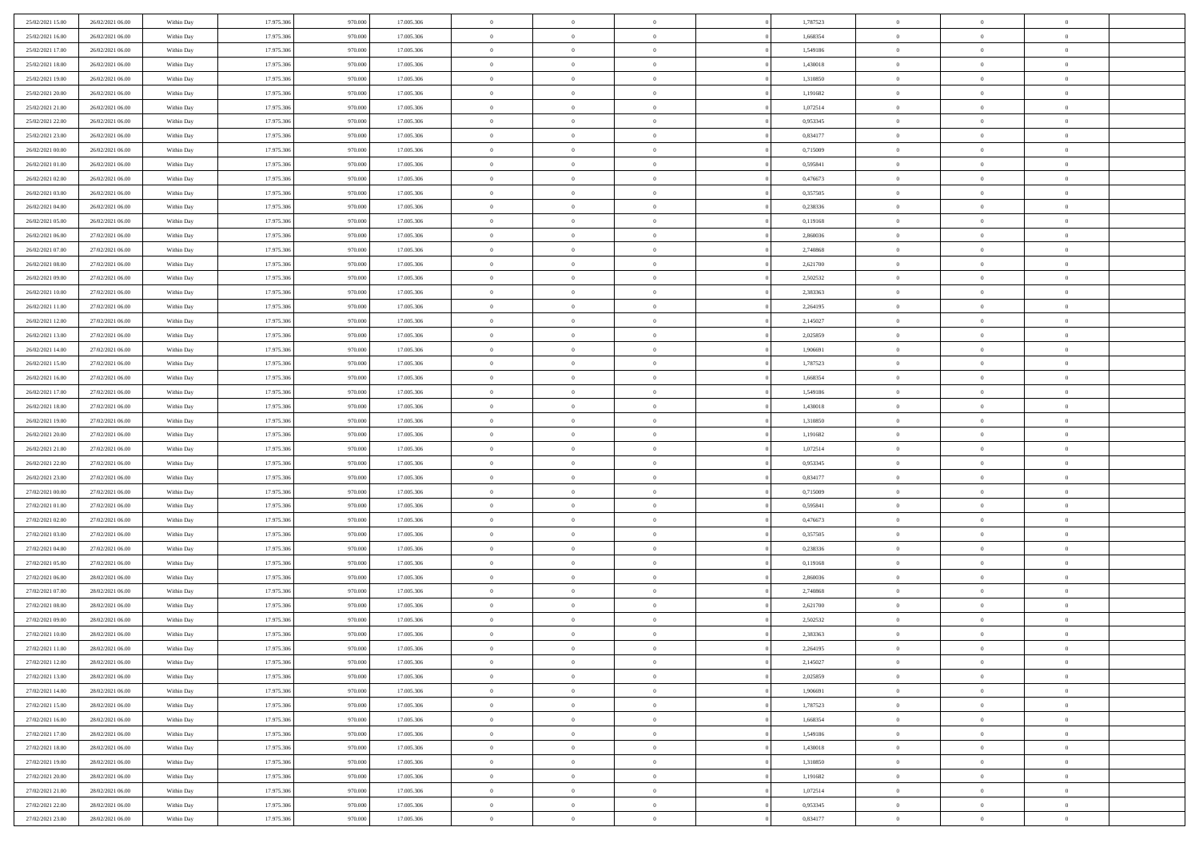| 25/02/2021 15:00                     | 26/02/2021 06:00                     | Within Day               | 17.975.306               | 970.000            | 17.005.306               | $\,$ 0                     | $\bf{0}$                         | $\theta$                         |          | 1,787523             | $\bf{0}$                 | $\overline{0}$                   | $\,0\,$                          |  |
|--------------------------------------|--------------------------------------|--------------------------|--------------------------|--------------------|--------------------------|----------------------------|----------------------------------|----------------------------------|----------|----------------------|--------------------------|----------------------------------|----------------------------------|--|
| 25/02/2021 16:00                     | 26/02/2021 06:00                     | Within Day               | 17.975.306               | 970,000            | 17.005.306               | $\overline{0}$             | $\overline{0}$                   | $\overline{0}$                   |          | 1,668354             | $\theta$                 | $\overline{0}$                   | $\theta$                         |  |
| 25/02/2021 17:00                     | 26/02/2021 06:00                     | Within Dav               | 17.975.306               | 970.000            | 17.005.306               | $\mathbf{0}$               | $\overline{0}$                   | $\overline{0}$                   |          | 1,549186             | $\mathbf{0}$             | $\overline{0}$                   | $\overline{0}$                   |  |
| 25/02/2021 18:00                     | 26/02/2021 06:00                     | Within Day               | 17.975.306               | 970.000            | 17.005.306               | $\bf{0}$                   | $\overline{0}$                   | $\overline{0}$                   |          | 1,430018             | $\bf{0}$                 | $\overline{0}$                   | $\bf{0}$                         |  |
| 25/02/2021 19:00                     | 26/02/2021 06:00                     | Within Day               | 17.975.306               | 970.000            | 17.005.306               | $\bf{0}$                   | $\bf{0}$                         | $\overline{0}$                   |          | 1,310850             | $\bf{0}$                 | $\bf{0}$                         | $\,0\,$                          |  |
| 25/02/2021 20:00                     | 26/02/2021 06:00                     | Within Dav               | 17.975.306               | 970.000            | 17.005.306               | $\overline{0}$             | $\overline{0}$                   | $\overline{0}$                   |          | 1,191682             | $\mathbf{0}$             | $\overline{0}$                   | $\overline{0}$                   |  |
| 25/02/2021 21:00                     | 26/02/2021 06:00                     | Within Day               | 17.975.306               | 970.000            | 17.005.306               | $\bf{0}$                   | $\bf{0}$                         | $\overline{0}$                   |          | 1,072514             | $\bf{0}$                 | $\overline{0}$                   | $\,0\,$                          |  |
| 25/02/2021 22.00                     | 26/02/2021 06:00                     | Within Day               | 17.975.306               | 970,000            | 17.005.306               | $\overline{0}$             | $\overline{0}$                   | $\overline{0}$                   |          | 0,953345             | $\,$ 0 $\,$              | $\overline{0}$                   | $\theta$                         |  |
| 25/02/2021 23:00                     | 26/02/2021 06:00                     | Within Day               | 17.975.306               | 970.000            | 17.005.306               | $\mathbf{0}$               | $\overline{0}$                   | $\overline{0}$                   |          | 0,834177             | $\mathbf{0}$             | $\overline{0}$                   | $\overline{0}$                   |  |
| 26/02/2021 00:00                     | 26/02/2021 06:00                     | Within Day               | 17.975.306               | 970.000            | 17.005.306               | $\bf{0}$                   | $\bf{0}$                         | $\overline{0}$                   |          | 0,715009             | $\bf{0}$                 | $\overline{0}$                   | $\,0\,$                          |  |
| 26/02/2021 01:00                     | 26/02/2021 06:00                     | Within Day               | 17.975.306               | 970,000            | 17.005.306               | $\bf{0}$                   | $\overline{0}$                   | $\overline{0}$                   |          | 0.595841             | $\bf{0}$                 | $\overline{0}$                   | $\theta$                         |  |
| 26/02/2021 02:00                     | 26/02/2021 06:00                     | Within Dav               | 17.975.306               | 970.000            | 17.005.306               | $\mathbf{0}$               | $\overline{0}$                   | $\overline{0}$                   |          | 0,476673             | $\mathbf{0}$             | $\overline{0}$                   | $\overline{0}$                   |  |
| 26/02/2021 03:00                     | 26/02/2021 06:00                     | Within Day               | 17.975.306               | 970.000            | 17.005.306               | $\bf{0}$                   | $\overline{0}$                   | $\bf{0}$                         |          | 0,357505             | $\bf{0}$                 | $\overline{0}$                   | $\bf{0}$                         |  |
| 26/02/2021 04:00                     | 26/02/2021 06:00                     | Within Day               | 17.975.306               | 970.000            | 17.005.306               | $\bf{0}$                   | $\overline{0}$                   | $\overline{0}$                   |          | 0,238336             | $\bf{0}$                 | $\overline{0}$                   | $\,0\,$                          |  |
| 26/02/2021 05:00                     | 26/02/2021 06:00                     | Within Dav               | 17.975.306               | 970.000            | 17.005.306               | $\overline{0}$             | $\overline{0}$                   | $\overline{0}$                   |          | 0,119168             | $\mathbf{0}$             | $\overline{0}$                   | $\overline{0}$                   |  |
| 26/02/2021 06:00                     | 27/02/2021 06:00                     | Within Day               | 17.975.306               | 970.000            | 17.005.306               | $\bf{0}$                   | $\bf{0}$                         | $\overline{0}$                   |          | 2,860036             | $\bf{0}$                 | $\overline{0}$                   | $\bf{0}$                         |  |
| 26/02/2021 07:00                     | 27/02/2021 06:00                     | Within Day               | 17.975.306               | 970,000            | 17.005.306               | $\bf{0}$                   | $\overline{0}$                   | $\overline{0}$                   |          | 2,740868             | $\,$ 0 $\,$              | $\overline{0}$                   | $\theta$                         |  |
| 26/02/2021 08:00                     | 27/02/2021 06:00                     | Within Day               | 17.975.306               | 970.000            | 17.005.306               | $\mathbf{0}$               | $\overline{0}$                   | $\overline{0}$                   |          | 2,621700             | $\mathbf{0}$             | $\overline{0}$                   | $\overline{0}$                   |  |
| 26/02/2021 09:00                     | 27/02/2021 06:00                     | Within Day               | 17.975.306               | 970.000            | 17.005.306               | $\bf{0}$                   | $\bf{0}$                         | $\overline{0}$                   |          | 2,502532             | $\bf{0}$                 | $\overline{0}$                   | $\,0\,$                          |  |
| 26/02/2021 10:00                     | 27/02/2021 06:00                     | Within Day               | 17.975.306               | 970,000            | 17.005.306               | $\bf{0}$                   | $\overline{0}$                   | $\overline{0}$                   |          | 2,383363             | $\bf{0}$                 | $\overline{0}$                   | $\overline{0}$                   |  |
| 26/02/2021 11:00                     | 27/02/2021 06:00                     | Within Day               | 17.975.306               | 970.000            | 17.005.306               | $\mathbf{0}$               | $\overline{0}$                   | $\overline{0}$                   |          | 2,264195             | $\mathbf{0}$             | $\overline{0}$                   | $\overline{0}$                   |  |
| 26/02/2021 12:00                     | 27/02/2021 06:00                     | Within Day               | 17.975.306               | 970.000            | 17.005.306               | $\bf{0}$                   | $\overline{0}$                   | $\overline{0}$                   |          | 2,145027             | $\bf{0}$                 | $\overline{0}$                   | $\bf{0}$                         |  |
| 26/02/2021 13:00                     | 27/02/2021 06:00                     |                          | 17.975.306               | 970.000            | 17.005.306               | $\bf{0}$                   | $\bf{0}$                         | $\overline{0}$                   |          | 2,025859             | $\bf{0}$                 | $\overline{0}$                   | $\,0\,$                          |  |
| 26/02/2021 14:00                     | 27/02/2021 06:00                     | Within Day<br>Within Dav | 17.975.306               | 970.000            | 17.005.306               | $\mathbf{0}$               | $\overline{0}$                   | $\overline{0}$                   |          | 1,906691             | $\mathbf{0}$             | $\overline{0}$                   | $\overline{0}$                   |  |
| 26/02/2021 15:00                     | 27/02/2021 06:00                     | Within Day               | 17.975.306               | 970.000            | 17.005.306               | $\bf{0}$                   | $\bf{0}$                         | $\overline{0}$                   |          | 1,787523             | $\bf{0}$                 | $\overline{0}$                   | $\,0\,$                          |  |
|                                      |                                      |                          |                          | 970,000            |                          | $\bf{0}$                   | $\overline{0}$                   | $\overline{0}$                   |          |                      |                          | $\mathbf{0}$                     | $\overline{0}$                   |  |
| 26/02/2021 16:00<br>26/02/2021 17:00 | 27/02/2021 06:00                     | Within Day               | 17.975.306<br>17.975.306 |                    | 17.005.306               | $\mathbf{0}$               |                                  |                                  |          | 1,668354             | $\bf{0}$<br>$\mathbf{0}$ |                                  | $\overline{0}$                   |  |
|                                      | 27/02/2021 06:00<br>27/02/2021 06:00 | Within Dav               |                          | 970.000            | 17.005.306               |                            | $\overline{0}$                   | $\overline{0}$<br>$\overline{0}$ |          | 1,549186             |                          | $\overline{0}$<br>$\overline{0}$ |                                  |  |
| 26/02/2021 18:00                     |                                      | Within Day               | 17.975.306               | 970.000<br>970,000 | 17.005.306               | $\bf{0}$                   | $\bf{0}$                         |                                  |          | 1,430018             | $\bf{0}$                 |                                  | $\,0\,$<br>$\overline{0}$        |  |
| 26/02/2021 19:00                     | 27/02/2021 06:00                     | Within Day               | 17.975.306               |                    | 17.005.306               | $\bf{0}$<br>$\mathbf{0}$   | $\overline{0}$                   | $\overline{0}$                   |          | 1,310850             | $\bf{0}$<br>$\mathbf{0}$ | $\overline{0}$                   | $\overline{0}$                   |  |
| 26/02/2021 20:00                     | 27/02/2021 06:00                     | Within Dav               | 17.975.306               | 970.000            | 17.005.306               |                            | $\overline{0}$                   | $\overline{0}$                   |          | 1,191682             |                          | $\overline{0}$<br>$\overline{0}$ | $\theta$                         |  |
| 26/02/2021 21:00                     | 27/02/2021 06:00                     | Within Day               | 17.975.306               | 970.000            | 17.005.306               | $\bf{0}$                   | $\overline{0}$                   | $\theta$                         |          | 1,072514             | $\,$ 0                   | $\overline{0}$                   |                                  |  |
| 26/02/2021 22:00                     | 27/02/2021 06:00                     | Within Day               | 17.975.306               | 970.000            | 17.005.306               | $\bf{0}$<br>$\overline{0}$ | $\bf{0}$                         | $\overline{0}$                   |          | 0,953345             | $\bf{0}$<br>$\mathbf{0}$ |                                  | $\bf{0}$<br>$\overline{0}$       |  |
| 26/02/2021 23:00                     | 27/02/2021 06:00                     | Within Dav               | 17.975.306               | 970.000            | 17.005.306               |                            | $\overline{0}$                   | $\overline{0}$                   |          | 0,834177             |                          | $\overline{0}$                   |                                  |  |
| 27/02/2021 00:00                     | 27/02/2021 06:00                     | Within Day               | 17.975.306               | 970.000            | 17.005.306               | $\bf{0}$                   | $\overline{0}$                   | $\theta$                         |          | 0,715009             | $\,$ 0                   | $\overline{0}$                   | $\theta$                         |  |
| 27/02/2021 01:00                     | 27/02/2021 06:00                     | Within Day               | 17.975.306<br>17.975.306 | 970,000            | 17.005.306               | $\bf{0}$<br>$\mathbf{0}$   | $\overline{0}$                   | $\overline{0}$                   |          | 0,595841             | $\bf{0}$<br>$\mathbf{0}$ | $\overline{0}$                   | $\overline{0}$<br>$\overline{0}$ |  |
| 27/02/2021 02:00                     | 27/02/2021 06:00                     | Within Day               |                          | 970.000            | 17.005.306               | $\bf{0}$                   | $\overline{0}$                   | $\overline{0}$                   |          | 0,476673             |                          | $\overline{0}$<br>$\overline{0}$ | $\theta$                         |  |
| 27/02/2021 03:00                     | 27/02/2021 06:00                     | Within Day               | 17.975.306               | 970.000            | 17.005.306               | $\bf{0}$                   | $\overline{0}$                   | $\theta$<br>$\overline{0}$       |          | 0,357505             | $\,$ 0                   | $\overline{0}$                   |                                  |  |
| 27/02/2021 04:00<br>27/02/2021 05:00 | 27/02/2021 06:00<br>27/02/2021 06:00 | Within Day<br>Within Dav | 17.975.306<br>17.975.306 | 970.000<br>970.000 | 17.005.306<br>17.005.306 | $\mathbf{0}$               | $\overline{0}$<br>$\overline{0}$ | $\overline{0}$                   |          | 0,238336<br>0,119168 | $\bf{0}$<br>$\mathbf{0}$ | $\overline{0}$                   | $\overline{0}$<br>$\overline{0}$ |  |
|                                      |                                      |                          |                          |                    |                          |                            |                                  |                                  |          |                      |                          | $\overline{0}$                   | $\theta$                         |  |
| 27/02/2021 06:00                     | 28/02/2021 06:00                     | Within Day               | 17.975.306<br>17.975.306 | 970.000<br>970.000 | 17.005.306               | $\,0\,$<br>$\bf{0}$        | $\overline{0}$<br>$\overline{0}$ | $\theta$<br>$\overline{0}$       |          | 2,860036<br>2,740868 | $\,$ 0                   | $\overline{0}$                   | $\overline{0}$                   |  |
| 27/02/2021 07:00<br>27/02/2021 08:00 | 28/02/2021 06:00<br>28/02/2021 06:00 | Within Day<br>Within Dav | 17.975.306               | 970.000            | 17.005.306<br>17.005.306 | $\mathbf{0}$               | $\overline{0}$                   | $\overline{0}$                   |          | 2,621700             | $\bf{0}$<br>$\mathbf{0}$ | $\overline{0}$                   | $\overline{0}$                   |  |
| 27/02/2021 09:00                     | 28/02/2021 06:00                     | Within Day               | 17.975.306               | 970.000            | 17.005.306               | $\bf{0}$                   | $\overline{0}$                   | $\theta$                         |          | 2,502532             | $\,$ 0                   | $\overline{0}$                   | $\theta$                         |  |
| 27/02/2021 10:00                     | 28/02/2021 06:00                     |                          | 17.975.306               | 970.000            | 17.005.306               | $\bf{0}$                   | $\overline{0}$                   | $\overline{0}$                   |          | 2,383363             | $\,$ 0 $\,$              | $\overline{0}$                   | $\overline{0}$                   |  |
| 27/02/2021 11:00                     | 28/02/2021 06:00                     | Within Day<br>Within Day | 17.975.306               | 970.000            | 17.005.306               | $\bf{0}$                   | $\overline{0}$                   |                                  |          | 2,264195             | $\overline{0}$           | $\theta$                         | $\theta$                         |  |
| 27/02/2021 12:00                     | 28/02/2021 06:00                     | Within Day               | 17.975.306               | 970.000            | 17.005.306               | $\,0\,$                    | $\overline{0}$                   | $\theta$                         |          | 2,145027             | $\,$ 0 $\,$              | $\bf{0}$                         | $\theta$                         |  |
| 27/02/2021 13:00                     | 28/02/2021 06:00                     |                          | 17.975.306               | 970.000            | 17.005.306               | $\overline{0}$             | $\overline{0}$                   | $\overline{0}$                   |          | 2,025859             | $\overline{0}$           | $\overline{0}$                   | $\overline{0}$                   |  |
| 27/02/2021 14:00                     | 28/02/2021 06:00                     | Within Day               | 17.975.306               | 970.000            | 17.005.306               | $\bf{0}$                   | $\overline{0}$                   | $\overline{0}$                   |          | 1,906691             | $\overline{0}$           | $\bf{0}$                         | $\mathbf{0}$                     |  |
| 27/02/2021 15:00                     | 28/02/2021 06:00                     | Within Day<br>Within Day | 17.975.306               | 970.000            | 17.005.306               | $\bf{0}$                   | $\overline{0}$                   | $\overline{0}$                   | $\theta$ | 1,787523             | $\mathbf{0}$             | $\bf{0}$                         | $\,$ 0 $\,$                      |  |
|                                      | 28/02/2021 06:00                     |                          | 17.975.306               | 970.000            | 17.005.306               | $\,$ 0 $\,$                | $\overline{0}$                   | $\overline{0}$                   |          | 1,668354             | $\,$ 0 $\,$              | $\overline{0}$                   | $\overline{0}$                   |  |
| 27/02/2021 16:00<br>27/02/2021 17:00 | 28/02/2021 06:00                     | Within Day               | 17.975.306               | 970.000            | 17.005.306               | $\bf{0}$                   | $\overline{0}$                   | $\overline{0}$                   |          | 1,549186             | $\mathbf{0}$             | $\overline{0}$                   | $\overline{0}$                   |  |
|                                      |                                      | Within Day               |                          |                    |                          |                            |                                  |                                  |          |                      |                          |                                  |                                  |  |
| 27/02/2021 18:00                     | 28/02/2021 06:00                     | Within Day               | 17.975.306               | 970.000            | 17.005.306               | $\,$ 0 $\,$                | $\overline{0}$                   | $\overline{0}$                   | $\theta$ | 1,430018             | $\mathbf{0}$             | $\mathbf{0}$                     | $\,$ 0 $\,$                      |  |
| 27/02/2021 19:00                     | 28/02/2021 06:00                     | Within Day               | 17.975.306               | 970.000            | 17.005.306               | $\bf{0}$                   | $\overline{0}$                   | $\overline{0}$                   |          | 1,310850             | $\overline{0}$           | $\overline{0}$                   | $\overline{0}$                   |  |
| 27/02/2021 20:00                     | 28/02/2021 06:00                     | Within Day               | 17.975.306               | 970.000            | 17.005.306               | $\bf{0}$                   | $\overline{0}$                   | $\overline{0}$                   |          | 1,191682             | $\overline{0}$           | $\bf{0}$                         | $\overline{0}$                   |  |
| 27/02/2021 21:00                     | 28/02/2021 06:00                     | Within Day               | 17.975.306               | 970.000            | 17.005.306               | $\,0\,$                    | $\overline{0}$                   | $\overline{0}$                   |          | 1,072514             | $\mathbf{0}$             | $\mathbf{0}$                     | $\,$ 0 $\,$                      |  |
| 27/02/2021 22.00                     | 28/02/2021 06:00                     | Within Day               | 17.975.306               | 970.000            | 17.005.306               | $\bf{0}$                   | $\overline{0}$                   | $\overline{0}$                   |          | 0,953345             | $\mathbf{0}$             | $\mathbf{0}$                     | $\overline{0}$                   |  |
| 27/02/2021 23:00                     | 28/02/2021 06:00                     | Within Day               | 17.975.306               | 970.000            | 17.005.306               | $\bf{0}$                   | $\overline{0}$                   | $\overline{0}$                   |          | 0,834177             | $\mathbf{0}$             | $\overline{0}$                   | $\overline{0}$                   |  |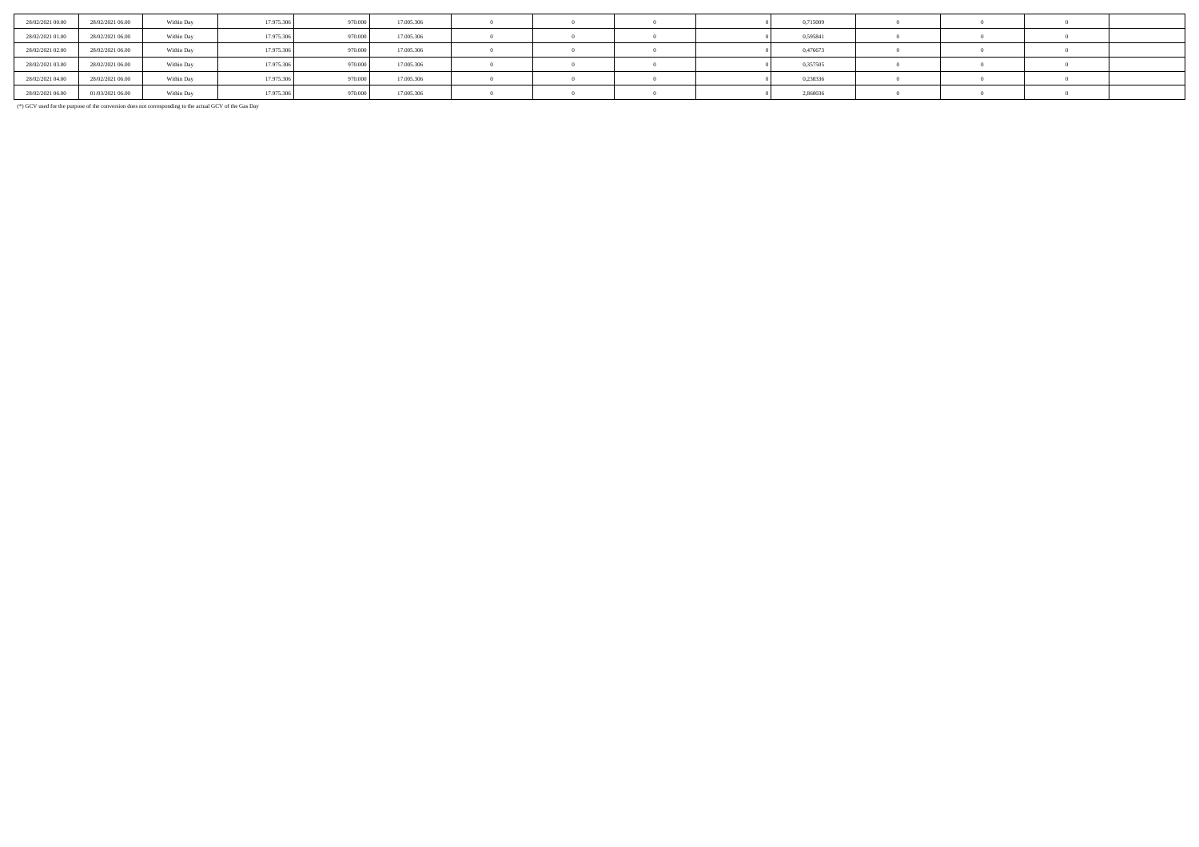| 28/02/2021 00:00 | 28/02/2021 06:00 | Within Day | 17.975.306 | 970.000 | 17.005.306 |  |  | 0,715009 |  |  |
|------------------|------------------|------------|------------|---------|------------|--|--|----------|--|--|
| 28/02/2021 01:00 | 28/02/2021 06:00 | Within Day | 17.975.306 | 970,000 | 17.005.306 |  |  | 0,595841 |  |  |
| 28/02/2021 02:00 | 28/02/2021 06:00 | Within Day | 17.975.306 | 970,000 | 17,005,306 |  |  | 0,476673 |  |  |
| 28/02/2021 03:00 | 28/02/2021 06:00 | Within Day | 17.975.306 | 970,000 | 17.005.306 |  |  | 0,357505 |  |  |
| 28/02/2021 04:00 | 28/02/2021 06:00 | Within Day | 17.975.306 | 970,000 | 17.005.306 |  |  | 0.238336 |  |  |
| 28/02/2021 06:00 | 01/03/2021 06:00 | Within Day | 17.975.306 | 970.000 | 17.005.306 |  |  | 2,860036 |  |  |

(\*) GCV used for the purpose of the conversion does not corresponding to the actual GCV of the Gas Day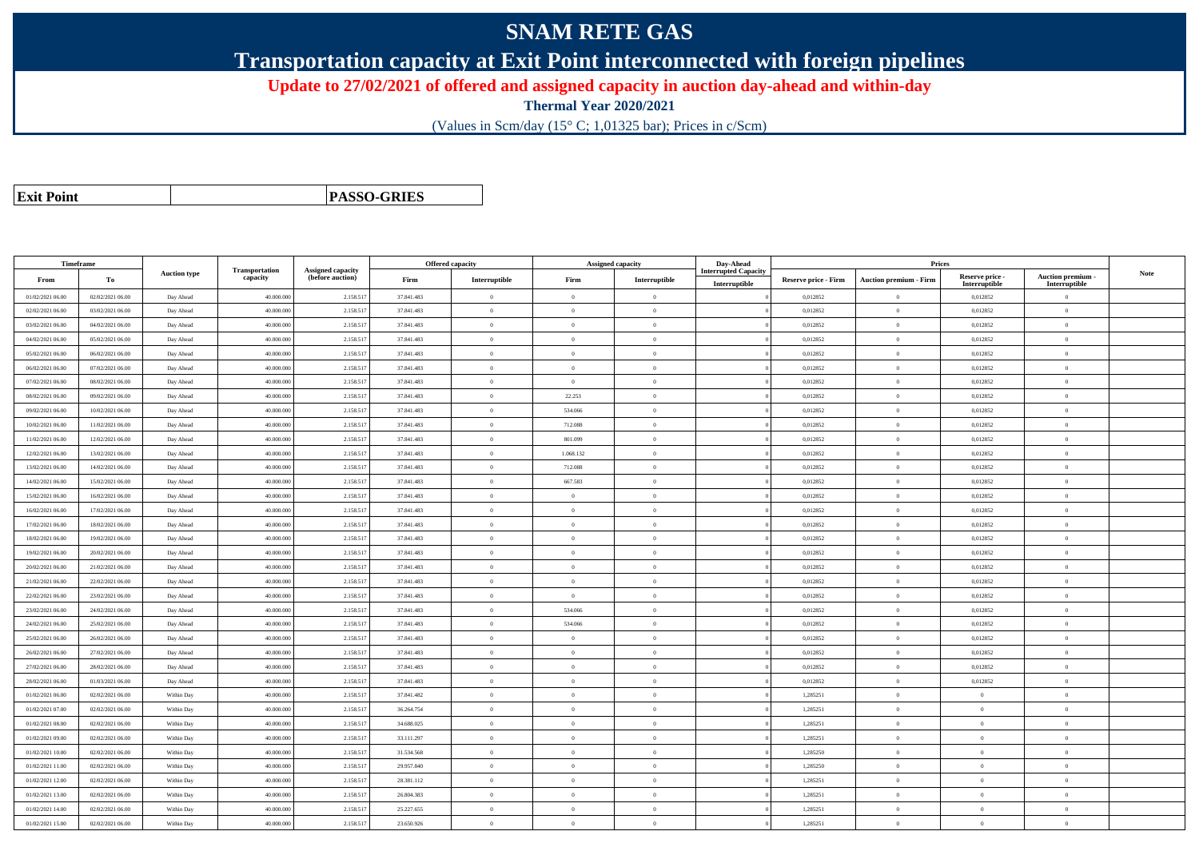# **SNAM RETE GAS**

**Transportation capacity at Exit Point interconnected with foreign pipelines**

**Update to 27/02/2021 of offered and assigned capacity in auction day-ahead and within-day**

**Thermal Year 2020/2021**

(Values in Scm/day (15° C; 1,01325 bar); Prices in c/Scm)

| <b>Exit Point</b> |
|-------------------|
|                   |

**PASSO-GRIES**

|                  | <b>Timeframe</b> |                     |                            |                                              |            | <b>Offered capacity</b> |                | <b>Assigned capacity</b> | Day-Ahead                                    |                             | Prices                        |                                  |                                         |             |
|------------------|------------------|---------------------|----------------------------|----------------------------------------------|------------|-------------------------|----------------|--------------------------|----------------------------------------------|-----------------------------|-------------------------------|----------------------------------|-----------------------------------------|-------------|
| From             | To               | <b>Auction type</b> | Transportation<br>capacity | <b>Assigned capacity</b><br>(before auction) | Firm       | Interruptible           | Firm           | Interruptible            | <b>Interrupted Capacity</b><br>Interruptible | <b>Reserve price - Firm</b> | <b>Auction premium - Firm</b> | Reserve price -<br>Interruptible | <b>Auction premium</b><br>Interruptible | <b>Note</b> |
| 01/02/2021 06:00 | 02/02/2021 06:00 | Day Ahead           | 40.000.000                 | 2.158.51                                     | 37.841.483 | $\overline{0}$          | $\overline{0}$ | $\overline{0}$           |                                              | 0,012852                    | $\overline{0}$                | 0,012852                         | $\theta$                                |             |
| 02/02/2021 06:00 | 03/02/2021 06:00 | Day Ahead           | 40.000.000                 | 2.158.51                                     | 37.841.483 | $\overline{0}$          | $\theta$       | $\Omega$                 |                                              | 0.012852                    | $\Omega$                      | 0.012852                         | $\theta$                                |             |
| 03/02/2021 06:00 | 04/02/2021 06:00 | Day Ahead           | 40,000,000                 | 2.158.517                                    | 37.841.483 | $\theta$                | $\theta$       | $\theta$                 |                                              | 0,012852                    | $\Omega$                      | 0,012852                         | $\Omega$                                |             |
| 04/02/2021 06:00 | 05/02/2021 06:00 | Day Ahead           | 40.000.000                 | 2.158.517                                    | 37.841.483 | $\overline{0}$          | $\overline{0}$ | $\Omega$                 |                                              | 0,012852                    | $\theta$                      | 0,012852                         | $\theta$                                |             |
| 05/02/2021 06:00 | 06/02/2021 06:00 | Day Ahead           | 40,000,000                 | 2.158.51                                     | 37.841.483 | $\overline{0}$          | $\overline{0}$ | $\overline{0}$           |                                              | 0.012852                    | $\overline{0}$                | 0.012852                         | $\mathbf{0}$                            |             |
| 06/02/2021 06:00 | 07/02/2021 06:00 | Day Ahead           | 40,000,000                 | 2.158.517                                    | 37.841.483 | $\overline{0}$          | $\theta$       | $\overline{0}$           |                                              | 0.012852                    | $\Omega$                      | 0,012852                         | $\overline{0}$                          |             |
| 07/02/2021 06:00 | 08/02/2021 06:00 | Day Ahead           | 40.000.000                 | 2.158.517                                    | 37.841.483 | $\theta$                | $\overline{0}$ | $\theta$                 |                                              | 0,012852                    | $\overline{0}$                | 0,012852                         | $\theta$                                |             |
| 08/02/2021 06:00 | 09/02/2021 06:00 | Day Ahead           | 40.000.00                  | 2.158.517                                    | 37.841.483 | $\theta$                | 22.253         | $\Omega$                 |                                              | 0,012852                    | $\overline{0}$                | 0,012852                         | $\Omega$                                |             |
| 09/02/2021 06:00 | 10/02/2021 06:00 | Day Ahead           | 40,000,000                 | 2.158.517                                    | 37.841.483 | $\overline{0}$          | 534,066        | $\overline{0}$           |                                              | 0.012852                    | $\mathbf{0}$                  | 0.012852                         | $\mathbf{0}$                            |             |
| 10/02/2021 06:00 | 11/02/2021 06:00 | Day Ahead           | 40,000,000                 | 2.158.51                                     | 37.841.483 | $\overline{0}$          | 712.088        | $\theta$                 |                                              | 0,012852                    | $\mathbf{0}$                  | 0,012852                         | $\overline{0}$                          |             |
| 11/02/2021 06:00 | 12/02/2021 06:00 | Day Ahead           | 40.000.00                  | 2.158.517                                    | 37.841.483 | $\overline{0}$          | 801.099        | $\overline{0}$           |                                              | 0,012852                    | $\overline{0}$                | 0,012852                         | $\mathbf{0}$                            |             |
| 12/02/2021 06:00 | 13/02/2021 06:00 | Day Ahead           | 40.000.000                 | 2.158.517                                    | 37.841.483 | $\theta$                | 1.068.132      | $\overline{0}$           |                                              | 0.012852                    | $\Omega$                      | 0,012852                         | $\Omega$                                |             |
| 13/02/2021 06:00 | 14/02/2021 06:00 | Day Ahead           | 40.000.000                 | 2.158.517                                    | 37.841.483 | $\overline{0}$          | 712.088        | $\theta$                 |                                              | 0.012852                    | $\theta$                      | 0.012852                         | $\Omega$                                |             |
| 14/02/2021 06:00 | 15/02/2021 06:00 | Day Ahead           | 40.000.00                  | 2.158.517                                    | 37.841.483 | $\theta$                | 667.583        | $\Omega$                 |                                              | 0,012852                    | $\overline{0}$                | 0,012852                         | $\theta$                                |             |
| 15/02/2021 06:00 | 16/02/2021 06:00 | Day Ahead           | 40,000,000                 | 2.158.517                                    | 37.841.483 | $\overline{0}$          | $\theta$       | $\overline{0}$           |                                              | 0.012852                    | $\theta$                      | 0.012852                         | $\Omega$                                |             |
| 16/02/2021 06:00 | 17/02/2021 06:00 | Day Ahead           | 40,000,000                 | 2.158.51                                     | 37.841.483 | $\overline{0}$          | $\theta$       | $\theta$                 |                                              | 0.012852                    | $\mathbf{0}$                  | 0,012852                         | $\mathbf{0}$                            |             |
| 17/02/2021 06:00 | 18/02/2021 06:00 | Day Ahead           | 40.000.00                  | 2.158.517                                    | 37.841.483 | $\theta$                | $\overline{0}$ | $\theta$                 |                                              | 0,012852                    | $\overline{0}$                | 0,012852                         | $\overline{0}$                          |             |
| 18/02/2021 06:00 | 19/02/2021 06:00 | Day Ahead           | 40.000.000                 | 2.158.517                                    | 37.841.483 | $\theta$                | $\overline{0}$ | $\theta$                 |                                              | 0,012852                    | $\overline{0}$                | 0,012852                         | $\mathbf{0}$                            |             |
| 19/02/2021 06:00 | 20/02/2021 06:00 | Day Ahead           | 40,000,000                 | 2.158.51                                     | 37.841.483 | $\theta$                | $\overline{0}$ | $\overline{0}$           |                                              | 0.012852                    | $\theta$                      | 0.012852                         | $\mathbf{0}$                            |             |
| 20/02/2021 06:00 | 21/02/2021 06:00 | Day Ahead           | 40.000.000                 | 2.158.517                                    | 37.841.483 | $\alpha$                | $\overline{0}$ | $\theta$                 |                                              | 0,012852                    | $\mathbf{0}$                  | 0,012852                         | $\Omega$                                |             |
| 21/02/2021 06:00 | 22/02/2021 06:00 | Day Ahead           | 40.000.000                 | 2.158.51                                     | 37.841.483 | $\theta$                | $\overline{0}$ | $\theta$                 |                                              | 0,012852                    | $\mathbf{0}$                  | 0,012852                         | $\theta$                                |             |
| 22/02/2021 06:00 | 23/02/2021 06:00 | Day Ahead           | 40.000.00                  | 2.158.51                                     | 37.841.483 | $\theta$                | $\overline{0}$ | $\Omega$                 |                                              | 0,012852                    | $\overline{0}$                | 0,012852                         | $\theta$                                |             |
| 23/02/2021 06:00 | 24/02/2021 06:00 | Day Ahead           | 40.000.000                 | 2.158.517                                    | 37.841.483 | $\theta$                | 534,066        | $\overline{0}$           |                                              | 0.012852                    | $\theta$                      | 0.012852                         | $\Omega$                                |             |
| 24/02/2021 06:00 | 25/02/2021 06:00 | Day Ahead           | 40.000.000                 | 2.158.517                                    | 37.841.483 | $\theta$                | 534.066        | $\Omega$                 |                                              | 0,012852                    | $\overline{0}$                | 0,012852                         | $\theta$                                |             |
| 25/02/2021 06:00 | 26/02/2021 06:00 | Day Ahead           | 40.000.00                  | 2.158.517                                    | 37.841.483 | $\theta$                | $\theta$       | $\Omega$                 |                                              | 0,012852                    | $\overline{0}$                | 0,012852                         | $\theta$                                |             |
| 26/02/2021 06:00 | 27/02/2021 06:00 | Day Ahead           | 40,000,000                 | 2.158.517                                    | 37.841.483 | $\overline{0}$          | $\theta$       | $\theta$                 |                                              | 0,012852                    | $\theta$                      | 0,012852                         | $\mathbf{0}$                            |             |
| 27/02/2021 06:00 | 28/02/2021 06:00 | Day Ahead           | 40.000.000                 | 2.158.51                                     | 37.841.483 | $\overline{0}$          | $\overline{0}$ | $\theta$                 |                                              | 0,012852                    | $\mathbf{0}$                  | 0,012852                         | $\overline{0}$                          |             |
| 28/02/2021 06:00 | 01/03/2021 06:00 | Day Ahead           | 40.000.00                  | 2.158.51                                     | 37.841.483 | $\theta$                | $\overline{0}$ | $\overline{0}$           |                                              | 0,012852                    | $\overline{0}$                | 0,012852                         | $\overline{0}$                          |             |
| 01/02/2021 06:00 | 02/02/2021 06:00 | Within Day          | 40.000.000                 | 2.158.517                                    | 37.841.482 | $\theta$                | $\theta$       | $\overline{0}$           |                                              | 1,285251                    | $\theta$                      | $\theta$                         | $\Omega$                                |             |
| 01/02/2021 07:00 | 02/02/2021 06:00 | Within Day          | 40.000.000                 | 2.158.51                                     | 36.264.754 | $\overline{0}$          | $\theta$       | $\alpha$                 |                                              | 1,285251                    | $\theta$                      | $\mathbf{a}$                     | $\Omega$                                |             |
| 01/02/2021 08:00 | 02/02/2021 06:00 | Within Day          | 40.000.00                  | 2.158.517                                    | 34.688.025 | $\theta$                | $\overline{0}$ | $\theta$                 |                                              | 1,285251                    | $\overline{0}$                | $\Omega$                         | $\Omega$                                |             |
| 01/02/2021 09:00 | 02/02/2021 06:00 | Within Day          | 40.000.000                 | 2.158.517                                    | 33.111.297 | $\theta$                | $\overline{0}$ | $\theta$                 |                                              | 1,285251                    | $\overline{0}$                | $\theta$                         | $\overline{0}$                          |             |
| 01/02/2021 10:00 | 02/02/2021 06:00 | Within Day          | 40,000,000                 | 2.158.51                                     | 31.534.568 | $\overline{0}$          | $\theta$       | $\alpha$                 |                                              | 1.285250                    | $\theta$                      | $\alpha$                         | $\Omega$                                |             |
| 01/02/2021 11:00 | 02/02/2021 06:00 | Within Day          | 40.000.000                 | 2.158.517                                    | 29.957.840 | $\Omega$                | $\overline{0}$ | $\theta$                 |                                              | 1,285250                    | $\overline{0}$                | $\Omega$                         | $\overline{0}$                          |             |
| 01/02/2021 12:00 | 02/02/2021 06:00 | Within Day          | 40.000.000                 | 2.158.517                                    | 28.381.112 | $\theta$                | $\theta$       | $\Omega$                 |                                              | 1,285251                    | $\theta$                      | $\theta$                         | $\theta$                                |             |
| 01/02/2021 13:00 | 02/02/2021 06:00 | Within Day          | 40.000.000                 | 2.158.517                                    | 26.804.383 | $\Omega$                | $\theta$       | $\theta$                 |                                              | 1,285251                    | $\theta$                      | $\Omega$                         | $\Omega$                                |             |
| 01/02/2021 14:00 | 02/02/2021 06:00 | Within Day          | 40,000,000                 | 2.158.517                                    | 25.227.655 | $\theta$                | $\theta$       | $\overline{0}$           |                                              | 1,285251                    | $\theta$                      | $\theta$                         | $\Omega$                                |             |
| 01/02/2021 15:00 | 02/02/2021 06:00 | Within Day          | 40.000.000                 | 2.158.517                                    | 23.650.926 | $\theta$                | $\overline{0}$ | $\Omega$                 |                                              | 1,285251                    | $\overline{0}$                | $\theta$                         | $\theta$                                |             |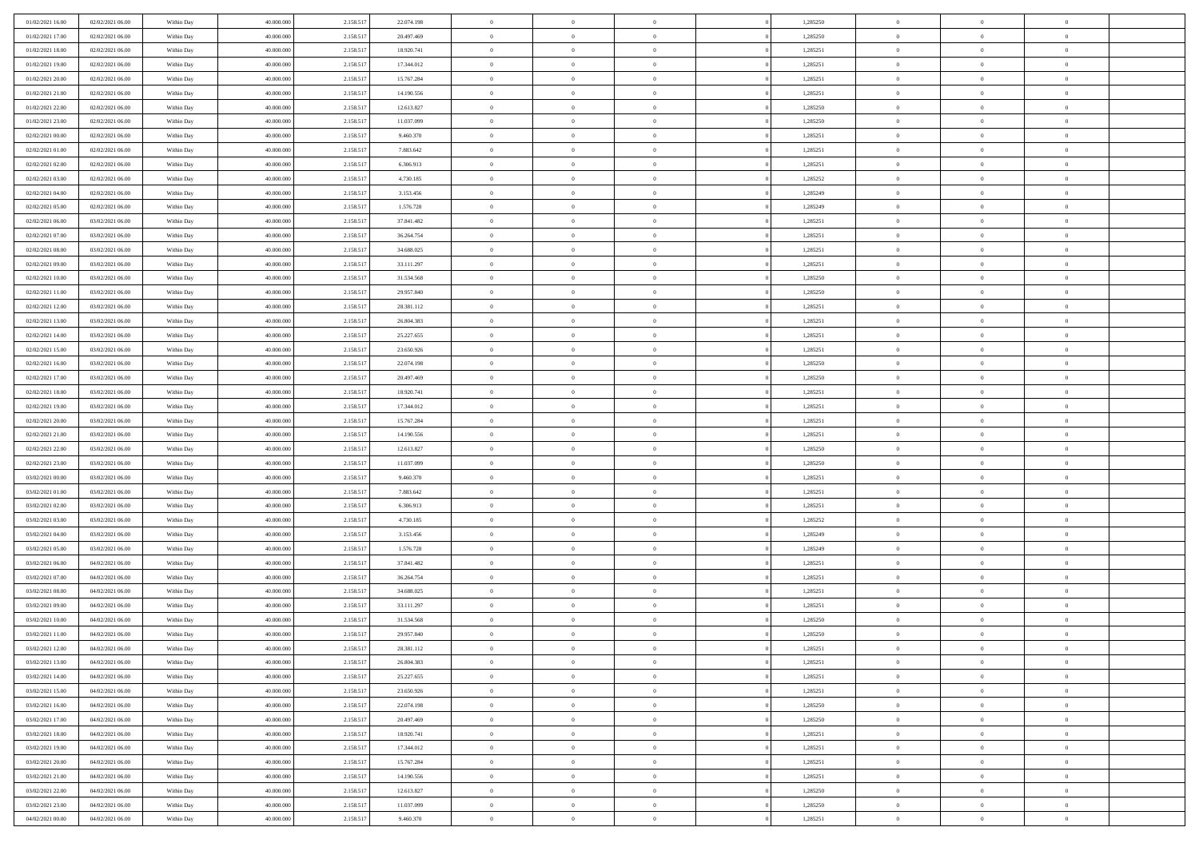| 01/02/2021 16:00                     | 02/02/2021 06:00                     | Within Day               | 40.000.000               | 2.158.517              | 22.074.198               | $\,$ 0                   | $\bf{0}$                   | $\theta$                         |          | 1,285250             | $\bf{0}$                 | $\overline{0}$                   | $\,0\,$                          |  |
|--------------------------------------|--------------------------------------|--------------------------|--------------------------|------------------------|--------------------------|--------------------------|----------------------------|----------------------------------|----------|----------------------|--------------------------|----------------------------------|----------------------------------|--|
| 01/02/2021 17:00                     | 02/02/2021 06:00                     | Within Day               | 40,000,000               | 2.158.517              | 20.497.469               | $\overline{0}$           | $\overline{0}$             | $\overline{0}$                   |          | 1,285250             | $\overline{0}$           | $\overline{0}$                   | $\theta$                         |  |
| 01/02/2021 18:00                     | 02/02/2021 06:00                     | Within Dav               | 40.000.000               | 2.158.517              | 18.920.741               | $\mathbf{0}$             | $\overline{0}$             | $\overline{0}$                   |          | 1,285251             | $\mathbf{0}$             | $\overline{0}$                   | $\overline{0}$                   |  |
| 01/02/2021 19:00                     | 02/02/2021 06:00                     | Within Day               | 40.000.000               | 2.158.517              | 17.344.012               | $\bf{0}$                 | $\overline{0}$             | $\bf{0}$                         |          | 1,285251             | $\bf{0}$                 | $\overline{0}$                   | $\bf{0}$                         |  |
| 01/02/2021 20:00                     | 02/02/2021 06:00                     | Within Day               | 40,000,000               | 2.158.517              | 15.767.284               | $\bf{0}$                 | $\bf{0}$                   | $\overline{0}$                   |          | 1,285251             | $\bf{0}$                 | $\bf{0}$                         | $\,0\,$                          |  |
| 01/02/2021 21:00                     | 02/02/2021 06:00                     | Within Dav               | 40.000.000               | 2.158.517              | 14.190.556               | $\mathbf{0}$             | $\overline{0}$             | $\overline{0}$                   |          | 1,285251             | $\mathbf{0}$             | $\overline{0}$                   | $\overline{0}$                   |  |
| 01/02/2021 22:00                     | 02/02/2021 06:00                     | Within Day               | 40.000.000               | 2.158.517              | 12.613.827               | $\bf{0}$                 | $\bf{0}$                   | $\overline{0}$                   |          | 1,285250             | $\bf{0}$                 | $\overline{0}$                   | $\,0\,$                          |  |
| 01/02/2021 23.00                     | 02/02/2021 06:00                     | Within Day               | 40,000,000               | 2.158.517              | 11.037.099               | $\overline{0}$           | $\overline{0}$             | $\overline{0}$                   |          | 1,285250             | $\,$ 0 $\,$              | $\overline{0}$                   | $\theta$                         |  |
| 02/02/2021 00:00                     | 02/02/2021 06:00                     | Within Dav               | 40.000.000               | 2.158.517              | 9.460.370                | $\mathbf{0}$             | $\overline{0}$             | $\overline{0}$                   |          | 1,285251             | $\mathbf{0}$             | $\overline{0}$                   | $\overline{0}$                   |  |
| 02/02/2021 01:00                     | 02/02/2021 06:00                     | Within Day               | 40.000.000               | 2.158.517              | 7.883.642                | $\bf{0}$                 | $\bf{0}$                   | $\overline{0}$                   |          | 1,285251             | $\bf{0}$                 | $\overline{0}$                   | $\,0\,$                          |  |
| 02/02/2021 02:00                     | 02/02/2021 06:00                     | Within Day               | 40,000,000               | 2.158.517              | 6.306.913                | $\overline{0}$           | $\overline{0}$             | $\overline{0}$                   |          | 1,285251             | $\bf{0}$                 | $\overline{0}$                   | $\theta$                         |  |
| 02/02/2021 03:00                     | 02/02/2021 06:00                     | Within Dav               | 40.000.000               | 2.158.517              | 4.730.185                | $\mathbf{0}$             | $\overline{0}$             | $\overline{0}$                   |          | 1,285252             | $\mathbf{0}$             | $\overline{0}$                   | $\overline{0}$                   |  |
| 02/02/2021 04:00                     | 02/02/2021 06:00                     | Within Day               | 40.000.000               | 2.158.517              | 3.153.456                | $\bf{0}$                 | $\overline{0}$             | $\bf{0}$                         |          | 1,285249             | $\bf{0}$                 | $\overline{0}$                   | $\bf{0}$                         |  |
| 02/02/2021 05:00                     | 02/02/2021 06:00                     | Within Day               | 40.000.000               | 2.158.517              | 1.576.728                | $\bf{0}$                 | $\overline{0}$             | $\overline{0}$                   |          | 1,285249             | $\bf{0}$                 | $\mathbf{0}$                     | $\,0\,$                          |  |
| 02/02/2021 06:00                     | 03/02/2021 06:00                     | Within Dav               | 40.000.000               | 2.158.517              | 37.841.482               | $\overline{0}$           | $\overline{0}$             | $\overline{0}$                   |          | 1,285251             | $\mathbf{0}$             | $\overline{0}$                   | $\overline{0}$                   |  |
| 02/02/2021 07:00                     | 03/02/2021 06:00                     | Within Day               | 40.000.000               | 2.158.517              | 36.264.754               | $\bf{0}$                 | $\bf{0}$                   | $\overline{0}$                   |          | 1,285251             | $\bf{0}$                 | $\overline{0}$                   | $\bf{0}$                         |  |
| 02/02/2021 08:00                     | 03/02/2021 06:00                     | Within Day               | 40,000,000               | 2.158.517              | 34,688,025               | $\overline{0}$           | $\overline{0}$             | $\overline{0}$                   |          | 1,285251             | $\bf{0}$                 | $\overline{0}$                   | $\theta$                         |  |
| 02/02/2021 09:00                     | 03/02/2021 06:00                     | Within Day               | 40.000.000               | 2.158.517              | 33.111.297               | $\mathbf{0}$             | $\overline{0}$             | $\overline{0}$                   |          | 1,285251             | $\mathbf{0}$             | $\overline{0}$                   | $\overline{0}$                   |  |
| 02/02/2021 10:00                     | 03/02/2021 06:00                     | Within Day               | 40.000.000               | 2.158.517              | 31.534.568               | $\bf{0}$                 | $\bf{0}$                   | $\overline{0}$                   |          | 1,285250             | $\bf{0}$                 | $\overline{0}$                   | $\,0\,$                          |  |
| 02/02/2021 11:00                     | 03/02/2021 06:00                     | Within Day               | 40,000,000               | 2.158.517              | 29.957.840               | $\bf{0}$                 | $\overline{0}$             | $\overline{0}$                   |          | 1,285250             | $\bf{0}$                 | $\overline{0}$                   | $\overline{0}$                   |  |
| 02/02/2021 12:00                     | 03/02/2021 06:00                     | Within Dav               | 40.000.000               | 2.158.517              | 28.381.112               | $\mathbf{0}$             | $\overline{0}$             | $\overline{0}$                   |          | 1,285251             | $\mathbf{0}$             | $\overline{0}$                   | $\overline{0}$                   |  |
| 02/02/2021 13:00                     | 03/02/2021 06:00                     | Within Day               | 40.000.000               | 2.158.517              | 26.804.383               | $\bf{0}$                 | $\overline{0}$             | $\overline{0}$                   |          | 1,285251             | $\bf{0}$                 | $\overline{0}$                   | $\bf{0}$                         |  |
| 02/02/2021 14:00                     | 03/02/2021 06:00                     | Within Day               | 40,000,000               | 2.158.517              | 25.227.655               | $\bf{0}$                 | $\bf{0}$                   | $\overline{0}$                   |          | 1,285251             | $\bf{0}$                 | $\overline{0}$                   | $\,0\,$                          |  |
| 02/02/2021 15:00                     | 03/02/2021 06:00                     | Within Dav               | 40.000.000               | 2.158.517              | 23.650.926               | $\mathbf{0}$             | $\overline{0}$             | $\overline{0}$                   |          | 1,285251             | $\mathbf{0}$             | $\overline{0}$                   | $\overline{0}$                   |  |
| 02/02/2021 16:00                     | 03/02/2021 06:00                     | Within Day               | 40.000.000               | 2.158.517              | 22.074.198               | $\bf{0}$                 | $\bf{0}$                   | $\overline{0}$                   |          | 1,285250             | $\bf{0}$                 | $\overline{0}$                   | $\,0\,$                          |  |
| 02/02/2021 17:00                     | 03/02/2021 06:00                     | Within Day               | 40,000,000               | 2.158.517              | 20.497.469               | $\overline{0}$           | $\overline{0}$             | $\overline{0}$                   |          | 1,285250             | $\bf{0}$                 | $\mathbf{0}$                     | $\overline{0}$                   |  |
| 02/02/2021 18:00                     | 03/02/2021 06:00                     | Within Dav               | 40.000.000               | 2.158.517              | 18.920.741               | $\mathbf{0}$             | $\overline{0}$             | $\overline{0}$                   |          | 1,285251             | $\mathbf{0}$             | $\overline{0}$                   | $\overline{0}$                   |  |
| 02/02/2021 19:00                     | 03/02/2021 06:00                     | Within Day               | 40.000.000               | 2.158.517              | 17.344.012               | $\bf{0}$                 | $\bf{0}$                   | $\overline{0}$                   |          | 1,285251             | $\bf{0}$                 | $\overline{0}$                   | $\,0\,$                          |  |
| 02/02/2021 20:00                     | 03/02/2021 06:00                     | Within Day               | 40,000,000               | 2.158.517              | 15.767.284               | $\bf{0}$                 | $\bf{0}$                   | $\overline{0}$                   |          | 1,285251             | $\bf{0}$                 | $\overline{0}$                   | $\overline{0}$                   |  |
| 02/02/2021 21:00                     | 03/02/2021 06:00                     | Within Dav               | 40.000.000               | 2.158.517              | 14.190.556               | $\mathbf{0}$             | $\overline{0}$             | $\overline{0}$                   |          | 1,285251             | $\mathbf{0}$             | $\overline{0}$                   | $\overline{0}$                   |  |
| 02/02/2021 22:00                     | 03/02/2021 06:00                     | Within Day               | 40.000.000               | 2.158.517              | 12.613.827               | $\bf{0}$                 | $\overline{0}$             | $\theta$                         |          | 1,285250             | $\,$ 0                   | $\overline{0}$                   | $\theta$                         |  |
| 02/02/2021 23:00                     | 03/02/2021 06:00                     | Within Day               | 40.000.000               | 2.158.517              | 11.037.099               | $\bf{0}$                 | $\bf{0}$                   | $\overline{0}$                   |          | 1,285250             | $\bf{0}$                 | $\overline{0}$                   | $\overline{0}$                   |  |
| 03/02/2021 00:00                     | 03/02/2021 06:00                     | Within Dav               | 40.000.000               | 2.158.517              | 9.460.370                | $\mathbf{0}$             | $\overline{0}$             | $\overline{0}$                   |          | 1,285251             | $\mathbf{0}$             | $\overline{0}$                   | $\overline{0}$                   |  |
| 03/02/2021 01:00                     | 03/02/2021 06:00                     | Within Day               | 40.000.000               | 2.158.517              | 7.883.642                | $\bf{0}$                 | $\overline{0}$             | $\theta$                         |          | 1,285251             | $\,$ 0                   | $\overline{0}$                   | $\theta$                         |  |
| 03/02/2021 02:00                     | 03/02/2021 06:00                     | Within Day               | 40,000,000               | 2.158.517              | 6.306.913                | $\bf{0}$                 | $\overline{0}$             | $\overline{0}$                   |          | 1,285251             | $\bf{0}$                 | $\overline{0}$                   | $\overline{0}$                   |  |
| 03/02/2021 03:00                     | 03/02/2021 06:00                     | Within Day               | 40.000.000               | 2.158.517              | 4.730.185                | $\mathbf{0}$             | $\overline{0}$             | $\overline{0}$                   |          | 1,285252             | $\mathbf{0}$             | $\overline{0}$                   | $\overline{0}$                   |  |
| 03/02/2021 04:00                     | 03/02/2021 06:00                     | Within Day               | 40.000.000               | 2.158.517              | 3.153.456                | $\bf{0}$                 | $\overline{0}$             | $\overline{0}$                   |          | 1,285249             | $\,$ 0                   | $\overline{0}$                   | $\theta$                         |  |
| 03/02/2021 05:00                     | 03/02/2021 06:00                     | Within Day               | 40,000,000               | 2.158.517              | 1.576.728                | $\bf{0}$                 | $\overline{0}$             | $\overline{0}$                   |          | 1,285249             | $\bf{0}$                 | $\overline{0}$                   | $\overline{0}$                   |  |
| 03/02/2021 06:00                     | 04/02/2021 06:00                     | Within Dav               | 40.000.000               | 2.158.517              | 37.841.482               | $\mathbf{0}$             | $\overline{0}$             | $\overline{0}$                   |          | 1,285251             | $\mathbf{0}$             | $\overline{0}$                   | $\overline{0}$                   |  |
| 03/02/2021 07:00                     | 04/02/2021 06:00                     | Within Day               | 40.000.000<br>40,000,000 | 2.158.517              | 36.264.754               | $\,0\,$                  | $\overline{0}$             | $\overline{0}$                   |          | 1,285251             | $\,$ 0                   | $\overline{0}$<br>$\overline{0}$ | $\theta$                         |  |
| 03/02/2021 08:00<br>03/02/2021 09:00 | 04/02/2021 06:00<br>04/02/2021 06:00 | Within Day<br>Within Dav | 40.000.000               | 2.158.517<br>2.158.517 | 34.688.025<br>33.111.297 | $\bf{0}$<br>$\mathbf{0}$ | $\bf{0}$<br>$\overline{0}$ | $\overline{0}$<br>$\overline{0}$ |          | 1,285251<br>1,285251 | $\bf{0}$<br>$\mathbf{0}$ | $\overline{0}$                   | $\overline{0}$<br>$\overline{0}$ |  |
| 03/02/2021 10:00                     | 04/02/2021 06:00                     | Within Day               | 40.000.000               | 2.158.517              | 31.534.568               | $\bf{0}$                 | $\overline{0}$             | $\overline{0}$                   |          | 1,285250             | $\,$ 0                   | $\overline{0}$                   | $\theta$                         |  |
| 03/02/2021 11:00                     | 04/02/2021 06:00                     | Within Day               | 40,000,000               | 2.158.517              | 29.957.840               | $\bf{0}$                 | $\overline{0}$             | $\overline{0}$                   |          | 1,285250             | $\,$ 0 $\,$              | $\overline{0}$                   | $\bf{0}$                         |  |
| 03/02/2021 12:00                     | 04/02/2021 06:00                     | Within Day               | 40.000.000               | 2.158.517              | 28.381.112               | $\bf{0}$                 | $\overline{0}$             |                                  |          | 1,285251             | $\overline{0}$           | $\theta$                         | $\theta$                         |  |
| 03/02/2021 13:00                     | 04/02/2021 06:00                     | Within Day               | 40.000.000               | 2.158.517              | 26.804.383               | $\,0\,$                  | $\overline{0}$             | $\overline{0}$                   |          | 1,285251             | $\,$ 0 $\,$              | $\bf{0}$                         | $\theta$                         |  |
| 03/02/2021 14:00                     | 04/02/2021 06:00                     | Within Day               | 40.000.000               | 2.158.517              | 25.227.655               | $\overline{0}$           | $\overline{0}$             | $\overline{0}$                   |          | 1,285251             | $\overline{0}$           | $\overline{0}$                   | $\overline{0}$                   |  |
| 03/02/2021 15:00                     | 04/02/2021 06:00                     | Within Day               | 40.000.000               | 2.158.517              | 23.650.926               | $\bf{0}$                 | $\overline{0}$             | $\overline{0}$                   |          | 1,285251             | $\overline{0}$           | $\bf{0}$                         | $\mathbf{0}$                     |  |
| 03/02/2021 16:00                     | 04/02/2021 06:00                     | Within Day               | 40.000.000               | 2.158.517              | 22.074.198               | $\bf{0}$                 | $\overline{0}$             | $\overline{0}$                   | $\theta$ | 1,285250             | $\mathbf{0}$             | $\bf{0}$                         | $\,$ 0 $\,$                      |  |
| 03/02/2021 17:00                     | 04/02/2021 06:00                     | Within Day               | 40.000.000               | 2.158.517              | 20.497.469               | $\bf{0}$                 | $\overline{0}$             | $\overline{0}$                   |          | 1,285250             | $\,$ 0 $\,$              | $\overline{0}$                   | $\overline{0}$                   |  |
| 03/02/2021 18:00                     | 04/02/2021 06:00                     | Within Day               | 40.000.000               | 2.158.517              | 18.920.741               | $\bf{0}$                 | $\overline{0}$             | $\overline{0}$                   |          | 1,285251             | $\mathbf{0}$             | $\overline{0}$                   | $\overline{0}$                   |  |
| 03/02/2021 19:00                     | 04/02/2021 06:00                     | Within Day               | 40.000.000               | 2.158.517              | 17.344.012               | $\,0\,$                  | $\overline{0}$             | $\overline{0}$                   | $\theta$ | 1,285251             | $\,$ 0 $\,$              | $\overline{0}$                   | $\overline{0}$                   |  |
| 03/02/2021 20:00                     | 04/02/2021 06:00                     | Within Day               | 40.000.000               | 2.158.517              | 15.767.284               | $\bf{0}$                 | $\overline{0}$             | $\overline{0}$                   |          | 1,285251             | $\overline{0}$           | $\overline{0}$                   | $\overline{0}$                   |  |
| 03/02/2021 21:00                     | 04/02/2021 06:00                     | Within Day               | 40.000.000               | 2.158.517              | 14.190.556               | $\bf{0}$                 | $\overline{0}$             | $\overline{0}$                   |          | 1,285251             | $\mathbf{0}$             | $\overline{0}$                   | $\overline{0}$                   |  |
| 03/02/2021 22.00                     | 04/02/2021 06:00                     | Within Day               | 40.000.000               | 2.158.517              | 12.613.827               | $\,0\,$                  | $\overline{0}$             | $\overline{0}$                   |          | 1,285250             | $\,$ 0 $\,$              | $\mathbf{0}$                     | $\,$ 0 $\,$                      |  |
| 03/02/2021 23.00                     | 04/02/2021 06:00                     | Within Day               | 40,000,000               | 2.158.517              | 11.037.099               | $\bf{0}$                 | $\overline{0}$             | $\overline{0}$                   |          | 1,285250             | $\mathbf{0}$             | $\mathbf{0}$                     | $\overline{0}$                   |  |
| 04/02/2021 00:00                     | 04/02/2021 06:00                     | Within Day               | 40.000.000               | 2.158.517              | 9.460.370                | $\bf{0}$                 | $\overline{0}$             | $\overline{0}$                   |          | 1,285251             | $\mathbf{0}$             | $\overline{0}$                   | $\overline{0}$                   |  |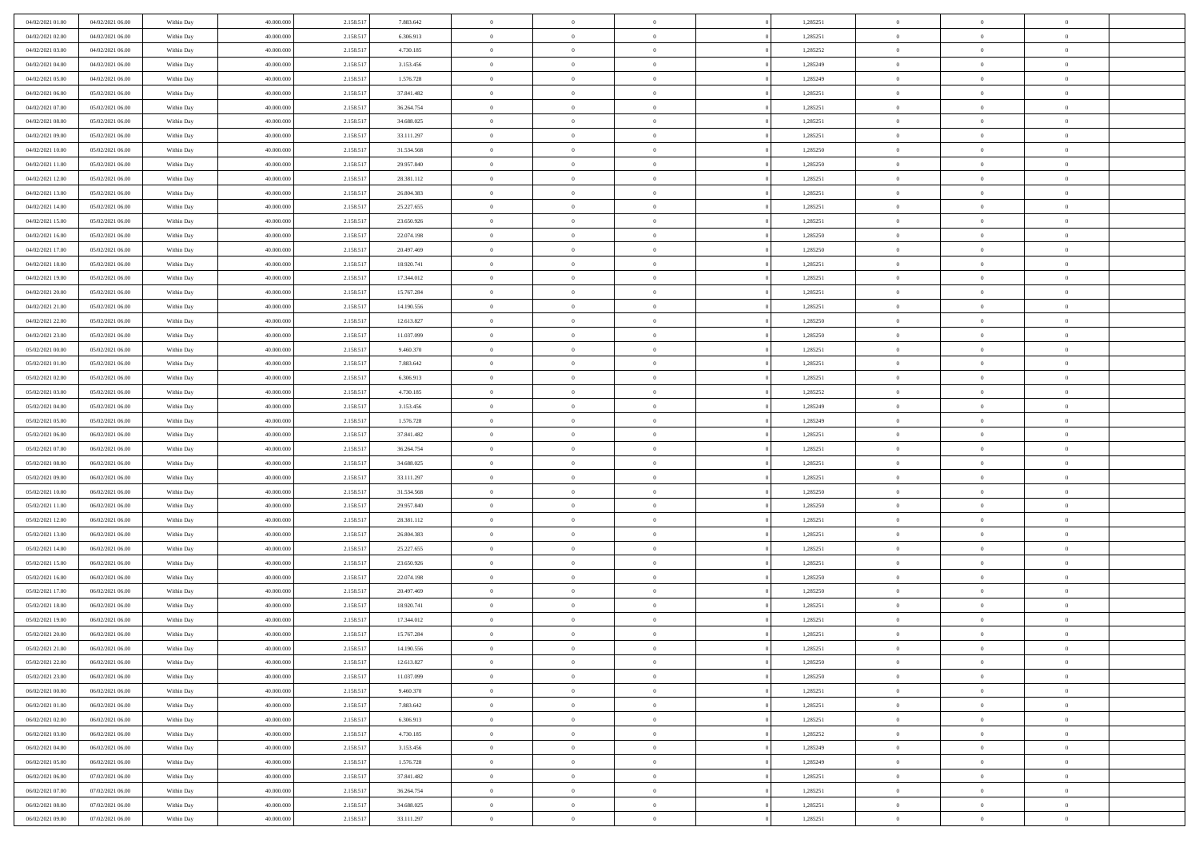| 04/02/2021 01:00                     | 04/02/2021 06:00                     | Within Day               | 40.000.000               | 2.158.517              | 7.883.642                | $\bf{0}$                 | $\bf{0}$                   | $\overline{0}$                   |          | 1,285251             | $\bf{0}$                 | $\overline{0}$                   | $\,0\,$                    |  |
|--------------------------------------|--------------------------------------|--------------------------|--------------------------|------------------------|--------------------------|--------------------------|----------------------------|----------------------------------|----------|----------------------|--------------------------|----------------------------------|----------------------------|--|
| 04/02/2021 02:00                     | 04/02/2021 06:00                     | Within Day               | 40,000,000               | 2.158.517              | 6.306.913                | $\overline{0}$           | $\overline{0}$             | $\overline{0}$                   |          | 1,285251             | $\overline{0}$           | $\overline{0}$                   | $\theta$                   |  |
| 04/02/2021 03:00                     | 04/02/2021 06:00                     | Within Dav               | 40.000.000               | 2.158.517              | 4.730.185                | $\mathbf{0}$             | $\overline{0}$             | $\overline{0}$                   |          | 1,285252             | $\mathbf{0}$             | $\overline{0}$                   | $\overline{0}$             |  |
| 04/02/2021 04:00                     | 04/02/2021 06:00                     | Within Day               | 40.000.000               | 2.158.517              | 3.153.456                | $\bf{0}$                 | $\overline{0}$             | $\bf{0}$                         |          | 1,285249             | $\bf{0}$                 | $\overline{0}$                   | $\bf{0}$                   |  |
| 04/02/2021 05:00                     | 04/02/2021 06:00                     | Within Day               | 40,000,000               | 2.158.517              | 1.576.728                | $\bf{0}$                 | $\bf{0}$                   | $\overline{0}$                   |          | 1,285249             | $\bf{0}$                 | $\bf{0}$                         | $\,0\,$                    |  |
| 04/02/2021 06:00                     | 05/02/2021 06:00                     | Within Dav               | 40.000.000               | 2.158.517              | 37.841.482               | $\mathbf{0}$             | $\overline{0}$             | $\overline{0}$                   |          | 1,285251             | $\mathbf{0}$             | $\overline{0}$                   | $\overline{0}$             |  |
| 04/02/2021 07:00                     | 05/02/2021 06:00                     | Within Day               | 40.000.000               | 2.158.517              | 36.264.754               | $\bf{0}$                 | $\bf{0}$                   | $\overline{0}$                   |          | 1,285251             | $\bf{0}$                 | $\overline{0}$                   | $\,0\,$                    |  |
| 04/02/2021 08:00                     | 05/02/2021 06:00                     | Within Day               | 40,000,000               | 2.158.517              | 34.688.025               | $\overline{0}$           | $\overline{0}$             | $\overline{0}$                   |          | 1,285251             | $\,$ 0 $\,$              | $\overline{0}$                   | $\theta$                   |  |
| 04/02/2021 09:00                     | 05/02/2021 06:00                     | Within Day               | 40.000.000               | 2.158.517              | 33.111.297               | $\mathbf{0}$             | $\overline{0}$             | $\overline{0}$                   |          | 1,285251             | $\mathbf{0}$             | $\overline{0}$                   | $\overline{0}$             |  |
| 04/02/2021 10:00                     | 05/02/2021 06:00                     | Within Day               | 40.000.000               | 2.158.517              | 31.534.568               | $\bf{0}$                 | $\bf{0}$                   | $\overline{0}$                   |          | 1,285250             | $\bf{0}$                 | $\overline{0}$                   | $\,0\,$                    |  |
| 04/02/2021 11:00                     | 05/02/2021 06:00                     | Within Day               | 40,000,000               | 2.158.517              | 29.957.840               | $\overline{0}$           | $\overline{0}$             | $\overline{0}$                   |          | 1,285250             | $\bf{0}$                 | $\overline{0}$                   | $\theta$                   |  |
| 04/02/2021 12:00                     | 05/02/2021 06:00                     | Within Dav               | 40.000.000               | 2.158.517              | 28.381.112               | $\mathbf{0}$             | $\overline{0}$             | $\overline{0}$                   |          | 1,285251             | $\mathbf{0}$             | $\overline{0}$                   | $\overline{0}$             |  |
| 04/02/2021 13:00                     | 05/02/2021 06:00                     | Within Day               | 40.000.000               | 2.158.517              | 26.804.383               | $\bf{0}$                 | $\overline{0}$             | $\bf{0}$                         |          | 1,285251             | $\bf{0}$                 | $\overline{0}$                   | $\overline{0}$             |  |
| 04/02/2021 14:00                     | 05/02/2021 06:00                     | Within Day               | 40.000.000               | 2.158.517              | 25.227.655               | $\bf{0}$                 | $\overline{0}$             | $\overline{0}$                   |          | 1,285251             | $\bf{0}$                 | $\mathbf{0}$                     | $\,0\,$                    |  |
| 04/02/2021 15:00                     | 05/02/2021 06:00                     | Within Dav               | 40.000.000               | 2.158.517              | 23.650.926               | $\mathbf{0}$             | $\overline{0}$             | $\overline{0}$                   |          | 1,285251             | $\mathbf{0}$             | $\overline{0}$                   | $\overline{0}$             |  |
| 04/02/2021 16:00                     | 05/02/2021 06:00                     | Within Day               | 40.000.000               | 2.158.517              | 22.074.198               | $\bf{0}$                 | $\overline{0}$             | $\overline{0}$                   |          | 1,285250             | $\bf{0}$                 | $\overline{0}$                   | $\bf{0}$                   |  |
| 04/02/2021 17.00                     | 05/02/2021 06:00                     | Within Day               | 40,000,000               | 2.158.517              | 20.497.469               | $\overline{0}$           | $\overline{0}$             | $\overline{0}$                   |          | 1,285250             | $\bf{0}$                 | $\overline{0}$                   | $\theta$                   |  |
| 04/02/2021 18:00                     | 05/02/2021 06:00                     | Within Day               | 40.000.000               | 2.158.517              | 18.920.741               | $\mathbf{0}$             | $\overline{0}$             | $\overline{0}$                   |          | 1,285251             | $\mathbf{0}$             | $\overline{0}$                   | $\overline{0}$             |  |
| 04/02/2021 19:00                     | 05/02/2021 06:00                     | Within Day               | 40.000.000               | 2.158.517              | 17.344.012               | $\bf{0}$                 | $\overline{0}$             | $\overline{0}$                   |          | 1,285251             | $\bf{0}$                 | $\overline{0}$                   | $\,0\,$                    |  |
| 04/02/2021 20:00                     | 05/02/2021 06:00                     | Within Day               | 40,000,000               | 2.158.517              | 15.767.284               | $\bf{0}$                 | $\overline{0}$             | $\overline{0}$                   |          | 1,285251             | $\bf{0}$                 | $\overline{0}$                   | $\overline{0}$             |  |
| 04/02/2021 21:00                     | 05/02/2021 06:00                     | Within Dav               | 40.000.000               | 2.158.517              | 14.190.556               | $\mathbf{0}$             | $\overline{0}$             | $\overline{0}$                   |          | 1,285251             | $\mathbf{0}$             | $\overline{0}$                   | $\overline{0}$             |  |
| 04/02/2021 22.00                     | 05/02/2021 06:00                     | Within Day               | 40.000.000               | 2.158.517              | 12.613.827               | $\bf{0}$                 | $\overline{0}$             | $\bf{0}$                         |          | 1,285250             | $\bf{0}$                 | $\overline{0}$                   | $\bf{0}$                   |  |
| 04/02/2021 23:00                     | 05/02/2021 06:00                     | Within Day               | 40,000,000               | 2.158.517              | 11.037.099               | $\bf{0}$                 | $\overline{0}$             | $\overline{0}$                   |          | 1,285250             | $\bf{0}$                 | $\overline{0}$                   | $\,0\,$                    |  |
| 05/02/2021 00:00                     | 05/02/2021 06:00                     | Within Dav               | 40.000.000               | 2.158.517              | 9.460.370                | $\mathbf{0}$             | $\overline{0}$             | $\overline{0}$                   |          | 1,285251             | $\mathbf{0}$             | $\overline{0}$                   | $\overline{0}$             |  |
| 05/02/2021 01:00                     | 05/02/2021 06:00                     | Within Day               | 40.000.000               | 2.158.517              | 7.883.642                | $\bf{0}$                 | $\overline{0}$             | $\overline{0}$                   |          | 1,285251             | $\bf{0}$                 | $\overline{0}$                   | $\,0\,$                    |  |
| 05/02/2021 02:00                     | 05/02/2021 06:00                     | Within Day               | 40,000,000               | 2.158.517              | 6.306.913                | $\overline{0}$           | $\overline{0}$             | $\overline{0}$                   |          | 1,285251             | $\bf{0}$                 | $\overline{0}$                   | $\overline{0}$             |  |
| 05/02/2021 03:00                     | 05/02/2021 06:00                     | Within Dav               | 40.000.000               | 2.158.517              | 4.730.185                | $\mathbf{0}$             | $\overline{0}$             | $\overline{0}$                   |          | 1,285252             | $\mathbf{0}$             | $\overline{0}$                   | $\overline{0}$             |  |
| 05/02/2021 04:00                     | 05/02/2021 06:00                     | Within Day               | 40.000.000               | 2.158.517              | 3.153.456                | $\bf{0}$                 | $\overline{0}$             | $\overline{0}$                   |          | 1,285249             | $\bf{0}$                 | $\overline{0}$                   | $\,0\,$                    |  |
| 05/02/2021 05:00                     | 05/02/2021 06:00                     | Within Day               | 40,000,000               | 2.158.517              | 1.576.728                | $\bf{0}$                 | $\overline{0}$             | $\overline{0}$                   |          | 1,285249             | $\bf{0}$                 | $\overline{0}$                   | $\overline{0}$             |  |
| 05/02/2021 06:00                     | 06/02/2021 06:00                     | Within Dav               | 40.000.000               | 2.158.517              | 37.841.482               | $\mathbf{0}$             | $\overline{0}$             | $\overline{0}$                   |          | 1,285251             | $\mathbf{0}$             | $\overline{0}$                   | $\overline{0}$             |  |
| 05/02/2021 07:00                     | 06/02/2021 06:00                     | Within Day               | 40.000.000               | 2.158.517              | 36.264.754               | $\bf{0}$                 | $\overline{0}$             | $\overline{0}$                   |          | 1,285251             | $\,$ 0                   | $\overline{0}$                   | $\theta$                   |  |
| 05/02/2021 08:00                     | 06/02/2021 06:00                     | Within Day               | 40.000.000               | 2.158.517              | 34.688.025               | $\bf{0}$                 | $\overline{0}$             | $\overline{0}$                   |          | 1,285251             | $\bf{0}$                 | $\mathbf{0}$                     | $\bf{0}$                   |  |
| 05/02/2021 09:00                     | 06/02/2021 06:00                     | Within Dav               | 40.000.000               | 2.158.517              | 33.111.297               | $\mathbf{0}$             | $\overline{0}$             | $\overline{0}$                   |          | 1,285251             | $\mathbf{0}$             | $\overline{0}$                   | $\overline{0}$             |  |
| 05/02/2021 10:00                     | 06/02/2021 06:00                     | Within Day               | 40.000.000               | 2.158.517              | 31.534.568               | $\bf{0}$                 | $\overline{0}$             | $\overline{0}$                   |          | 1,285250             | $\,$ 0                   | $\overline{0}$                   | $\theta$                   |  |
| 05/02/2021 11:00                     | 06/02/2021 06:00                     | Within Day               | 40,000,000               | 2.158.517              | 29.957.840               | $\bf{0}$                 | $\overline{0}$             | $\overline{0}$                   |          | 1,285250             | $\bf{0}$                 | $\overline{0}$                   | $\overline{0}$             |  |
| 05/02/2021 12:00                     | 06/02/2021 06:00                     | Within Day               | 40.000.000               | 2.158.517              | 28.381.112               | $\mathbf{0}$             | $\overline{0}$             | $\overline{0}$                   |          | 1,285251             | $\mathbf{0}$             | $\overline{0}$                   | $\overline{0}$             |  |
| 05/02/2021 13:00                     | 06/02/2021 06:00                     | Within Day               | 40.000.000               | 2.158.517              | 26.804.383               | $\bf{0}$                 | $\overline{0}$             | $\theta$                         |          | 1,285251             | $\,$ 0                   | $\overline{0}$                   | $\theta$                   |  |
| 05/02/2021 14:00                     | 06/02/2021 06:00                     | Within Day               | 40,000,000               | 2.158.517              | 25.227.655               | $\bf{0}$                 | $\overline{0}$             | $\overline{0}$                   |          | 1,285251             | $\bf{0}$                 | $\mathbf{0}$                     | $\bf{0}$                   |  |
| 05/02/2021 15:00                     | 06/02/2021 06:00                     | Within Dav               | 40.000.000               | 2.158.517              | 23.650.926               | $\mathbf{0}$             | $\overline{0}$             | $\overline{0}$                   |          | 1,285251             | $\mathbf{0}$             | $\overline{0}$                   | $\overline{0}$             |  |
| 05/02/2021 16:00                     | 06/02/2021 06:00                     | Within Day               | 40.000.000<br>40,000,000 | 2.158.517              | 22.074.198               | $\bf{0}$                 | $\overline{0}$             | $\theta$                         |          | 1,285250             | $\,$ 0                   | $\overline{0}$<br>$\overline{0}$ | $\theta$                   |  |
| 05/02/2021 17:00<br>05/02/2021 18:00 | 06/02/2021 06:00<br>06/02/2021 06:00 | Within Day<br>Within Dav | 40.000.000               | 2.158.517<br>2.158.517 | 20.497.469<br>18.920.741 | $\bf{0}$<br>$\mathbf{0}$ | $\bf{0}$<br>$\overline{0}$ | $\overline{0}$<br>$\overline{0}$ |          | 1,285250<br>1,285251 | $\bf{0}$<br>$\mathbf{0}$ | $\overline{0}$                   | $\bf{0}$<br>$\overline{0}$ |  |
| 05/02/2021 19:00                     | 06/02/2021 06:00                     | Within Day               | 40.000.000               | 2.158.517              | 17.344.012               | $\bf{0}$                 | $\overline{0}$             | $\theta$                         |          | 1,285251             | $\,$ 0                   | $\overline{0}$                   | $\theta$                   |  |
| 05/02/2021 20:00                     | 06/02/2021 06:00                     | Within Day               | 40,000,000               | 2.158.517              | 15.767.284               | $\bf{0}$                 | $\overline{0}$             | $\overline{0}$                   |          | 1,285251             | $\,$ 0 $\,$              | $\overline{0}$                   | $\bf{0}$                   |  |
| 05/02/2021 21:00                     | 06/02/2021 06:00                     | Within Day               | 40.000.000               | 2.158.517              | 14.190.556               | $\bf{0}$                 | $\overline{0}$             |                                  |          | 1,285251             | $\overline{0}$           | $\theta$                         | $\theta$                   |  |
| 05/02/2021 22.00                     | 06/02/2021 06:00                     | Within Day               | 40.000.000               | 2.158.517              | 12.613.827               | $\,0\,$                  | $\overline{0}$             | $\theta$                         |          | 1,285250             | $\,$ 0 $\,$              | $\bf{0}$                         | $\theta$                   |  |
| 05/02/2021 23:00                     | 06/02/2021 06:00                     | Within Day               | 40,000,000               | 2.158.517              | 11.037.099               | $\overline{0}$           | $\overline{0}$             | $\overline{0}$                   |          | 1,285250             | $\overline{0}$           | $\overline{0}$                   | $\overline{0}$             |  |
| 06/02/2021 00:00                     | 06/02/2021 06:00                     | Within Day               | 40.000.000               | 2.158.517              | 9.460.370                | $\bf{0}$                 | $\overline{0}$             | $\overline{0}$                   |          | 1,285251             | $\overline{0}$           | $\bf{0}$                         | $\mathbf{0}$               |  |
| 06/02/2021 01:00                     | 06/02/2021 06:00                     | Within Day               | 40.000.000               | 2.158.517              | 7.883.642                | $\bf{0}$                 | $\overline{0}$             | $\overline{0}$                   | $\theta$ | 1,285251             | $\mathbf{0}$             | $\bf{0}$                         | $\,$ 0 $\,$                |  |
| 06/02/2021 02:00                     | 06/02/2021 06:00                     | Within Day               | 40,000,000               | 2.158.517              | 6.306.913                | $\bf{0}$                 | $\overline{0}$             | $\overline{0}$                   |          | 1,285251             | $\,$ 0 $\,$              | $\overline{0}$                   | $\overline{0}$             |  |
| 06/02/2021 03:00                     | 06/02/2021 06:00                     | Within Day               | 40.000.000               | 2.158.517              | 4.730.185                | $\bf{0}$                 | $\overline{0}$             | $\overline{0}$                   |          | 1,285252             | $\mathbf{0}$             | $\overline{0}$                   | $\overline{0}$             |  |
| 06/02/2021 04:00                     | 06/02/2021 06:00                     | Within Day               | 40.000.000               | 2.158.517              | 3.153.456                | $\,0\,$                  | $\overline{0}$             | $\overline{0}$                   | $\theta$ | 1,285249             | $\,$ 0 $\,$              | $\overline{0}$                   | $\overline{0}$             |  |
| 06/02/2021 05:00                     | 06/02/2021 06:00                     | Within Day               | 40.000.000               | 2.158.517              | 1.576.728                | $\bf{0}$                 | $\overline{0}$             | $\overline{0}$                   |          | 1,285249             | $\overline{0}$           | $\overline{0}$                   | $\overline{0}$             |  |
| 06/02/2021 06:00                     | 07/02/2021 06:00                     | Within Day               | 40.000.000               | 2.158.517              | 37.841.482               | $\bf{0}$                 | $\overline{0}$             | $\overline{0}$                   |          | 1,285251             | $\mathbf{0}$             | $\overline{0}$                   | $\overline{0}$             |  |
| 06/02/2021 07:00                     | 07/02/2021 06:00                     | Within Day               | 40.000.000               | 2.158.517              | 36.264.754               | $\,0\,$                  | $\overline{0}$             | $\overline{0}$                   |          | 1,285251             | $\,$ 0 $\,$              | $\mathbf{0}$                     | $\overline{0}$             |  |
| 06/02/2021 08:00                     | 07/02/2021 06:00                     | Within Day               | 40,000,000               | 2.158.517              | 34.688.025               | $\bf{0}$                 | $\bf{0}$                   | $\overline{0}$                   |          | 1,285251             | $\mathbf{0}$             | $\mathbf{0}$                     | $\overline{0}$             |  |
| 06/02/2021 09:00                     | 07/02/2021 06:00                     | Within Day               | 40.000.000               | 2.158.517              | 33.111.297               | $\bf{0}$                 | $\overline{0}$             | $\overline{0}$                   |          | 1,285251             | $\mathbf{0}$             | $\overline{0}$                   | $\overline{0}$             |  |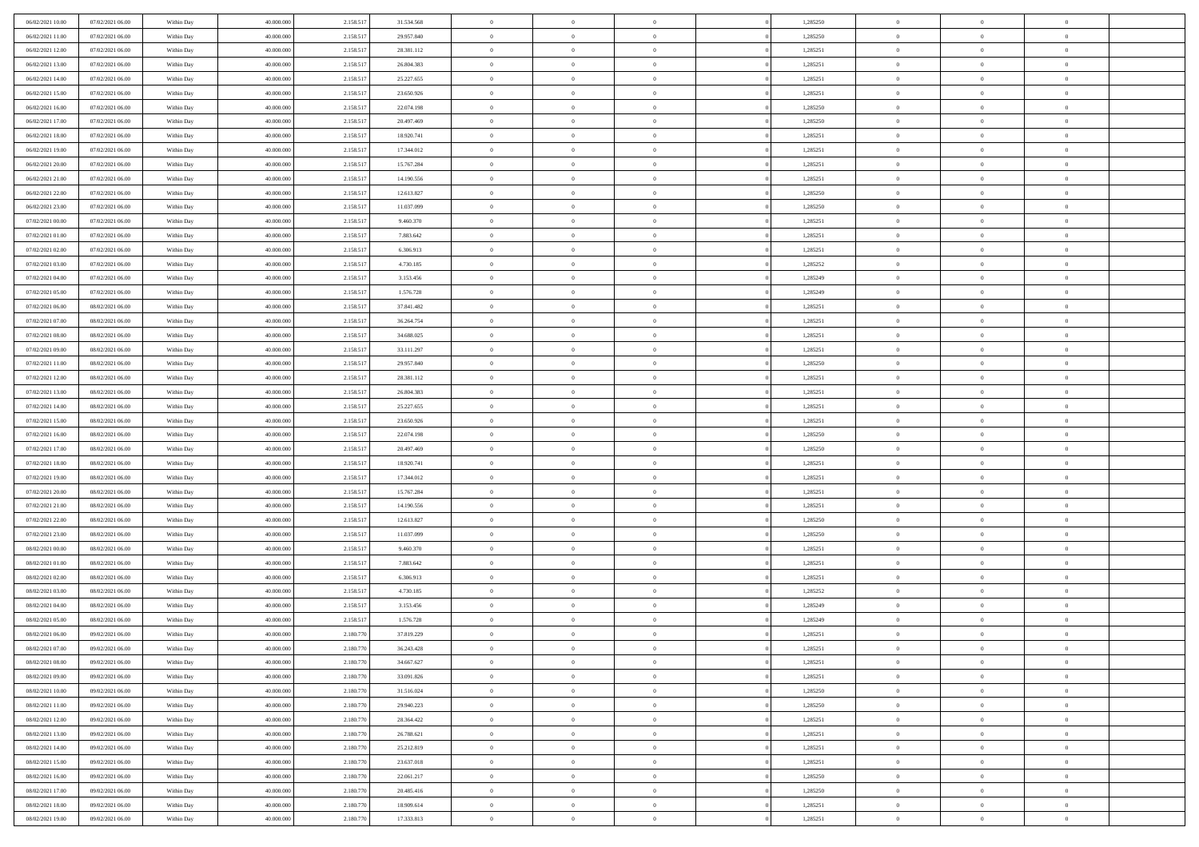| 06/02/2021 10:00                     | 07/02/2021 06:00                     | Within Day               | 40.000.000               | 2.158.517              | 31.534.568               | $\bf{0}$             | $\overline{0}$                   | $\theta$                         |          | 1,285250             | $\bf{0}$                       | $\overline{0}$                   | $\,0\,$                          |  |
|--------------------------------------|--------------------------------------|--------------------------|--------------------------|------------------------|--------------------------|----------------------|----------------------------------|----------------------------------|----------|----------------------|--------------------------------|----------------------------------|----------------------------------|--|
| 06/02/2021 11:00                     | 07/02/2021 06:00                     | Within Day               | 40,000,000               | 2.158.517              | 29.957.840               | $\overline{0}$       | $\overline{0}$                   | $\overline{0}$                   |          | 1,285250             | $\overline{0}$                 | $\overline{0}$                   | $\theta$                         |  |
| 06/02/2021 12:00                     | 07/02/2021 06:00                     | Within Dav               | 40.000.000               | 2.158.517              | 28.381.112               | $\mathbf{0}$         | $\overline{0}$                   | $\overline{0}$                   |          | 1,285251             | $\mathbf{0}$                   | $\overline{0}$                   | $\overline{0}$                   |  |
| 06/02/2021 13:00                     | 07/02/2021 06:00                     | Within Day               | 40.000.000               | 2.158.517              | 26.804.383               | $\bf{0}$             | $\overline{0}$                   | $\bf{0}$                         |          | 1,285251             | $\bf{0}$                       | $\overline{0}$                   | $\bf{0}$                         |  |
| 06/02/2021 14:00                     | 07/02/2021 06:00                     | Within Day               | 40,000,000               | 2.158.517              | 25.227.655               | $\bf{0}$             | $\overline{0}$                   | $\overline{0}$                   |          | 1,285251             | $\bf{0}$                       | $\bf{0}$                         | $\,0\,$                          |  |
| 06/02/2021 15:00                     | 07/02/2021 06:00                     | Within Dav               | 40.000.000               | 2.158.517              | 23.650.926               | $\mathbf{0}$         | $\overline{0}$                   | $\overline{0}$                   |          | 1,285251             | $\mathbf{0}$                   | $\overline{0}$                   | $\overline{0}$                   |  |
| 06/02/2021 16:00                     | 07/02/2021 06:00                     | Within Day               | 40.000.000               | 2.158.517              | 22.074.198               | $\bf{0}$             | $\overline{0}$                   | $\overline{0}$                   |          | 1,285250             | $\bf{0}$                       | $\overline{0}$                   | $\,0\,$                          |  |
| 06/02/2021 17:00                     | 07/02/2021 06:00                     | Within Day               | 40,000,000               | 2.158.517              | 20.497.469               | $\overline{0}$       | $\overline{0}$                   | $\overline{0}$                   |          | 1,285250             | $\,$ 0 $\,$                    | $\overline{0}$                   | $\theta$                         |  |
| 06/02/2021 18:00                     | 07/02/2021 06:00                     | Within Day               | 40.000.000               | 2.158.517              | 18.920.741               | $\mathbf{0}$         | $\overline{0}$                   | $\overline{0}$                   |          | 1,285251             | $\mathbf{0}$                   | $\overline{0}$                   | $\overline{0}$                   |  |
| 06/02/2021 19:00                     | 07/02/2021 06:00                     | Within Day               | 40.000.000               | 2.158.517              | 17.344.012               | $\bf{0}$             | $\overline{0}$                   | $\overline{0}$                   |          | 1,285251             | $\bf{0}$                       | $\overline{0}$                   | $\,0\,$                          |  |
| 06/02/2021 20:00                     | 07/02/2021 06:00                     | Within Day               | 40,000,000               | 2.158.517              | 15.767.284               | $\bf{0}$             | $\overline{0}$                   | $\overline{0}$                   |          | 1,285251             | $\bf{0}$                       | $\overline{0}$                   | $\theta$                         |  |
| 06/02/2021 21:00                     | 07/02/2021 06:00                     | Within Dav               | 40.000.000               | 2.158.517              | 14.190.556               | $\mathbf{0}$         | $\overline{0}$                   | $\overline{0}$                   |          | 1,285251             | $\mathbf{0}$                   | $\overline{0}$                   | $\overline{0}$                   |  |
| 06/02/2021 22.00                     | 07/02/2021 06:00                     | Within Day               | 40.000.000               | 2.158.517              | 12.613.827               | $\bf{0}$             | $\overline{0}$                   | $\bf{0}$                         |          | 1,285250             | $\bf{0}$                       | $\overline{0}$                   | $\bf{0}$                         |  |
| 06/02/2021 23:00                     | 07/02/2021 06:00                     | Within Day               | 40.000.000               | 2.158.517              | 11.037.099               | $\bf{0}$             | $\overline{0}$                   | $\overline{0}$                   |          | 1,285250             | $\bf{0}$                       | $\mathbf{0}$                     | $\,0\,$                          |  |
| 07/02/2021 00:00                     | 07/02/2021 06:00                     | Within Dav               | 40.000.000               | 2.158.517              | 9.460.370                | $\overline{0}$       | $\overline{0}$                   | $\overline{0}$                   |          | 1,285251             | $\mathbf{0}$                   | $\overline{0}$                   | $\overline{0}$                   |  |
| 07/02/2021 01:00                     | 07/02/2021 06:00                     | Within Day               | 40.000.000               | 2.158.517              | 7.883.642                | $\bf{0}$             | $\overline{0}$                   | $\overline{0}$                   |          | 1,285251             | $\bf{0}$                       | $\overline{0}$                   | $\bf{0}$                         |  |
| 07/02/2021 02:00                     | 07/02/2021 06:00                     | Within Day               | 40,000,000               | 2.158.517              | 6.306.913                | $\overline{0}$       | $\overline{0}$                   | $\overline{0}$                   |          | 1,285251             | $\bf{0}$                       | $\overline{0}$                   | $\theta$                         |  |
| 07/02/2021 03:00                     | 07/02/2021 06:00                     | Within Day               | 40.000.000               | 2.158.517              | 4.730.185                | $\mathbf{0}$         | $\overline{0}$                   | $\overline{0}$                   |          | 1,285252             | $\mathbf{0}$                   | $\overline{0}$                   | $\overline{0}$                   |  |
| 07/02/2021 04:00                     | 07/02/2021 06:00                     | Within Day               | 40.000.000               | 2.158.517              | 3.153.456                | $\bf{0}$             | $\overline{0}$                   | $\overline{0}$                   |          | 1,285249             | $\bf{0}$                       | $\overline{0}$                   | $\,0\,$                          |  |
| 07/02/2021 05:00                     | 07/02/2021 06:00                     | Within Day               | 40,000,000               | 2.158.517              | 1.576.728                | $\bf{0}$             | $\overline{0}$                   | $\overline{0}$                   |          | 1,285249             | $\bf{0}$                       | $\overline{0}$                   | $\overline{0}$                   |  |
| 07/02/2021 06:00                     | 08/02/2021 06:00                     | Within Dav               | 40.000.000               | 2.158.517              | 37.841.482               | $\mathbf{0}$         | $\overline{0}$                   | $\overline{0}$                   |          | 1,285251             | $\mathbf{0}$                   | $\overline{0}$                   | $\overline{0}$                   |  |
| 07/02/2021 07:00                     | 08/02/2021 06:00                     | Within Day               | 40.000.000               | 2.158.517              | 36.264.754               | $\bf{0}$             | $\overline{0}$                   | $\overline{0}$                   |          | 1,285251             | $\bf{0}$                       | $\overline{0}$                   | $\bf{0}$                         |  |
| 07/02/2021 08:00                     | 08/02/2021 06:00                     | Within Day               | 40,000,000               | 2.158.517              | 34.688.025               | $\bf{0}$             | $\bf{0}$                         | $\overline{0}$                   |          | 1,285251             | $\bf{0}$                       | $\overline{0}$                   | $\,0\,$                          |  |
| 07/02/2021 09:00                     | 08/02/2021 06:00                     | Within Dav               | 40.000.000               | 2.158.517              | 33.111.297               | $\mathbf{0}$         | $\overline{0}$                   | $\overline{0}$                   |          | 1,285251             | $\mathbf{0}$                   | $\overline{0}$                   | $\overline{0}$                   |  |
| 07/02/2021 11:00                     | 08/02/2021 06:00                     | Within Day               | 40.000.000               | 2.158.517              | 29.957.840               | $\bf{0}$             | $\bf{0}$                         | $\overline{0}$                   |          | 1,285250             | $\bf{0}$                       | $\overline{0}$                   | $\,0\,$                          |  |
| 07/02/2021 12:00                     | 08/02/2021 06:00                     | Within Day               | 40,000,000               | 2.158.517              | 28.381.112               | $\overline{0}$       | $\overline{0}$                   | $\overline{0}$                   |          | 1,285251             | $\bf{0}$                       | $\mathbf{0}$                     | $\overline{0}$                   |  |
| 07/02/2021 13:00                     | 08/02/2021 06:00                     | Within Dav               | 40.000.000               | 2.158.517              | 26.804.383               | $\mathbf{0}$         | $\overline{0}$                   | $\overline{0}$                   |          | 1,285251             | $\mathbf{0}$                   | $\overline{0}$                   | $\overline{0}$                   |  |
| 07/02/2021 14:00                     | 08/02/2021 06:00                     | Within Day               | 40.000.000               | 2.158.517              | 25.227.655               | $\bf{0}$             | $\bf{0}$                         | $\overline{0}$                   |          | 1,285251             | $\bf{0}$                       | $\overline{0}$                   | $\,0\,$                          |  |
| 07/02/2021 15:00                     | 08/02/2021 06:00                     | Within Day               | 40,000,000               | 2.158.517              | 23.650.926               | $\bf{0}$             | $\bf{0}$                         | $\overline{0}$                   |          | 1,285251             | $\bf{0}$                       | $\overline{0}$                   | $\bf{0}$                         |  |
| 07/02/2021 16:00                     | 08/02/2021 06:00                     | Within Dav               | 40.000.000               | 2.158.517              | 22.074.198               | $\mathbf{0}$         | $\overline{0}$                   | $\overline{0}$                   |          | 1,285250             | $\mathbf{0}$                   | $\overline{0}$                   | $\overline{0}$                   |  |
| 07/02/2021 17:00                     | 08/02/2021 06:00                     | Within Day               | 40.000.000               | 2.158.517              | 20.497.469               | $\bf{0}$             | $\overline{0}$                   | $\theta$                         |          | 1,285250             | $\,$ 0                         | $\overline{0}$                   | $\theta$                         |  |
| 07/02/2021 18:00                     | 08/02/2021 06:00                     | Within Day               | 40.000.000               | 2.158.517              | 18.920.741               | $\bf{0}$             | $\bf{0}$                         | $\overline{0}$                   |          | 1,285251             | $\bf{0}$                       | $\overline{0}$                   | $\bf{0}$                         |  |
| 07/02/2021 19:00                     | 08/02/2021 06:00                     | Within Dav               | 40.000.000               | 2.158.517              | 17.344.012               | $\mathbf{0}$         | $\overline{0}$                   | $\overline{0}$                   |          | 1,285251             | $\mathbf{0}$                   | $\overline{0}$                   | $\overline{0}$                   |  |
| 07/02/2021 20:00                     | 08/02/2021 06:00                     | Within Day               | 40.000.000               | 2.158.517              | 15.767.284               | $\bf{0}$             | $\overline{0}$                   | $\theta$                         |          | 1,285251             | $\,$ 0                         | $\overline{0}$                   | $\theta$                         |  |
| 07/02/2021 21:00                     | 08/02/2021 06:00                     | Within Day               | 40,000,000               | 2.158.517              | 14.190.556               | $\overline{0}$       | $\overline{0}$                   | $\overline{0}$                   |          | 1,285251             | $\bf{0}$                       | $\overline{0}$                   | $\overline{0}$                   |  |
| 07/02/2021 22:00                     | 08/02/2021 06:00                     | Within Day               | 40.000.000               | 2.158.517              | 12.613.827               | $\mathbf{0}$         | $\overline{0}$                   | $\overline{0}$                   |          | 1,285250             | $\mathbf{0}$                   | $\overline{0}$                   | $\overline{0}$                   |  |
| 07/02/2021 23:00                     | 08/02/2021 06:00                     | Within Day               | 40.000.000               | 2.158.517              | 11.037.099               | $\bf{0}$             | $\overline{0}$                   | $\theta$                         |          | 1,285250             | $\,$ 0                         | $\overline{0}$                   | $\theta$                         |  |
| 08/02/2021 00:00                     | 08/02/2021 06:00                     | Within Day               | 40,000,000               | 2.158.517              | 9.460.370                | $\bf{0}$             | $\overline{0}$                   | $\overline{0}$                   |          | 1,285251             | $\bf{0}$                       | $\overline{0}$                   | $\overline{0}$                   |  |
| 08/02/2021 01:00                     | 08/02/2021 06:00                     | Within Dav               | 40.000.000               | 2.158.517              | 7.883.642                | $\mathbf{0}$         | $\overline{0}$                   | $\overline{0}$                   |          | 1,285251             | $\mathbf{0}$                   | $\overline{0}$                   | $\overline{0}$                   |  |
| 08/02/2021 02:00                     | 08/02/2021 06:00                     | Within Day               | 40.000.000               | 2.158.517              | 6.306.913                | $\,0\,$              | $\overline{0}$                   | $\theta$                         |          | 1,285251             | $\,$ 0                         | $\overline{0}$                   | $\theta$                         |  |
| 08/02/2021 03:00                     | 08/02/2021 06:00                     | Within Day               | 40,000,000               | 2.158.517              | 4.730.185                | $\bf{0}$             | $\bf{0}$                         | $\overline{0}$                   |          | 1,285252             | $\bf{0}$                       | $\overline{0}$                   | $\overline{0}$                   |  |
| 08/02/2021 04:00                     | 08/02/2021 06:00                     | Within Dav               | 40.000.000               | 2.158.517              | 3.153.456                | $\mathbf{0}$         | $\overline{0}$                   | $\overline{0}$                   |          | 1,285249             | $\mathbf{0}$                   | $\overline{0}$                   | $\overline{0}$                   |  |
| 08/02/2021 05:00                     | 08/02/2021 06:00                     | Within Day               | 40.000.000               | 2.158.517              | 1.576.728                | $\bf{0}$             | $\overline{0}$                   | $\theta$                         |          | 1,285249             | $\,$ 0                         | $\overline{0}$                   | $\theta$                         |  |
| 08/02/2021 06:00                     | 09/02/2021 06:00                     | Within Day               | 40,000,000               | 2.180.770              | 37.819.229               | $\bf{0}$             | $\overline{0}$                   | $\overline{0}$                   |          | 1,285251             | $\,$ 0 $\,$                    | $\overline{0}$                   | $\overline{0}$                   |  |
| 08/02/2021 07:00                     | 09/02/2021 06:00                     | Within Day               | 40.000.000               | 2.180.770              | 36.243.428               | $\bf{0}$             | $\overline{0}$                   |                                  |          | 1,285251             | $\overline{0}$                 | $\theta$                         | $\theta$                         |  |
| 08/02/2021 08:00                     | 09/02/2021 06:00                     | Within Day               | 40.000.000               | 2.180.770              | 34.667.627               | $\,0\,$              | $\overline{0}$                   | $\theta$                         |          | 1,285251             | $\,$ 0 $\,$                    | $\bf{0}$                         | $\theta$                         |  |
| 08/02/2021 09:00                     | 09/02/2021 06:00                     | Within Day               | 40.000.000               | 2.180.770              | 33.091.826               | $\overline{0}$       | $\overline{0}$                   | $\overline{0}$                   |          | 1,285251             | $\overline{0}$                 | $\overline{0}$                   | $\overline{0}$                   |  |
| 08/02/2021 10:00                     | 09/02/2021 06:00                     | Within Day               | 40.000.000               | 2.180.770              | 31.516.024               | $\bf{0}$             | $\overline{0}$                   | $\overline{0}$                   |          | 1,285250             | $\overline{0}$                 | $\bf{0}$                         | $\mathbf{0}$                     |  |
| 08/02/2021 11:00                     | 09/02/2021 06:00                     | Within Day               | 40.000.000               | 2.180.770              | 29.940.223               | $\bf{0}$             | $\overline{0}$                   | $\overline{0}$                   | $\theta$ | 1,285250             | $\,$ 0 $\,$                    | $\bf{0}$                         | $\,$ 0 $\,$                      |  |
| 08/02/2021 12:00                     | 09/02/2021 06:00                     | Within Day               | 40.000.000               | 2.180.770              | 28.364.422               | $\bf{0}$             | $\overline{0}$                   | $\overline{0}$                   |          | 1,285251             | $\,$ 0 $\,$                    | $\overline{0}$                   | $\overline{0}$                   |  |
| 08/02/2021 13:00                     | 09/02/2021 06:00                     | Within Day               | 40.000.000               | 2.180.770              | 26.788.621               | $\bf{0}$             | $\overline{0}$                   | $\overline{0}$                   |          | 1,285251             | $\mathbf{0}$                   | $\overline{0}$                   | $\overline{0}$                   |  |
| 08/02/2021 14:00                     | 09/02/2021 06:00                     | Within Day               | 40.000.000               | 2.180.770              | 25.212.819               | $\,0\,$              | $\overline{0}$                   | $\overline{0}$                   | $\theta$ | 1,285251             | $\,$ 0 $\,$                    | $\overline{0}$                   | $\overline{0}$                   |  |
| 08/02/2021 15:00<br>08/02/2021 16:00 | 09/02/2021 06:00<br>09/02/2021 06:00 | Within Day<br>Within Day | 40.000.000<br>40.000.000 | 2.180.770<br>2.180.770 | 23.637.018<br>22.061.217 | $\bf{0}$<br>$\bf{0}$ | $\overline{0}$<br>$\overline{0}$ | $\overline{0}$<br>$\overline{0}$ |          | 1,285251<br>1,285250 | $\overline{0}$<br>$\mathbf{0}$ | $\overline{0}$<br>$\overline{0}$ | $\overline{0}$<br>$\overline{0}$ |  |
|                                      |                                      |                          |                          |                        |                          | $\,0\,$              | $\overline{0}$                   | $\overline{0}$                   |          |                      | $\,$ 0 $\,$                    | $\overline{0}$                   | $\overline{0}$                   |  |
| 08/02/2021 17:00<br>08/02/2021 18:00 | 09/02/2021 06:00<br>09/02/2021 06:00 | Within Day<br>Within Day | 40.000.000<br>40,000,000 | 2.180.770<br>2.180.770 | 20.485.416<br>18.909.614 | $\bf{0}$             | $\overline{0}$                   | $\overline{0}$                   |          | 1,285250<br>1,285251 |                                | $\mathbf{0}$                     | $\overline{0}$                   |  |
|                                      |                                      |                          |                          |                        |                          |                      |                                  |                                  |          |                      | $\bf{0}$<br>$\mathbf{0}$       | $\overline{0}$                   |                                  |  |
| 08/02/2021 19:00                     | 09/02/2021 06:00                     | Within Day               | 40.000.000               | 2.180.770              | 17.333.813               | $\bf{0}$             | $\overline{0}$                   | $\overline{0}$                   |          | 1,285251             |                                |                                  | $\overline{0}$                   |  |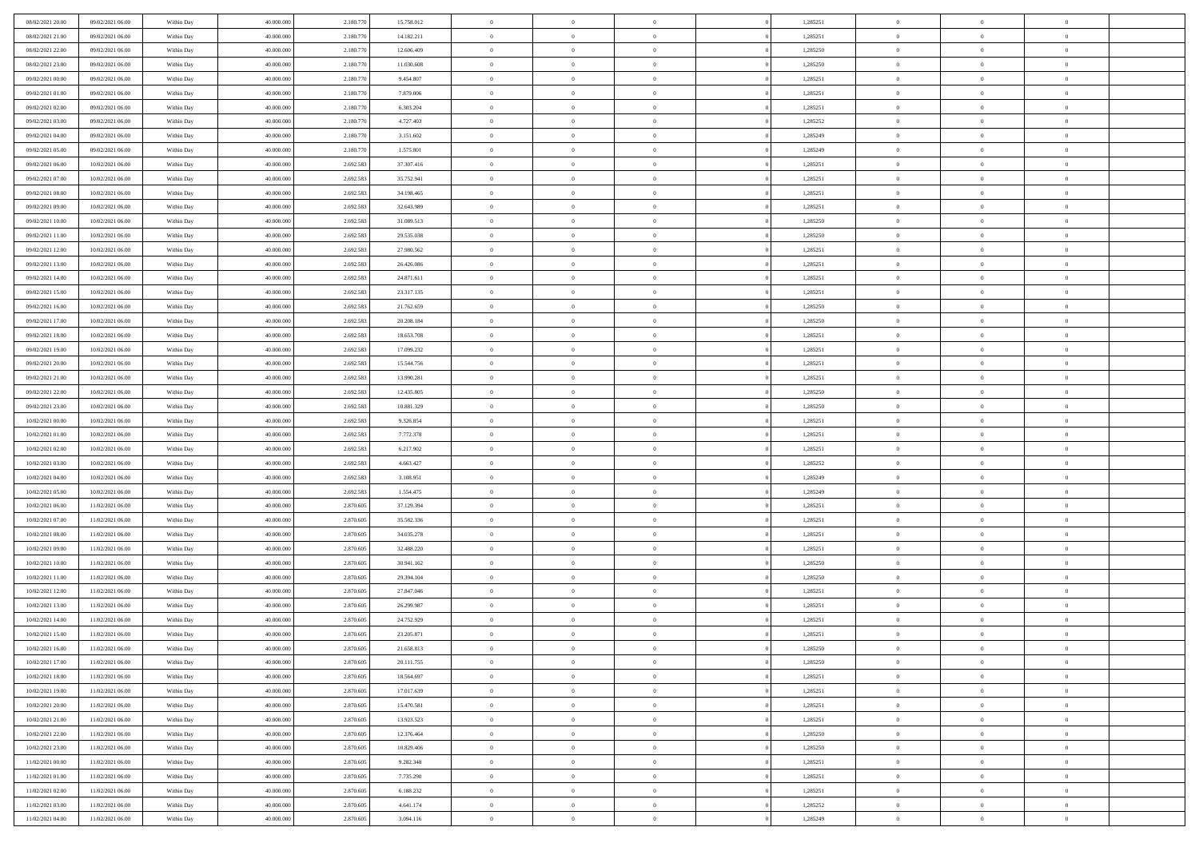| 08/02/2021 20:00 | 09/02/2021 06:00 | Within Day | 40,000,000 | 2.180.770 | 15.758.012 | $\overline{0}$ | $\overline{0}$ | $\Omega$       | 1,285251 | $\bf{0}$       | $\mathbf{0}$   | $\bf{0}$       |  |
|------------------|------------------|------------|------------|-----------|------------|----------------|----------------|----------------|----------|----------------|----------------|----------------|--|
| 08/02/2021 21:00 | 09/02/2021 06:00 | Within Day | 40.000.000 | 2.180.770 | 14.182.211 | $\mathbf{0}$   | $\overline{0}$ | $\overline{0}$ | 1,285251 | $\mathbf{0}$   | $\overline{0}$ | $\overline{0}$ |  |
| 08/02/2021 22:00 | 09/02/2021 06:00 | Within Day | 40.000.000 | 2.180.770 | 12.606.409 | $\,$ 0         | $\overline{0}$ | $\bf{0}$       | 1,285250 | $\,$ 0         | $\overline{0}$ | $\,$ 0 $\,$    |  |
| 08/02/2021 23:00 | 09/02/2021 06:00 | Within Day | 40,000,000 | 2.180.770 | 11.030.608 | $\bf{0}$       | $\overline{0}$ | $\Omega$       | 1,285250 | $\bf{0}$       | $\mathbf{0}$   | $\theta$       |  |
| 09/02/2021 00:00 | 09/02/2021 06:00 | Within Day | 40.000.000 | 2.180.770 | 9.454.807  | $\bf{0}$       | $\overline{0}$ | $\overline{0}$ | 1,285251 | $\mathbf{0}$   | $\overline{0}$ | $\overline{0}$ |  |
| 09/02/2021 01:00 | 09/02/2021 06:00 | Within Day | 40.000.000 | 2.180.770 | 7.879.006  | $\bf{0}$       | $\overline{0}$ | $\bf{0}$       | 1,285251 | $\,$ 0         | $\overline{0}$ | $\,$ 0 $\,$    |  |
| 09/02/2021 02:00 | 09/02/2021 06:00 | Within Day | 40,000,000 | 2.180.770 | 6.303.204  | $\bf{0}$       | $\overline{0}$ | $\Omega$       | 1,285251 | $\theta$       | $\mathbf{0}$   | $\theta$       |  |
| 09/02/2021 03:00 | 09/02/2021 06:00 | Within Day | 40.000.000 | 2.180.770 | 4.727.403  | $\overline{0}$ | $\overline{0}$ | $\overline{0}$ | 1,285252 | $\mathbf{0}$   | $\overline{0}$ | $\overline{0}$ |  |
| 09/02/2021 04:00 | 09/02/2021 06:00 | Within Day | 40.000.000 | 2.180.770 | 3.151.602  | $\bf{0}$       | $\overline{0}$ | $\bf{0}$       | 1,285249 | $\,$ 0         | $\overline{0}$ | $\,$ 0 $\,$    |  |
| 09/02/2021 05:00 | 09/02/2021 06:00 | Within Day | 40,000,000 | 2.180.770 | 1.575.801  | $\bf{0}$       | $\overline{0}$ | $\Omega$       | 1,285249 | $\theta$       | $\mathbf{0}$   | $\theta$       |  |
| 09/02/2021 06:00 | 10/02/2021 06:00 | Within Day | 40.000.000 | 2.692.583 | 37.307.416 | $\overline{0}$ | $\overline{0}$ | $\overline{0}$ | 1,285251 | $\mathbf{0}$   | $\overline{0}$ | $\overline{0}$ |  |
| 09/02/2021 07:00 | 10/02/2021 06:00 | Within Day | 40.000.000 | 2.692.583 | 35.752.941 | $\bf{0}$       | $\overline{0}$ | $\bf{0}$       | 1,285251 | $\,$ 0         | $\overline{0}$ | $\,$ 0 $\,$    |  |
| 09/02/2021 08:00 | 10/02/2021 06:00 | Within Day | 40.000.000 | 2.692.583 | 34.198.465 | $\bf{0}$       | $\overline{0}$ | $\Omega$       | 1,285251 | $\bf{0}$       | $\mathbf{0}$   | $\theta$       |  |
| 09/02/2021 09:00 | 10/02/2021 06:00 | Within Day | 40.000.000 | 2.692.583 | 32.643.989 | $\overline{0}$ | $\overline{0}$ | $\overline{0}$ | 1,285251 | $\mathbf{0}$   | $\overline{0}$ | $\overline{0}$ |  |
| 09/02/2021 10:00 | 10/02/2021 06:00 | Within Day | 40.000.000 | 2.692.583 | 31.089.513 | $\bf{0}$       | $\overline{0}$ | $\bf{0}$       | 1,285250 | $\,$ 0         | $\overline{0}$ | $\,$ 0 $\,$    |  |
| 09/02/2021 11:00 | 10/02/2021 06:00 | Within Day | 40,000,000 | 2.692.583 | 29.535.038 | $\bf{0}$       | $\overline{0}$ | $\overline{0}$ | 1,285250 | $\theta$       | $\mathbf{0}$   | $\theta$       |  |
| 09/02/2021 12:00 | 10/02/2021 06:00 | Within Day | 40.000.000 | 2.692.583 | 27.980.562 | $\overline{0}$ | $\overline{0}$ | $\overline{0}$ | 1,285251 | $\mathbf{0}$   | $\overline{0}$ | $\overline{0}$ |  |
| 09/02/2021 13:00 | 10/02/2021 06:00 | Within Day | 40.000.000 | 2.692.583 | 26.426.086 | $\bf{0}$       | $\overline{0}$ | $\bf{0}$       | 1,285251 | $\,$ 0         | $\overline{0}$ | $\,$ 0 $\,$    |  |
| 09/02/2021 14:00 | 10/02/2021 06:00 | Within Day | 40.000.000 | 2.692.583 | 24.871.611 | $\bf{0}$       | $\overline{0}$ | $\Omega$       | 1,285251 | $\theta$       | $\mathbf{0}$   | $\theta$       |  |
| 09/02/2021 15:00 | 10/02/2021 06:00 | Within Day | 40.000.000 | 2.692.583 | 23.317.135 | $\overline{0}$ | $\overline{0}$ | $\overline{0}$ | 1,285251 | $\mathbf{0}$   | $\overline{0}$ | $\overline{0}$ |  |
| 09/02/2021 16:00 | 10/02/2021 06:00 | Within Day | 40.000.000 | 2.692.583 | 21.762.659 | $\bf{0}$       | $\overline{0}$ | $\bf{0}$       | 1,285250 | $\,$ 0         | $\overline{0}$ | $\,$ 0 $\,$    |  |
| 09/02/2021 17:00 | 10/02/2021 06:00 | Within Day | 40,000,000 | 2.692.583 | 20.208.184 | $\bf{0}$       | $\overline{0}$ | $\Omega$       | 1,285250 | $\bf{0}$       | $\mathbf{0}$   | $\theta$       |  |
| 09/02/2021 18:00 | 10/02/2021 06:00 | Within Day | 40.000.000 | 2.692.583 | 18.653.708 | $\overline{0}$ | $\overline{0}$ | $\overline{0}$ | 1,285251 | $\mathbf{0}$   | $\overline{0}$ | $\overline{0}$ |  |
| 09/02/2021 19:00 | 10/02/2021 06:00 | Within Day | 40.000.000 | 2.692.583 | 17.099.232 | $\bf{0}$       | $\overline{0}$ | $\bf{0}$       | 1,285251 | $\,$ 0         | $\overline{0}$ | $\,$ 0 $\,$    |  |
| 09/02/2021 20:00 | 10/02/2021 06:00 | Within Day | 40,000,000 | 2.692.583 | 15.544.756 | $\bf{0}$       | $\overline{0}$ | $\overline{0}$ | 1,285251 | $\bf{0}$       | $\overline{0}$ | $\bf{0}$       |  |
| 09/02/2021 21:00 | 10/02/2021 06:00 | Within Day | 40.000.000 | 2.692.583 | 13.990.281 | $\overline{0}$ | $\overline{0}$ | $\overline{0}$ | 1,285251 | $\mathbf{0}$   | $\overline{0}$ | $\overline{0}$ |  |
| 09/02/2021 22.00 | 10/02/2021 06:00 | Within Day | 40.000.000 | 2.692.583 | 12.435.805 | $\bf{0}$       | $\overline{0}$ | $\bf{0}$       | 1,285250 | $\,$ 0         | $\overline{0}$ | $\,$ 0 $\,$    |  |
| 09/02/2021 23.00 | 10/02/2021 06:00 | Within Day | 40,000,000 | 2.692.583 | 10.881.329 | $\bf{0}$       | $\overline{0}$ | $\Omega$       | 1.285250 | $\theta$       | $\mathbf{0}$   | $\theta$       |  |
| 10/02/2021 00:00 | 10/02/2021 06:00 | Within Day | 40.000.000 | 2.692.583 | 9.326.854  | $\overline{0}$ | $\overline{0}$ | $\overline{0}$ | 1,285251 | $\mathbf{0}$   | $\overline{0}$ | $\overline{0}$ |  |
| 10/02/2021 01:00 | 10/02/2021 06:00 | Within Day | 40.000.000 | 2.692.583 | 7.772.378  | $\bf{0}$       | $\overline{0}$ | $\bf{0}$       | 1,285251 | $\,$ 0         | $\overline{0}$ | $\,$ 0 $\,$    |  |
| 10/02/2021 02:00 | 10/02/2021 06:00 | Within Day | 40.000.000 | 2.692.583 | 6.217.902  | $\bf{0}$       | $\bf{0}$       | $\overline{0}$ | 1,285251 | $\bf{0}$       | $\overline{0}$ | $\,0\,$        |  |
| 10/02/2021 03:00 | 10/02/2021 06:00 | Within Day | 40.000.000 | 2.692.583 | 4.663.427  | $\overline{0}$ | $\overline{0}$ | $\overline{0}$ | 1,285252 | $\mathbf{0}$   | $\overline{0}$ | $\overline{0}$ |  |
| 10/02/2021 04:00 | 10/02/2021 06:00 | Within Day | 40.000.000 | 2.692.583 | 3.108.951  | $\bf{0}$       | $\overline{0}$ | $\bf{0}$       | 1,285249 | $\,$ 0         | $\overline{0}$ | $\,$ 0 $\,$    |  |
| 10/02/2021 05:00 | 10/02/2021 06:00 | Within Day | 40.000.000 | 2.692.583 | 1.554.475  | $\bf{0}$       | $\bf{0}$       | $\bf{0}$       | 1,285249 | $\bf{0}$       | $\overline{0}$ | $\,0\,$        |  |
| 10/02/2021 06:00 | 11/02/2021 06:00 | Within Day | 40.000.000 | 2.870.605 | 37.129.394 | $\overline{0}$ | $\overline{0}$ | $\overline{0}$ | 1,285251 | $\overline{0}$ | $\overline{0}$ | $\overline{0}$ |  |
| 10/02/2021 07:00 | 11/02/2021 06:00 | Within Day | 40.000.000 | 2.870.605 | 35.582.336 | $\bf{0}$       | $\overline{0}$ | $\bf{0}$       | 1,285251 | $\,$ 0         | $\overline{0}$ | $\,$ 0 $\,$    |  |
| 10/02/2021 08:00 | 11/02/2021 06:00 | Within Day | 40.000.000 | 2.870.605 | 34.035.278 | $\bf{0}$       | $\bf{0}$       | $\overline{0}$ | 1,285251 | $\bf{0}$       | $\overline{0}$ | $\,0\,$        |  |
| 10/02/2021 09:00 | 11/02/2021 06:00 | Within Day | 40.000.000 | 2.870.605 | 32.488.220 | $\overline{0}$ | $\overline{0}$ | $\overline{0}$ | 1,285251 | $\mathbf{0}$   | $\overline{0}$ | $\overline{0}$ |  |
| 10/02/2021 10:00 | 11/02/2021 06:00 | Within Day | 40.000.000 | 2.870.605 | 30.941.162 | $\bf{0}$       | $\overline{0}$ | $\bf{0}$       | 1,285250 | $\,$ 0         | $\overline{0}$ | $\,$ 0 $\,$    |  |
| 10/02/2021 11:00 | 11/02/2021 06:00 | Within Day | 40.000.000 | 2.870.605 | 29.394.104 | $\bf{0}$       | $\overline{0}$ | $\overline{0}$ | 1,285250 | $\bf{0}$       | $\overline{0}$ | $\,0\,$        |  |
| 10/02/2021 12:00 | 11/02/2021 06:00 | Within Day | 40.000.000 | 2.870.605 | 27.847.046 | $\overline{0}$ | $\overline{0}$ | $\overline{0}$ | 1,285251 | $\overline{0}$ | $\overline{0}$ | $\overline{0}$ |  |
| 10/02/2021 13:00 | 11/02/2021 06:00 | Within Day | 40.000.000 | 2.870.605 | 26.299.987 | $\bf{0}$       | $\overline{0}$ | $\bf{0}$       | 1,285251 | $\,$ 0         | $\overline{0}$ | $\,$ 0 $\,$    |  |
| 10/02/2021 14:00 | 11/02/2021 06:00 | Within Day | 40.000.000 | 2.870.605 | 24.752.929 | $\bf{0}$       | $\overline{0}$ | $\bf{0}$       | 1,285251 | $\bf{0}$       | $\overline{0}$ | $\,0\,$        |  |
| 10/02/2021 15:00 | 11/02/2021 06:00 | Within Dav | 40.000.000 | 2.870.605 | 23.205.871 | $\mathbf{0}$   | $\overline{0}$ | $\overline{0}$ | 1,285251 | $\mathbf{0}$   | $\overline{0}$ | $\overline{0}$ |  |
| 10/02/2021 16:00 | 11/02/2021 06:00 | Within Day | 40.000.000 | 2.870.605 | 21.658.813 | $\bf{0}$       | $\overline{0}$ | $\theta$       | 1,285250 | $\overline{0}$ | $\theta$       | $\theta$       |  |
| 10/02/2021 17:00 | 11/02/2021 06:00 | Within Day | 40.000.000 | 2.870.605 | 20.111.755 | $\bf{0}$       | $\overline{0}$ | $\bf{0}$       | 1,285250 | $\bf{0}$       | $\overline{0}$ | $\bf{0}$       |  |
| 10/02/2021 18:00 | 11/02/2021 06:00 | Within Day | 40.000.000 | 2.870.605 | 18.564.697 | $\overline{0}$ | $\overline{0}$ | $\overline{0}$ | 1,285251 | $\overline{0}$ | $\overline{0}$ | $\overline{0}$ |  |
| 10/02/2021 19:00 | 11/02/2021 06:00 | Within Day | 40.000.000 | 2.870.605 | 17.017.639 | $\,$ 0 $\,$    | $\overline{0}$ | $\overline{0}$ | 1,285251 | $\mathbf{0}$   | $\,$ 0 $\,$    | $\,$ 0 $\,$    |  |
| 10/02/2021 20:00 | 11/02/2021 06:00 | Within Day | 40.000.000 | 2.870.605 | 15.470.581 | $\bf{0}$       | $\overline{0}$ | $\overline{0}$ | 1,285251 | $\bf{0}$       | $\overline{0}$ | $\bf{0}$       |  |
| 10/02/2021 21:00 | 11/02/2021 06:00 | Within Day | 40.000.000 | 2.870.605 | 13.923.523 | $\overline{0}$ | $\overline{0}$ | $\overline{0}$ | 1,285251 | $\overline{0}$ | $\bf{0}$       | $\overline{0}$ |  |
| 10/02/2021 22:00 | 11/02/2021 06:00 | Within Day | 40.000.000 | 2.870.605 | 12.376.464 | $\,$ 0 $\,$    | $\overline{0}$ | $\overline{0}$ | 1,285250 | $\mathbf{0}$   | $\overline{0}$ | $\,$ 0 $\,$    |  |
| 10/02/2021 23:00 | 11/02/2021 06:00 | Within Day | 40.000.000 | 2.870.605 | 10.829.406 | $\overline{0}$ | $\overline{0}$ | $\overline{0}$ | 1,285250 | $\bf{0}$       | $\overline{0}$ | $\overline{0}$ |  |
| 11/02/2021 00:00 | 11/02/2021 06:00 | Within Day | 40.000.000 | 2.870.605 | 9.282.348  | $\overline{0}$ | $\overline{0}$ | $\overline{0}$ | 1,285251 | $\overline{0}$ | $\bf{0}$       | $\overline{0}$ |  |
| 11/02/2021 01:00 | 11/02/2021 06:00 | Within Day | 40.000.000 | 2.870.605 | 7.735.290  | $\,$ 0 $\,$    | $\overline{0}$ | $\overline{0}$ | 1,285251 | $\mathbf{0}$   | $\,$ 0 $\,$    | $\,$ 0 $\,$    |  |
| 11/02/2021 02:00 | 11/02/2021 06:00 | Within Day | 40.000.000 | 2.870.605 | 6.188.232  | $\bf{0}$       | $\overline{0}$ | $\overline{0}$ | 1,285251 | $\bf{0}$       | $\overline{0}$ | $\bf{0}$       |  |
| 11/02/2021 03:00 | 11/02/2021 06:00 | Within Day | 40.000.000 | 2.870.605 | 4.641.174  | $\overline{0}$ | $\overline{0}$ | $\overline{0}$ | 1,285252 | $\mathbf{0}$   | $\bf{0}$       | $\overline{0}$ |  |
| 11/02/2021 04:00 | 11/02/2021 06:00 | Within Day | 40.000.000 | 2.870.605 | 3.094.116  | $\,0\,$        | $\overline{0}$ | $\overline{0}$ | 1,285249 | $\,$ 0 $\,$    | $\overline{0}$ | $\,$ 0 $\,$    |  |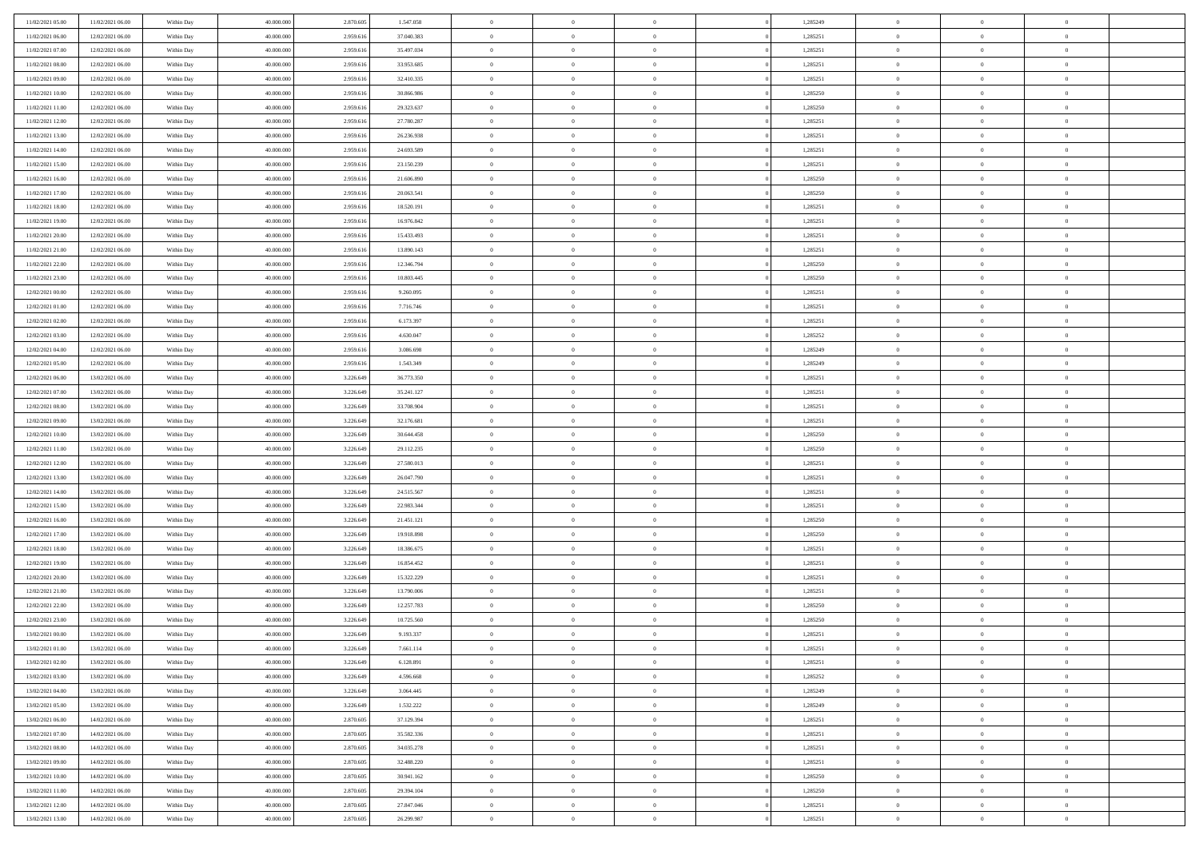| 11/02/2021 05:00 | 11/02/2021 06:00 | Within Day | 40,000,000 | 2.870.605 | 1.547.058  | $\bf{0}$       | $\overline{0}$ | $\overline{0}$ | 1,285249 | $\mathbf{0}$   | $\overline{0}$ | $\bf{0}$       |  |
|------------------|------------------|------------|------------|-----------|------------|----------------|----------------|----------------|----------|----------------|----------------|----------------|--|
| 11/02/2021 06:00 | 12/02/2021 06:00 | Within Day | 40.000.000 | 2.959.616 | 37.040.383 | $\mathbf{0}$   | $\overline{0}$ | $\overline{0}$ | 1,285251 | $\mathbf{0}$   | $\bf{0}$       | $\theta$       |  |
| 11/02/2021 07:00 | 12/02/2021 06:00 | Within Day | 40.000.000 | 2.959.616 | 35.497.034 | $\,$ 0         | $\overline{0}$ | $\overline{0}$ | 1,285251 | $\,$ 0 $\,$    | $\overline{0}$ | $\,0\,$        |  |
| 11/02/2021 08:00 | 12/02/2021 06:00 | Within Day | 40,000,000 | 2.959.616 | 33.953.685 | $\overline{0}$ | $\overline{0}$ | $\Omega$       | 1,285251 | $\overline{0}$ | $\theta$       | $\overline{0}$ |  |
| 11/02/2021 09:00 | 12/02/2021 06:00 | Within Day | 40.000.000 | 2.959.616 | 32.410.335 | $\mathbf{0}$   | $\overline{0}$ | $\overline{0}$ | 1,285251 | $\mathbf{0}$   | $\bf{0}$       | $\overline{0}$ |  |
| 11/02/2021 10:00 | 12/02/2021 06:00 | Within Day | 40.000.000 | 2.959.616 | 30.866.986 | $\,$ 0         | $\overline{0}$ | $\overline{0}$ | 1,285250 | $\,$ 0 $\,$    | $\overline{0}$ | $\,0\,$        |  |
| 11/02/2021 11:00 | 12/02/2021 06:00 | Within Day | 40,000,000 | 2.959.616 | 29.323.637 | $\bf{0}$       | $\overline{0}$ | $\Omega$       | 1,285250 | $\bf{0}$       | $\overline{0}$ | $\overline{0}$ |  |
| 11/02/2021 12:00 | 12/02/2021 06:00 | Within Day | 40.000.000 | 2.959.616 | 27.780.287 | $\mathbf{0}$   | $\overline{0}$ | $\overline{0}$ | 1,285251 | $\mathbf{0}$   | $\bf{0}$       | $\theta$       |  |
| 11/02/2021 13:00 | 12/02/2021 06:00 | Within Day | 40.000.000 | 2.959.616 | 26.236.938 | $\,$ 0         | $\overline{0}$ | $\overline{0}$ | 1,285251 | $\,$ 0 $\,$    | $\overline{0}$ | $\,0\,$        |  |
| 11/02/2021 14:00 | 12/02/2021 06:00 | Within Day | 40,000,000 | 2.959.616 | 24.693.589 | $\overline{0}$ | $\overline{0}$ | $\Omega$       | 1,285251 | $\overline{0}$ | $\theta$       | $\overline{0}$ |  |
| 11/02/2021 15:00 | 12/02/2021 06:00 | Within Day | 40.000.000 | 2.959.616 | 23.150.239 | $\mathbf{0}$   | $\overline{0}$ | $\overline{0}$ | 1,285251 | $\mathbf{0}$   | $\bf{0}$       | $\theta$       |  |
| 11/02/2021 16:00 | 12/02/2021 06:00 | Within Day | 40.000.000 | 2.959.616 | 21.606.890 | $\,$ 0         | $\overline{0}$ | $\overline{0}$ | 1,285250 | $\,$ 0 $\,$    | $\overline{0}$ | $\,0\,$        |  |
| 11/02/2021 17:00 | 12/02/2021 06:00 | Within Day | 40,000,000 | 2.959.616 | 20.063.541 | $\overline{0}$ | $\overline{0}$ | $\Omega$       | 1,285250 | $\overline{0}$ | $\theta$       | $\overline{0}$ |  |
| 11/02/2021 18:00 | 12/02/2021 06:00 | Within Day | 40.000.000 | 2.959.616 | 18.520.191 | $\mathbf{0}$   | $\overline{0}$ | $\overline{0}$ | 1,285251 | $\mathbf{0}$   | $\bf{0}$       | $\overline{0}$ |  |
| 11/02/2021 19:00 | 12/02/2021 06:00 | Within Day | 40.000.000 | 2.959.616 | 16.976.842 | $\,$ 0         | $\overline{0}$ | $\overline{0}$ | 1,285251 | $\,$ 0 $\,$    | $\overline{0}$ | $\,0\,$        |  |
| 11/02/2021 20:00 | 12/02/2021 06:00 | Within Day | 40,000,000 | 2.959.616 | 15.433.493 | $\bf{0}$       | $\overline{0}$ | $\Omega$       | 1,285251 | $\bf{0}$       | $\theta$       | $\overline{0}$ |  |
| 11/02/2021 21:00 | 12/02/2021 06:00 | Within Day | 40.000.000 | 2.959.616 | 13.890.143 | $\mathbf{0}$   | $\overline{0}$ | $\overline{0}$ | 1,285251 | $\mathbf{0}$   | $\bf{0}$       | $\theta$       |  |
| 11/02/2021 22:00 | 12/02/2021 06:00 | Within Day | 40.000.000 | 2.959.616 | 12.346.794 | $\,$ 0         | $\overline{0}$ | $\overline{0}$ | 1,285250 | $\,$ 0 $\,$    | $\overline{0}$ | $\,0\,$        |  |
| 11/02/2021 23.00 | 12/02/2021 06:00 | Within Day | 40,000,000 | 2.959.616 | 10.803.445 | $\overline{0}$ | $\overline{0}$ | $\Omega$       | 1.285250 | $\overline{0}$ | $\theta$       | $\overline{0}$ |  |
| 12/02/2021 00:00 | 12/02/2021 06:00 | Within Day | 40.000.000 | 2.959.616 | 9.260.095  | $\mathbf{0}$   | $\overline{0}$ | $\overline{0}$ | 1,285251 | $\mathbf{0}$   | $\bf{0}$       | $\theta$       |  |
| 12/02/2021 01:00 | 12/02/2021 06:00 | Within Day | 40.000.000 | 2.959.616 | 7.716.746  | $\,$ 0         | $\overline{0}$ | $\overline{0}$ | 1,285251 | $\,$ 0 $\,$    | $\overline{0}$ | $\,0\,$        |  |
| 12/02/2021 02:00 | 12/02/2021 06:00 | Within Day | 40,000,000 | 2.959.616 | 6.173.397  | $\overline{0}$ | $\overline{0}$ | $\Omega$       | 1,285251 | $\overline{0}$ | $\theta$       | $\overline{0}$ |  |
| 12/02/2021 03:00 | 12/02/2021 06:00 | Within Day | 40.000.000 | 2.959.616 | 4.630.047  | $\mathbf{0}$   | $\overline{0}$ | $\overline{0}$ | 1,285252 | $\mathbf{0}$   | $\bf{0}$       | $\theta$       |  |
| 12/02/2021 04:00 | 12/02/2021 06:00 | Within Day | 40.000.000 | 2.959.616 | 3.086.698  | $\,$ 0         | $\overline{0}$ | $\overline{0}$ | 1,285249 | $\,$ 0 $\,$    | $\overline{0}$ | $\,0\,$        |  |
| 12/02/2021 05:00 | 12/02/2021 06:00 | Within Day | 40,000,000 | 2.959.616 | 1.543.349  | $\bf{0}$       | $\overline{0}$ | $\Omega$       | 1,285249 | $\bf{0}$       | $\overline{0}$ | $\bf{0}$       |  |
| 12/02/2021 06:00 | 13/02/2021 06:00 | Within Day | 40.000.000 | 3.226.649 | 36.773.350 | $\mathbf{0}$   | $\overline{0}$ | $\overline{0}$ | 1,285251 | $\mathbf{0}$   | $\bf{0}$       | $\theta$       |  |
| 12/02/2021 07:00 | 13/02/2021 06:00 | Within Day | 40.000.000 | 3.226.649 | 35.241.127 | $\,$ 0         | $\overline{0}$ | $\overline{0}$ | 1,285251 | $\,$ 0 $\,$    | $\overline{0}$ | $\,0\,$        |  |
| 12/02/2021 08:00 | 13/02/2021 06:00 | Within Day | 40,000,000 | 3.226.649 | 33,708,904 | $\overline{0}$ | $\overline{0}$ | $\Omega$       | 1,285251 | $\overline{0}$ | $\theta$       | $\overline{0}$ |  |
| 12/02/2021 09:00 | 13/02/2021 06:00 | Within Day | 40.000.000 | 3.226.649 | 32.176.681 | $\mathbf{0}$   | $\overline{0}$ | $\overline{0}$ | 1,285251 | $\mathbf{0}$   | $\bf{0}$       | $\overline{0}$ |  |
| 12/02/2021 10:00 | 13/02/2021 06:00 | Within Day | 40.000.000 | 3.226.649 | 30.644.458 | $\,$ 0         | $\overline{0}$ | $\overline{0}$ | 1,285250 | $\,$ 0 $\,$    | $\overline{0}$ | $\,0\,$        |  |
| 12/02/2021 11:00 | 13/02/2021 06:00 | Within Day | 40.000.000 | 3.226.64  | 29.112.235 | $\bf{0}$       | $\overline{0}$ | $\Omega$       | 1,285250 | $\bf{0}$       | $\overline{0}$ | $\bf{0}$       |  |
| 12/02/2021 12:00 | 13/02/2021 06:00 | Within Day | 40.000.000 | 3.226.649 | 27.580.013 | $\mathbf{0}$   | $\overline{0}$ | $\overline{0}$ | 1,285251 | $\mathbf{0}$   | $\bf{0}$       | $\theta$       |  |
| 12/02/2021 13:00 | 13/02/2021 06:00 | Within Day | 40.000.000 | 3.226.649 | 26.047.790 | $\,$ 0         | $\overline{0}$ | $\overline{0}$ | 1,285251 | $\,$ 0 $\,$    | $\overline{0}$ | $\,0\,$        |  |
| 12/02/2021 14:00 | 13/02/2021 06:00 | Within Day | 40.000.000 | 3.226.649 | 24.515.567 | $\bf{0}$       | $\overline{0}$ | $\overline{0}$ | 1,285251 | $\mathbf{0}$   | $\overline{0}$ | $\bf{0}$       |  |
| 12/02/2021 15:00 | 13/02/2021 06:00 | Within Day | 40.000.000 | 3.226.649 | 22.983.344 | $\mathbf{0}$   | $\overline{0}$ | $\overline{0}$ | 1,285251 | $\overline{0}$ | $\bf{0}$       | $\theta$       |  |
| 12/02/2021 16:00 | 13/02/2021 06:00 | Within Day | 40.000.000 | 3.226.649 | 21.451.121 | $\overline{0}$ | $\overline{0}$ | $\overline{0}$ | 1,285250 | $\,$ 0 $\,$    | $\overline{0}$ | $\,0\,$        |  |
| 12/02/2021 17:00 | 13/02/2021 06:00 | Within Day | 40.000.000 | 3.226.649 | 19.918.898 | $\bf{0}$       | $\overline{0}$ | $\Omega$       | 1,285250 | $\bf{0}$       | $\overline{0}$ | $\bf{0}$       |  |
| 12/02/2021 18:00 | 13/02/2021 06:00 | Within Day | 40.000.000 | 3.226.649 | 18.386.675 | $\mathbf{0}$   | $\overline{0}$ | $\overline{0}$ | 1,285251 | $\mathbf{0}$   | $\bf{0}$       | $\overline{0}$ |  |
| 12/02/2021 19:00 | 13/02/2021 06:00 | Within Day | 40.000.000 | 3.226.649 | 16.854.452 | $\,$ 0         | $\overline{0}$ | $\overline{0}$ | 1,285251 | $\,$ 0 $\,$    | $\overline{0}$ | $\,0\,$        |  |
| 12/02/2021 20:00 | 13/02/2021 06:00 | Within Day | 40.000.000 | 3.226.649 | 15.322.229 | $\bf{0}$       | $\overline{0}$ | $\Omega$       | 1,285251 | $\bf{0}$       | $\overline{0}$ | $\bf{0}$       |  |
| 12/02/2021 21:00 | 13/02/2021 06:00 | Within Day | 40.000.000 | 3.226.649 | 13.790.006 | $\mathbf{0}$   | $\overline{0}$ | $\overline{0}$ | 1,285251 | $\overline{0}$ | $\bf{0}$       | $\theta$       |  |
| 12/02/2021 22:00 | 13/02/2021 06:00 | Within Day | 40.000.000 | 3.226.649 | 12.257.783 | $\,$ 0         | $\overline{0}$ | $\overline{0}$ | 1,285250 | $\,$ 0 $\,$    | $\overline{0}$ | $\,0\,$        |  |
| 12/02/2021 23.00 | 13/02/2021 06:00 | Within Day | 40.000.000 | 3.226.64  | 10.725.560 | $\bf{0}$       | $\overline{0}$ | $\overline{0}$ | 1,285250 | $\mathbf{0}$   | $\overline{0}$ | $\bf{0}$       |  |
| 13/02/2021 00:00 | 13/02/2021 06:00 | Within Day | 40.000.000 | 3.226.649 | 9.193.337  | $\mathbf{0}$   | $\overline{0}$ | $\overline{0}$ | 1,285251 | $\mathbf{0}$   | $\bf{0}$       | $\theta$       |  |
| 13/02/2021 01:00 | 13/02/2021 06:00 | Within Day | 40.000.000 | 3.226.649 | 7.661.114  | $\theta$       | $\overline{0}$ | $\theta$       | 1,285251 | $\overline{0}$ | $\overline{0}$ | $\overline{0}$ |  |
| 13/02/2021 02:00 | 13/02/2021 06:00 | Within Day | 40.000.000 | 3.226.649 | 6.128.891  | $\bf{0}$       | $\overline{0}$ | $\overline{0}$ | 1,285251 | $\mathbf{0}$   | $\overline{0}$ | $\bf{0}$       |  |
| 13/02/2021 03:00 | 13/02/2021 06:00 | Within Day | 40.000.000 | 3.226.649 | 4.596.668  | $\overline{0}$ | $\overline{0}$ | $\overline{0}$ | 1,285252 | $\,$ 0 $\,$    | $\overline{0}$ | $\overline{0}$ |  |
| 13/02/2021 04:00 | 13/02/2021 06:00 | Within Day | 40.000.000 | 3.226.649 | 3.064.445  | $\,$ 0 $\,$    | $\overline{0}$ | $\overline{0}$ | 1,285249 | $\,$ 0 $\,$    | $\,$ 0 $\,$    | $\theta$       |  |
| 13/02/2021 05:00 | 13/02/2021 06:00 | Within Day | 40.000.000 | 3.226.649 | 1.532.222  | $\mathbf{0}$   | $\overline{0}$ | $\overline{0}$ | 1,285249 | $\mathbf{0}$   | $\overline{0}$ | $\mathbf{0}$   |  |
| 13/02/2021 06:00 | 14/02/2021 06:00 | Within Day | 40.000.000 | 2.870.605 | 37.129.394 | $\,$ 0 $\,$    | $\overline{0}$ | $\overline{0}$ | 1,285251 | $\,$ 0 $\,$    | $\bf{0}$       | $\overline{0}$ |  |
| 13/02/2021 07:00 | 14/02/2021 06:00 | Within Day | 40.000.000 | 2.870.605 | 35.582.336 | $\,$ 0 $\,$    | $\overline{0}$ | $\overline{0}$ | 1,285251 | $\,$ 0 $\,$    | $\overline{0}$ | $\theta$       |  |
| 13/02/2021 08:00 | 14/02/2021 06:00 | Within Day | 40.000.000 | 2.870.605 | 34.035.278 | $\mathbf{0}$   | $\overline{0}$ | $\overline{0}$ | 1,285251 | $\mathbf{0}$   | $\overline{0}$ | $\overline{0}$ |  |
| 13/02/2021 09:00 | 14/02/2021 06:00 | Within Day | 40.000.000 | 2.870.605 | 32.488.220 | $\,$ 0 $\,$    | $\overline{0}$ | $\overline{0}$ | 1,285251 | $\,$ 0 $\,$    | $\bf{0}$       | $\overline{0}$ |  |
| 13/02/2021 10:00 | 14/02/2021 06:00 | Within Day | 40.000.000 | 2.870.605 | 30.941.162 | $\,$ 0 $\,$    | $\overline{0}$ | $\overline{0}$ | 1,285250 | $\,$ 0 $\,$    | $\,$ 0         | $\theta$       |  |
| 13/02/2021 11:00 | 14/02/2021 06:00 | Within Day | 40.000.000 | 2.870.605 | 29.394.104 | $\bf{0}$       | $\overline{0}$ | $\overline{0}$ | 1,285250 | $\mathbf{0}$   | $\overline{0}$ | $\mathbf{0}$   |  |
| 13/02/2021 12:00 | 14/02/2021 06:00 | Within Day | 40.000.000 | 2.870.605 | 27.847.046 | $\mathbf{0}$   | $\overline{0}$ | $\overline{0}$ | 1,285251 | $\mathbf{0}$   | $\bf{0}$       | $\overline{0}$ |  |
| 13/02/2021 13:00 | 14/02/2021 06:00 | Within Day | 40.000.000 | 2.870.605 | 26.299.987 | $\,$ 0         | $\overline{0}$ | $\overline{0}$ | 1,285251 | $\,$ 0 $\,$    | $\overline{0}$ | $\theta$       |  |
|                  |                  |            |            |           |            |                |                |                |          |                |                |                |  |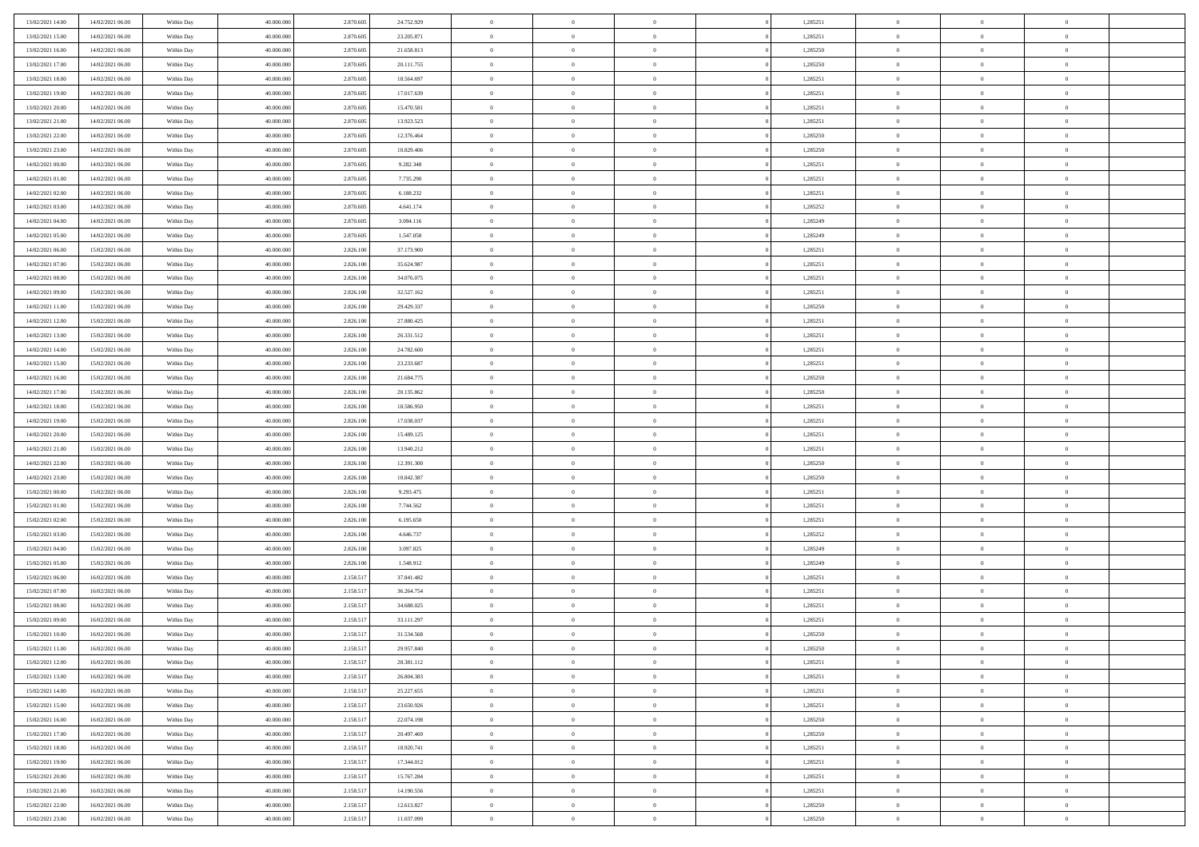| 13/02/2021 14:00                     | 14/02/2021 06:00                     | Within Day               | 40,000,000               | 2.870.605              | 24.752.929               | $\overline{0}$             | $\overline{0}$                   | $\Omega$                         | 1,285251             | $\bf{0}$                 | $\mathbf{0}$                     | $\bf{0}$                  |  |
|--------------------------------------|--------------------------------------|--------------------------|--------------------------|------------------------|--------------------------|----------------------------|----------------------------------|----------------------------------|----------------------|--------------------------|----------------------------------|---------------------------|--|
| 13/02/2021 15:00                     | 14/02/2021 06:00                     | Within Day               | 40.000.000               | 2.870.605              | 23.205.871               | $\mathbf{0}$               | $\overline{0}$                   | $\overline{0}$                   | 1,285251             | $\mathbf{0}$             | $\overline{0}$                   | $\overline{0}$            |  |
| 13/02/2021 16:00                     | 14/02/2021 06:00                     | Within Day               | 40.000.000               | 2.870.605              | 21.658.813               | $\,$ 0                     | $\overline{0}$                   | $\bf{0}$                         | 1,285250             | $\,$ 0                   | $\overline{0}$                   | $\,$ 0 $\,$               |  |
| 13/02/2021 17:00                     | 14/02/2021 06:00                     | Within Day               | 40,000,000               | 2.870.605              | 20.111.755               | $\bf{0}$                   | $\overline{0}$                   | $\Omega$                         | 1,285250             | $\bf{0}$                 | $\mathbf{0}$                     | $\theta$                  |  |
| 13/02/2021 18:00                     | 14/02/2021 06:00                     | Within Day               | 40.000.000               | 2.870.605              | 18.564.697               | $\bf{0}$                   | $\overline{0}$                   | $\overline{0}$                   | 1,285251             | $\mathbf{0}$             | $\overline{0}$                   | $\overline{0}$            |  |
| 13/02/2021 19:00                     | 14/02/2021 06:00                     | Within Day               | 40.000.000               | 2.870.605              | 17.017.639               | $\bf{0}$                   | $\overline{0}$                   | $\bf{0}$                         | 1,285251             | $\,$ 0                   | $\overline{0}$                   | $\,$ 0 $\,$               |  |
| 13/02/2021 20:00                     | 14/02/2021 06:00                     | Within Day               | 40,000,000               | 2.870.605              | 15.470.581               | $\bf{0}$                   | $\overline{0}$                   | $\overline{0}$                   | 1,285251             | $\bf{0}$                 | $\overline{0}$                   | $\theta$                  |  |
| 13/02/2021 21:00                     | 14/02/2021 06:00                     | Within Day               | 40.000.000               | 2.870.605              | 13.923.523               | $\overline{0}$             | $\overline{0}$                   | $\overline{0}$                   | 1,285251             | $\mathbf{0}$             | $\overline{0}$                   | $\overline{0}$            |  |
| 13/02/2021 22:00                     | 14/02/2021 06:00                     | Within Day               | 40.000.000               | 2.870.605              | 12.376.464               | $\bf{0}$                   | $\overline{0}$                   | $\bf{0}$                         | 1,285250             | $\,$ 0                   | $\overline{0}$                   | $\,$ 0 $\,$               |  |
| 13/02/2021 23:00                     | 14/02/2021 06:00                     | Within Day               | 40.000.000               | 2.870.605              | 10.829.406               | $\bf{0}$                   | $\overline{0}$                   | $\Omega$                         | 1,285250             | $\theta$                 | $\mathbf{0}$                     | $\theta$                  |  |
| 14/02/2021 00:00                     | 14/02/2021 06:00                     | Within Day               | 40.000.000               | 2.870.605              | 9.282.348                | $\bf{0}$                   | $\overline{0}$                   | $\overline{0}$                   | 1,285251             | $\mathbf{0}$             | $\overline{0}$                   | $\overline{0}$            |  |
| 14/02/2021 01:00                     | 14/02/2021 06:00                     | Within Day               | 40.000.000               | 2.870.605              | 7.735.290                | $\bf{0}$                   | $\overline{0}$                   | $\bf{0}$                         | 1,285251             | $\,$ 0                   | $\overline{0}$                   | $\,$ 0 $\,$               |  |
| 14/02/2021 02.00                     | 14/02/2021 06:00                     | Within Day               | 40.000.000               | 2.870.605              | 6.188.232                | $\bf{0}$                   | $\overline{0}$                   | $\Omega$                         | 1,285251             | $\theta$                 | $\mathbf{0}$                     | $\theta$                  |  |
| 14/02/2021 03:00                     | 14/02/2021 06:00                     | Within Day               | 40.000.000               | 2.870.605              | 4.641.174                | $\overline{0}$             | $\overline{0}$                   | $\overline{0}$                   | 1,285252             | $\overline{0}$           | $\overline{0}$                   | $\overline{0}$            |  |
| 14/02/2021 04:00                     | 14/02/2021 06:00                     | Within Day               | 40.000.000               | 2.870.605              | 3.094.116                | $\bf{0}$                   | $\overline{0}$                   | $\bf{0}$                         | 1,285249             | $\,$ 0                   | $\overline{0}$                   | $\,$ 0 $\,$               |  |
| 14/02/2021 05:00                     | 14/02/2021 06:00                     | Within Day               | 40,000,000               | 2.870.605              | 1.547.058                | $\bf{0}$                   | $\overline{0}$                   | $\overline{0}$                   | 1,285249             | $\bf{0}$                 | $\overline{0}$                   | $\theta$                  |  |
| 14/02/2021 06:00                     | 15/02/2021 06:00                     | Within Day               | 40.000.000               | 2.826.100              | 37.173.900               | $\overline{0}$             | $\overline{0}$                   | $\overline{0}$                   | 1,285251             | $\mathbf{0}$             | $\overline{0}$                   | $\overline{0}$            |  |
| 14/02/2021 07:00                     | 15/02/2021 06:00                     | Within Day               | 40.000.000               | 2.826.100              | 35.624.987               | $\bf{0}$                   | $\overline{0}$                   | $\bf{0}$                         | 1,285251             | $\,$ 0                   | $\overline{0}$                   | $\,$ 0 $\,$               |  |
| 14/02/2021 08:00                     | 15/02/2021 06:00                     | Within Day               | 40.000.000               | 2.826.100              | 34.076.075               | $\bf{0}$                   | $\overline{0}$                   | $\Omega$                         | 1,285251             | $\theta$                 | $\mathbf{0}$                     | $\theta$                  |  |
| 14/02/2021 09:00                     | 15/02/2021 06:00                     | Within Day               | 40.000.000               | 2.826.100              | 32.527.162               | $\overline{0}$             | $\overline{0}$                   | $\overline{0}$                   | 1,285251             | $\mathbf{0}$             | $\overline{0}$                   | $\overline{0}$            |  |
| 14/02/2021 11:00                     | 15/02/2021 06:00                     | Within Day               | 40.000.000               | 2.826.100              | 29.429.337               | $\bf{0}$                   | $\overline{0}$                   | $\bf{0}$                         | 1,285250             | $\,$ 0                   | $\overline{0}$                   | $\,$ 0 $\,$               |  |
| 14/02/2021 12:00                     | 15/02/2021 06:00                     | Within Day               | 40,000,000               | 2.826.100              | 27.880.425               | $\bf{0}$                   | $\overline{0}$                   | $\Omega$                         | 1,285251             | $\theta$                 | $\mathbf{0}$                     | $\theta$                  |  |
| 14/02/2021 13:00                     | 15/02/2021 06:00                     | Within Day               | 40.000.000               | 2.826.100              | 26.331.512               | $\overline{0}$             | $\overline{0}$                   | $\overline{0}$                   | 1,285251             | $\mathbf{0}$             | $\overline{0}$                   | $\overline{0}$            |  |
| 14/02/2021 14:00                     | 15/02/2021 06:00                     | Within Day               | 40.000.000               | 2.826.100              | 24.782.600               | $\bf{0}$                   | $\overline{0}$                   | $\bf{0}$                         | 1,285251             | $\,$ 0                   | $\overline{0}$                   | $\,$ 0 $\,$               |  |
| 14/02/2021 15:00                     | 15/02/2021 06:00                     | Within Day               | 40,000,000               | 2.826.100              | 23.233.687               | $\bf{0}$                   | $\overline{0}$                   | $\overline{0}$                   | 1,285251             | $\bf{0}$                 | $\overline{0}$                   | $\bf{0}$                  |  |
| 14/02/2021 16:00                     | 15/02/2021 06:00                     | Within Day               | 40.000.000               | 2.826.100              | 21.684.775               | $\overline{0}$             | $\overline{0}$                   | $\overline{0}$                   | 1,285250             | $\mathbf{0}$             | $\overline{0}$                   | $\overline{0}$            |  |
| 14/02/2021 17:00                     | 15/02/2021 06:00                     | Within Day               | 40.000.000               | 2.826.100              | 20.135.862               | $\bf{0}$                   | $\overline{0}$                   | $\bf{0}$                         | 1,285250             | $\,$ 0                   | $\overline{0}$                   | $\,$ 0 $\,$               |  |
| 14/02/2021 18:00                     | 15/02/2021 06:00                     | Within Day               | 40,000,000               | 2.826.100              | 18,586,950               | $\bf{0}$                   | $\overline{0}$                   | $\Omega$                         | 1.285251             | $\theta$                 | $\mathbf{0}$                     | $\theta$                  |  |
| 14/02/2021 19:00                     | 15/02/2021 06:00                     | Within Day               | 40.000.000               | 2.826.100              | 17.038.037               | $\overline{0}$             | $\overline{0}$                   | $\overline{0}$                   | 1,285251             | $\mathbf{0}$             | $\overline{0}$                   | $\overline{0}$            |  |
| 14/02/2021 20:00                     | 15/02/2021 06:00                     | Within Day               | 40.000.000               | 2.826.100              | 15.489.125               | $\bf{0}$                   | $\overline{0}$                   | $\bf{0}$                         | 1,285251             | $\,$ 0                   | $\overline{0}$                   | $\,$ 0 $\,$               |  |
| 14/02/2021 21:00                     | 15/02/2021 06:00                     | Within Day               | 40.000.000               | 2.826.100              | 13.940.212               | $\bf{0}$                   | $\overline{0}$                   | $\overline{0}$                   | 1,285251             | $\bf{0}$                 | $\overline{0}$                   | $\,0\,$                   |  |
| 14/02/2021 22:00                     | 15/02/2021 06:00                     | Within Day               | 40.000.000               | 2.826.100              | 12.391.300               | $\overline{0}$             | $\overline{0}$                   | $\overline{0}$                   | 1,285250             | $\mathbf{0}$             | $\overline{0}$                   | $\overline{0}$            |  |
| 14/02/2021 23:00                     | 15/02/2021 06:00                     | Within Day               | 40.000.000               | 2.826.100              | 10.842.387               | $\bf{0}$                   | $\overline{0}$                   | $\bf{0}$                         | 1,285250             | $\,$ 0                   | $\overline{0}$                   | $\,$ 0 $\,$               |  |
| 15/02/2021 00:00                     | 15/02/2021 06:00                     | Within Day               | 40.000.000               | 2.826.100              | 9.293.475                | $\bf{0}$                   | $\overline{0}$                   | $\bf{0}$                         | 1,285251             | $\bf{0}$                 | $\overline{0}$                   | $\bf{0}$                  |  |
| 15/02/2021 01:00                     | 15/02/2021 06:00                     | Within Day               | 40.000.000               | 2.826.100              | 7.744.562                | $\overline{0}$             | $\overline{0}$                   | $\overline{0}$                   | 1,285251             | $\mathbf{0}$             | $\overline{0}$                   | $\overline{0}$            |  |
| 15/02/2021 02:00                     | 15/02/2021 06:00                     | Within Day               | 40.000.000               | 2.826.100              | 6.195.650                | $\bf{0}$                   | $\overline{0}$                   | $\bf{0}$                         | 1,285251             | $\,$ 0                   | $\overline{0}$                   | $\,$ 0 $\,$               |  |
| 15/02/2021 03:00<br>15/02/2021 04:00 | 15/02/2021 06:00<br>15/02/2021 06:00 | Within Day               | 40.000.000<br>40.000.000 | 2.826.100<br>2.826.100 | 4.646.737<br>3.097.825   | $\bf{0}$<br>$\overline{0}$ | $\overline{0}$<br>$\overline{0}$ | $\overline{0}$<br>$\overline{0}$ | 1,285252<br>1,285249 | $\bf{0}$<br>$\mathbf{0}$ | $\overline{0}$<br>$\overline{0}$ | $\,0\,$<br>$\overline{0}$ |  |
| 15/02/2021 05:00                     | 15/02/2021 06:00                     | Within Day<br>Within Day | 40.000.000               | 2.826.100              | 1.548.912                | $\bf{0}$                   | $\overline{0}$                   |                                  | 1,285249             | $\,$ 0                   | $\overline{0}$                   | $\,$ 0 $\,$               |  |
|                                      |                                      |                          |                          |                        |                          |                            |                                  | $\bf{0}$<br>$\overline{0}$       |                      |                          | $\overline{0}$                   |                           |  |
| 15/02/2021 06:00<br>15/02/2021 07:00 | 16/02/2021 06:00<br>16/02/2021 06:00 | Within Day<br>Within Day | 40.000.000<br>40.000.000 | 2.158.517<br>2.158.517 | 37.841.482<br>36.264.754 | $\bf{0}$<br>$\overline{0}$ | $\bf{0}$<br>$\overline{0}$       | $\overline{0}$                   | 1,285251<br>1,285251 | $\bf{0}$<br>$\mathbf{0}$ | $\overline{0}$                   | $\,0\,$<br>$\overline{0}$ |  |
| 15/02/2021 08:00                     | 16/02/2021 06:00                     | Within Day               | 40.000.000               | 2.158.517              | 34.688.025               | $\bf{0}$                   | $\overline{0}$                   | $\bf{0}$                         | 1,285251             | $\,$ 0                   | $\overline{0}$                   | $\,$ 0 $\,$               |  |
| 15/02/2021 09:00                     | 16/02/2021 06:00                     | Within Day               | 40.000.000               | 2.158.517              | 33.111.297               | $\bf{0}$                   | $\bf{0}$                         | $\bf{0}$                         | 1,285251             | $\bf{0}$                 | $\overline{0}$                   | $\,0\,$                   |  |
| 15/02/2021 10:00                     | 16/02/2021 06:00                     | Within Dav               | 40.000.000               | 2.158.517              | 31.534.568               | $\mathbf{0}$               | $\overline{0}$                   | $\overline{0}$                   | 1,285250             | $\mathbf{0}$             | $\overline{0}$                   | $\overline{0}$            |  |
| 15/02/2021 11:00                     | 16/02/2021 06:00                     | Within Day               | 40.000.000               | 2.158.517              | 29.957.840               | $\bf{0}$                   | $\overline{0}$                   | $\overline{0}$                   | 1,285250             | $\overline{0}$           | $\overline{0}$                   | $\theta$                  |  |
| 15/02/2021 12:00                     | 16/02/2021 06:00                     | Within Day               | 40.000.000               | 2.158.517              | 28.381.112               | $\bf{0}$                   | $\bf{0}$                         | $\bf{0}$                         | 1,285251             | $\bf{0}$                 | $\overline{0}$                   | $\bf{0}$                  |  |
| 15/02/2021 13:00                     | 16/02/2021 06:00                     | Within Day               | 40.000.000               | 2.158.517              | 26.804.383               | $\overline{0}$             | $\overline{0}$                   | $\overline{0}$                   | 1,285251             | $\overline{0}$           | $\overline{0}$                   | $\overline{0}$            |  |
| 15/02/2021 14:00                     | 16/02/2021 06:00                     | Within Day               | 40.000.000               | 2.158.517              | 25.227.655               | $\,$ 0 $\,$                | $\overline{0}$                   | $\overline{0}$                   | 1,285251             | $\mathbf{0}$             | $\,$ 0 $\,$                      | $\,$ 0 $\,$               |  |
| 15/02/2021 15:00                     | 16/02/2021 06:00                     | Within Day               | 40.000.000               | 2.158.517              | 23.650.926               | $\bf{0}$                   | $\bf{0}$                         | $\overline{0}$                   | 1,285251             | $\bf{0}$                 | $\overline{0}$                   | $\bf{0}$                  |  |
| 15/02/2021 16:00                     | 16/02/2021 06:00                     | Within Day               | 40.000.000               | 2.158.517              | 22.074.198               | $\bf{0}$                   | $\overline{0}$                   | $\overline{0}$                   | 1,285250             | $\overline{0}$           | $\bf{0}$                         | $\overline{0}$            |  |
| 15/02/2021 17:00                     | 16/02/2021 06:00                     | Within Day               | 40.000.000               | 2.158.517              | 20.497.469               | $\,$ 0 $\,$                | $\overline{0}$                   | $\overline{0}$                   | 1,285250             | $\mathbf{0}$             | $\overline{0}$                   | $\,$ 0 $\,$               |  |
| 15/02/2021 18:00                     | 16/02/2021 06:00                     | Within Day               | 40.000.000               | 2.158.517              | 18.920.741               | $\overline{0}$             | $\overline{0}$                   | $\overline{0}$                   | 1,285251             | $\bf{0}$                 | $\overline{0}$                   | $\overline{0}$            |  |
| 15/02/2021 19:00                     | 16/02/2021 06:00                     | Within Day               | 40.000.000               | 2.158.517              | 17.344.012               | $\overline{0}$             | $\overline{0}$                   | $\overline{0}$                   | 1,285251             | $\overline{0}$           | $\bf{0}$                         | $\overline{0}$            |  |
| 15/02/2021 20:00                     | 16/02/2021 06:00                     | Within Day               | 40.000.000               | 2.158.517              | 15.767.284               | $\,$ 0 $\,$                | $\overline{0}$                   | $\overline{0}$                   | 1,285251             | $\mathbf{0}$             | $\,$ 0 $\,$                      | $\,$ 0 $\,$               |  |
| 15/02/2021 21:00                     | 16/02/2021 06:00                     | Within Day               | 40.000.000               | 2.158.517              | 14.190.556               | $\bf{0}$                   | $\bf{0}$                         | $\overline{0}$                   | 1,285251             | $\mathbf{0}$             | $\overline{0}$                   | $\bf{0}$                  |  |
| 15/02/2021 22:00                     | 16/02/2021 06:00                     | Within Day               | 40.000.000               | 2.158.517              | 12.613.827               | $\bf{0}$                   | $\overline{0}$                   | $\overline{0}$                   | 1,285250             | $\mathbf{0}$             | $\bf{0}$                         | $\overline{0}$            |  |
| 15/02/2021 23:00                     | 16/02/2021 06:00                     | Within Day               | 40.000.000               | 2.158.517              | 11.037.099               | $\,0\,$                    | $\overline{0}$                   | $\overline{0}$                   | 1,285250             | $\,$ 0                   | $\overline{0}$                   | $\,$ 0 $\,$               |  |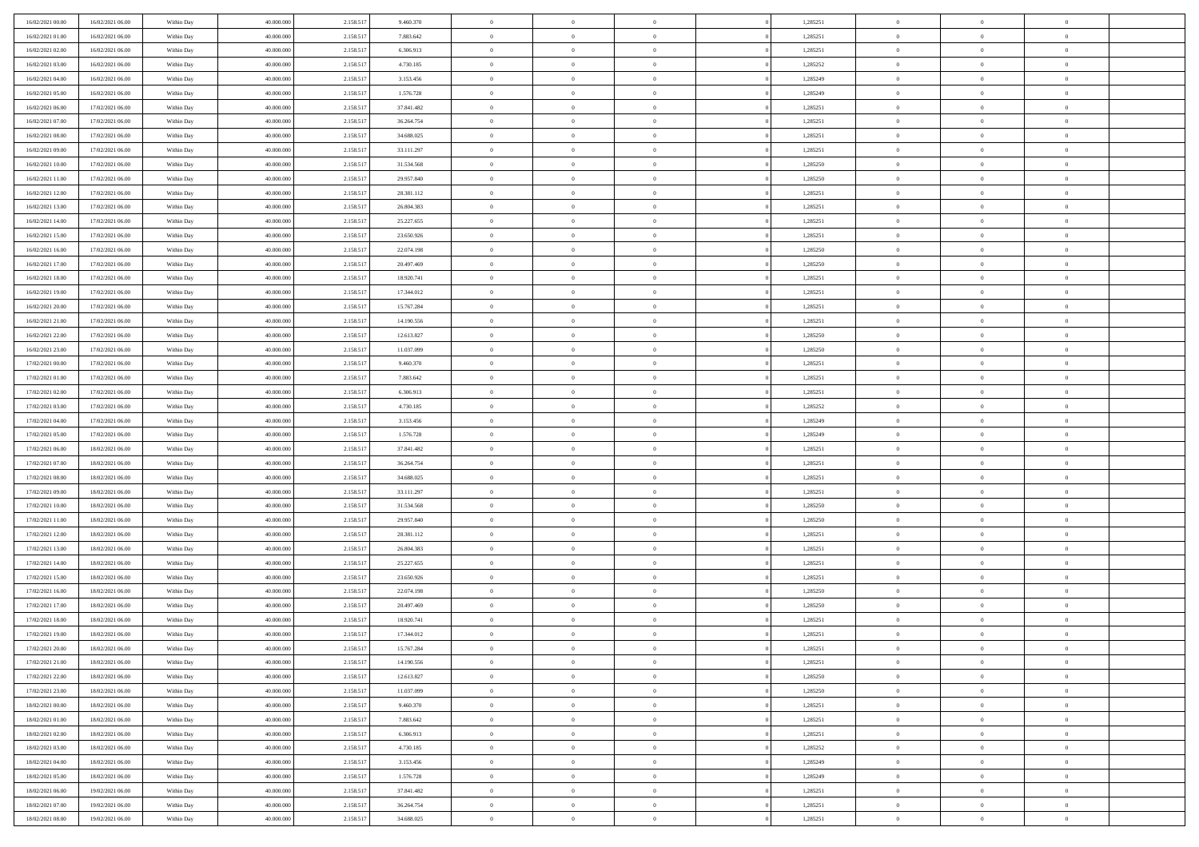| 16/02/2021 00:00                     | 16/02/2021 06:00                     | Within Day               | 40,000,000               | 2.158.517              | 9.460.370                | $\overline{0}$             | $\overline{0}$                   | $\Omega$                   | 1,285251             | $\bf{0}$                   | $\mathbf{0}$                     | $\bf{0}$                   |  |
|--------------------------------------|--------------------------------------|--------------------------|--------------------------|------------------------|--------------------------|----------------------------|----------------------------------|----------------------------|----------------------|----------------------------|----------------------------------|----------------------------|--|
| 16/02/2021 01:00                     | 16/02/2021 06:00                     | Within Dav               | 40.000.000               | 2.158.517              | 7.883.642                | $\mathbf{0}$               | $\overline{0}$                   | $\overline{0}$             | 1,285251             | $\mathbf{0}$               | $\overline{0}$                   | $\overline{0}$             |  |
| 16/02/2021 02:00                     | 16/02/2021 06:00                     | Within Day               | 40.000.000               | 2.158.517              | 6.306.913                | $\,$ 0                     | $\overline{0}$                   | $\bf{0}$                   | 1,285251             | $\,$ 0                     | $\overline{0}$                   | $\,$ 0 $\,$                |  |
| 16/02/2021 03:00                     | 16/02/2021 06:00                     | Within Day               | 40,000,000               | 2.158.517              | 4.730.185                | $\bf{0}$                   | $\overline{0}$                   | $\Omega$                   | 1,285252             | $\bf{0}$                   | $\mathbf{0}$                     | $\theta$                   |  |
| 16/02/2021 04:00                     | 16/02/2021 06:00                     | Within Day               | 40.000.000               | 2.158.517              | 3.153.456                | $\bf{0}$                   | $\overline{0}$                   | $\overline{0}$             | 1,285249             | $\mathbf{0}$               | $\overline{0}$                   | $\overline{0}$             |  |
| 16/02/2021 05:00                     | 16/02/2021 06:00                     | Within Day               | 40.000.000               | 2.158.517              | 1.576.728                | $\bf{0}$                   | $\overline{0}$                   | $\bf{0}$                   | 1,285249             | $\,$ 0                     | $\overline{0}$                   | $\,$ 0 $\,$                |  |
| 16/02/2021 06:00                     | 17/02/2021 06:00                     | Within Day               | 40,000,000               | 2.158.517              | 37.841.482               | $\bf{0}$                   | $\overline{0}$                   | $\Omega$                   | 1,285251             | $\theta$                   | $\overline{0}$                   | $\theta$                   |  |
| 16/02/2021 07:00                     | 17/02/2021 06:00                     | Within Day               | 40.000.000               | 2.158.517              | 36.264.754               | $\overline{0}$             | $\overline{0}$                   | $\overline{0}$             | 1,285251             | $\mathbf{0}$               | $\overline{0}$                   | $\overline{0}$             |  |
| 16/02/2021 08:00                     | 17/02/2021 06:00                     | Within Day               | 40.000.000               | 2.158.517              | 34.688.025               | $\bf{0}$                   | $\overline{0}$                   | $\bf{0}$                   | 1,285251             | $\,$ 0                     | $\overline{0}$                   | $\,$ 0 $\,$                |  |
| 16/02/2021 09:00                     | 17/02/2021 06:00                     | Within Day               | 40,000,000               | 2.158.517              | 33.111.297               | $\bf{0}$                   | $\overline{0}$                   | $\Omega$                   | 1,285251             | $\theta$                   | $\mathbf{0}$                     | $\theta$                   |  |
| 16/02/2021 10:00                     | 17/02/2021 06:00                     | Within Day               | 40.000.000               | 2.158.517              | 31.534.568               | $\overline{0}$             | $\overline{0}$                   | $\overline{0}$             | 1,285250             | $\mathbf{0}$               | $\overline{0}$                   | $\overline{0}$             |  |
| 16/02/2021 11:00                     | 17/02/2021 06:00                     | Within Day               | 40.000.000               | 2.158.517              | 29.957.840               | $\bf{0}$                   | $\overline{0}$                   | $\bf{0}$                   | 1,285250             | $\,$ 0                     | $\overline{0}$                   | $\,$ 0 $\,$                |  |
| 16/02/2021 12:00                     | 17/02/2021 06:00                     | Within Day               | 40,000,000               | 2.158.517              | 28.381.112               | $\bf{0}$                   | $\overline{0}$                   | $\Omega$                   | 1,285251             | $\bf{0}$                   | $\mathbf{0}$                     | $\theta$                   |  |
| 16/02/2021 13:00                     | 17/02/2021 06:00                     | Within Day               | 40.000.000               | 2.158.517              | 26.804.383               | $\overline{0}$             | $\overline{0}$                   | $\overline{0}$             | 1,285251             | $\mathbf{0}$               | $\overline{0}$                   | $\overline{0}$             |  |
| 16/02/2021 14:00                     | 17/02/2021 06:00                     | Within Day               | 40.000.000               | 2.158.517              | 25.227.655               | $\bf{0}$                   | $\overline{0}$                   | $\bf{0}$                   | 1,285251             | $\,$ 0                     | $\overline{0}$                   | $\,$ 0 $\,$                |  |
| 16/02/2021 15:00                     | 17/02/2021 06:00                     | Within Day               | 40,000,000               | 2.158.517              | 23.650.926               | $\bf{0}$                   | $\overline{0}$                   | $\overline{0}$             | 1,285251             | $\theta$                   | $\overline{0}$                   | $\theta$                   |  |
| 16/02/2021 16:00                     | 17/02/2021 06:00                     | Within Day               | 40.000.000               | 2.158.517              | 22.074.198               | $\overline{0}$             | $\overline{0}$                   | $\overline{0}$             | 1,285250             | $\mathbf{0}$               | $\overline{0}$                   | $\overline{0}$             |  |
| 16/02/2021 17:00                     | 17/02/2021 06:00                     | Within Day               | 40.000.000               | 2.158.517              | 20.497.469               | $\bf{0}$                   | $\overline{0}$                   | $\bf{0}$                   | 1,285250             | $\,$ 0                     | $\overline{0}$                   | $\,$ 0 $\,$                |  |
| 16/02/2021 18:00                     | 17/02/2021 06:00                     | Within Day               | 40,000,000               | 2.158.517              | 18.920.741               | $\bf{0}$                   | $\overline{0}$                   | $\Omega$                   | 1,285251             | $\theta$                   | $\mathbf{0}$                     | $\theta$                   |  |
| 16/02/2021 19:00                     | 17/02/2021 06:00                     | Within Day               | 40.000.000               | 2.158.517              | 17.344.012               | $\overline{0}$             | $\overline{0}$                   | $\overline{0}$             | 1,285251             | $\mathbf{0}$               | $\overline{0}$                   | $\overline{0}$             |  |
| 16/02/2021 20:00                     | 17/02/2021 06:00                     | Within Day               | 40.000.000               | 2.158.517              | 15.767.284               | $\bf{0}$                   | $\overline{0}$                   | $\bf{0}$                   | 1,285251             | $\,$ 0                     | $\overline{0}$                   | $\,$ 0 $\,$                |  |
| 16/02/2021 21:00                     | 17/02/2021 06:00                     | Within Day               | 40,000,000               | 2.158.517              | 14.190.556               | $\bf{0}$                   | $\overline{0}$                   | $\Omega$                   | 1,285251             | $\bf{0}$                   | $\mathbf{0}$                     | $\theta$                   |  |
| 16/02/2021 22:00                     | 17/02/2021 06:00                     | Within Day               | 40.000.000               | 2.158.517              | 12.613.827               | $\overline{0}$             | $\overline{0}$                   | $\overline{0}$             | 1,285250             | $\mathbf{0}$               | $\overline{0}$                   | $\overline{0}$             |  |
| 16/02/2021 23:00                     | 17/02/2021 06:00                     | Within Day               | 40.000.000               | 2.158.517              | 11.037.099               | $\bf{0}$                   | $\overline{0}$                   | $\bf{0}$                   | 1,285250             | $\,$ 0                     | $\overline{0}$                   | $\,$ 0 $\,$                |  |
| 17/02/2021 00:00                     | 17/02/2021 06:00                     | Within Day               | 40,000,000               | 2.158.517              | 9.460.370                | $\bf{0}$                   | $\overline{0}$                   | $\overline{0}$             | 1,285251             | $\bf{0}$                   | $\overline{0}$                   | $\bf{0}$                   |  |
| 17/02/2021 01:00                     | 17/02/2021 06:00                     | Within Day               | 40.000.000               | 2.158.517              | 7.883.642                | $\overline{0}$             | $\overline{0}$                   | $\overline{0}$             | 1,285251             | $\mathbf{0}$               | $\overline{0}$                   | $\overline{0}$             |  |
| 17/02/2021 02:00                     | 17/02/2021 06:00                     | Within Day               | 40.000.000               | 2.158.517              | 6.306.913                | $\bf{0}$                   | $\overline{0}$                   | $\bf{0}$                   | 1,285251             | $\,$ 0                     | $\overline{0}$                   | $\,$ 0 $\,$                |  |
| 17/02/2021 03:00                     | 17/02/2021 06:00                     | Within Day               | 40,000,000               | 2.158.517              | 4.730.185                | $\bf{0}$                   | $\overline{0}$                   | $\Omega$                   | 1.285252             | $\theta$                   | $\mathbf{0}$                     | $\theta$                   |  |
| 17/02/2021 04:00                     | 17/02/2021 06:00                     | Within Day               | 40.000.000               | 2.158.517              | 3.153.456                | $\overline{0}$             | $\overline{0}$                   | $\overline{0}$             | 1,285249             | $\mathbf{0}$               | $\overline{0}$                   | $\overline{0}$             |  |
| 17/02/2021 05:00                     | 17/02/2021 06:00                     | Within Day               | 40.000.000               | 2.158.517              | 1.576.728                | $\bf{0}$                   | $\overline{0}$                   | $\bf{0}$                   | 1,285249             | $\,$ 0                     | $\overline{0}$                   | $\,$ 0 $\,$                |  |
| 17/02/2021 06:00                     | 18/02/2021 06:00                     | Within Day               | 40.000.000               | 2.158.517              | 37.841.482               | $\bf{0}$                   | $\overline{0}$                   | $\overline{0}$             | 1,285251             | $\bf{0}$                   | $\overline{0}$                   | $\,0\,$                    |  |
| 17/02/2021 07:00                     | 18/02/2021 06:00                     | Within Dav               | 40.000.000               | 2.158.517              | 36.264.754               | $\overline{0}$             | $\overline{0}$                   | $\overline{0}$             | 1,285251             | $\mathbf{0}$               | $\overline{0}$                   | $\overline{0}$             |  |
| 17/02/2021 08:00                     | 18/02/2021 06:00                     | Within Day               | 40.000.000               | 2.158.517              | 34.688.025               | $\bf{0}$                   | $\overline{0}$                   | $\bf{0}$                   | 1,285251             | $\,$ 0                     | $\overline{0}$                   | $\,$ 0 $\,$                |  |
| 17/02/2021 09:00                     | 18/02/2021 06:00                     | Within Day               | 40.000.000               | 2.158.517              | 33.111.297               | $\bf{0}$                   | $\overline{0}$                   | $\bf{0}$                   | 1,285251             | $\bf{0}$                   | $\overline{0}$                   | $\,0\,$                    |  |
| 17/02/2021 10:00                     | 18/02/2021 06:00                     | Within Day               | 40.000.000               | 2.158.517              | 31.534.568               | $\overline{0}$             | $\overline{0}$                   | $\overline{0}$             | 1,285250             | $\mathbf{0}$               | $\overline{0}$                   | $\overline{0}$             |  |
| 17/02/2021 11:00                     | 18/02/2021 06:00                     | Within Day               | 40.000.000               | 2.158.517              | 29.957.840               | $\bf{0}$                   | $\overline{0}$                   | $\bf{0}$                   | 1,285250             | $\,$ 0                     | $\overline{0}$                   | $\,$ 0 $\,$                |  |
| 17/02/2021 12:00                     | 18/02/2021 06:00                     | Within Day               | 40.000.000               | 2.158.517              | 28.381.112               | $\bf{0}$                   | $\bf{0}$                         | $\overline{0}$             | 1,285251             | $\bf{0}$                   | $\overline{0}$                   | $\,0\,$                    |  |
| 17/02/2021 13:00                     | 18/02/2021 06:00                     | Within Day               | 40.000.000               | 2.158.517              | 26.804.383               | $\overline{0}$             | $\overline{0}$                   | $\overline{0}$             | 1,285251             | $\mathbf{0}$               | $\overline{0}$                   | $\overline{0}$             |  |
| 17/02/2021 14:00                     | 18/02/2021 06:00                     | Within Day               | 40.000.000               | 2.158.517              | 25.227.655               | $\bf{0}$                   | $\overline{0}$                   | $\bf{0}$                   | 1,285251             | $\,$ 0                     | $\overline{0}$                   | $\,$ 0 $\,$                |  |
| 17/02/2021 15:00                     | 18/02/2021 06:00                     | Within Day               | 40.000.000               | 2.158.517              | 23.650.926               | $\bf{0}$                   | $\bf{0}$                         | $\overline{0}$             | 1,285251             | $\bf{0}$                   | $\overline{0}$                   | $\,0\,$                    |  |
| 17/02/2021 16:00                     | 18/02/2021 06:00                     | Within Day               | 40.000.000               | 2.158.517              | 22.074.198               | $\overline{0}$             | $\overline{0}$                   | $\overline{0}$             | 1,285250             | $\mathbf{0}$               | $\overline{0}$                   | $\overline{0}$             |  |
| 17/02/2021 17:00                     | 18/02/2021 06:00                     | Within Day               | 40.000.000               | 2.158.517              | 20.497.469               | $\bf{0}$                   | $\overline{0}$                   | $\bf{0}$                   | 1,285250             | $\,$ 0                     | $\overline{0}$                   | $\,$ 0 $\,$                |  |
| 17/02/2021 18:00<br>17/02/2021 19:00 | 18/02/2021 06:00                     | Within Day               | 40.000.000               | 2.158.517              | 18.920.741               | $\bf{0}$<br>$\mathbf{0}$   | $\bf{0}$                         | $\bf{0}$                   | 1,285251             | $\bf{0}$<br>$\mathbf{0}$   | $\overline{0}$                   | $\,0\,$<br>$\overline{0}$  |  |
|                                      | 18/02/2021 06:00                     | Within Dav               | 40.000.000               | 2.158.517              | 17.344.012               | $\bf{0}$                   | $\overline{0}$<br>$\overline{0}$ | $\overline{0}$             | 1,285251             | $\overline{0}$             | $\overline{0}$                   | $\theta$                   |  |
| 17/02/2021 20:00                     | 18/02/2021 06:00<br>18/02/2021 06:00 | Within Day               | 40.000.000               | 2.158.517              | 15.767.284               |                            |                                  | $\theta$                   | 1,285251             |                            | $\overline{0}$                   |                            |  |
| 17/02/2021 21:00<br>17/02/2021 22:00 | 18/02/2021 06:00                     | Within Day<br>Within Day | 40.000.000<br>40.000.000 | 2.158.517<br>2.158.517 | 14.190.556<br>12.613.827 | $\bf{0}$<br>$\overline{0}$ | $\bf{0}$<br>$\overline{0}$       | $\bf{0}$<br>$\overline{0}$ | 1,285251<br>1,285250 | $\bf{0}$<br>$\overline{0}$ | $\overline{0}$<br>$\overline{0}$ | $\bf{0}$<br>$\overline{0}$ |  |
| 17/02/2021 23:00                     | 18/02/2021 06:00                     | Within Day               | 40.000.000               | 2.158.517              | 11.037.099               | $\,$ 0 $\,$                | $\overline{0}$                   | $\overline{0}$             | 1,285250             | $\mathbf{0}$               | $\,$ 0 $\,$                      | $\,$ 0 $\,$                |  |
| 18/02/2021 00:00                     | 18/02/2021 06:00                     | Within Day               | 40.000.000               | 2.158.517              | 9.460.370                | $\bf{0}$                   | $\bf{0}$                         | $\overline{0}$             | 1,285251             | $\bf{0}$                   | $\overline{0}$                   | $\bf{0}$                   |  |
| 18/02/2021 01:00                     | 18/02/2021 06:00                     | Within Day               | 40.000.000               | 2.158.517              | 7.883.642                | $\bf{0}$                   | $\overline{0}$                   | $\overline{0}$             | 1,285251             | $\overline{0}$             | $\bf{0}$                         | $\overline{0}$             |  |
| 18/02/2021 02:00                     | 18/02/2021 06:00                     | Within Day               | 40.000.000               | 2.158.517              | 6.306.913                | $\,$ 0 $\,$                | $\overline{0}$                   | $\overline{0}$             | 1,285251             | $\,$ 0 $\,$                | $\overline{0}$                   | $\,$ 0 $\,$                |  |
| 18/02/2021 03:00                     | 18/02/2021 06:00                     | Within Day               | 40.000.000               | 2.158.517              | 4.730.185                | $\overline{0}$             | $\overline{0}$                   | $\overline{0}$             | 1,285252             | $\bf{0}$                   | $\overline{0}$                   | $\overline{0}$             |  |
| 18/02/2021 04:00                     | 18/02/2021 06:00                     | Within Day               | 40.000.000               | 2.158.517              | 3.153.456                | $\overline{0}$             | $\overline{0}$                   | $\overline{0}$             | 1,285249             | $\overline{0}$             | $\bf{0}$                         | $\overline{0}$             |  |
| 18/02/2021 05:00                     | 18/02/2021 06:00                     | Within Day               | 40.000.000               | 2.158.517              | 1.576.728                | $\,$ 0 $\,$                | $\overline{0}$                   | $\overline{0}$             | 1,285249             | $\mathbf{0}$               | $\,$ 0 $\,$                      | $\,$ 0 $\,$                |  |
| 18/02/2021 06:00                     | 19/02/2021 06:00                     | Within Day               | 40.000.000               | 2.158.517              | 37.841.482               | $\bf{0}$                   | $\bf{0}$                         | $\overline{0}$             | 1,285251             | $\mathbf{0}$               | $\overline{0}$                   | $\bf{0}$                   |  |
| 18/02/2021 07:00                     | 19/02/2021 06:00                     | Within Day               | 40.000.000               | 2.158.517              | 36.264.754               | $\overline{0}$             | $\overline{0}$                   | $\overline{0}$             | 1,285251             | $\mathbf{0}$               | $\bf{0}$                         | $\overline{0}$             |  |
| 18/02/2021 08:00                     | 19/02/2021 06:00                     | Within Day               | 40.000.000               | 2.158.517              | 34.688.025               | $\,0\,$                    | $\overline{0}$                   | $\overline{0}$             | 1,285251             | $\,$ 0                     | $\overline{0}$                   | $\,$ 0 $\,$                |  |
|                                      |                                      |                          |                          |                        |                          |                            |                                  |                            |                      |                            |                                  |                            |  |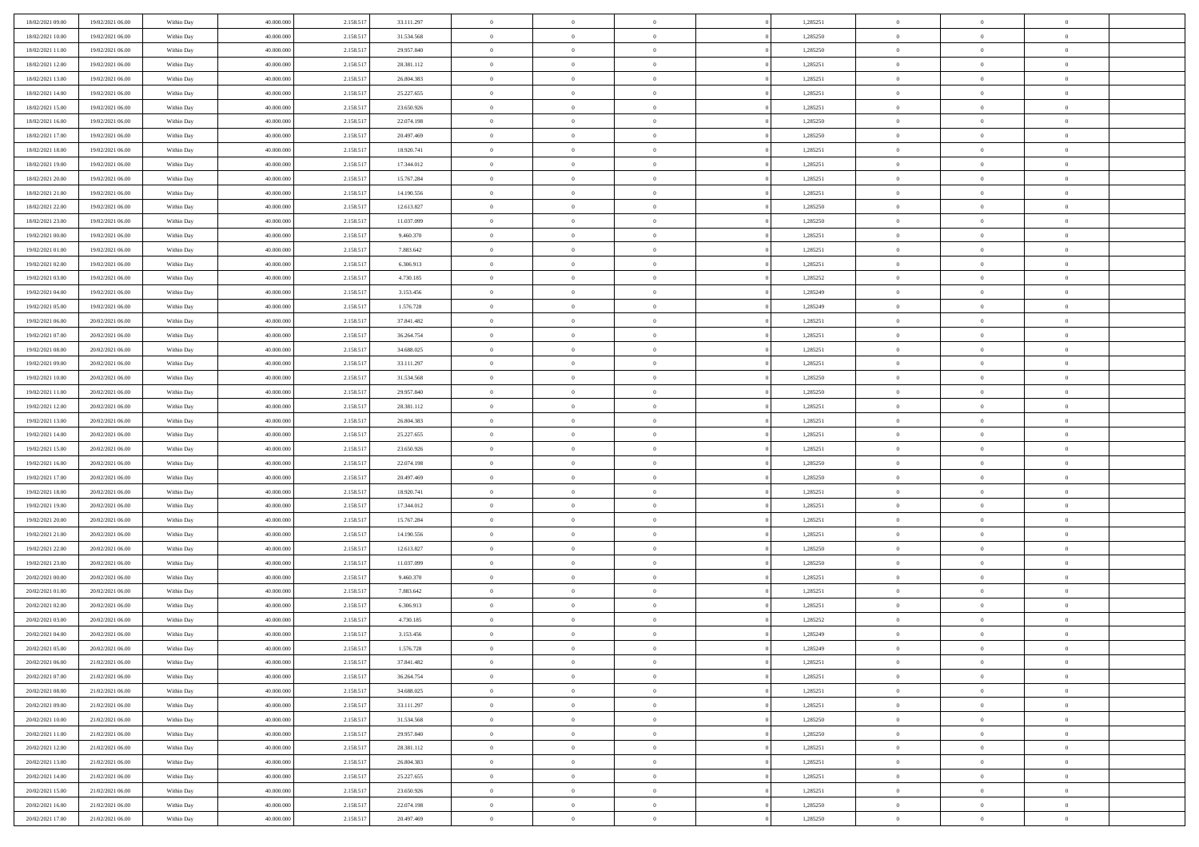| 18/02/2021 09:00                     | 19/02/2021 06:00                     | Within Day               | 40.000.000               | 2.158.517              | 33.111.297               | $\bf{0}$                 | $\bf{0}$                         | $\theta$                   |          | 1,285251             | $\bf{0}$           | $\overline{0}$                   | $\,0\,$                    |  |
|--------------------------------------|--------------------------------------|--------------------------|--------------------------|------------------------|--------------------------|--------------------------|----------------------------------|----------------------------|----------|----------------------|--------------------|----------------------------------|----------------------------|--|
| 18/02/2021 10:00                     | 19/02/2021 06:00                     | Within Day               | 40,000,000               | 2.158.517              | 31.534.568               | $\overline{0}$           | $\overline{0}$                   | $\overline{0}$             |          | 1,285250             | $\overline{0}$     | $\overline{0}$                   | $\theta$                   |  |
| 18/02/2021 11:00                     | 19/02/2021 06:00                     | Within Dav               | 40.000.000               | 2.158.517              | 29.957.840               | $\mathbf{0}$             | $\overline{0}$                   | $\overline{0}$             |          | 1,285250             | $\mathbf{0}$       | $\overline{0}$                   | $\overline{0}$             |  |
| 18/02/2021 12:00                     | 19/02/2021 06:00                     | Within Day               | 40.000.000               | 2.158.517              | 28.381.112               | $\bf{0}$                 | $\overline{0}$                   | $\overline{0}$             |          | 1,285251             | $\bf{0}$           | $\overline{0}$                   | $\bf{0}$                   |  |
| 18/02/2021 13:00                     | 19/02/2021 06:00                     | Within Day               | 40,000,000               | 2.158.517              | 26.804.383               | $\bf{0}$                 | $\bf{0}$                         | $\overline{0}$             |          | 1,285251             | $\bf{0}$           | $\bf{0}$                         | $\,0\,$                    |  |
| 18/02/2021 14:00                     | 19/02/2021 06:00                     | Within Dav               | 40.000.000               | 2.158.517              | 25.227.655               | $\overline{0}$           | $\overline{0}$                   | $\overline{0}$             |          | 1,285251             | $\mathbf{0}$       | $\overline{0}$                   | $\overline{0}$             |  |
| 18/02/2021 15:00                     | 19/02/2021 06:00                     | Within Day               | 40.000.000               | 2.158.517              | 23.650.926               | $\bf{0}$                 | $\overline{0}$                   | $\overline{0}$             |          | 1,285251             | $\bf{0}$           | $\overline{0}$                   | $\,0\,$                    |  |
| 18/02/2021 16:00                     | 19/02/2021 06:00                     | Within Day               | 40,000,000               | 2.158.517              | 22.074.198               | $\overline{0}$           | $\overline{0}$                   | $\overline{0}$             |          | 1,285250             | $\,$ 0 $\,$        | $\overline{0}$                   | $\theta$                   |  |
| 18/02/2021 17:00                     | 19/02/2021 06:00                     | Within Dav               | 40.000.000               | 2.158.517              | 20.497.469               | $\mathbf{0}$             | $\overline{0}$                   | $\overline{0}$             |          | 1,285250             | $\mathbf{0}$       | $\overline{0}$                   | $\overline{0}$             |  |
| 18/02/2021 18:00                     | 19/02/2021 06:00                     | Within Day               | 40.000.000               | 2.158.517              | 18.920.741               | $\bf{0}$                 | $\overline{0}$                   | $\overline{0}$             |          | 1,285251             | $\bf{0}$           | $\overline{0}$                   | $\,0\,$                    |  |
| 18/02/2021 19:00                     | 19/02/2021 06:00                     | Within Day               | 40,000,000               | 2.158.517              | 17.344.012               | $\overline{0}$           | $\overline{0}$                   | $\overline{0}$             |          | 1,285251             | $\bf{0}$           | $\overline{0}$                   | $\theta$                   |  |
| 18/02/2021 20:00                     | 19/02/2021 06:00                     | Within Dav               | 40.000.000               | 2.158.517              | 15.767.284               | $\mathbf{0}$             | $\overline{0}$                   | $\overline{0}$             |          | 1,285251             | $\mathbf{0}$       | $\overline{0}$                   | $\overline{0}$             |  |
| 18/02/2021 21:00                     | 19/02/2021 06:00                     | Within Day               | 40.000.000               | 2.158.517              | 14.190.556               | $\bf{0}$                 | $\overline{0}$                   | $\bf{0}$                   |          | 1,285251             | $\bf{0}$           | $\overline{0}$                   | $\overline{0}$             |  |
| 18/02/2021 22:00                     | 19/02/2021 06:00                     | Within Day               | 40.000.000               | 2.158.517              | 12.613.827               | $\bf{0}$                 | $\overline{0}$                   | $\overline{0}$             |          | 1,285250             | $\bf{0}$           | $\mathbf{0}$                     | $\,0\,$                    |  |
| 18/02/2021 23:00                     | 19/02/2021 06:00                     | Within Dav               | 40.000.000               | 2.158.517              | 11.037.099               | $\overline{0}$           | $\overline{0}$                   | $\overline{0}$             |          | 1,285250             | $\mathbf{0}$       | $\overline{0}$                   | $\overline{0}$             |  |
| 19/02/2021 00:00                     | 19/02/2021 06:00                     | Within Day               | 40.000.000               | 2.158.517              | 9.460.370                | $\bf{0}$                 | $\overline{0}$                   | $\overline{0}$             |          | 1,285251             | $\bf{0}$           | $\overline{0}$                   | $\bf{0}$                   |  |
| 19/02/2021 01:00                     | 19/02/2021 06:00                     | Within Day               | 40,000,000               | 2.158.517              | 7.883.642                | $\overline{0}$           | $\overline{0}$                   | $\overline{0}$             |          | 1,285251             | $\bf{0}$           | $\overline{0}$                   | $\theta$                   |  |
| 19/02/2021 02:00                     | 19/02/2021 06:00                     | Within Day               | 40.000.000               | 2.158.517              | 6.306.913                | $\mathbf{0}$             | $\overline{0}$                   | $\overline{0}$             |          | 1,285251             | $\mathbf{0}$       | $\overline{0}$                   | $\overline{0}$             |  |
| 19/02/2021 03:00                     | 19/02/2021 06:00                     | Within Day               | 40.000.000               | 2.158.517              | 4.730.185                | $\bf{0}$                 | $\overline{0}$                   | $\overline{0}$             |          | 1,285252             | $\bf{0}$           | $\overline{0}$                   | $\,0\,$                    |  |
| 19/02/2021 04:00                     | 19/02/2021 06:00                     | Within Day               | 40,000,000               | 2.158.517              | 3.153.456                | $\overline{0}$           | $\overline{0}$                   | $\overline{0}$             |          | 1,285249             | $\bf{0}$           | $\overline{0}$                   | $\overline{0}$             |  |
| 19/02/2021 05:00                     | 19/02/2021 06:00                     | Within Dav               | 40.000.000               | 2.158.517              | 1.576.728                | $\mathbf{0}$             | $\overline{0}$                   | $\overline{0}$             |          | 1,285249             | $\mathbf{0}$       | $\overline{0}$                   | $\overline{0}$             |  |
| 19/02/2021 06:00                     | 20/02/2021 06:00                     | Within Day               | 40.000.000               | 2.158.517              | 37.841.482               | $\bf{0}$                 | $\overline{0}$                   | $\overline{0}$             |          | 1,285251             | $\bf{0}$           | $\overline{0}$                   | $\bf{0}$                   |  |
| 19/02/2021 07:00                     | 20/02/2021 06:00                     | Within Day               | 40,000,000               | 2.158.517              | 36.264.754               | $\bf{0}$                 | $\overline{0}$                   | $\overline{0}$             |          | 1,285251             | $\bf{0}$           | $\overline{0}$                   | $\,0\,$                    |  |
| 19/02/2021 08:00                     | 20/02/2021 06:00                     | Within Dav               | 40.000.000               | 2.158.517              | 34.688.025               | $\mathbf{0}$             | $\overline{0}$                   | $\overline{0}$             |          | 1,285251             | $\mathbf{0}$       | $\overline{0}$                   | $\overline{0}$             |  |
| 19/02/2021 09:00                     | 20/02/2021 06:00                     | Within Day               | 40.000.000               | 2.158.517              | 33.111.297               | $\bf{0}$                 | $\overline{0}$                   | $\overline{0}$             |          | 1,285251             | $\bf{0}$           | $\overline{0}$                   | $\,0\,$                    |  |
| 19/02/2021 10:00                     | 20/02/2021 06:00                     | Within Day               | 40,000,000               | 2.158.517              | 31.534.568               | $\overline{0}$           | $\overline{0}$                   | $\overline{0}$             |          | 1,285250             | $\bf{0}$           | $\mathbf{0}$                     | $\overline{0}$             |  |
| 19/02/2021 11:00                     | 20/02/2021 06:00                     | Within Dav               | 40.000.000               | 2.158.517              | 29.957.840               | $\mathbf{0}$             | $\overline{0}$                   | $\overline{0}$             |          | 1,285250             | $\mathbf{0}$       | $\overline{0}$                   | $\overline{0}$             |  |
| 19/02/2021 12:00                     | 20/02/2021 06:00                     | Within Day               | 40.000.000               | 2.158.517              | 28.381.112               | $\bf{0}$                 | $\bf{0}$                         | $\overline{0}$             |          | 1,285251             | $\bf{0}$           | $\overline{0}$                   | $\,0\,$                    |  |
| 19/02/2021 13:00                     | 20/02/2021 06:00                     | Within Day               | 40,000,000               | 2.158.517              | 26.804.383               | $\bf{0}$                 | $\bf{0}$                         | $\overline{0}$             |          | 1,285251             | $\bf{0}$           | $\overline{0}$                   | $\bf{0}$                   |  |
| 19/02/2021 14:00                     | 20/02/2021 06:00                     | Within Dav               | 40.000.000               | 2.158.517              | 25.227.655               | $\mathbf{0}$             | $\overline{0}$                   | $\overline{0}$             |          | 1,285251             | $\mathbf{0}$       | $\overline{0}$                   | $\overline{0}$             |  |
| 19/02/2021 15:00                     | 20/02/2021 06:00                     | Within Day               | 40.000.000               | 2.158.517              | 23.650.926               | $\bf{0}$                 | $\overline{0}$                   | $\theta$                   |          | 1,285251             | $\,$ 0             | $\overline{0}$                   | $\theta$                   |  |
| 19/02/2021 16:00                     | 20/02/2021 06:00                     | Within Day               | 40,000,000               | 2.158.517              | 22.074.198               | $\bf{0}$                 | $\bf{0}$                         | $\overline{0}$             |          | 1,285250             | $\bf{0}$           | $\overline{0}$                   | $\bf{0}$                   |  |
| 19/02/2021 17:00                     | 20/02/2021 06:00                     | Within Dav               | 40.000.000               | 2.158.517              | 20.497.469               | $\mathbf{0}$             | $\overline{0}$                   | $\overline{0}$             |          | 1,285250             | $\mathbf{0}$       | $\overline{0}$                   | $\overline{0}$             |  |
| 19/02/2021 18:00                     | 20/02/2021 06:00                     | Within Day               | 40.000.000               | 2.158.517              | 18.920.741               | $\bf{0}$                 | $\overline{0}$                   | $\theta$                   |          | 1,285251             | $\,$ 0             | $\overline{0}$                   | $\theta$                   |  |
| 19/02/2021 19:00                     | 20/02/2021 06:00                     | Within Day               | 40,000,000               | 2.158.517              | 17.344.012               | $\bf{0}$                 | $\overline{0}$                   | $\overline{0}$             |          | 1,285251             | $\bf{0}$           | $\overline{0}$                   | $\overline{0}$             |  |
| 19/02/2021 20:00                     | 20/02/2021 06:00                     | Within Day               | 40.000.000               | 2.158.517              | 15.767.284               | $\mathbf{0}$<br>$\bf{0}$ | $\overline{0}$                   | $\overline{0}$             |          | 1,285251             | $\mathbf{0}$       | $\overline{0}$                   | $\overline{0}$<br>$\theta$ |  |
| 19/02/2021 21:00<br>19/02/2021 22.00 | 20/02/2021 06:00<br>20/02/2021 06:00 | Within Day               | 40.000.000<br>40,000,000 | 2.158.517<br>2.158.517 | 14.190.556<br>12.613.827 | $\bf{0}$                 | $\overline{0}$<br>$\overline{0}$ | $\theta$<br>$\overline{0}$ |          | 1,285251<br>1,285250 | $\,$ 0<br>$\bf{0}$ | $\overline{0}$<br>$\overline{0}$ | $\bf{0}$                   |  |
| 19/02/2021 23:00                     | 20/02/2021 06:00                     | Within Day<br>Within Dav | 40.000.000               | 2.158.517              | 11.037.099               | $\mathbf{0}$             | $\overline{0}$                   | $\overline{0}$             |          | 1,285250             | $\mathbf{0}$       | $\overline{0}$                   | $\overline{0}$             |  |
| 20/02/2021 00:00                     | 20/02/2021 06:00                     | Within Day               | 40.000.000               | 2.158.517              | 9.460.370                | $\,0\,$                  | $\overline{0}$                   | $\theta$                   |          | 1,285251             | $\,$ 0             | $\overline{0}$                   | $\theta$                   |  |
| 20/02/2021 01:00                     | 20/02/2021 06:00                     | Within Day               | 40,000,000               | 2.158.517              | 7.883.642                | $\bf{0}$                 | $\bf{0}$                         | $\overline{0}$             |          | 1,285251             | $\bf{0}$           | $\overline{0}$                   | $\overline{0}$             |  |
| 20/02/2021 02:00                     | 20/02/2021 06:00                     | Within Dav               | 40.000.000               | 2.158.517              | 6.306.913                | $\mathbf{0}$             | $\overline{0}$                   | $\overline{0}$             |          | 1,285251             | $\mathbf{0}$       | $\overline{0}$                   | $\overline{0}$             |  |
| 20/02/2021 03:00                     | 20/02/2021 06:00                     | Within Day               | 40.000.000               | 2.158.517              | 4.730.185                | $\bf{0}$                 | $\overline{0}$                   | $\theta$                   |          | 1,285252             | $\,$ 0             | $\overline{0}$                   | $\theta$                   |  |
| 20/02/2021 04:00                     | 20/02/2021 06:00                     | Within Day               | 40,000,000               | 2.158.517              | 3.153.456                | $\bf{0}$                 | $\overline{0}$                   | $\overline{0}$             |          | 1,285249             | $\bf{0}$           | $\overline{0}$                   | $\overline{0}$             |  |
| 20/02/2021 05:00                     | 20/02/2021 06:00                     | Within Day               | 40.000.000               | 2.158.517              | 1.576.728                | $\bf{0}$                 | $\overline{0}$                   |                            |          | 1,285249             | $\overline{0}$     | $\theta$                         | $\theta$                   |  |
| 20/02/2021 06:00                     | 21/02/2021 06:00                     | Within Day               | 40.000.000               | 2.158.517              | 37.841.482               | $\,0\,$                  | $\overline{0}$                   | $\theta$                   |          | 1,285251             | $\,$ 0 $\,$        | $\bf{0}$                         | $\theta$                   |  |
| 20/02/2021 07:00                     | 21/02/2021 06:00                     | Within Day               | 40,000,000               | 2.158.517              | 36.264.754               | $\overline{0}$           | $\overline{0}$                   | $\overline{0}$             |          | 1,285251             | $\overline{0}$     | $\overline{0}$                   | $\overline{0}$             |  |
| 20/02/2021 08:00                     | 21/02/2021 06:00                     | Within Day               | 40.000.000               | 2.158.517              | 34.688.025               | $\bf{0}$                 | $\overline{0}$                   | $\overline{0}$             |          | 1,285251             | $\overline{0}$     | $\bf{0}$                         | $\mathbf{0}$               |  |
| 20/02/2021 09:00                     | 21/02/2021 06:00                     | Within Day               | 40.000.000               | 2.158.517              | 33.111.297               | $\bf{0}$                 | $\overline{0}$                   | $\overline{0}$             | $\theta$ | 1,285251             | $\mathbf{0}$       | $\bf{0}$                         | $\,$ 0 $\,$                |  |
| 20/02/2021 10:00                     | 21/02/2021 06:00                     | Within Day               | 40,000,000               | 2.158.517              | 31.534.568               | $\,$ 0 $\,$              | $\overline{0}$                   | $\overline{0}$             |          | 1,285250             | $\,$ 0 $\,$        | $\overline{0}$                   | $\overline{0}$             |  |
| 20/02/2021 11:00                     | 21/02/2021 06:00                     | Within Day               | 40.000.000               | 2.158.517              | 29.957.840               | $\bf{0}$                 | $\overline{0}$                   | $\overline{0}$             |          | 1,285250             | $\mathbf{0}$       | $\overline{0}$                   | $\overline{0}$             |  |
| 20/02/2021 12:00                     | 21/02/2021 06:00                     | Within Day               | 40.000.000               | 2.158.517              | 28.381.112               | $\,$ 0 $\,$              | $\overline{0}$                   | $\overline{0}$             | $\theta$ | 1,285251             | $\mathbf{0}$       | $\overline{0}$                   | $\,$ 0 $\,$                |  |
| 20/02/2021 13:00                     | 21/02/2021 06:00                     | Within Day               | 40.000.000               | 2.158.517              | 26.804.383               | $\bf{0}$                 | $\overline{0}$                   | $\overline{0}$             |          | 1,285251             | $\,$ 0 $\,$        | $\overline{0}$                   | $\overline{0}$             |  |
| 20/02/2021 14:00                     | 21/02/2021 06:00                     | Within Day               | 40.000.000               | 2.158.517              | 25.227.655               | $\bf{0}$                 | $\overline{0}$                   | $\overline{0}$             |          | 1,285251             | $\mathbf{0}$       | $\bf{0}$                         | $\overline{0}$             |  |
| 20/02/2021 15:00                     | 21/02/2021 06:00                     | Within Day               | 40.000.000               | 2.158.517              | 23.650.926               | $\,0\,$                  | $\overline{0}$                   | $\overline{0}$             |          | 1,285251             | $\mathbf{0}$       | $\overline{0}$                   | $\,$ 0 $\,$                |  |
| 20/02/2021 16:00                     | 21/02/2021 06:00                     | Within Day               | 40,000,000               | 2.158.517              | 22.074.198               | $\bf{0}$                 | $\overline{0}$                   | $\overline{0}$             |          | 1,285250             | $\mathbf{0}$       | $\mathbf{0}$                     | $\overline{0}$             |  |
| 20/02/2021 17:00                     | 21/02/2021 06:00                     | Within Day               | 40.000.000               | 2.158.517              | 20.497.469               | $\bf{0}$                 | $\overline{0}$                   | $\overline{0}$             |          | 1,285250             | $\mathbf{0}$       | $\overline{0}$                   | $\overline{0}$             |  |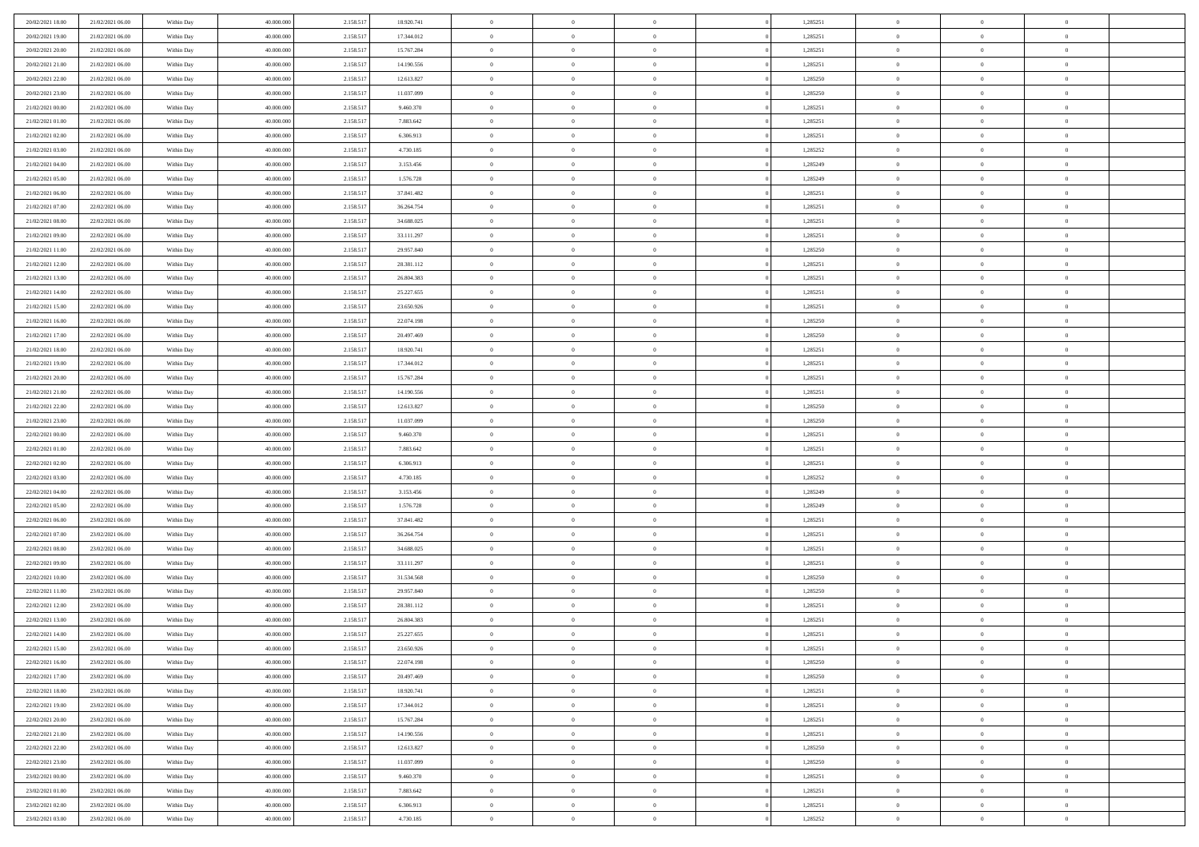| 20/02/2021 18:00                     | 21/02/2021 06:00                     | Within Day               | 40.000.000               | 2.158.517              | 18.920.741               | $\bf{0}$                 | $\overline{0}$                   | $\theta$                   |          | 1,285251             | $\bf{0}$                 | $\overline{0}$                   | $\,0\,$                          |  |
|--------------------------------------|--------------------------------------|--------------------------|--------------------------|------------------------|--------------------------|--------------------------|----------------------------------|----------------------------|----------|----------------------|--------------------------|----------------------------------|----------------------------------|--|
| 20/02/2021 19:00                     | 21/02/2021 06:00                     | Within Day               | 40,000,000               | 2.158.517              | 17.344.012               | $\overline{0}$           | $\overline{0}$                   | $\overline{0}$             |          | 1,285251             | $\theta$                 | $\overline{0}$                   | $\theta$                         |  |
| 20/02/2021 20:00                     | 21/02/2021 06:00                     | Within Dav               | 40.000.000               | 2.158.517              | 15.767.284               | $\mathbf{0}$             | $\overline{0}$                   | $\overline{0}$             |          | 1,285251             | $\mathbf{0}$             | $\overline{0}$                   | $\overline{0}$                   |  |
| 20/02/2021 21:00                     | 21/02/2021 06:00                     | Within Day               | 40.000.000               | 2.158.517              | 14.190.556               | $\bf{0}$                 | $\overline{0}$                   | $\overline{0}$             |          | 1,285251             | $\bf{0}$                 | $\overline{0}$                   | $\bf{0}$                         |  |
| 20/02/2021 22:00                     | 21/02/2021 06:00                     | Within Day               | 40,000,000               | 2.158.517              | 12.613.827               | $\bf{0}$                 | $\overline{0}$                   | $\overline{0}$             |          | 1,285250             | $\bf{0}$                 | $\bf{0}$                         | $\,0\,$                          |  |
| 20/02/2021 23:00                     | 21/02/2021 06:00                     | Within Dav               | 40.000.000               | 2.158.517              | 11.037.099               | $\mathbf{0}$             | $\overline{0}$                   | $\overline{0}$             |          | 1,285250             | $\mathbf{0}$             | $\overline{0}$                   | $\overline{0}$                   |  |
| 21/02/2021 00:00                     | 21/02/2021 06:00                     | Within Day               | 40.000.000               | 2.158.517              | 9.460.370                | $\bf{0}$                 | $\overline{0}$                   | $\overline{0}$             |          | 1,285251             | $\bf{0}$                 | $\overline{0}$                   | $\,0\,$                          |  |
| 21/02/2021 01:00                     | 21/02/2021 06:00                     | Within Day               | 40,000,000               | 2.158.517              | 7.883.642                | $\overline{0}$           | $\overline{0}$                   | $\overline{0}$             |          | 1,285251             | $\,$ 0 $\,$              | $\overline{0}$                   | $\theta$                         |  |
| 21/02/2021 02:00                     | 21/02/2021 06:00                     | Within Dav               | 40.000.000               | 2.158.517              | 6.306.913                | $\mathbf{0}$             | $\overline{0}$                   | $\overline{0}$             |          | 1,285251             | $\mathbf{0}$             | $\overline{0}$                   | $\overline{0}$                   |  |
| 21/02/2021 03:00                     | 21/02/2021 06:00                     | Within Day               | 40.000.000               | 2.158.517              | 4.730.185                | $\bf{0}$                 | $\overline{0}$                   | $\overline{0}$             |          | 1,285252             | $\bf{0}$                 | $\overline{0}$                   | $\,0\,$                          |  |
| 21/02/2021 04:00                     | 21/02/2021 06:00                     | Within Day               | 40,000,000               | 2.158.517              | 3.153.456                | $\bf{0}$                 | $\overline{0}$                   | $\overline{0}$             |          | 1,285249             | $\bf{0}$                 | $\overline{0}$                   | $\theta$                         |  |
| 21/02/2021 05:00                     | 21/02/2021 06:00                     | Within Dav               | 40.000.000               | 2.158.517              | 1.576.728                | $\mathbf{0}$             | $\overline{0}$                   | $\overline{0}$             |          | 1,285249             | $\mathbf{0}$             | $\overline{0}$                   | $\overline{0}$                   |  |
| 21/02/2021 06:00                     | 22/02/2021 06:00                     | Within Day               | 40.000.000               | 2.158.517              | 37.841.482               | $\bf{0}$                 | $\overline{0}$                   | $\bf{0}$                   |          | 1,285251             | $\bf{0}$                 | $\overline{0}$                   | $\bf{0}$                         |  |
| 21/02/2021 07:00                     | 22/02/2021 06:00                     | Within Day               | 40.000.000               | 2.158.517              | 36.264.754               | $\bf{0}$                 | $\overline{0}$                   | $\overline{0}$             |          | 1,285251             | $\bf{0}$                 | $\overline{0}$                   | $\,0\,$                          |  |
| 21/02/2021 08:00                     | 22/02/2021 06:00                     | Within Dav               | 40.000.000               | 2.158.517              | 34.688.025               | $\overline{0}$           | $\overline{0}$                   | $\overline{0}$             |          | 1,285251             | $\mathbf{0}$             | $\overline{0}$                   | $\overline{0}$                   |  |
| 21/02/2021 09:00                     | 22/02/2021 06:00                     | Within Day               | 40.000.000               | 2.158.517              | 33.111.297               | $\bf{0}$                 | $\bf{0}$                         | $\overline{0}$             |          | 1,285251             | $\bf{0}$                 | $\overline{0}$                   | $\bf{0}$                         |  |
| 21/02/2021 11:00                     | 22/02/2021 06:00                     | Within Day               | 40,000,000               | 2.158.517              | 29.957.840               | $\bf{0}$                 | $\overline{0}$                   | $\overline{0}$             |          | 1,285250             | $\bf{0}$                 | $\overline{0}$                   | $\theta$                         |  |
| 21/02/2021 12:00                     | 22/02/2021 06:00                     | Within Day               | 40.000.000               | 2.158.517              | 28.381.112               | $\mathbf{0}$             | $\overline{0}$                   | $\overline{0}$             |          | 1,285251             | $\mathbf{0}$             | $\overline{0}$                   | $\overline{0}$                   |  |
| 21/02/2021 13:00                     | 22/02/2021 06:00                     | Within Day               | 40.000.000               | 2.158.517              | 26.804.383               | $\bf{0}$                 | $\bf{0}$                         | $\overline{0}$             |          | 1,285251             | $\bf{0}$                 | $\overline{0}$                   | $\,0\,$                          |  |
| 21/02/2021 14:00                     | 22/02/2021 06:00                     | Within Day               | 40,000,000               | 2.158.517              | 25.227.655               | $\bf{0}$                 | $\overline{0}$                   | $\overline{0}$             |          | 1,285251             | $\bf{0}$                 | $\overline{0}$                   | $\overline{0}$                   |  |
| 21/02/2021 15:00                     | 22/02/2021 06:00                     | Within Dav               | 40.000.000               | 2.158.517              | 23.650.926               | $\mathbf{0}$             | $\overline{0}$                   | $\overline{0}$             |          | 1,285251             | $\mathbf{0}$             | $\overline{0}$                   | $\overline{0}$                   |  |
| 21/02/2021 16:00                     | 22/02/2021 06:00                     | Within Day               | 40.000.000               | 2.158.517              | 22.074.198               | $\bf{0}$                 | $\overline{0}$                   | $\overline{0}$             |          | 1,285250             | $\bf{0}$                 | $\overline{0}$                   | $\bf{0}$                         |  |
| 21/02/2021 17:00                     | 22/02/2021 06:00                     | Within Day               | 40,000,000               | 2.158.517              | 20.497.469               | $\bf{0}$                 | $\bf{0}$                         | $\overline{0}$             |          | 1,285250             | $\,$ 0 $\,$              | $\overline{0}$                   | $\bf{0}$                         |  |
| 21/02/2021 18:00                     | 22/02/2021 06:00                     | Within Dav               | 40.000.000               | 2.158.517              | 18.920.741               | $\mathbf{0}$             | $\overline{0}$                   | $\overline{0}$             |          | 1,285251             | $\mathbf{0}$             | $\overline{0}$                   | $\overline{0}$                   |  |
| 21/02/2021 19:00                     | 22/02/2021 06:00                     | Within Day               | 40.000.000               | 2.158.517              | 17.344.012               | $\bf{0}$                 | $\bf{0}$                         | $\overline{0}$             |          | 1,285251             | $\bf{0}$                 | $\overline{0}$                   | $\bf{0}$                         |  |
| 21/02/2021 20:00                     | 22/02/2021 06:00                     | Within Day               | 40,000,000               | 2.158.517              | 15.767.284               | $\bf{0}$                 | $\overline{0}$                   | $\overline{0}$             |          | 1,285251             | $\bf{0}$                 | $\mathbf{0}$                     | $\overline{0}$                   |  |
| 21/02/2021 21:00                     | 22/02/2021 06:00                     | Within Dav               | 40.000.000               | 2.158.517              | 14.190.556               | $\overline{0}$           | $\overline{0}$                   | $\overline{0}$             |          | 1,285251             | $\mathbf{0}$             | $\overline{0}$                   | $\overline{0}$                   |  |
| 21/02/2021 22:00                     | 22/02/2021 06:00                     | Within Day               | 40.000.000               | 2.158.517              | 12.613.827               | $\bf{0}$                 | $\bf{0}$                         | $\overline{0}$             |          | 1,285250             | $\bf{0}$                 | $\overline{0}$                   | $\,0\,$                          |  |
| 21/02/2021 23:00                     | 22/02/2021 06:00                     | Within Day               | 40,000,000               | 2.158.517              | 11.037.099               | $\bf{0}$                 | $\bf{0}$                         | $\overline{0}$             |          | 1,285250             | $\bf{0}$                 | $\overline{0}$                   | $\overline{0}$                   |  |
| 22/02/2021 00:00                     | 22/02/2021 06:00                     | Within Dav               | 40.000.000               | 2.158.517              | 9.460.370                | $\mathbf{0}$             | $\overline{0}$                   | $\overline{0}$             |          | 1,285251             | $\mathbf{0}$             | $\overline{0}$                   | $\overline{0}$                   |  |
| 22/02/2021 01:00                     | 22/02/2021 06:00                     | Within Day               | 40.000.000               | 2.158.517              | 7.883.642                | $\bf{0}$                 | $\overline{0}$                   | $\theta$                   |          | 1,285251             | $\,$ 0                   | $\overline{0}$                   | $\theta$                         |  |
| 22/02/2021 02:00                     | 22/02/2021 06:00                     | Within Day               | 40.000.000               | 2.158.517              | 6.306.913                | $\bf{0}$                 | $\bf{0}$                         | $\overline{0}$             |          | 1,285251             | $\bf{0}$                 | $\overline{0}$                   | $\overline{0}$                   |  |
| 22/02/2021 03:00                     | 22/02/2021 06:00                     | Within Dav               | 40.000.000               | 2.158.517              | 4.730.185                | $\mathbf{0}$             | $\overline{0}$                   | $\overline{0}$             |          | 1,285252             | $\mathbf{0}$             | $\overline{0}$                   | $\overline{0}$                   |  |
| 22/02/2021 04:00                     | 22/02/2021 06:00                     | Within Day               | 40.000.000               | 2.158.517              | 3.153.456                | $\bf{0}$                 | $\overline{0}$                   | $\theta$                   |          | 1,285249             | $\,$ 0                   | $\overline{0}$                   | $\theta$                         |  |
| 22/02/2021 05:00                     | 22/02/2021 06:00                     | Within Day               | 40,000,000               | 2.158.517              | 1.576.728                | $\bf{0}$                 | $\overline{0}$                   | $\overline{0}$             |          | 1,285249             | $\bf{0}$                 | $\overline{0}$                   | $\overline{0}$                   |  |
| 22/02/2021 06:00                     | 23/02/2021 06:00                     | Within Day               | 40.000.000               | 2.158.517              | 37.841.482               | $\mathbf{0}$             | $\overline{0}$                   | $\overline{0}$             |          | 1,285251             | $\mathbf{0}$             | $\overline{0}$                   | $\overline{0}$                   |  |
| 22/02/2021 07:00                     | 23/02/2021 06:00                     | Within Day               | 40.000.000               | 2.158.517              | 36.264.754               | $\bf{0}$                 | $\overline{0}$                   | $\theta$                   |          | 1,285251             | $\,$ 0                   | $\overline{0}$                   | $\theta$                         |  |
| 22/02/2021 08:00<br>22/02/2021 09:00 | 23/02/2021 06:00<br>23/02/2021 06:00 | Within Day               | 40,000,000               | 2.158.517              | 34.688.025               | $\bf{0}$<br>$\mathbf{0}$ | $\overline{0}$                   | $\overline{0}$             |          | 1,285251             | $\bf{0}$<br>$\mathbf{0}$ | $\overline{0}$                   | $\overline{0}$<br>$\overline{0}$ |  |
|                                      |                                      | Within Dav               | 40.000.000               | 2.158.517              | 33.111.297               |                          | $\overline{0}$                   | $\overline{0}$             |          | 1,285251             |                          | $\overline{0}$                   |                                  |  |
| 22/02/2021 10:00<br>22/02/2021 11:00 | 23/02/2021 06:00<br>23/02/2021 06:00 | Within Day               | 40.000.000<br>40,000,000 | 2.158.517<br>2.158.517 | 31.534.568<br>29.957.840 | $\,0\,$<br>$\bf{0}$      | $\overline{0}$<br>$\overline{0}$ | $\theta$<br>$\overline{0}$ |          | 1,285250<br>1,285250 | $\,$ 0<br>$\bf{0}$       | $\overline{0}$<br>$\overline{0}$ | $\theta$<br>$\overline{0}$       |  |
| 22/02/2021 12:00                     | 23/02/2021 06:00                     | Within Day<br>Within Dav | 40.000.000               | 2.158.517              | 28.381.112               | $\mathbf{0}$             | $\overline{0}$                   | $\overline{0}$             |          | 1,285251             | $\mathbf{0}$             | $\overline{0}$                   | $\overline{0}$                   |  |
| 22/02/2021 13:00                     | 23/02/2021 06:00                     | Within Day               | 40.000.000               | 2.158.517              | 26.804.383               | $\bf{0}$                 | $\overline{0}$                   | $\theta$                   |          | 1,285251             | $\,$ 0                   | $\overline{0}$                   | $\theta$                         |  |
| 22/02/2021 14:00                     | 23/02/2021 06:00                     | Within Day               | 40,000,000               | 2.158.517              | 25.227.655               | $\bf{0}$                 | $\overline{0}$                   | $\overline{0}$             |          | 1,285251             | $\,$ 0 $\,$              | $\overline{0}$                   | $\overline{0}$                   |  |
| 22/02/2021 15:00                     | 23/02/2021 06:00                     | Within Day               | 40.000.000               | 2.158.517              | 23.650.926               | $\bf{0}$                 | $\overline{0}$                   |                            |          | 1,285251             | $\overline{0}$           | $\theta$                         | $\theta$                         |  |
| 22/02/2021 16:00                     | 23/02/2021 06:00                     | Within Day               | 40.000.000               | 2.158.517              | 22.074.198               | $\,0\,$                  | $\overline{0}$                   | $\theta$                   |          | 1,285250             | $\,$ 0 $\,$              | $\bf{0}$                         | $\theta$                         |  |
| 22/02/2021 17:00                     | 23/02/2021 06:00                     | Within Day               | 40,000,000               | 2.158.517              | 20.497.469               | $\overline{0}$           | $\overline{0}$                   | $\overline{0}$             |          | 1,285250             | $\overline{0}$           | $\overline{0}$                   | $\overline{0}$                   |  |
| 22/02/2021 18:00                     | 23/02/2021 06:00                     | Within Day               | 40.000.000               | 2.158.517              | 18.920.741               | $\bf{0}$                 | $\overline{0}$                   | $\overline{0}$             |          | 1,285251             | $\overline{0}$           | $\bf{0}$                         | $\mathbf{0}$                     |  |
| 22/02/2021 19:00                     | 23/02/2021 06:00                     | Within Day               | 40.000.000               | 2.158.517              | 17.344.012               | $\bf{0}$                 | $\overline{0}$                   | $\overline{0}$             | $\theta$ | 1,285251             | $\mathbf{0}$             | $\bf{0}$                         | $\,$ 0 $\,$                      |  |
| 22/02/2021 20:00                     | 23/02/2021 06:00                     | Within Day               | 40,000,000               | 2.158.517              | 15.767.284               | $\bf{0}$                 | $\overline{0}$                   | $\overline{0}$             |          | 1,285251             | $\,$ 0 $\,$              | $\overline{0}$                   | $\overline{0}$                   |  |
| 22/02/2021 21:00                     | 23/02/2021 06:00                     | Within Day               | 40.000.000               | 2.158.517              | 14.190.556               | $\bf{0}$                 | $\overline{0}$                   | $\overline{0}$             |          | 1,285251             | $\mathbf{0}$             | $\overline{0}$                   | $\overline{0}$                   |  |
| 22/02/2021 22:00                     | 23/02/2021 06:00                     | Within Day               | 40.000.000               | 2.158.517              | 12.613.827               | $\,$ 0 $\,$              | $\overline{0}$                   | $\overline{0}$             | $\theta$ | 1,285250             | $\,$ 0 $\,$              | $\overline{0}$                   | $\,$ 0 $\,$                      |  |
| 22/02/2021 23:00                     | 23/02/2021 06:00                     | Within Day               | 40.000.000               | 2.158.517              | 11.037.099               | $\bf{0}$                 | $\overline{0}$                   | $\overline{0}$             |          | 1,285250             | $\overline{0}$           | $\overline{0}$                   | $\overline{0}$                   |  |
| 23/02/2021 00:00                     | 23/02/2021 06:00                     | Within Day               | 40.000.000               | 2.158.517              | 9.460.370                | $\bf{0}$                 | $\overline{0}$                   | $\overline{0}$             |          | 1,285251             | $\mathbf{0}$             | $\bf{0}$                         | $\overline{0}$                   |  |
| 23/02/2021 01:00                     | 23/02/2021 06:00                     | Within Day               | 40.000.000               | 2.158.517              | 7.883.642                | $\,0\,$                  | $\overline{0}$                   | $\overline{0}$             |          | 1,285251             | $\,$ 0 $\,$              | $\overline{0}$                   | $\,$ 0 $\,$                      |  |
| 23/02/2021 02:00                     | 23/02/2021 06:00                     | Within Day               | 40,000,000               | 2.158.517              | 6.306.913                | $\bf{0}$                 | $\overline{0}$                   | $\overline{0}$             |          | 1,285251             | $\bf{0}$                 | $\mathbf{0}$                     | $\overline{0}$                   |  |
| 23/02/2021 03:00                     | 23/02/2021 06:00                     | Within Day               | 40.000.000               | 2.158.517              | 4.730.185                | $\bf{0}$                 | $\overline{0}$                   | $\overline{0}$             |          | 1,285252             | $\mathbf{0}$             | $\overline{0}$                   | $\overline{0}$                   |  |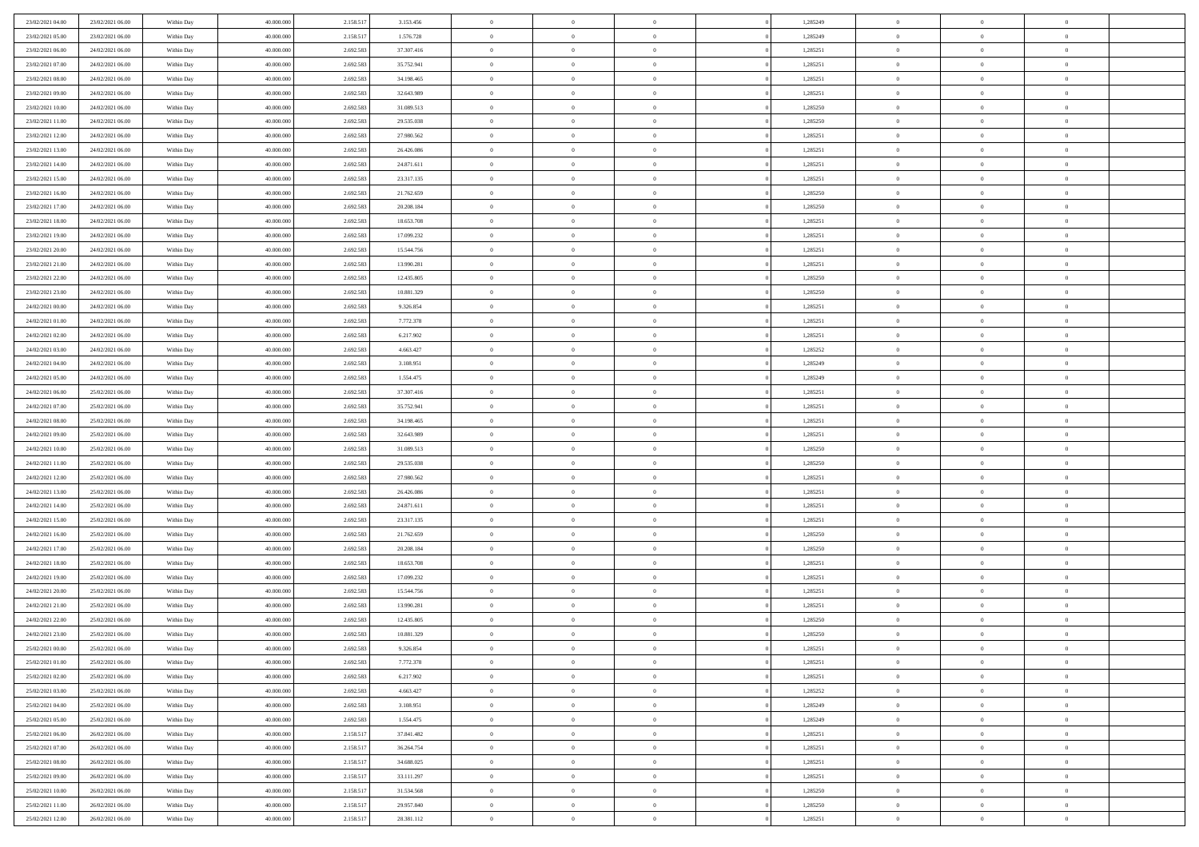| 23/02/2021 04:00 | 23/02/2021 06:00 | Within Day | 40.000.000 | 2.158.517 | 3.153.456  | $\bf{0}$       | $\bf{0}$       | $\theta$       |          | 1,285249 | $\bf{0}$       | $\overline{0}$ | $\,0\,$        |  |
|------------------|------------------|------------|------------|-----------|------------|----------------|----------------|----------------|----------|----------|----------------|----------------|----------------|--|
| 23/02/2021 05:00 | 23/02/2021 06:00 | Within Day | 40,000,000 | 2.158.517 | 1.576.728  | $\overline{0}$ | $\overline{0}$ | $\overline{0}$ |          | 1,285249 | $\theta$       | $\overline{0}$ | $\theta$       |  |
| 23/02/2021 06:00 | 24/02/2021 06:00 | Within Dav | 40.000.000 | 2.692.583 | 37.307.416 | $\mathbf{0}$   | $\overline{0}$ | $\overline{0}$ |          | 1,285251 | $\mathbf{0}$   | $\overline{0}$ | $\overline{0}$ |  |
| 23/02/2021 07:00 | 24/02/2021 06:00 | Within Day | 40.000.000 | 2.692.583 | 35.752.941 | $\bf{0}$       | $\overline{0}$ | $\overline{0}$ |          | 1,285251 | $\bf{0}$       | $\overline{0}$ | $\bf{0}$       |  |
| 23/02/2021 08:00 | 24/02/2021 06:00 | Within Day | 40,000,000 | 2.692.583 | 34.198.465 | $\bf{0}$       | $\bf{0}$       | $\overline{0}$ |          | 1,285251 | $\bf{0}$       | $\bf{0}$       | $\,0\,$        |  |
| 23/02/2021 09:00 | 24/02/2021 06:00 | Within Dav | 40.000.000 | 2.692.583 | 32.643.989 | $\overline{0}$ | $\overline{0}$ | $\overline{0}$ |          | 1,285251 | $\mathbf{0}$   | $\overline{0}$ | $\overline{0}$ |  |
| 23/02/2021 10:00 | 24/02/2021 06:00 | Within Day | 40.000.000 | 2.692.583 | 31.089.513 | $\bf{0}$       | $\bf{0}$       | $\overline{0}$ |          | 1,285250 | $\bf{0}$       | $\overline{0}$ | $\,0\,$        |  |
| 23/02/2021 11:00 | 24/02/2021 06:00 | Within Day | 40,000,000 | 2.692.583 | 29.535.038 | $\overline{0}$ | $\overline{0}$ | $\overline{0}$ |          | 1,285250 | $\,$ 0 $\,$    | $\overline{0}$ | $\theta$       |  |
| 23/02/2021 12:00 | 24/02/2021 06:00 | Within Dav | 40.000.000 | 2.692.583 | 27.980.562 | $\mathbf{0}$   | $\overline{0}$ | $\overline{0}$ |          | 1,285251 | $\mathbf{0}$   | $\overline{0}$ | $\overline{0}$ |  |
| 23/02/2021 13:00 | 24/02/2021 06:00 | Within Day | 40.000.000 | 2.692.583 | 26.426.086 | $\bf{0}$       | $\bf{0}$       | $\overline{0}$ |          | 1,285251 | $\bf{0}$       | $\overline{0}$ | $\,0\,$        |  |
| 23/02/2021 14:00 | 24/02/2021 06:00 | Within Day | 40,000,000 | 2.692.583 | 24.871.611 | $\bf{0}$       | $\overline{0}$ | $\overline{0}$ |          | 1,285251 | $\bf{0}$       | $\overline{0}$ | $\theta$       |  |
| 23/02/2021 15:00 | 24/02/2021 06:00 | Within Dav | 40.000.000 | 2.692.583 | 23.317.135 | $\mathbf{0}$   | $\overline{0}$ | $\overline{0}$ |          | 1,285251 | $\mathbf{0}$   | $\overline{0}$ | $\overline{0}$ |  |
| 23/02/2021 16:00 | 24/02/2021 06:00 | Within Day | 40.000.000 | 2.692.583 | 21.762.659 | $\bf{0}$       | $\overline{0}$ | $\bf{0}$       |          | 1,285250 | $\bf{0}$       | $\overline{0}$ | $\bf{0}$       |  |
| 23/02/2021 17:00 | 24/02/2021 06:00 | Within Day | 40.000.000 | 2.692.583 | 20.208.184 | $\bf{0}$       | $\overline{0}$ | $\overline{0}$ |          | 1,285250 | $\bf{0}$       | $\overline{0}$ | $\,0\,$        |  |
| 23/02/2021 18:00 | 24/02/2021 06:00 | Within Dav | 40.000.000 | 2.692.583 | 18.653.708 | $\overline{0}$ | $\overline{0}$ | $\overline{0}$ |          | 1,285251 | $\mathbf{0}$   | $\overline{0}$ | $\overline{0}$ |  |
| 23/02/2021 19:00 | 24/02/2021 06:00 | Within Day | 40.000.000 | 2.692.583 | 17.099.232 | $\bf{0}$       | $\bf{0}$       | $\overline{0}$ |          | 1,285251 | $\bf{0}$       | $\overline{0}$ | $\bf{0}$       |  |
| 23/02/2021 20:00 | 24/02/2021 06:00 | Within Day | 40,000,000 | 2.692.583 | 15.544.756 | $\bf{0}$       | $\overline{0}$ | $\overline{0}$ |          | 1,285251 | $\bf{0}$       | $\overline{0}$ | $\theta$       |  |
| 23/02/2021 21:00 | 24/02/2021 06:00 | Within Day | 40.000.000 | 2.692.583 | 13.990.281 | $\mathbf{0}$   | $\overline{0}$ | $\overline{0}$ |          | 1,285251 | $\mathbf{0}$   | $\overline{0}$ | $\overline{0}$ |  |
| 23/02/2021 22:00 | 24/02/2021 06:00 | Within Day | 40.000.000 | 2.692.583 | 12.435.805 | $\bf{0}$       | $\bf{0}$       | $\overline{0}$ |          | 1,285250 | $\bf{0}$       | $\overline{0}$ | $\,0\,$        |  |
| 23/02/2021 23:00 | 24/02/2021 06:00 | Within Day | 40,000,000 | 2.692.583 | 10.881.329 | $\bf{0}$       | $\overline{0}$ | $\overline{0}$ |          | 1,285250 | $\bf{0}$       | $\overline{0}$ | $\overline{0}$ |  |
| 24/02/2021 00:00 | 24/02/2021 06:00 | Within Dav | 40.000.000 | 2.692.583 | 9.326.854  | $\mathbf{0}$   | $\overline{0}$ | $\overline{0}$ |          | 1,285251 | $\mathbf{0}$   | $\overline{0}$ | $\overline{0}$ |  |
| 24/02/2021 01:00 | 24/02/2021 06:00 | Within Day | 40.000.000 | 2.692.583 | 7.772.378  | $\bf{0}$       | $\overline{0}$ | $\overline{0}$ |          | 1,285251 | $\bf{0}$       | $\overline{0}$ | $\bf{0}$       |  |
| 24/02/2021 02:00 | 24/02/2021 06:00 | Within Day | 40,000,000 | 2.692.583 | 6.217.902  | $\bf{0}$       | $\bf{0}$       | $\overline{0}$ |          | 1,285251 | $\bf{0}$       | $\overline{0}$ | $\,0\,$        |  |
| 24/02/2021 03:00 | 24/02/2021 06:00 | Within Dav | 40.000.000 | 2.692.583 | 4.663.427  | $\mathbf{0}$   | $\overline{0}$ | $\overline{0}$ |          | 1,285252 | $\mathbf{0}$   | $\overline{0}$ | $\overline{0}$ |  |
| 24/02/2021 04:00 | 24/02/2021 06:00 | Within Day | 40.000.000 | 2.692.583 | 3.108.951  | $\bf{0}$       | $\bf{0}$       | $\overline{0}$ |          | 1,285249 | $\bf{0}$       | $\overline{0}$ | $\bf{0}$       |  |
| 24/02/2021 05:00 | 24/02/2021 06:00 | Within Day | 40,000,000 | 2.692.583 | 1.554.475  | $\bf{0}$       | $\overline{0}$ | $\overline{0}$ |          | 1,285249 | $\bf{0}$       | $\mathbf{0}$   | $\overline{0}$ |  |
| 24/02/2021 06:00 | 25/02/2021 06:00 | Within Dav | 40.000.000 | 2.692.583 | 37.307.416 | $\mathbf{0}$   | $\overline{0}$ | $\overline{0}$ |          | 1,285251 | $\mathbf{0}$   | $\overline{0}$ | $\overline{0}$ |  |
| 24/02/2021 07:00 | 25/02/2021 06:00 | Within Day | 40.000.000 | 2.692.583 | 35.752.941 | $\bf{0}$       | $\overline{0}$ | $\overline{0}$ |          | 1,285251 | $\bf{0}$       | $\overline{0}$ | $\,0\,$        |  |
| 24/02/2021 08:00 | 25/02/2021 06:00 | Within Day | 40,000,000 | 2.692.583 | 34.198.465 | $\bf{0}$       | $\overline{0}$ | $\overline{0}$ |          | 1,285251 | $\bf{0}$       | $\overline{0}$ | $\overline{0}$ |  |
| 24/02/2021 09:00 | 25/02/2021 06:00 | Within Dav | 40.000.000 | 2.692.583 | 32.643.989 | $\mathbf{0}$   | $\overline{0}$ | $\overline{0}$ |          | 1,285251 | $\mathbf{0}$   | $\overline{0}$ | $\overline{0}$ |  |
| 24/02/2021 10:00 | 25/02/2021 06:00 | Within Day | 40.000.000 | 2.692.583 | 31.089.513 | $\bf{0}$       | $\overline{0}$ | $\theta$       |          | 1,285250 | $\,$ 0         | $\overline{0}$ | $\theta$       |  |
| 24/02/2021 11:00 | 25/02/2021 06:00 | Within Day | 40.000.000 | 2.692.583 | 29.535.038 | $\bf{0}$       | $\overline{0}$ | $\overline{0}$ |          | 1,285250 | $\bf{0}$       | $\overline{0}$ | $\overline{0}$ |  |
| 24/02/2021 12:00 | 25/02/2021 06:00 | Within Dav | 40.000.000 | 2.692.583 | 27.980.562 | $\mathbf{0}$   | $\overline{0}$ | $\overline{0}$ |          | 1,285251 | $\mathbf{0}$   | $\overline{0}$ | $\overline{0}$ |  |
| 24/02/2021 13:00 | 25/02/2021 06:00 | Within Day | 40.000.000 | 2.692.583 | 26.426.086 | $\bf{0}$       | $\overline{0}$ | $\theta$       |          | 1,285251 | $\,$ 0         | $\overline{0}$ | $\theta$       |  |
| 24/02/2021 14:00 | 25/02/2021 06:00 | Within Day | 40,000,000 | 2.692.583 | 24.871.611 | $\bf{0}$       | $\overline{0}$ | $\overline{0}$ |          | 1,285251 | $\bf{0}$       | $\overline{0}$ | $\overline{0}$ |  |
| 24/02/2021 15:00 | 25/02/2021 06:00 | Within Day | 40.000.000 | 2.692.583 | 23.317.135 | $\mathbf{0}$   | $\overline{0}$ | $\overline{0}$ |          | 1,285251 | $\mathbf{0}$   | $\overline{0}$ | $\overline{0}$ |  |
| 24/02/2021 16:00 | 25/02/2021 06:00 | Within Day | 40.000.000 | 2.692.583 | 21.762.659 | $\bf{0}$       | $\overline{0}$ | $\theta$       |          | 1,285250 | $\,$ 0         | $\overline{0}$ | $\theta$       |  |
| 24/02/2021 17:00 | 25/02/2021 06:00 | Within Day | 40,000,000 | 2.692.583 | 20.208.184 | $\bf{0}$       | $\overline{0}$ | $\overline{0}$ |          | 1,285250 | $\bf{0}$       | $\overline{0}$ | $\overline{0}$ |  |
| 24/02/2021 18:00 | 25/02/2021 06:00 | Within Dav | 40.000.000 | 2.692.583 | 18.653.708 | $\mathbf{0}$   | $\overline{0}$ | $\overline{0}$ |          | 1,285251 | $\mathbf{0}$   | $\overline{0}$ | $\overline{0}$ |  |
| 24/02/2021 19:00 | 25/02/2021 06:00 | Within Day | 40.000.000 | 2.692.583 | 17.099.232 | $\,0\,$        | $\overline{0}$ | $\theta$       |          | 1,285251 | $\,$ 0         | $\overline{0}$ | $\theta$       |  |
| 24/02/2021 20:00 | 25/02/2021 06:00 | Within Day | 40,000,000 | 2.692.583 | 15.544.756 | $\bf{0}$       | $\overline{0}$ | $\overline{0}$ |          | 1,285251 | $\bf{0}$       | $\overline{0}$ | $\overline{0}$ |  |
| 24/02/2021 21:00 | 25/02/2021 06:00 | Within Dav | 40.000.000 | 2.692.583 | 13.990.281 | $\mathbf{0}$   | $\overline{0}$ | $\overline{0}$ |          | 1,285251 | $\mathbf{0}$   | $\overline{0}$ | $\overline{0}$ |  |
| 24/02/2021 22:00 | 25/02/2021 06:00 | Within Day | 40.000.000 | 2.692.583 | 12.435.805 | $\bf{0}$       | $\overline{0}$ | $\theta$       |          | 1,285250 | $\,$ 0         | $\overline{0}$ | $\theta$       |  |
| 24/02/2021 23.00 | 25/02/2021 06:00 | Within Day | 40,000,000 | 2.692.583 | 10.881.329 | $\bf{0}$       | $\overline{0}$ | $\overline{0}$ |          | 1,285250 | $\,$ 0 $\,$    | $\overline{0}$ | $\overline{0}$ |  |
| 25/02/2021 00:00 | 25/02/2021 06:00 | Within Day | 40.000.000 | 2.692.583 | 9.326.854  | $\bf{0}$       | $\overline{0}$ |                |          | 1,285251 | $\overline{0}$ | $\theta$       | $\theta$       |  |
| 25/02/2021 01:00 | 25/02/2021 06:00 | Within Day | 40.000.000 | 2.692.583 | 7.772.378  | $\,0\,$        | $\overline{0}$ | $\theta$       |          | 1,285251 | $\,$ 0 $\,$    | $\bf{0}$       | $\theta$       |  |
| 25/02/2021 02:00 | 25/02/2021 06:00 | Within Day | 40,000,000 | 2.692.583 | 6.217.902  | $\overline{0}$ | $\overline{0}$ | $\overline{0}$ |          | 1,285251 | $\overline{0}$ | $\overline{0}$ | $\overline{0}$ |  |
| 25/02/2021 03:00 | 25/02/2021 06:00 | Within Day | 40.000.000 | 2.692.583 | 4.663.427  | $\bf{0}$       | $\overline{0}$ | $\overline{0}$ |          | 1,285252 | $\overline{0}$ | $\bf{0}$       | $\mathbf{0}$   |  |
| 25/02/2021 04:00 | 25/02/2021 06:00 | Within Day | 40.000.000 | 2.692.583 | 3.108.951  | $\bf{0}$       | $\overline{0}$ | $\overline{0}$ | $\theta$ | 1,285249 | $\mathbf{0}$   | $\bf{0}$       | $\,$ 0 $\,$    |  |
| 25/02/2021 05:00 | 25/02/2021 06:00 | Within Day | 40,000,000 | 2.692.583 | 1.554.475  | $\bf{0}$       | $\overline{0}$ | $\overline{0}$ |          | 1,285249 | $\,$ 0 $\,$    | $\overline{0}$ | $\overline{0}$ |  |
| 25/02/2021 06:00 | 26/02/2021 06:00 | Within Day | 40.000.000 | 2.158.517 | 37.841.482 | $\bf{0}$       | $\overline{0}$ | $\overline{0}$ |          | 1,285251 | $\mathbf{0}$   | $\overline{0}$ | $\overline{0}$ |  |
| 25/02/2021 07:00 | 26/02/2021 06:00 | Within Day | 40.000.000 | 2.158.517 | 36.264.754 | $\,$ 0 $\,$    | $\overline{0}$ | $\overline{0}$ | $\theta$ | 1,285251 | $\,$ 0 $\,$    | $\mathbf{0}$   | $\,$ 0 $\,$    |  |
| 25/02/2021 08:00 | 26/02/2021 06:00 | Within Day | 40,000,000 | 2.158.517 | 34.688.025 | $\bf{0}$       | $\overline{0}$ | $\overline{0}$ |          | 1,285251 | $\overline{0}$ | $\overline{0}$ | $\overline{0}$ |  |
| 25/02/2021 09:00 | 26/02/2021 06:00 | Within Day | 40.000.000 | 2.158.517 | 33.111.297 | $\bf{0}$       | $\overline{0}$ | $\overline{0}$ |          | 1,285251 | $\mathbf{0}$   | $\bf{0}$       | $\overline{0}$ |  |
| 25/02/2021 10:00 | 26/02/2021 06:00 | Within Day | 40.000.000 | 2.158.517 | 31.534.568 | $\,0\,$        | $\overline{0}$ | $\overline{0}$ |          | 1,285250 | $\,$ 0 $\,$    | $\mathbf{0}$   | $\,$ 0 $\,$    |  |
| 25/02/2021 11:00 | 26/02/2021 06:00 | Within Day | 40.000.000 | 2.158.517 | 29.957.840 | $\bf{0}$       | $\bf{0}$       | $\overline{0}$ |          | 1,285250 | $\mathbf{0}$   | $\mathbf{0}$   | $\overline{0}$ |  |
| 25/02/2021 12:00 | 26/02/2021 06:00 | Within Day | 40.000.000 | 2.158.517 | 28.381.112 | $\bf{0}$       | $\overline{0}$ | $\overline{0}$ |          | 1,285251 | $\mathbf{0}$   | $\overline{0}$ | $\overline{0}$ |  |
|                  |                  |            |            |           |            |                |                |                |          |          |                |                |                |  |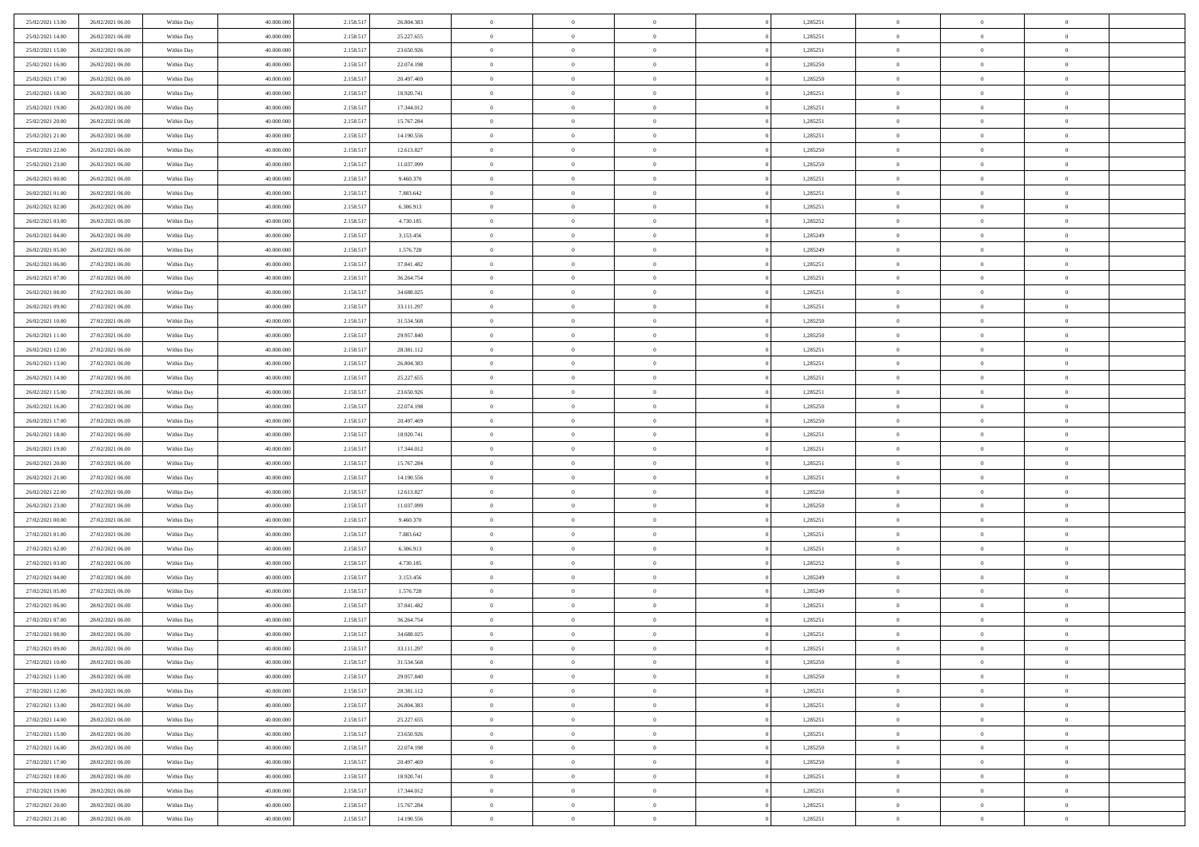| 25/02/2021 13:00                     | 26/02/2021 06:00                     | Within Day               | 40.000.000               | 2.158.517              | 26.804.383               | $\,$ 0               | $\bf{0}$                         | $\theta$                         |          | 1,285251             | $\bf{0}$              | $\overline{0}$                   | $\,0\,$                    |  |
|--------------------------------------|--------------------------------------|--------------------------|--------------------------|------------------------|--------------------------|----------------------|----------------------------------|----------------------------------|----------|----------------------|-----------------------|----------------------------------|----------------------------|--|
| 25/02/2021 14:00                     | 26/02/2021 06:00                     | Within Day               | 40,000,000               | 2.158.517              | 25.227.655               | $\overline{0}$       | $\overline{0}$                   | $\overline{0}$                   |          | 1,285251             | $\theta$              | $\overline{0}$                   | $\theta$                   |  |
| 25/02/2021 15:00                     | 26/02/2021 06:00                     | Within Dav               | 40.000.000               | 2.158.517              | 23.650.926               | $\mathbf{0}$         | $\overline{0}$                   | $\overline{0}$                   |          | 1,285251             | $\mathbf{0}$          | $\overline{0}$                   | $\overline{0}$             |  |
| 25/02/2021 16:00                     | 26/02/2021 06:00                     | Within Day               | 40.000.000               | 2.158.517              | 22.074.198               | $\bf{0}$             | $\overline{0}$                   | $\overline{0}$                   |          | 1,285250             | $\bf{0}$              | $\overline{0}$                   | $\bf{0}$                   |  |
| 25/02/2021 17:00                     | 26/02/2021 06:00                     | Within Day               | 40,000,000               | 2.158.517              | 20.497.469               | $\bf{0}$             | $\bf{0}$                         | $\overline{0}$                   |          | 1,285250             | $\bf{0}$              | $\bf{0}$                         | $\,0\,$                    |  |
| 25/02/2021 18:00                     | 26/02/2021 06:00                     | Within Dav               | 40.000.000               | 2.158.517              | 18.920.741               | $\overline{0}$       | $\overline{0}$                   | $\overline{0}$                   |          | 1,285251             | $\mathbf{0}$          | $\overline{0}$                   | $\overline{0}$             |  |
| 25/02/2021 19:00                     | 26/02/2021 06:00                     | Within Day               | 40.000.000               | 2.158.517              | 17.344.012               | $\bf{0}$             | $\bf{0}$                         | $\overline{0}$                   |          | 1,285251             | $\bf{0}$              | $\overline{0}$                   | $\,0\,$                    |  |
| 25/02/2021 20:00                     | 26/02/2021 06:00                     | Within Day               | 40,000,000               | 2.158.517              | 15.767.284               | $\overline{0}$       | $\overline{0}$                   | $\overline{0}$                   |          | 1,285251             | $\,$ 0 $\,$           | $\overline{0}$                   | $\theta$                   |  |
| 25/02/2021 21:00                     | 26/02/2021 06:00                     | Within Dav               | 40.000.000               | 2.158.517              | 14.190.556               | $\mathbf{0}$         | $\overline{0}$                   | $\overline{0}$                   |          | 1,285251             | $\mathbf{0}$          | $\overline{0}$                   | $\overline{0}$             |  |
| 25/02/2021 22:00                     | 26/02/2021 06:00                     | Within Day               | 40.000.000               | 2.158.517              | 12.613.827               | $\bf{0}$             | $\bf{0}$                         | $\overline{0}$                   |          | 1,285250             | $\bf{0}$              | $\overline{0}$                   | $\,0\,$                    |  |
| 25/02/2021 23:00                     | 26/02/2021 06:00                     | Within Day               | 40,000,000               | 2.158.517              | 11.037.099               | $\bf{0}$             | $\overline{0}$                   | $\overline{0}$                   |          | 1,285250             | $\bf{0}$              | $\overline{0}$                   | $\theta$                   |  |
| 26/02/2021 00:00                     | 26/02/2021 06:00                     | Within Dav               | 40.000.000               | 2.158.517              | 9.460.370                | $\mathbf{0}$         | $\overline{0}$                   | $\overline{0}$                   |          | 1,285251             | $\mathbf{0}$          | $\overline{0}$                   | $\overline{0}$             |  |
| 26/02/2021 01:00                     | 26/02/2021 06:00                     | Within Day               | 40.000.000               | 2.158.517              | 7.883.642                | $\bf{0}$             | $\overline{0}$                   | $\bf{0}$                         |          | 1,285251             | $\bf{0}$              | $\overline{0}$                   | $\bf{0}$                   |  |
| 26/02/2021 02:00                     | 26/02/2021 06:00                     | Within Day               | 40.000.000               | 2.158.517              | 6.306.913                | $\bf{0}$             | $\overline{0}$                   | $\overline{0}$                   |          | 1,285251             | $\bf{0}$              | $\overline{0}$                   | $\,0\,$                    |  |
| 26/02/2021 03:00                     | 26/02/2021 06:00                     | Within Dav               | 40.000.000               | 2.158.517              | 4.730.185                | $\overline{0}$       | $\overline{0}$                   | $\overline{0}$                   |          | 1,285252             | $\mathbf{0}$          | $\overline{0}$                   | $\overline{0}$             |  |
| 26/02/2021 04:00                     | 26/02/2021 06:00                     | Within Day               | 40.000.000               | 2.158.517              | 3.153.456                | $\bf{0}$             | $\overline{0}$                   | $\overline{0}$                   |          | 1,285249             | $\bf{0}$              | $\overline{0}$                   | $\bf{0}$                   |  |
| 26/02/2021 05:00                     | 26/02/2021 06:00                     | Within Day               | 40,000,000               | 2.158.517              | 1.576.728                | $\bf{0}$             | $\overline{0}$                   | $\overline{0}$                   |          | 1,285249             | $\bf{0}$              | $\overline{0}$                   | $\theta$                   |  |
| 26/02/2021 06:00                     | 27/02/2021 06:00                     | Within Day               | 40.000.000               | 2.158.517              | 37.841.482               | $\mathbf{0}$         | $\overline{0}$                   | $\overline{0}$                   |          | 1,285251             | $\mathbf{0}$          | $\overline{0}$                   | $\overline{0}$             |  |
| 26/02/2021 07:00                     | 27/02/2021 06:00                     | Within Day               | 40.000.000               | 2.158.517              | 36.264.754               | $\bf{0}$             | $\overline{0}$                   | $\overline{0}$                   |          | 1,285251             | $\bf{0}$              | $\overline{0}$                   | $\,0\,$                    |  |
| 26/02/2021 08:00                     | 27/02/2021 06:00                     | Within Day               | 40,000,000               | 2.158.517              | 34.688.025               | $\bf{0}$             | $\overline{0}$                   | $\overline{0}$                   |          | 1,285251             | $\bf{0}$              | $\overline{0}$                   | $\overline{0}$             |  |
| 26/02/2021 09:00                     | 27/02/2021 06:00                     | Within Dav               | 40.000.000               | 2.158.517              | 33.111.297               | $\mathbf{0}$         | $\overline{0}$                   | $\overline{0}$                   |          | 1,285251             | $\mathbf{0}$          | $\overline{0}$                   | $\overline{0}$             |  |
| 26/02/2021 10:00                     | 27/02/2021 06:00                     | Within Day               | 40.000.000               | 2.158.517              | 31.534.568               | $\bf{0}$             | $\overline{0}$                   | $\overline{0}$                   |          | 1,285250             | $\bf{0}$              | $\overline{0}$                   | $\bf{0}$                   |  |
| 26/02/2021 11:00                     | 27/02/2021 06:00                     | Within Day               | 40,000,000               | 2.158.517              | 29.957.840               | $\bf{0}$             | $\overline{0}$                   | $\overline{0}$                   |          | 1,285250             | $\bf{0}$              | $\overline{0}$                   | $\,0\,$                    |  |
| 26/02/2021 12:00                     | 27/02/2021 06:00                     | Within Dav               | 40.000.000               | 2.158.517              | 28.381.112               | $\mathbf{0}$         | $\overline{0}$                   | $\overline{0}$                   |          | 1,285251             | $\mathbf{0}$          | $\overline{0}$                   | $\overline{0}$             |  |
| 26/02/2021 13:00                     | 27/02/2021 06:00                     | Within Day               | 40.000.000               | 2.158.517              | 26.804.383               | $\bf{0}$             | $\overline{0}$                   | $\overline{0}$                   |          | 1,285251             | $\bf{0}$              | $\overline{0}$                   | $\bf{0}$                   |  |
| 26/02/2021 14:00                     | 27/02/2021 06:00                     | Within Day               | 40,000,000               | 2.158.517              | 25.227.655               | $\bf{0}$             | $\overline{0}$                   | $\overline{0}$                   |          | 1,285251             | $\bf{0}$              | $\mathbf{0}$                     | $\overline{0}$             |  |
| 26/02/2021 15:00                     | 27/02/2021 06:00                     | Within Dav               | 40.000.000               | 2.158.517              | 23.650.926               | $\mathbf{0}$         | $\overline{0}$                   | $\overline{0}$                   |          | 1,285251             | $\mathbf{0}$          | $\overline{0}$                   | $\overline{0}$             |  |
| 26/02/2021 16:00                     | 27/02/2021 06:00                     | Within Day               | 40.000.000               | 2.158.517              | 22.074.198               | $\bf{0}$             | $\overline{0}$                   | $\overline{0}$                   |          | 1,285250             | $\bf{0}$              | $\overline{0}$                   | $\,0\,$                    |  |
| 26/02/2021 17:00                     | 27/02/2021 06:00                     | Within Day               | 40,000,000               | 2.158.517              | 20.497.469               | $\bf{0}$             | $\overline{0}$                   | $\overline{0}$                   |          | 1,285250             | $\bf{0}$              | $\overline{0}$                   | $\overline{0}$             |  |
| 26/02/2021 18:00                     | 27/02/2021 06:00                     | Within Dav               | 40.000.000               | 2.158.517              | 18.920.741               | $\mathbf{0}$         | $\overline{0}$                   | $\overline{0}$                   |          | 1,285251             | $\mathbf{0}$          | $\overline{0}$                   | $\overline{0}$             |  |
| 26/02/2021 19:00                     | 27/02/2021 06:00                     | Within Day               | 40.000.000               | 2.158.517              | 17.344.012               | $\bf{0}$             | $\overline{0}$                   | $\theta$                         |          | 1,285251             | $\,$ 0                | $\overline{0}$                   | $\theta$                   |  |
| 26/02/2021 20:00                     | 27/02/2021 06:00                     | Within Day               | 40.000.000               | 2.158.517              | 15.767.284               | $\bf{0}$             | $\overline{0}$                   | $\overline{0}$                   |          | 1,285251             | $\bf{0}$              | $\overline{0}$                   | $\overline{0}$             |  |
| 26/02/2021 21:00                     | 27/02/2021 06:00                     | Within Dav               | 40.000.000               | 2.158.517              | 14.190.556               | $\mathbf{0}$         | $\overline{0}$                   | $\overline{0}$                   |          | 1,285251             | $\mathbf{0}$          | $\overline{0}$                   | $\overline{0}$             |  |
| 26/02/2021 22:00                     | 27/02/2021 06:00                     | Within Day               | 40.000.000               | 2.158.517              | 12.613.827               | $\bf{0}$             | $\overline{0}$                   | $\overline{0}$                   |          | 1,285250             | $\,$ 0                | $\overline{0}$                   | $\theta$                   |  |
| 26/02/2021 23:00                     | 27/02/2021 06:00                     | Within Day               | 40,000,000               | 2.158.517              | 11.037.099               | $\bf{0}$             | $\overline{0}$                   | $\overline{0}$                   |          | 1,285250             | $\bf{0}$              | $\overline{0}$                   | $\overline{0}$             |  |
| 27/02/2021 00:00                     | 27/02/2021 06:00                     | Within Day               | 40.000.000               | 2.158.517              | 9.460.370                | $\mathbf{0}$         | $\overline{0}$                   | $\overline{0}$                   |          | 1,285251             | $\mathbf{0}$          | $\overline{0}$                   | $\overline{0}$             |  |
| 27/02/2021 01:00                     | 27/02/2021 06:00                     | Within Day               | 40.000.000               | 2.158.517              | 7.883.642                | $\bf{0}$             | $\overline{0}$                   | $\overline{0}$                   |          | 1,285251             | $\,$ 0                | $\overline{0}$                   | $\theta$                   |  |
| 27/02/2021 02:00                     | 27/02/2021 06:00                     | Within Day               | 40,000,000               | 2.158.517              | 6.306.913                | $\bf{0}$             | $\overline{0}$                   | $\overline{0}$                   |          | 1,285251             | $\bf{0}$              | $\overline{0}$                   | $\bf{0}$                   |  |
| 27/02/2021 03:00                     | 27/02/2021 06:00                     | Within Dav               | 40.000.000               | 2.158.517              | 4.730.185                | $\mathbf{0}$         | $\overline{0}$                   | $\overline{0}$                   |          | 1,285252             | $\mathbf{0}$          | $\overline{0}$                   | $\overline{0}$             |  |
| 27/02/2021 04:00                     | 27/02/2021 06:00                     | Within Day               | 40.000.000               | 2.158.517              | 3.153.456                | $\,0\,$              | $\overline{0}$                   | $\overline{0}$                   |          | 1,285249             | $\,$ 0                | $\overline{0}$                   | $\theta$                   |  |
| 27/02/2021 05:00                     | 27/02/2021 06:00                     | Within Day               | 40,000,000               | 2.158.517              | 1.576.728                | $\bf{0}$             | $\overline{0}$                   | $\overline{0}$                   |          | 1,285249             | $\bf{0}$              | $\overline{0}$                   | $\bf{0}$                   |  |
| 27/02/2021 06:00                     | 28/02/2021 06:00                     | Within Dav               | 40.000.000               | 2.158.517              | 37.841.482               | $\mathbf{0}$         | $\overline{0}$                   | $\overline{0}$                   |          | 1,285251             | $\mathbf{0}$          | $\overline{0}$                   | $\overline{0}$             |  |
| 27/02/2021 07:00<br>27/02/2021 08:00 | 28/02/2021 06:00<br>28/02/2021 06:00 | Within Day               | 40.000.000<br>40,000,000 | 2.158.517              | 36.264.754<br>34.688.025 | $\bf{0}$<br>$\bf{0}$ | $\overline{0}$<br>$\overline{0}$ | $\overline{0}$<br>$\overline{0}$ |          | 1,285251<br>1,285251 | $\,$ 0<br>$\,$ 0 $\,$ | $\overline{0}$<br>$\overline{0}$ | $\theta$<br>$\overline{0}$ |  |
| 27/02/2021 09:00                     | 28/02/2021 06:00                     | Within Day<br>Within Day | 40.000.000               | 2.158.517<br>2.158.517 | 33.111.297               | $\bf{0}$             | $\overline{0}$                   |                                  |          | 1,285251             | $\overline{0}$        | $\theta$                         | $\theta$                   |  |
| 27/02/2021 10:00                     | 28/02/2021 06:00                     |                          | 40.000.000               | 2.158.517              | 31.534.568               | $\,0\,$              | $\overline{0}$                   | $\overline{0}$                   |          | 1,285250             | $\,$ 0 $\,$           | $\bf{0}$                         | $\theta$                   |  |
| 27/02/2021 11:00                     | 28/02/2021 06:00                     | Within Day               | 40,000,000               | 2.158.517              | 29.957.840               | $\overline{0}$       | $\overline{0}$                   | $\overline{0}$                   |          | 1,285250             | $\overline{0}$        | $\overline{0}$                   | $\overline{0}$             |  |
| 27/02/2021 12:00                     | 28/02/2021 06:00                     | Within Day<br>Within Day | 40.000.000               | 2.158.517              | 28.381.112               | $\bf{0}$             | $\overline{0}$                   | $\overline{0}$                   |          | 1,285251             | $\overline{0}$        | $\bf{0}$                         | $\mathbf{0}$               |  |
| 27/02/2021 13:00                     | 28/02/2021 06:00                     | Within Day               | 40.000.000               | 2.158.517              | 26.804.383               | $\bf{0}$             | $\overline{0}$                   | $\overline{0}$                   | $\theta$ | 1,285251             | $\mathbf{0}$          | $\bf{0}$                         | $\,$ 0 $\,$                |  |
| 27/02/2021 14:00                     | 28/02/2021 06:00                     | Within Day               | 40,000,000               | 2.158.517              | 25.227.655               | $\bf{0}$             | $\overline{0}$                   | $\overline{0}$                   |          | 1,285251             | $\,$ 0 $\,$           | $\overline{0}$                   | $\overline{0}$             |  |
| 27/02/2021 15:00                     | 28/02/2021 06:00                     | Within Day               | 40.000.000               | 2.158.517              | 23.650.926               | $\bf{0}$             | $\overline{0}$                   | $\overline{0}$                   |          | 1,285251             | $\mathbf{0}$          | $\overline{0}$                   | $\overline{0}$             |  |
| 27/02/2021 16:00                     | 28/02/2021 06:00                     | Within Day               | 40.000.000               | 2.158.517              | 22.074.198               | $\,$ 0 $\,$          | $\overline{0}$                   | $\overline{0}$                   | $\theta$ | 1,285250             | $\,$ 0 $\,$           | $\mathbf{0}$                     | $\,$ 0 $\,$                |  |
| 27/02/2021 17:00                     | 28/02/2021 06:00                     | Within Day               | 40,000,000               | 2.158.517              | 20.497.469               | $\bf{0}$             | $\overline{0}$                   | $\overline{0}$                   |          | 1,285250             | $\overline{0}$        | $\overline{0}$                   | $\overline{0}$             |  |
| 27/02/2021 18:00                     | 28/02/2021 06:00                     | Within Day               | 40.000.000               | 2.158.517              | 18.920.741               | $\bf{0}$             | $\overline{0}$                   | $\overline{0}$                   |          | 1,285251             | $\mathbf{0}$          | $\bf{0}$                         | $\overline{0}$             |  |
| 27/02/2021 19:00                     | 28/02/2021 06:00                     | Within Day               | 40.000.000               | 2.158.517              | 17.344.012               | $\,0\,$              | $\overline{0}$                   | $\overline{0}$                   |          | 1,285251             | $\mathbf{0}$          | $\mathbf{0}$                     | $\,$ 0 $\,$                |  |
| 27/02/2021 20:00                     | 28/02/2021 06:00                     | Within Day               | 40.000.000               | 2.158.517              | 15.767.284               | $\bf{0}$             | $\bf{0}$                         | $\overline{0}$                   |          | 1,285251             | $\mathbf{0}$          | $\mathbf{0}$                     | $\overline{0}$             |  |
| 27/02/2021 21:00                     | 28/02/2021 06:00                     | Within Day               | 40.000.000               | 2.158.517              | 14.190.556               | $\bf{0}$             | $\overline{0}$                   | $\overline{0}$                   |          | 1,285251             | $\mathbf{0}$          | $\overline{0}$                   | $\overline{0}$             |  |
|                                      |                                      |                          |                          |                        |                          |                      |                                  |                                  |          |                      |                       |                                  |                            |  |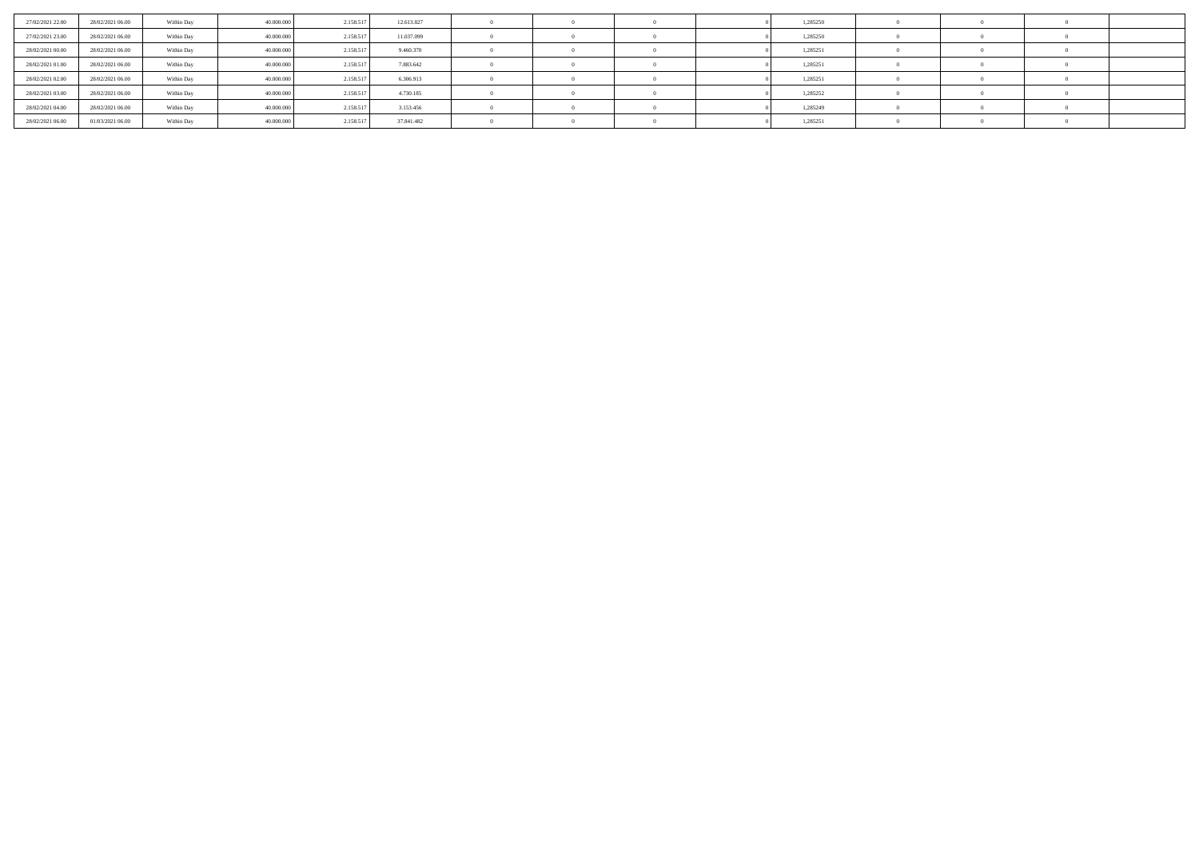| 27/02/2021 22.00 | 28/02/2021 06:00 | Within Day | 40,000,000 | 2.158.517 | 12.613.827 |  |  | 1,285250 |  |  |
|------------------|------------------|------------|------------|-----------|------------|--|--|----------|--|--|
| 27/02/2021 23:00 | 28/02/2021 06:00 | Within Day | 40,000,000 | 2.158.517 | 11.037.099 |  |  | 1,285250 |  |  |
| 28/02/2021 00:00 | 28/02/2021 06:00 | Within Day | 40,000,000 | 2.158.517 | 9.460.370  |  |  | 1,285251 |  |  |
| 28/02/2021 01:00 | 28/02/2021 06:00 | Within Day | 40,000,000 | 2.158.517 | 7.883.642  |  |  | 1,285251 |  |  |
| 28/02/2021 02:00 | 28/02/2021 06:00 | Within Day | 40,000,000 | 2.158.517 | 6.306.913  |  |  | 1,285251 |  |  |
| 28/02/2021 03:00 | 28/02/2021 06:00 | Within Day | 40,000,000 | 2.158.517 | 4.730.185  |  |  | 1,285252 |  |  |
| 28/02/2021 04:00 | 28/02/2021 06:00 | Within Day | 40,000,000 | 2.158.517 | 3.153.456  |  |  | 1,285249 |  |  |
| 28/02/2021 06:00 | 01/03/2021 06:00 | Within Day | 40,000,000 | 2.158.517 | 37.841.482 |  |  | 1,285251 |  |  |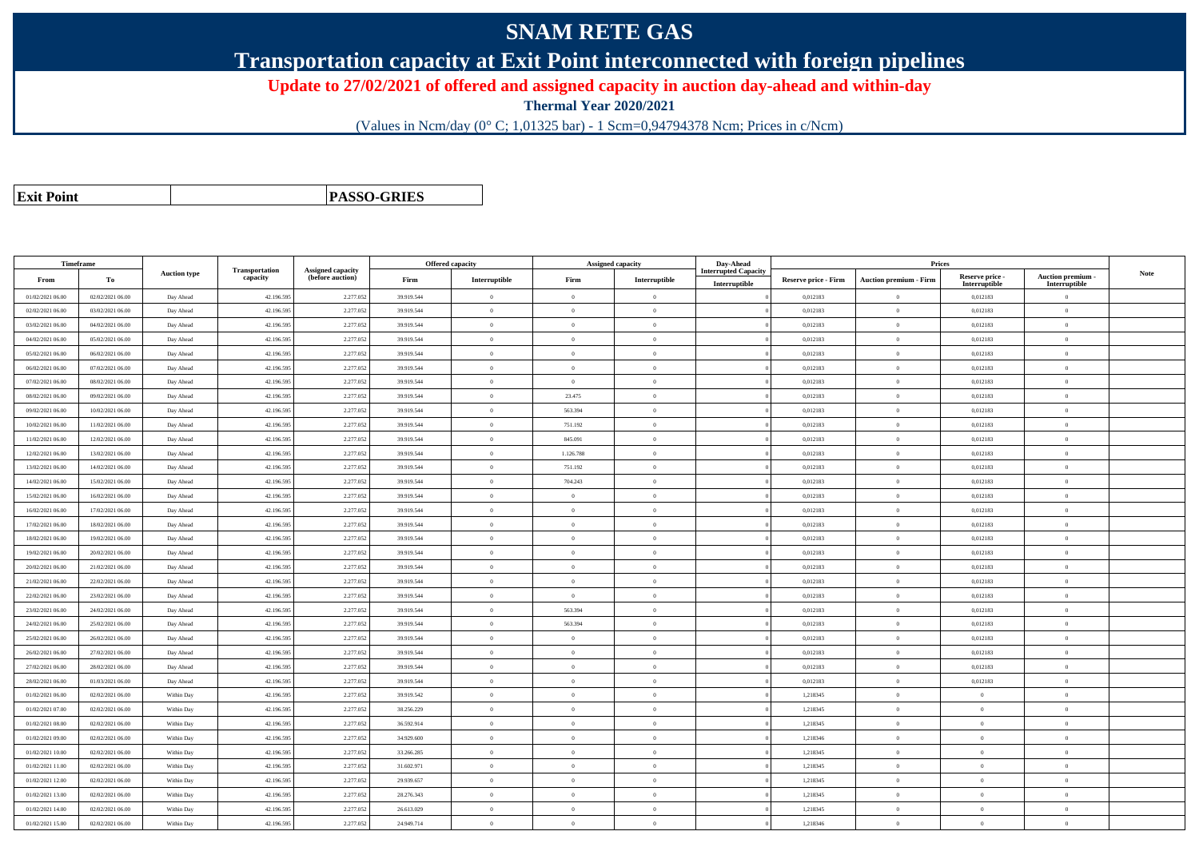# **SNAM RETE GAS**

**Transportation capacity at Exit Point interconnected with foreign pipelines**

**Update to 27/02/2021 of offered and assigned capacity in auction day-ahead and within-day**

**Thermal Year 2020/2021**

(Values in Ncm/day (0° C; 1,01325 bar) - 1 Scm=0,94794378 Ncm; Prices in c/Ncm)

**Exit Point**

**PASSO-GRIES**

| Timeframe        |                  |                     |                            |                                              |            | Offered capacity |                | <b>Assigned capacity</b> | Day-Ahead                                    |                             | Prices                        |                                  |                                         |             |
|------------------|------------------|---------------------|----------------------------|----------------------------------------------|------------|------------------|----------------|--------------------------|----------------------------------------------|-----------------------------|-------------------------------|----------------------------------|-----------------------------------------|-------------|
| From             | To               | <b>Auction type</b> | Transportation<br>capacity | <b>Assigned capacity</b><br>(before auction) | Firm       | Interruptible    | Firm           | Interruptible            | <b>Interrupted Capacity</b><br>Interruptible | <b>Reserve price - Firm</b> | <b>Auction premium - Firm</b> | Reserve price -<br>Interruptible | <b>Auction premium</b><br>Interruptible | <b>Note</b> |
| 01/02/2021 06:00 | 02/02/2021 06:00 | Day Ahead           | 42.196.595                 | 2.277.05                                     | 39.919.544 | $\overline{0}$   | $\Omega$       | $\theta$                 |                                              | 0,012183                    | $\theta$                      | 0,012183                         | $\Omega$                                |             |
| 02/02/2021 06:00 | 03/02/2021 06:00 | Day Ahead           | 42.196.59                  | 2.277.05                                     | 39.919.544 | $\Omega$         | $\Omega$       | $\Omega$                 |                                              | 0,012183                    | $\overline{0}$                | 0,012183                         | $\Omega$                                |             |
| 03/02/2021 06:00 | 04/02/2021 06:00 | Day Ahead           | 42.196.59                  | 2.277.05                                     | 39.919.544 | $\overline{0}$   | $\Omega$       | $\overline{0}$           |                                              | 0,012183                    | $\mathbf{0}$                  | 0,012183                         | $\Omega$                                |             |
| 04/02/2021 06:00 | 05/02/2021 06:00 | Day Ahead           | 42.196.595                 | 2.277.05                                     | 39.919.544 | $\bf{0}$         | $\overline{0}$ | $\theta$                 |                                              | 0,012183                    | $\mathbf{0}$                  | 0,012183                         | $\bf{0}$                                |             |
| 05/02/2021 06:00 | 06/02/2021 06:00 | Day Ahead           | 42.196.59                  | 2.277.05                                     | 39.919.544 | $\overline{0}$   | $\theta$       | $\Omega$                 |                                              | 0,012183                    | $\bf{0}$                      | 0,012183                         | $\overline{0}$                          |             |
| 06/02/2021 06:00 | 07/02/2021 06:00 | Day Ahead           | 42.196.595                 | 2.277.05                                     | 39.919.544 | $\overline{0}$   | $\overline{0}$ | $\overline{0}$           |                                              | 0,012183                    | $\bf{0}$                      | 0,012183                         | $\mathbf{0}$                            |             |
| 07/02/2021 06:00 | 08/02/2021 06:00 | Day Ahead           | 42.196.595                 | 2.277.05                                     | 39.919.544 | $\theta$         | $\Omega$       | $\Omega$                 |                                              | 0,012183                    | $\theta$                      | 0,012183                         | $\Omega$                                |             |
| 08/02/2021 06:00 | 09/02/2021 06:00 | Day Ahead           | 42.196.59                  | 2.277.05                                     | 39.919.544 | $\overline{0}$   | 23.475         | $\overline{0}$           |                                              | 0,012183                    | $\mathbf{0}$                  | 0,012183                         | $\mathbf{0}$                            |             |
| 09/02/2021 06:00 | 10/02/2021 06:00 | Day Ahead           | 42.196.59                  | 2.277.05                                     | 39.919.544 | $\overline{0}$   | 563.394        | $\theta$                 |                                              | 0,012183                    | $\bf{0}$                      | 0,012183                         | $\theta$                                |             |
| 10/02/2021 06:00 | 11/02/2021 06:00 | Day Ahead           | 42.196.595                 | 2.277.05                                     | 39.919.544 | $\theta$         | 751.192        | $\theta$                 |                                              | 0,012183                    | $\bf{0}$                      | 0,012183                         | $\theta$                                |             |
| 11/02/2021 06:00 | 12/02/2021 06:00 | Day Ahead           | 42.196.59                  | 2.277.05                                     | 39.919.544 | $\theta$         | 845.091        | $\overline{0}$           |                                              | 0,012183                    | $\bf{0}$                      | 0,012183                         | $\overline{0}$                          |             |
| 12/02/2021 06:00 | 13/02/2021 06:00 | Day Ahead           | 42.196.595                 | 2.277.052                                    | 39.919.544 | $\overline{0}$   | 1.126.788      | $\theta$                 |                                              | 0.012183                    | $\mathbf{0}$                  | 0.012183                         | $\Omega$                                |             |
| 13/02/2021 06:00 | 14/02/2021 06:00 | Day Ahead           | 42.196.595                 | 2.277.05                                     | 39.919.544 | $\theta$         | 751.192        | $\theta$                 |                                              | 0,012183                    | $\theta$                      | 0,012183                         | $\Omega$                                |             |
| 14/02/2021 06:00 | 15/02/2021 06:00 | Day Ahead           | 42.196.59                  | 2.277.05                                     | 39.919.544 | $\theta$         | 704.243        | $\theta$                 |                                              | 0,012183                    | $\bf{0}$                      | 0,012183                         | $\overline{0}$                          |             |
| 15/02/2021 06:00 | 16/02/2021 06:00 | Day Ahead           | 42.196.595                 | 2.277.05                                     | 39.919.544 | $\overline{0}$   | $\overline{0}$ | $\overline{0}$           |                                              | 0,012183                    | $\bf{0}$                      | 0,012183                         | $\theta$                                |             |
| 16/02/2021 06:00 | 17/02/2021 06:00 | Day Ahead           | 42.196.59                  | 2.277.05                                     | 39.919.544 | $\theta$         | $\Omega$       | $\theta$                 |                                              | 0.012183                    | $\bf{0}$                      | 0,012183                         | $\Omega$                                |             |
| 17/02/2021 06:00 | 18/02/2021 06:00 | Day Ahead           | 42.196.59                  | 2.277.05                                     | 39.919.544 | $\overline{0}$   | $\theta$       | $\overline{0}$           |                                              | 0,012183                    | $\bf{0}$                      | 0,012183                         | $\mathbf{0}$                            |             |
| 18/02/2021 06:00 | 19/02/2021 06:00 | Day Ahead           | 42.196.595                 | 2.277.05                                     | 39.919.544 | $\overline{0}$   | $\theta$       | $\theta$                 |                                              | 0,012183                    | $\bf{0}$                      | 0,012183                         | $\mathbf{0}$                            |             |
| 19/02/2021 06:00 | 20/02/2021 06:00 | Day Ahead           | 42.196.59                  | 2.277.05                                     | 39.919.544 | $\theta$         | $\theta$       | $\theta$                 |                                              | 0.012183                    | $\mathbf{0}$                  | 0.012183                         | $\Omega$                                |             |
| 20/02/2021 06:00 | 21/02/2021 06:00 | Day Ahead           | 42.196.59                  | 2.277.05                                     | 39.919.544 | $\theta$         | $\Omega$       | $\Omega$                 |                                              | 0,012183                    | $\bf{0}$                      | 0,012183                         | $\Omega$                                |             |
| 21/02/2021 06:00 | 22/02/2021 06:00 | Day Ahead           | 42.196.59                  | 2.277.05                                     | 39.919.544 | $\overline{0}$   | $\theta$       | $\theta$                 |                                              | 0,012183                    | $\bf{0}$                      | 0,012183                         | $\theta$                                |             |
| 22/02/2021 06:00 | 23/02/2021 06:00 | Day Ahead           | 42.196.59                  | 2.277.05                                     | 39.919.544 | $\overline{0}$   | $\overline{0}$ | $\Omega$                 |                                              | 0,012183                    | $\bf{0}$                      | 0,012183                         | $\overline{0}$                          |             |
| 23/02/2021 06:00 | 24/02/2021 06:00 | Day Ahead           | 42.196.59                  | 2.277.053                                    | 39.919.544 | $\Omega$         | 563.394        | $\Omega$                 |                                              | 0,012183                    | $\bf{0}$                      | 0,012183                         | $\Omega$                                |             |
| 24/02/2021 06:00 | 25/02/2021 06:00 | Day Ahead           | 42.196.595                 | 2.277.05                                     | 39.919.544 | $\overline{0}$   | 563.394        | $\overline{0}$           |                                              | 0,012183                    | $\bf{0}$                      | 0,012183                         | $\mathbf{0}$                            |             |
| 25/02/2021 06:00 | 26/02/2021 06:00 | Day Ahead           | 42.196.59                  | 2.277.05                                     | 39.919.544 | $\Omega$         | $\Omega$       | $\Omega$                 |                                              | 0,012183                    | $\theta$                      | 0,012183                         | $\Omega$                                |             |
| 26/02/2021 06:00 | 27/02/2021 06:00 | Day Ahead           | 42.196.59                  | 2.277.05                                     | 39.919.544 | $\overline{0}$   | $\overline{0}$ | $\Omega$                 |                                              | 0,012183                    | $\overline{0}$                | 0,012183                         | $\mathbf{0}$                            |             |
| 27/02/2021 06:00 | 28/02/2021 06:00 | Day Ahead           | 42.196.595                 | 2.277.05                                     | 39.919.544 | $\overline{0}$   | $\overline{0}$ | $\theta$                 |                                              | 0,012183                    | $\bf{0}$                      | 0,012183                         | $\theta$                                |             |
| 28/02/2021 06:00 | 01/03/2021 06:00 | Day Ahead           | 42.196.59                  | 2.277.05                                     | 39.919.544 | $\Omega$         | $\theta$       | $\theta$                 |                                              | 0,012183                    | $\bf{0}$                      | 0,012183                         | $\mathbf{0}$                            |             |
| 01/02/2021 06:00 | 02/02/2021 06:00 | Within Day          | 42.196.595                 | 2.277.05                                     | 39.919.542 | $\overline{0}$   | $\theta$       | $\theta$                 |                                              | 1,218345                    | $\bf{0}$                      | $\theta$                         | $\theta$                                |             |
| 01/02/2021 07:00 | 02/02/2021 06:00 | Within Day          | 42.196.595                 | 2.277.05                                     | 38.256.229 | $\overline{0}$   | $\theta$       | $\Omega$                 |                                              | 1,218345                    | $\bf{0}$                      | $\sqrt{2}$                       | $\overline{0}$                          |             |
| 01/02/2021 08:00 | 02/02/2021 06:00 | Within Day          | 42.196.59                  | 2.277.05                                     | 36.592.914 | $\overline{0}$   | $\overline{0}$ | $\overline{0}$           |                                              | 1,218345                    | $\bf{0}$                      | $\theta$                         | $\overline{0}$                          |             |
| 01/02/2021 09:00 | 02/02/2021 06:00 | Within Day          | 42.196.595                 | 2.277.05                                     | 34.929.600 | $\overline{0}$   | $\Omega$       | $\overline{0}$           |                                              | 1,218346                    | $\mathbf{0}$                  | $\theta$                         | $\Omega$                                |             |
| 01/02/2021 10:00 | 02/02/2021 06:00 | Within Day          | 42.196.595                 | 2.277.05                                     | 33.266.285 | $\overline{0}$   | $\overline{0}$ | $\theta$                 |                                              | 1,218345                    | $\bf{0}$                      | $\theta$                         | $\theta$                                |             |
| 01/02/2021 11:00 | 02/02/2021 06:00 | Within Day          | 42.196.59                  | 2.277.05                                     | 31.602.971 | $\overline{0}$   | $\overline{0}$ | $\overline{0}$           |                                              | 1,218345                    | $\bf{0}$                      | $\theta$                         | $\overline{0}$                          |             |
| 01/02/2021 12:00 | 02/02/2021 06:00 | Within Day          | 42.196.595                 | 2.277.05                                     | 29.939.657 | $\overline{0}$   | $\overline{0}$ | $\overline{0}$           |                                              | 1.218345                    | $\mathbf{0}$                  | $\overline{0}$                   | $\theta$                                |             |
| 01/02/2021 13:00 | 02/02/2021 06:00 | Within Day          | 42.196.595                 | 2.277.05                                     | 28.276.343 | $\theta$         | $\Omega$       | $\Omega$                 |                                              | 1,218345                    | $\theta$                      | $\mathbf{a}$                     | $\overline{0}$                          |             |
| 01/02/2021 14:00 | 02/02/2021 06:00 | Within Day          | 42.196.59                  | 2.277.05                                     | 26.613.029 | $\theta$         | $\overline{0}$ | $\theta$                 |                                              | 1,218345                    | $\bf{0}$                      | $\theta$                         | $\overline{0}$                          |             |
| 01/02/2021 15:00 | 02/02/2021 06:00 | Within Day          | 42.196.595                 | 2.277.05                                     | 24.949.714 | $\theta$         | $\theta$       | $\theta$                 |                                              | 1,218346                    | $\bf{0}$                      | $\theta$                         | $\theta$                                |             |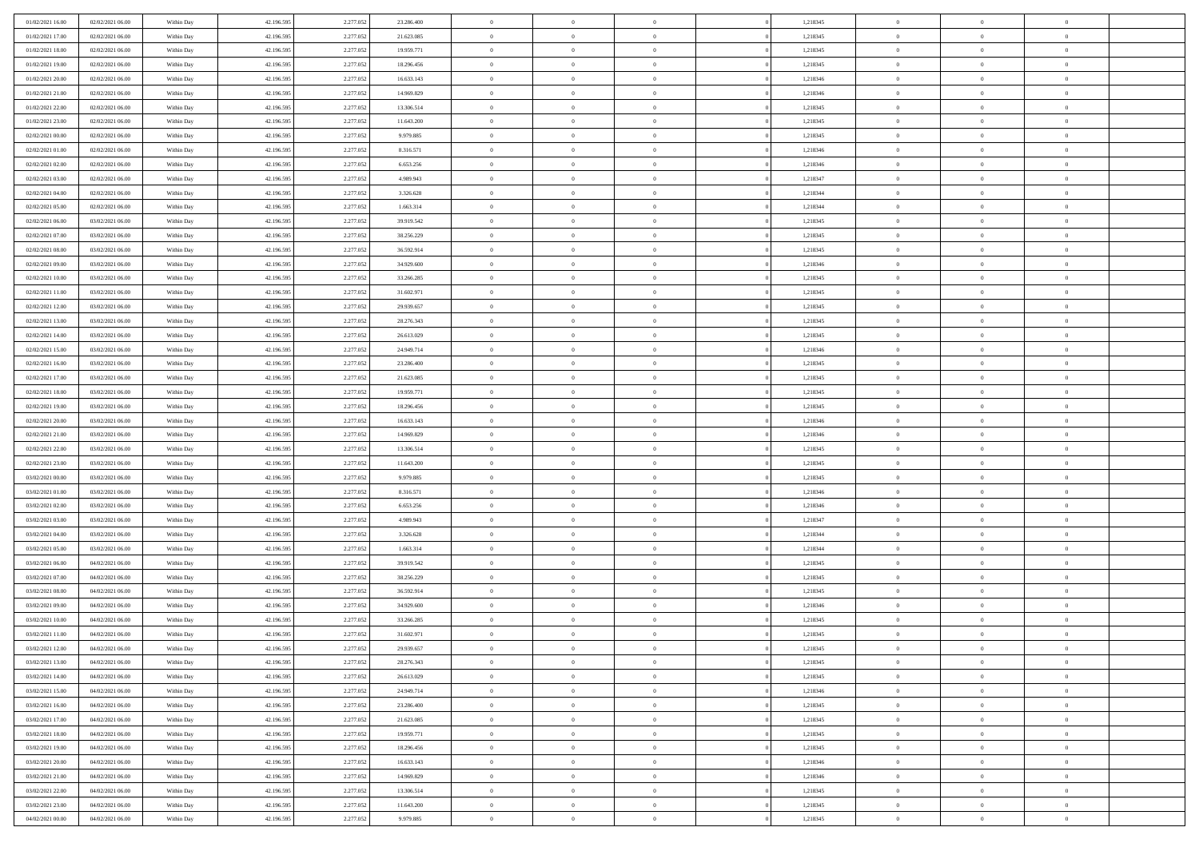| 01/02/2021 16:00 | 02/02/2021 06:00 | Within Day | 42.196.595 | 2.277.052 | 23.286.400 | $\overline{0}$ | $\overline{0}$ | $\Omega$       |          | 1,218345 | $\bf{0}$       | $\mathbf{0}$   | $\bf{0}$       |  |
|------------------|------------------|------------|------------|-----------|------------|----------------|----------------|----------------|----------|----------|----------------|----------------|----------------|--|
| 01/02/2021 17:00 | 02/02/2021 06:00 | Within Day | 42.196.595 | 2.277.052 | 21.623.085 | $\mathbf{0}$   | $\overline{0}$ | $\overline{0}$ |          | 1,218345 | $\mathbf{0}$   | $\overline{0}$ | $\overline{0}$ |  |
| 01/02/2021 18:00 | 02/02/2021 06:00 | Within Day | 42.196.595 | 2.277.052 | 19.959.771 | $\,$ 0         | $\overline{0}$ | $\bf{0}$       |          | 1,218345 | $\,$ 0         | $\overline{0}$ | $\,$ 0 $\,$    |  |
| 01/02/2021 19:00 | 02/02/2021 06:00 | Within Day | 42.196.595 | 2.277.052 | 18.296.456 | $\bf{0}$       | $\overline{0}$ | $\Omega$       |          | 1,218345 | $\bf{0}$       | $\mathbf{0}$   | $\theta$       |  |
| 01/02/2021 20:00 | 02/02/2021 06:00 | Within Day | 42.196.595 | 2.277.052 | 16.633.143 | $\bf{0}$       | $\overline{0}$ | $\overline{0}$ |          | 1,218346 | $\mathbf{0}$   | $\overline{0}$ | $\overline{0}$ |  |
| 01/02/2021 21:00 | 02/02/2021 06:00 | Within Day | 42.196.595 | 2.277.052 | 14.969.829 | $\bf{0}$       | $\overline{0}$ | $\bf{0}$       |          | 1,218346 | $\,$ 0         | $\overline{0}$ | $\,$ 0 $\,$    |  |
| 01/02/2021 22.00 | 02/02/2021 06:00 | Within Day | 42.196.595 | 2.277.052 | 13.306.514 | $\bf{0}$       | $\overline{0}$ | $\overline{0}$ |          | 1,218345 | $\theta$       | $\mathbf{0}$   | $\theta$       |  |
| 01/02/2021 23:00 | 02/02/2021 06:00 | Within Day | 42.196.595 | 2.277.052 | 11.643.200 | $\overline{0}$ | $\overline{0}$ | $\overline{0}$ |          | 1,218345 | $\mathbf{0}$   | $\overline{0}$ | $\overline{0}$ |  |
| 02/02/2021 00:00 | 02/02/2021 06:00 | Within Day | 42.196.595 | 2.277.052 | 9.979.885  | $\bf{0}$       | $\overline{0}$ | $\bf{0}$       |          | 1,218345 | $\,$ 0         | $\overline{0}$ | $\,$ 0 $\,$    |  |
| 02/02/2021 01:00 | 02/02/2021 06:00 | Within Day | 42.196.595 | 2.277.052 | 8.316.571  | $\bf{0}$       | $\overline{0}$ | $\Omega$       |          | 1,218346 | $\theta$       | $\mathbf{0}$   | $\theta$       |  |
| 02/02/2021 02:00 | 02/02/2021 06:00 | Within Day | 42.196.595 | 2.277.052 | 6.653.256  | $\overline{0}$ | $\overline{0}$ | $\overline{0}$ |          | 1,218346 | $\mathbf{0}$   | $\overline{0}$ | $\overline{0}$ |  |
| 02/02/2021 03:00 | 02/02/2021 06:00 | Within Day | 42.196.595 | 2.277.052 | 4.989.943  | $\bf{0}$       | $\overline{0}$ | $\bf{0}$       |          | 1,218347 | $\,$ 0         | $\overline{0}$ | $\,$ 0 $\,$    |  |
| 02/02/2021 04:00 | 02/02/2021 06:00 | Within Day | 42.196.595 | 2.277.052 | 3.326.628  | $\bf{0}$       | $\overline{0}$ | $\Omega$       |          | 1,218344 | $\bf{0}$       | $\mathbf{0}$   | $\theta$       |  |
| 02/02/2021 05:00 | 02/02/2021 06:00 | Within Day | 42.196.595 | 2.277.052 | 1.663.314  | $\overline{0}$ | $\overline{0}$ | $\overline{0}$ |          | 1,218344 | $\mathbf{0}$   | $\overline{0}$ | $\overline{0}$ |  |
| 02/02/2021 06:00 | 03/02/2021 06:00 | Within Day | 42.196.595 | 2.277.052 | 39.919.542 | $\bf{0}$       | $\overline{0}$ | $\bf{0}$       |          | 1,218345 | $\,$ 0         | $\overline{0}$ | $\,$ 0 $\,$    |  |
| 02/02/2021 07:00 | 03/02/2021 06:00 | Within Day | 42.196.595 | 2.277.052 | 38.256.229 | $\bf{0}$       | $\overline{0}$ | $\overline{0}$ |          | 1,218345 | $\theta$       | $\mathbf{0}$   | $\theta$       |  |
| 02/02/2021 08:00 | 03/02/2021 06:00 | Within Day | 42.196.595 | 2.277.052 | 36.592.914 | $\overline{0}$ | $\overline{0}$ | $\overline{0}$ |          | 1,218345 | $\mathbf{0}$   | $\overline{0}$ | $\overline{0}$ |  |
| 02/02/2021 09:00 | 03/02/2021 06:00 | Within Day | 42.196.595 | 2.277.052 | 34.929.600 | $\bf{0}$       | $\overline{0}$ | $\bf{0}$       |          | 1,218346 | $\,$ 0         | $\overline{0}$ | $\,$ 0 $\,$    |  |
| 02/02/2021 10:00 | 03/02/2021 06:00 | Within Day | 42.196.595 | 2.277.052 | 33.266.285 | $\bf{0}$       | $\overline{0}$ | $\Omega$       |          | 1,218345 | $\theta$       | $\mathbf{0}$   | $\theta$       |  |
| 02/02/2021 11:00 | 03/02/2021 06:00 | Within Day | 42.196.595 | 2.277.052 | 31.602.971 | $\overline{0}$ | $\overline{0}$ | $\overline{0}$ |          | 1,218345 | $\mathbf{0}$   | $\overline{0}$ | $\overline{0}$ |  |
| 02/02/2021 12:00 | 03/02/2021 06:00 | Within Day | 42.196.595 | 2.277.052 | 29.939.657 | $\bf{0}$       | $\overline{0}$ | $\bf{0}$       |          | 1,218345 | $\,$ 0         | $\overline{0}$ | $\,$ 0 $\,$    |  |
| 02/02/2021 13:00 | 03/02/2021 06:00 | Within Day | 42.196.595 | 2.277.052 | 28.276.343 | $\bf{0}$       | $\overline{0}$ | $\Omega$       |          | 1,218345 | $\bf{0}$       | $\theta$       | $\theta$       |  |
| 02/02/2021 14:00 | 03/02/2021 06:00 | Within Day | 42.196.595 | 2.277.052 | 26.613.029 | $\overline{0}$ | $\overline{0}$ | $\overline{0}$ |          | 1,218345 | $\mathbf{0}$   | $\overline{0}$ | $\overline{0}$ |  |
| 02/02/2021 15:00 | 03/02/2021 06:00 | Within Day | 42.196.595 | 2.277.052 | 24.949.714 | $\bf{0}$       | $\overline{0}$ | $\bf{0}$       |          | 1,218346 | $\,$ 0         | $\overline{0}$ | $\,$ 0 $\,$    |  |
| 02/02/2021 16:00 | 03/02/2021 06:00 | Within Day | 42.196.595 | 2.277.052 | 23.286.400 | $\bf{0}$       | $\overline{0}$ | $\overline{0}$ |          | 1,218345 | $\bf{0}$       | $\overline{0}$ | $\bf{0}$       |  |
| 02/02/2021 17:00 | 03/02/2021 06:00 | Within Day | 42.196.595 | 2.277.052 | 21.623.085 | $\overline{0}$ | $\overline{0}$ | $\overline{0}$ |          | 1,218345 | $\mathbf{0}$   | $\overline{0}$ | $\overline{0}$ |  |
| 02/02/2021 18:00 | 03/02/2021 06:00 | Within Day | 42.196.595 | 2.277.052 | 19.959.771 | $\bf{0}$       | $\overline{0}$ | $\bf{0}$       |          | 1,218345 | $\,$ 0         | $\overline{0}$ | $\,$ 0 $\,$    |  |
| 02/02/2021 19:00 | 03/02/2021 06:00 | Within Day | 42.196.595 | 2.277.052 | 18.296.456 | $\bf{0}$       | $\overline{0}$ | $\Omega$       |          | 1,218345 | $\theta$       | $\mathbf{0}$   | $\theta$       |  |
| 02/02/2021 20:00 | 03/02/2021 06:00 | Within Day | 42.196.595 | 2.277.052 | 16.633.143 | $\overline{0}$ | $\overline{0}$ | $\overline{0}$ |          | 1,218346 | $\mathbf{0}$   | $\overline{0}$ | $\overline{0}$ |  |
| 02/02/2021 21:00 | 03/02/2021 06:00 | Within Day | 42.196.595 | 2.277.052 | 14.969.829 | $\bf{0}$       | $\overline{0}$ | $\bf{0}$       |          | 1,218346 | $\,$ 0         | $\overline{0}$ | $\,$ 0 $\,$    |  |
| 02/02/2021 22.00 | 03/02/2021 06:00 | Within Day | 42.196.595 | 2.277.052 | 13.306.514 | $\bf{0}$       | $\bf{0}$       | $\overline{0}$ |          | 1,218345 | $\bf{0}$       | $\overline{0}$ | $\,0\,$        |  |
| 02/02/2021 23:00 | 03/02/2021 06:00 | Within Day | 42.196.595 | 2.277.052 | 11.643.200 | $\overline{0}$ | $\overline{0}$ | $\overline{0}$ |          | 1,218345 | $\mathbf{0}$   | $\overline{0}$ | $\overline{0}$ |  |
| 03/02/2021 00:00 | 03/02/2021 06:00 | Within Day | 42.196.595 | 2.277.052 | 9.979.885  | $\bf{0}$       | $\overline{0}$ | $\bf{0}$       |          | 1,218345 | $\,$ 0         | $\overline{0}$ | $\,$ 0 $\,$    |  |
| 03/02/2021 01:00 | 03/02/2021 06:00 | Within Day | 42.196.595 | 2.277.052 | 8.316.571  | $\bf{0}$       | $\overline{0}$ | $\bf{0}$       |          | 1,218346 | $\bf{0}$       | $\overline{0}$ | $\,0\,$        |  |
| 03/02/2021 02:00 | 03/02/2021 06:00 | Within Day | 42.196.595 | 2.277.052 | 6.653.256  | $\overline{0}$ | $\overline{0}$ | $\overline{0}$ |          | 1,218346 | $\overline{0}$ | $\overline{0}$ | $\overline{0}$ |  |
| 03/02/2021 03:00 | 03/02/2021 06:00 | Within Day | 42.196.595 | 2.277.052 | 4.989.943  | $\bf{0}$       | $\overline{0}$ | $\bf{0}$       |          | 1,218347 | $\,$ 0         | $\overline{0}$ | $\,$ 0 $\,$    |  |
| 03/02/2021 04:00 | 03/02/2021 06:00 | Within Day | 42.196.595 | 2.277.052 | 3.326.628  | $\bf{0}$       | $\overline{0}$ | $\overline{0}$ |          | 1,218344 | $\bf{0}$       | $\overline{0}$ | $\,0\,$        |  |
| 03/02/2021 05:00 | 03/02/2021 06:00 | Within Day | 42.196.595 | 2.277.052 | 1.663.314  | $\overline{0}$ | $\overline{0}$ | $\overline{0}$ |          | 1,218344 | $\mathbf{0}$   | $\overline{0}$ | $\overline{0}$ |  |
| 03/02/2021 06:00 | 04/02/2021 06:00 | Within Day | 42.196.595 | 2.277.052 | 39.919.542 | $\bf{0}$       | $\overline{0}$ | $\bf{0}$       |          | 1,218345 | $\,$ 0         | $\overline{0}$ | $\,$ 0 $\,$    |  |
| 03/02/2021 07:00 | 04/02/2021 06:00 | Within Day | 42.196.595 | 2.277.052 | 38.256.229 | $\bf{0}$       | $\overline{0}$ | $\overline{0}$ |          | 1,218345 | $\bf{0}$       | $\overline{0}$ | $\,0\,$        |  |
| 03/02/2021 08:00 | 04/02/2021 06:00 | Within Day | 42.196.595 | 2.277.052 | 36.592.914 | $\overline{0}$ | $\overline{0}$ | $\overline{0}$ |          | 1,218345 | $\overline{0}$ | $\overline{0}$ | $\overline{0}$ |  |
| 03/02/2021 09:00 | 04/02/2021 06:00 | Within Day | 42.196.595 | 2.277.052 | 34.929.600 | $\bf{0}$       | $\overline{0}$ | $\bf{0}$       |          | 1,218346 | $\,$ 0         | $\overline{0}$ | $\,$ 0 $\,$    |  |
| 03/02/2021 10:00 | 04/02/2021 06:00 | Within Day | 42.196.595 | 2.277.052 | 33.266.285 | $\bf{0}$       | $\overline{0}$ | $\bf{0}$       |          | 1,218345 | $\bf{0}$       | $\overline{0}$ | $\,0\,$        |  |
| 03/02/2021 11:00 | 04/02/2021 06:00 | Within Day | 42.196.595 | 2.277.052 | 31.602.971 | $\mathbf{0}$   | $\overline{0}$ | $\overline{0}$ |          | 1,218345 | $\mathbf{0}$   | $\overline{0}$ | $\overline{0}$ |  |
| 03/02/2021 12:00 | 04/02/2021 06:00 | Within Day | 42.196.595 | 2.277.052 | 29.939.657 | $\bf{0}$       | $\overline{0}$ | $\theta$       |          | 1,218345 | $\overline{0}$ | $\theta$       | $\theta$       |  |
| 03/02/2021 13:00 | 04/02/2021 06:00 | Within Day | 42.196.595 | 2.277.052 | 28.276.343 | $\bf{0}$       | $\overline{0}$ | $\bf{0}$       |          | 1,218345 | $\bf{0}$       | $\overline{0}$ | $\,0\,$        |  |
| 03/02/2021 14:00 | 04/02/2021 06:00 | Within Day | 42.196.595 | 2.277.052 | 26.613.029 | $\overline{0}$ | $\overline{0}$ | $\overline{0}$ |          | 1,218345 | $\overline{0}$ | $\overline{0}$ | $\overline{0}$ |  |
| 03/02/2021 15:00 | 04/02/2021 06:00 | Within Day | 42.196.595 | 2.277.052 | 24.949.714 | $\,$ 0 $\,$    | $\overline{0}$ | $\overline{0}$ |          | 1,218346 | $\mathbf{0}$   | $\,$ 0 $\,$    | $\,$ 0 $\,$    |  |
| 03/02/2021 16:00 | 04/02/2021 06:00 | Within Day | 42.196.595 | 2.277.052 | 23.286.400 | $\bf{0}$       | $\overline{0}$ | $\overline{0}$ |          | 1,218345 | $\bf{0}$       | $\overline{0}$ | $\bf{0}$       |  |
| 03/02/2021 17:00 | 04/02/2021 06:00 | Within Day | 42.196.595 | 2.277.052 | 21.623.085 | $\overline{0}$ | $\overline{0}$ | $\overline{0}$ |          | 1,218345 | $\overline{0}$ | $\bf{0}$       | $\overline{0}$ |  |
| 03/02/2021 18:00 | 04/02/2021 06:00 | Within Day | 42.196.595 | 2.277.052 | 19.959.771 | $\,$ 0 $\,$    | $\overline{0}$ | $\overline{0}$ |          | 1,218345 | $\,$ 0 $\,$    | $\overline{0}$ | $\,$ 0 $\,$    |  |
| 03/02/2021 19:00 | 04/02/2021 06:00 | Within Day | 42.196.595 | 2.277.052 | 18.296.456 | $\overline{0}$ | $\overline{0}$ | $\overline{0}$ | $\Omega$ | 1,218345 | $\bf{0}$       | $\overline{0}$ | $\overline{0}$ |  |
| 03/02/2021 20:00 | 04/02/2021 06:00 | Within Day | 42.196.595 | 2.277.052 | 16.633.143 | $\overline{0}$ | $\overline{0}$ | $\overline{0}$ |          | 1,218346 | $\overline{0}$ | $\bf{0}$       | $\mathbf{0}$   |  |
| 03/02/2021 21:00 | 04/02/2021 06:00 | Within Day | 42.196.595 | 2.277.052 | 14.969.829 | $\,$ 0 $\,$    | $\overline{0}$ | $\overline{0}$ |          | 1,218346 | $\,$ 0 $\,$    | $\overline{0}$ | $\,$ 0 $\,$    |  |
| 03/02/2021 22.00 | 04/02/2021 06:00 | Within Day | 42.196.595 | 2.277.052 | 13.306.514 | $\bf{0}$       | $\overline{0}$ | $\overline{0}$ |          | 1,218345 | $\mathbf{0}$   | $\overline{0}$ | $\bf{0}$       |  |
| 03/02/2021 23:00 | 04/02/2021 06:00 | Within Day | 42.196.595 | 2.277.052 | 11.643.200 | $\overline{0}$ | $\overline{0}$ | $\overline{0}$ |          | 1,218345 | $\mathbf{0}$   | $\bf{0}$       | $\overline{0}$ |  |
| 04/02/2021 00:00 | 04/02/2021 06:00 | Within Day | 42.196.595 | 2.277.052 | 9.979.885  | $\,0\,$        | $\overline{0}$ | $\overline{0}$ |          | 1,218345 | $\,$ 0         | $\overline{0}$ | $\,$ 0 $\,$    |  |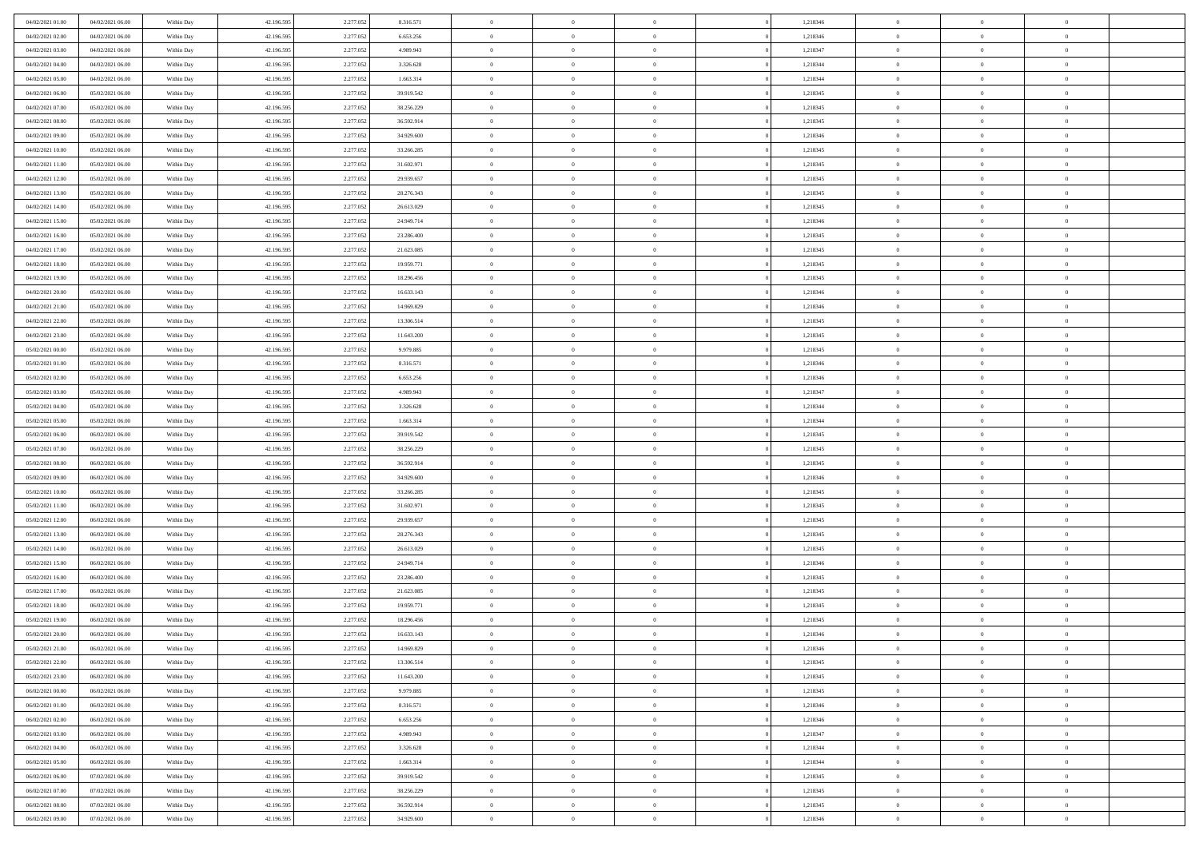| 04/02/2021 01:00 | 04/02/2021 06:00 | Within Day | 42.196.595 | 2.277.052 | 8.316.571  | $\overline{0}$ | $\overline{0}$ | $\Omega$       |          | 1,218346 | $\bf{0}$       | $\mathbf{0}$   | $\bf{0}$       |  |
|------------------|------------------|------------|------------|-----------|------------|----------------|----------------|----------------|----------|----------|----------------|----------------|----------------|--|
| 04/02/2021 02:00 | 04/02/2021 06:00 | Within Day | 42.196.595 | 2.277.052 | 6.653.256  | $\mathbf{0}$   | $\overline{0}$ | $\overline{0}$ |          | 1,218346 | $\overline{0}$ | $\overline{0}$ | $\overline{0}$ |  |
| 04/02/2021 03:00 | 04/02/2021 06:00 | Within Day | 42.196.595 | 2.277.052 | 4.989.943  | $\,$ 0         | $\overline{0}$ | $\bf{0}$       |          | 1,218347 | $\,$ 0         | $\overline{0}$ | $\,$ 0 $\,$    |  |
| 04/02/2021 04:00 | 04/02/2021 06:00 | Within Day | 42.196.595 | 2.277.052 | 3.326.628  | $\bf{0}$       | $\overline{0}$ | $\Omega$       |          | 1,218344 | $\bf{0}$       | $\mathbf{0}$   | $\theta$       |  |
| 04/02/2021 05:00 | 04/02/2021 06:00 | Within Day | 42.196.595 | 2.277.052 | 1.663.314  | $\bf{0}$       | $\overline{0}$ | $\overline{0}$ |          | 1,218344 | $\mathbf{0}$   | $\overline{0}$ | $\overline{0}$ |  |
| 04/02/2021 06:00 | 05/02/2021 06:00 | Within Day | 42.196.595 | 2.277.052 | 39.919.542 | $\bf{0}$       | $\overline{0}$ | $\bf{0}$       |          | 1,218345 | $\,$ 0         | $\overline{0}$ | $\,$ 0 $\,$    |  |
| 04/02/2021 07:00 | 05/02/2021 06:00 | Within Day | 42.196.595 | 2.277.052 | 38.256.229 | $\bf{0}$       | $\overline{0}$ | $\Omega$       |          | 1,218345 | $\theta$       | $\mathbf{0}$   | $\theta$       |  |
| 04/02/2021 08:00 | 05/02/2021 06:00 | Within Day | 42.196.595 | 2.277.052 | 36.592.914 | $\overline{0}$ | $\overline{0}$ | $\overline{0}$ |          | 1,218345 | $\mathbf{0}$   | $\overline{0}$ | $\overline{0}$ |  |
| 04/02/2021 09:00 | 05/02/2021 06:00 | Within Day | 42.196.595 | 2.277.052 | 34.929.600 | $\bf{0}$       | $\overline{0}$ | $\bf{0}$       |          | 1,218346 | $\,$ 0         | $\overline{0}$ | $\,$ 0 $\,$    |  |
| 04/02/2021 10:00 | 05/02/2021 06:00 | Within Day | 42.196.595 | 2.277.052 | 33.266.285 | $\bf{0}$       | $\overline{0}$ | $\Omega$       |          | 1,218345 | $\bf{0}$       | $\mathbf{0}$   | $\theta$       |  |
| 04/02/2021 11:00 | 05/02/2021 06:00 | Within Day | 42.196.595 | 2.277.052 | 31.602.971 | $\overline{0}$ | $\overline{0}$ | $\overline{0}$ |          | 1,218345 | $\mathbf{0}$   | $\overline{0}$ | $\overline{0}$ |  |
| 04/02/2021 12:00 | 05/02/2021 06:00 | Within Day | 42.196.595 | 2.277.052 | 29.939.657 | $\,$ 0         | $\overline{0}$ | $\bf{0}$       |          | 1,218345 | $\,$ 0         | $\overline{0}$ | $\,$ 0 $\,$    |  |
| 04/02/2021 13:00 | 05/02/2021 06:00 | Within Day | 42.196.595 | 2.277.052 | 28.276.343 | $\bf{0}$       | $\overline{0}$ | $\Omega$       |          | 1,218345 | $\overline{0}$ | $\mathbf{0}$   | $\theta$       |  |
| 04/02/2021 14:00 | 05/02/2021 06:00 | Within Day | 42.196.595 | 2.277.052 | 26.613.029 | $\overline{0}$ | $\overline{0}$ | $\overline{0}$ |          | 1,218345 | $\mathbf{0}$   | $\overline{0}$ | $\overline{0}$ |  |
| 04/02/2021 15:00 | 05/02/2021 06:00 | Within Day | 42.196.595 | 2.277.052 | 24.949.714 | $\bf{0}$       | $\overline{0}$ | $\bf{0}$       |          | 1,218346 | $\,$ 0         | $\overline{0}$ | $\,$ 0 $\,$    |  |
| 04/02/2021 16:00 | 05/02/2021 06:00 | Within Day | 42.196.595 | 2.277.052 | 23.286.400 | $\bf{0}$       | $\overline{0}$ | $\overline{0}$ |          | 1,218345 | $\bf{0}$       | $\mathbf{0}$   | $\theta$       |  |
| 04/02/2021 17:00 | 05/02/2021 06:00 | Within Day | 42.196.595 | 2.277.052 | 21.623.085 | $\overline{0}$ | $\overline{0}$ | $\overline{0}$ |          | 1,218345 | $\mathbf{0}$   | $\overline{0}$ | $\overline{0}$ |  |
| 04/02/2021 18:00 | 05/02/2021 06:00 | Within Day | 42.196.595 | 2.277.052 | 19.959.771 | $\bf{0}$       | $\overline{0}$ | $\bf{0}$       |          | 1,218345 | $\,$ 0         | $\overline{0}$ | $\,0\,$        |  |
| 04/02/2021 19:00 | 05/02/2021 06:00 | Within Day | 42.196.595 | 2.277.052 | 18.296.456 | $\bf{0}$       | $\overline{0}$ | $\Omega$       |          | 1,218345 | $\theta$       | $\mathbf{0}$   | $\theta$       |  |
| 04/02/2021 20:00 | 05/02/2021 06:00 | Within Day | 42.196.595 | 2.277.052 | 16.633.143 | $\overline{0}$ | $\overline{0}$ | $\overline{0}$ |          | 1,218346 | $\mathbf{0}$   | $\overline{0}$ | $\overline{0}$ |  |
| 04/02/2021 21:00 | 05/02/2021 06:00 | Within Day | 42.196.595 | 2.277.052 | 14.969.829 | $\bf{0}$       | $\overline{0}$ | $\bf{0}$       |          | 1,218346 | $\,$ 0         | $\overline{0}$ | $\,$ 0 $\,$    |  |
| 04/02/2021 22.00 | 05/02/2021 06:00 | Within Day | 42.196.595 | 2.277.052 | 13.306.514 | $\bf{0}$       | $\overline{0}$ | $\Omega$       |          | 1,218345 | $\bf{0}$       | $\theta$       | $\theta$       |  |
| 04/02/2021 23:00 | 05/02/2021 06:00 | Within Day | 42.196.595 | 2.277.052 | 11.643.200 | $\overline{0}$ | $\overline{0}$ | $\overline{0}$ |          | 1,218345 | $\mathbf{0}$   | $\overline{0}$ | $\overline{0}$ |  |
| 05/02/2021 00:00 | 05/02/2021 06:00 | Within Day | 42.196.595 | 2.277.052 | 9.979.885  | $\bf{0}$       | $\overline{0}$ | $\bf{0}$       |          | 1,218345 | $\,$ 0         | $\overline{0}$ | $\,$ 0 $\,$    |  |
| 05/02/2021 01:00 | 05/02/2021 06:00 | Within Day | 42.196.595 | 2.277.052 | 8.316.571  | $\bf{0}$       | $\overline{0}$ | $\overline{0}$ |          | 1,218346 | $\bf{0}$       | $\overline{0}$ | $\theta$       |  |
| 05/02/2021 02:00 | 05/02/2021 06:00 | Within Day | 42.196.595 | 2.277.052 | 6.653.256  | $\overline{0}$ | $\overline{0}$ | $\overline{0}$ |          | 1,218346 | $\mathbf{0}$   | $\overline{0}$ | $\overline{0}$ |  |
| 05/02/2021 03:00 | 05/02/2021 06:00 | Within Day | 42.196.595 | 2.277.052 | 4.989.943  | $\bf{0}$       | $\overline{0}$ | $\bf{0}$       |          | 1,218347 | $\,$ 0         | $\overline{0}$ | $\,$ 0 $\,$    |  |
| 05/02/2021 04:00 | 05/02/2021 06:00 | Within Day | 42.196.595 | 2.277.052 | 3.326.628  | $\bf{0}$       | $\overline{0}$ | $\Omega$       |          | 1,218344 | $\theta$       | $\mathbf{0}$   | $\theta$       |  |
| 05/02/2021 05:00 | 05/02/2021 06:00 | Within Day | 42.196.595 | 2.277.052 | 1.663.314  | $\overline{0}$ | $\overline{0}$ | $\overline{0}$ |          | 1,218344 | $\mathbf{0}$   | $\overline{0}$ | $\overline{0}$ |  |
| 05/02/2021 06:00 | 06/02/2021 06:00 | Within Day | 42.196.595 | 2.277.052 | 39.919.542 | $\bf{0}$       | $\overline{0}$ | $\bf{0}$       |          | 1,218345 | $\,$ 0         | $\overline{0}$ | $\,$ 0 $\,$    |  |
| 05/02/2021 07:00 | 06/02/2021 06:00 | Within Day | 42.196.595 | 2.277.052 | 38.256.229 | $\,$ 0         | $\bf{0}$       | $\overline{0}$ |          | 1,218345 | $\bf{0}$       | $\overline{0}$ | $\,0\,$        |  |
| 05/02/2021 08:00 | 06/02/2021 06:00 | Within Day | 42.196.595 | 2.277.052 | 36.592.914 | $\overline{0}$ | $\overline{0}$ | $\overline{0}$ |          | 1,218345 | $\mathbf{0}$   | $\overline{0}$ | $\overline{0}$ |  |
| 05/02/2021 09:00 | 06/02/2021 06:00 | Within Day | 42.196.595 | 2.277.052 | 34.929.600 | $\bf{0}$       | $\overline{0}$ | $\bf{0}$       |          | 1,218346 | $\,$ 0         | $\overline{0}$ | $\,$ 0 $\,$    |  |
| 05/02/2021 10:00 | 06/02/2021 06:00 | Within Day | 42.196.595 | 2.277.052 | 33.266.285 | $\bf{0}$       | $\overline{0}$ | $\bf{0}$       |          | 1,218345 | $\bf{0}$       | $\overline{0}$ | $\,0\,$        |  |
| 05/02/2021 11:00 | 06/02/2021 06:00 | Within Day | 42.196.595 | 2.277.052 | 31.602.971 | $\mathbf{0}$   | $\overline{0}$ | $\overline{0}$ |          | 1,218345 | $\overline{0}$ | $\overline{0}$ | $\overline{0}$ |  |
| 05/02/2021 12:00 | 06/02/2021 06:00 | Within Day | 42.196.595 | 2.277.052 | 29.939.657 | $\bf{0}$       | $\overline{0}$ | $\bf{0}$       |          | 1,218345 | $\,$ 0         | $\overline{0}$ | $\,$ 0 $\,$    |  |
| 05/02/2021 13:00 | 06/02/2021 06:00 | Within Day | 42.196.595 | 2.277.052 | 28.276.343 | $\,$ 0         | $\overline{0}$ | $\overline{0}$ |          | 1,218345 | $\bf{0}$       | $\overline{0}$ | $\,0\,$        |  |
| 05/02/2021 14:00 | 06/02/2021 06:00 | Within Day | 42.196.595 | 2.277.052 | 26.613.029 | $\overline{0}$ | $\overline{0}$ | $\overline{0}$ |          | 1,218345 | $\mathbf{0}$   | $\overline{0}$ | $\overline{0}$ |  |
| 05/02/2021 15:00 | 06/02/2021 06:00 | Within Day | 42.196.595 | 2.277.052 | 24.949.714 | $\bf{0}$       | $\overline{0}$ | $\bf{0}$       |          | 1,218346 | $\,$ 0         | $\overline{0}$ | $\,$ 0 $\,$    |  |
| 05/02/2021 16:00 | 06/02/2021 06:00 | Within Day | 42.196.595 | 2.277.052 | 23.286.400 | $\bf{0}$       | $\overline{0}$ | $\overline{0}$ |          | 1,218345 | $\bf{0}$       | $\overline{0}$ | $\,0\,$        |  |
| 05/02/2021 17:00 | 06/02/2021 06:00 | Within Day | 42.196.595 | 2.277.052 | 21.623.085 | $\overline{0}$ | $\overline{0}$ | $\overline{0}$ |          | 1,218345 | $\overline{0}$ | $\overline{0}$ | $\overline{0}$ |  |
| 05/02/2021 18:00 | 06/02/2021 06:00 | Within Day | 42.196.595 | 2.277.052 | 19.959.771 | $\bf{0}$       | $\overline{0}$ | $\bf{0}$       |          | 1,218345 | $\,$ 0         | $\overline{0}$ | $\,$ 0 $\,$    |  |
| 05/02/2021 19:00 | 06/02/2021 06:00 | Within Day | 42.196.595 | 2.277.052 | 18.296.456 | $\bf{0}$       | $\overline{0}$ | $\bf{0}$       |          | 1,218345 | $\bf{0}$       | $\overline{0}$ | $\,0\,$        |  |
| 05/02/2021 20:00 | 06/02/2021 06:00 | Within Day | 42.196.595 | 2.277.052 | 16.633.143 | $\mathbf{0}$   | $\overline{0}$ | $\overline{0}$ |          | 1,218346 | $\mathbf{0}$   | $\overline{0}$ | $\overline{0}$ |  |
| 05/02/2021 21:00 | 06/02/2021 06:00 | Within Day | 42.196.595 | 2.277.052 | 14.969.829 | $\bf{0}$       | $\overline{0}$ | $\theta$       |          | 1,218346 | $\overline{0}$ | $\theta$       | $\theta$       |  |
| 05/02/2021 22.00 | 06/02/2021 06:00 | Within Day | 42.196.595 | 2.277.052 | 13.306.514 | $\bf{0}$       | $\overline{0}$ | $\bf{0}$       |          | 1,218345 | $\bf{0}$       | $\overline{0}$ | $\,0\,$        |  |
| 05/02/2021 23:00 | 06/02/2021 06:00 | Within Day | 42.196.595 | 2.277.052 | 11.643.200 | $\overline{0}$ | $\overline{0}$ | $\overline{0}$ |          | 1,218345 | $\overline{0}$ | $\bf{0}$       | $\overline{0}$ |  |
| 06/02/2021 00:00 | 06/02/2021 06:00 | Within Day | 42.196.595 | 2.277.052 | 9.979.885  | $\,0\,$        | $\overline{0}$ | $\overline{0}$ |          | 1,218345 | $\mathbf{0}$   | $\overline{0}$ | $\,$ 0 $\,$    |  |
| 06/02/2021 01:00 | 06/02/2021 06:00 | Within Day | 42.196.595 | 2.277.052 | 8.316.571  | $\bf{0}$       | $\overline{0}$ | $\overline{0}$ |          | 1,218346 | $\bf{0}$       | $\overline{0}$ | $\bf{0}$       |  |
| 06/02/2021 02:00 | 06/02/2021 06:00 | Within Day | 42.196.595 | 2.277.052 | 6.653.256  | $\overline{0}$ | $\overline{0}$ | $\overline{0}$ |          | 1,218346 | $\overline{0}$ | $\overline{0}$ | $\overline{0}$ |  |
| 06/02/2021 03:00 | 06/02/2021 06:00 | Within Day | 42.196.595 | 2.277.052 | 4.989.943  | $\,$ 0 $\,$    | $\overline{0}$ | $\overline{0}$ |          | 1,218347 | $\,$ 0 $\,$    | $\overline{0}$ | $\,$ 0 $\,$    |  |
| 06/02/2021 04:00 | 06/02/2021 06:00 | Within Day | 42.196.595 | 2.277.052 | 3.326.628  | $\overline{0}$ | $\overline{0}$ | $\overline{0}$ | $\Omega$ | 1,218344 | $\bf{0}$       | $\overline{0}$ | $\overline{0}$ |  |
| 06/02/2021 05:00 | 06/02/2021 06:00 | Within Day | 42.196.595 | 2.277.052 | 1.663.314  | $\overline{0}$ | $\overline{0}$ | $\overline{0}$ |          | 1,218344 | $\overline{0}$ | $\bf{0}$       | $\mathbf{0}$   |  |
| 06/02/2021 06:00 | 07/02/2021 06:00 | Within Day | 42.196.595 | 2.277.052 | 39.919.542 | $\,$ 0 $\,$    | $\overline{0}$ | $\overline{0}$ |          | 1,218345 | $\,$ 0 $\,$    | $\overline{0}$ | $\,$ 0 $\,$    |  |
| 06/02/2021 07:00 | 07/02/2021 06:00 | Within Day | 42.196.595 | 2.277.052 | 38.256.229 | $\bf{0}$       | $\overline{0}$ | $\overline{0}$ |          | 1,218345 | $\mathbf{0}$   | $\overline{0}$ | $\bf{0}$       |  |
| 06/02/2021 08:00 | 07/02/2021 06:00 | Within Day | 42.196.595 | 2.277.052 | 36.592.914 | $\overline{0}$ | $\overline{0}$ | $\overline{0}$ |          | 1,218345 | $\mathbf{0}$   | $\bf{0}$       | $\overline{0}$ |  |
| 06/02/2021 09:00 | 07/02/2021 06:00 | Within Day | 42.196.595 | 2.277.052 | 34.929.600 | $\,0\,$        | $\overline{0}$ | $\overline{0}$ |          | 1,218346 | $\,$ 0         | $\overline{0}$ | $\,$ 0 $\,$    |  |
|                  |                  |            |            |           |            |                |                |                |          |          |                |                |                |  |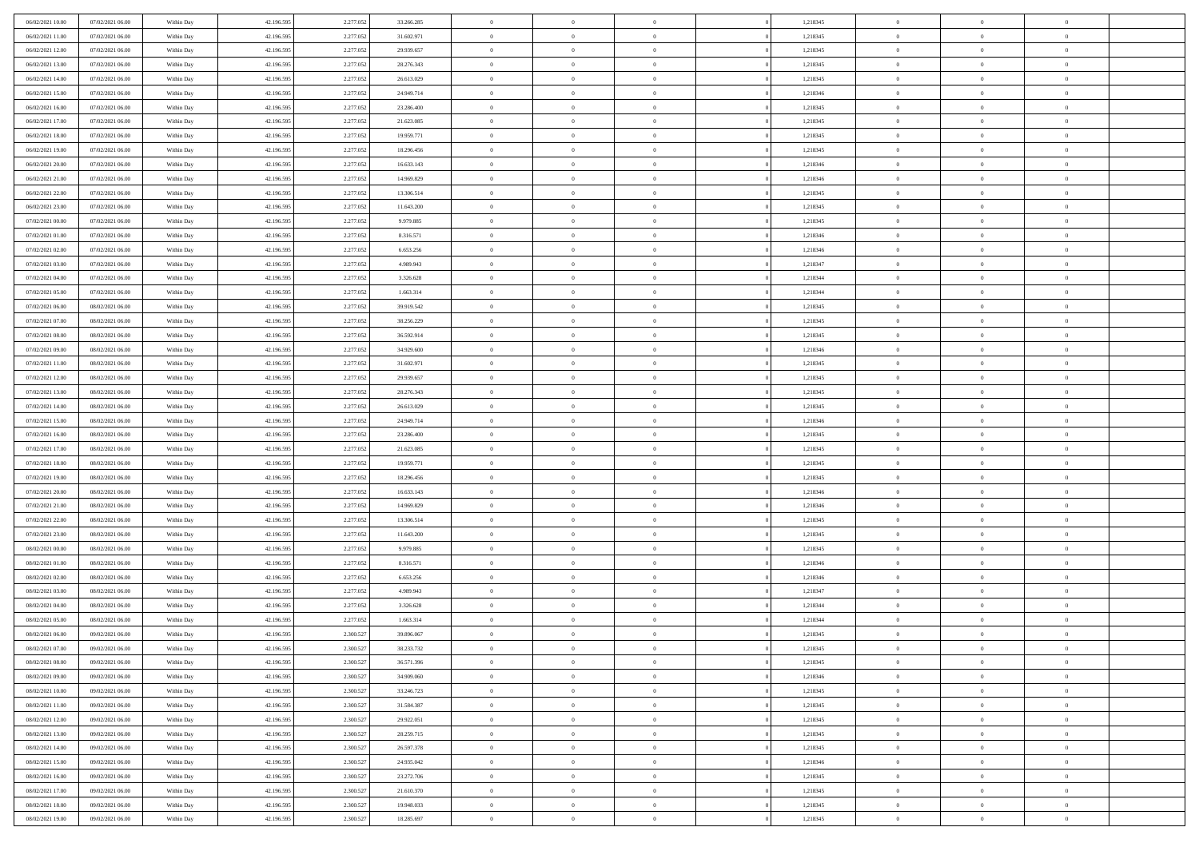| 06/02/2021 10:00 | 07/02/2021 06:00 | Within Day               | 42.196.595 | 2.277.052 | 33.266.285 | $\,$ 0         | $\overline{0}$ | $\theta$       |          | 1,218345 | $\bf{0}$       | $\overline{0}$ | $\,0\,$        |  |
|------------------|------------------|--------------------------|------------|-----------|------------|----------------|----------------|----------------|----------|----------|----------------|----------------|----------------|--|
| 06/02/2021 11:00 | 07/02/2021 06:00 | Within Day               | 42.196.595 | 2.277.052 | 31.602.971 | $\overline{0}$ | $\overline{0}$ | $\overline{0}$ |          | 1,218345 | $\overline{0}$ | $\overline{0}$ | $\theta$       |  |
| 06/02/2021 12:00 | 07/02/2021 06:00 | Within Dav               | 42.196.595 | 2.277.052 | 29.939.657 | $\mathbf{0}$   | $\overline{0}$ | $\overline{0}$ |          | 1,218345 | $\mathbf{0}$   | $\overline{0}$ | $\overline{0}$ |  |
| 06/02/2021 13:00 | 07/02/2021 06:00 | Within Day               | 42.196.595 | 2.277.052 | 28.276.343 | $\bf{0}$       | $\overline{0}$ | $\bf{0}$       |          | 1,218345 | $\bf{0}$       | $\overline{0}$ | $\bf{0}$       |  |
| 06/02/2021 14:00 | 07/02/2021 06:00 | Within Day               | 42.196.595 | 2.277.052 | 26.613.029 | $\bf{0}$       | $\bf{0}$       | $\overline{0}$ |          | 1,218345 | $\bf{0}$       | $\bf{0}$       | $\,0\,$        |  |
| 06/02/2021 15:00 | 07/02/2021 06:00 | Within Dav               | 42.196.595 | 2.277.052 | 24.949.714 | $\mathbf{0}$   | $\overline{0}$ |                |          | 1,218346 | $\mathbf{0}$   | $\overline{0}$ | $\overline{0}$ |  |
|                  |                  |                          |            |           |            |                |                | $\overline{0}$ |          |          |                |                |                |  |
| 06/02/2021 16:00 | 07/02/2021 06:00 | Within Day               | 42.196.595 | 2.277.052 | 23.286.400 | $\bf{0}$       | $\bf{0}$       | $\overline{0}$ |          | 1,218345 | $\bf{0}$       | $\overline{0}$ | $\,0\,$        |  |
| 06/02/2021 17:00 | 07/02/2021 06:00 | Within Day               | 42.196.595 | 2.277.052 | 21.623.085 | $\overline{0}$ | $\overline{0}$ | $\overline{0}$ |          | 1,218345 | $\,$ 0 $\,$    | $\overline{0}$ | $\overline{0}$ |  |
| 06/02/2021 18:00 | 07/02/2021 06:00 | Within Day               | 42.196.595 | 2.277.052 | 19.959.771 | $\mathbf{0}$   | $\overline{0}$ | $\overline{0}$ |          | 1,218345 | $\mathbf{0}$   | $\overline{0}$ | $\overline{0}$ |  |
| 06/02/2021 19:00 | 07/02/2021 06:00 | Within Day               | 42.196.595 | 2.277.052 | 18.296.456 | $\bf{0}$       | $\bf{0}$       | $\overline{0}$ |          | 1,218345 | $\bf{0}$       | $\overline{0}$ | $\,0\,$        |  |
| 06/02/2021 20:00 | 07/02/2021 06:00 | Within Day               | 42.196.595 | 2.277.052 | 16.633.143 | $\bf{0}$       | $\overline{0}$ | $\overline{0}$ |          | 1,218346 | $\bf{0}$       | $\overline{0}$ | $\theta$       |  |
| 06/02/2021 21:00 | 07/02/2021 06:00 | Within Dav               | 42.196.595 | 2.277.052 | 14.969.829 | $\mathbf{0}$   | $\overline{0}$ | $\overline{0}$ |          | 1,218346 | $\mathbf{0}$   | $\overline{0}$ | $\overline{0}$ |  |
| 06/02/2021 22.00 | 07/02/2021 06:00 | Within Day               | 42.196.595 | 2.277.052 | 13.306.514 | $\bf{0}$       | $\overline{0}$ | $\bf{0}$       |          | 1,218345 | $\bf{0}$       | $\overline{0}$ | $\bf{0}$       |  |
| 06/02/2021 23:00 | 07/02/2021 06:00 | Within Day               | 42.196.595 | 2.277.052 | 11.643.200 | $\bf{0}$       | $\overline{0}$ | $\overline{0}$ |          | 1,218345 | $\bf{0}$       | $\mathbf{0}$   | $\,0\,$        |  |
| 07/02/2021 00:00 | 07/02/2021 06:00 | Within Dav               | 42.196.595 | 2.277.052 | 9.979.885  | $\overline{0}$ | $\overline{0}$ | $\overline{0}$ |          | 1,218345 | $\mathbf{0}$   | $\overline{0}$ | $\overline{0}$ |  |
| 07/02/2021 01:00 | 07/02/2021 06:00 | Within Day               | 42.196.595 | 2.277.052 | 8.316.571  | $\bf{0}$       | $\bf{0}$       | $\overline{0}$ |          | 1,218346 | $\bf{0}$       | $\overline{0}$ | $\bf{0}$       |  |
| 07/02/2021 02:00 | 07/02/2021 06:00 | Within Day               | 42.196.595 | 2.277.052 | 6.653.256  | $\overline{0}$ | $\overline{0}$ | $\overline{0}$ |          | 1,218346 | $\,$ 0 $\,$    | $\overline{0}$ | $\theta$       |  |
| 07/02/2021 03:00 | 07/02/2021 06:00 | Within Day               | 42.196.595 | 2.277.052 | 4.989.943  | $\mathbf{0}$   | $\overline{0}$ | $\overline{0}$ |          | 1,218347 | $\mathbf{0}$   | $\overline{0}$ | $\overline{0}$ |  |
| 07/02/2021 04:00 | 07/02/2021 06:00 | Within Day               | 42.196.595 | 2.277.052 | 3.326.628  | $\bf{0}$       | $\bf{0}$       | $\overline{0}$ |          | 1,218344 | $\bf{0}$       | $\overline{0}$ | $\,0\,$        |  |
| 07/02/2021 05:00 | 07/02/2021 06:00 | Within Day               | 42.196.595 | 2.277.052 | 1.663.314  | $\bf{0}$       | $\overline{0}$ | $\overline{0}$ |          | 1,218344 | $\bf{0}$       | $\overline{0}$ | $\overline{0}$ |  |
| 07/02/2021 06:00 | 08/02/2021 06:00 | Within Dav               | 42.196.595 | 2.277.052 | 39.919.542 | $\overline{0}$ | $\overline{0}$ | $\overline{0}$ |          | 1,218345 | $\mathbf{0}$   | $\overline{0}$ | $\overline{0}$ |  |
| 07/02/2021 07:00 | 08/02/2021 06:00 | Within Day               | 42.196.595 | 2.277.052 | 38.256.229 | $\bf{0}$       | $\overline{0}$ | $\bf{0}$       |          | 1,218345 | $\bf{0}$       | $\overline{0}$ | $\bf{0}$       |  |
| 07/02/2021 08:00 | 08/02/2021 06:00 | Within Day               | 42.196.595 | 2.277.052 | 36.592.914 | $\bf{0}$       | $\bf{0}$       | $\overline{0}$ |          | 1,218345 | $\bf{0}$       | $\overline{0}$ | $\,0\,$        |  |
| 07/02/2021 09:00 | 08/02/2021 06:00 | Within Dav               | 42.196.595 | 2.277.052 | 34.929.600 | $\mathbf{0}$   | $\overline{0}$ | $\overline{0}$ |          | 1,218346 | $\mathbf{0}$   | $\overline{0}$ | $\overline{0}$ |  |
| 07/02/2021 11:00 | 08/02/2021 06:00 | Within Day               | 42.196.595 | 2.277.052 | 31.602.971 | $\bf{0}$       | $\bf{0}$       | $\overline{0}$ |          | 1,218345 | $\bf{0}$       | $\overline{0}$ | $\,0\,$        |  |
| 07/02/2021 12:00 | 08/02/2021 06:00 | Within Day               | 42.196.595 | 2.277.052 | 29.939.657 | $\bf{0}$       | $\overline{0}$ | $\overline{0}$ |          | 1,218345 | $\bf{0}$       | $\overline{0}$ | $\overline{0}$ |  |
| 07/02/2021 13:00 | 08/02/2021 06:00 | Within Day               | 42.196.595 | 2.277.052 | 28.276.343 | $\mathbf{0}$   | $\overline{0}$ | $\overline{0}$ |          | 1,218345 | $\mathbf{0}$   | $\overline{0}$ | $\overline{0}$ |  |
| 07/02/2021 14:00 | 08/02/2021 06:00 | Within Day               | 42.196.595 | 2.277.052 | 26.613.029 | $\bf{0}$       | $\bf{0}$       | $\overline{0}$ |          | 1,218345 | $\bf{0}$       | $\overline{0}$ | $\,0\,$        |  |
| 07/02/2021 15:00 | 08/02/2021 06:00 |                          | 42.196.595 | 2.277.052 | 24.949.714 | $\bf{0}$       | $\overline{0}$ | $\overline{0}$ |          | 1,218346 | $\bf{0}$       | $\overline{0}$ | $\overline{0}$ |  |
| 07/02/2021 16:00 | 08/02/2021 06:00 | Within Day<br>Within Dav | 42.196.595 | 2.277.052 | 23.286.400 | $\mathbf{0}$   | $\overline{0}$ | $\overline{0}$ |          | 1,218345 | $\mathbf{0}$   | $\overline{0}$ | $\overline{0}$ |  |
|                  |                  |                          |            |           |            |                |                |                |          |          |                |                |                |  |
| 07/02/2021 17:00 | 08/02/2021 06:00 | Within Day               | 42.196.595 | 2.277.052 | 21.623.085 | $\bf{0}$       | $\overline{0}$ | $\theta$       |          | 1,218345 | $\,$ 0         | $\overline{0}$ | $\theta$       |  |
| 07/02/2021 18:00 | 08/02/2021 06:00 | Within Day               | 42.196.595 | 2.277.052 | 19.959.771 | $\bf{0}$       | $\overline{0}$ | $\overline{0}$ |          | 1,218345 | $\bf{0}$       | $\overline{0}$ | $\bf{0}$       |  |
| 07/02/2021 19:00 | 08/02/2021 06:00 | Within Dav               | 42.196.595 | 2.277.052 | 18.296.456 | $\overline{0}$ | $\overline{0}$ | $\overline{0}$ |          | 1,218345 | $\mathbf{0}$   | $\overline{0}$ | $\overline{0}$ |  |
| 07/02/2021 20:00 | 08/02/2021 06:00 | Within Day               | 42.196.595 | 2.277.052 | 16.633.143 | $\bf{0}$       | $\overline{0}$ | $\theta$       |          | 1,218346 | $\,$ 0         | $\overline{0}$ | $\theta$       |  |
| 07/02/2021 21:00 | 08/02/2021 06:00 | Within Day               | 42.196.595 | 2.277.052 | 14.969.829 | $\bf{0}$       | $\overline{0}$ | $\overline{0}$ |          | 1,218346 | $\bf{0}$       | $\overline{0}$ | $\overline{0}$ |  |
| 07/02/2021 22:00 | 08/02/2021 06:00 | Within Day               | 42.196.595 | 2.277.052 | 13.306.514 | $\mathbf{0}$   | $\overline{0}$ | $\overline{0}$ |          | 1,218345 | $\mathbf{0}$   | $\overline{0}$ | $\overline{0}$ |  |
| 07/02/2021 23:00 | 08/02/2021 06:00 | Within Day               | 42.196.595 | 2.277.052 | 11.643.200 | $\bf{0}$       | $\overline{0}$ | $\theta$       |          | 1,218345 | $\,$ 0         | $\overline{0}$ | $\theta$       |  |
| 08/02/2021 00:00 | 08/02/2021 06:00 | Within Day               | 42.196.595 | 2.277.052 | 9.979.885  | $\bf{0}$       | $\overline{0}$ | $\overline{0}$ |          | 1,218345 | $\bf{0}$       | $\overline{0}$ | $\bf{0}$       |  |
| 08/02/2021 01:00 | 08/02/2021 06:00 | Within Dav               | 42.196.595 | 2.277.052 | 8.316.571  | $\mathbf{0}$   | $\overline{0}$ | $\overline{0}$ |          | 1,218346 | $\mathbf{0}$   | $\overline{0}$ | $\overline{0}$ |  |
| 08/02/2021 02:00 | 08/02/2021 06:00 | Within Day               | 42.196.595 | 2.277.052 | 6.653.256  | $\,0\,$        | $\overline{0}$ | $\theta$       |          | 1,218346 | $\,$ 0         | $\overline{0}$ | $\theta$       |  |
| 08/02/2021 03:00 | 08/02/2021 06:00 | Within Day               | 42.196.595 | 2.277.052 | 4.989.943  | $\bf{0}$       | $\overline{0}$ | $\overline{0}$ |          | 1,218347 | $\bf{0}$       | $\overline{0}$ | $\bf{0}$       |  |
| 08/02/2021 04:00 | 08/02/2021 06:00 | Within Dav               | 42.196.595 | 2.277.052 | 3.326.628  | $\mathbf{0}$   | $\overline{0}$ | $\overline{0}$ |          | 1,218344 | $\mathbf{0}$   | $\overline{0}$ | $\overline{0}$ |  |
| 08/02/2021 05:00 | 08/02/2021 06:00 | Within Day               | 42.196.595 | 2.277.052 | 1.663.314  | $\bf{0}$       | $\overline{0}$ | $\theta$       |          | 1,218344 | $\,$ 0         | $\overline{0}$ | $\theta$       |  |
| 08/02/2021 06:00 | 09/02/2021 06:00 | Within Day               | 42.196.595 | 2.300.527 | 39.896.067 | $\bf{0}$       | $\overline{0}$ | $\overline{0}$ |          | 1,218345 | $\,$ 0 $\,$    | $\overline{0}$ | $\bf{0}$       |  |
| 08/02/2021 07:00 | 09/02/2021 06:00 | Within Day               | 42.196.595 | 2.300.527 | 38.233.732 | $\bf{0}$       | $\overline{0}$ |                |          | 1,218345 | $\overline{0}$ | $\theta$       | $\theta$       |  |
| 08/02/2021 08:00 | 09/02/2021 06:00 | Within Day               | 42.196.595 | 2.300.527 | 36.571.396 | $\,0\,$        | $\overline{0}$ | $\theta$       |          | 1,218345 | $\,$ 0 $\,$    | $\bf{0}$       | $\theta$       |  |
| 08/02/2021 09:00 | 09/02/2021 06:00 | Within Day               | 42.196.595 | 2.300.527 | 34.909.060 | $\overline{0}$ | $\overline{0}$ | $\overline{0}$ |          | 1,218346 | $\overline{0}$ | $\overline{0}$ | $\overline{0}$ |  |
| 08/02/2021 10:00 | 09/02/2021 06:00 | Within Day               | 42.196.595 | 2.300.527 | 33.246.723 | $\bf{0}$       | $\overline{0}$ | $\overline{0}$ |          | 1,218345 | $\overline{0}$ | $\bf{0}$       | $\mathbf{0}$   |  |
| 08/02/2021 11:00 | 09/02/2021 06:00 | Within Day               | 42.196.595 | 2.300.527 | 31.584.387 | $\bf{0}$       | $\overline{0}$ | $\overline{0}$ | $\theta$ | 1,218345 | $\,$ 0 $\,$    | $\bf{0}$       | $\,$ 0 $\,$    |  |
| 08/02/2021 12:00 | 09/02/2021 06:00 | Within Day               | 42.196.595 | 2.300.527 | 29.922.051 | $\bf{0}$       | $\overline{0}$ | $\overline{0}$ |          | 1,218345 | $\,$ 0 $\,$    | $\overline{0}$ | $\overline{0}$ |  |
| 08/02/2021 13:00 | 09/02/2021 06:00 | Within Day               | 42.196.595 | 2.300.527 | 28.259.715 | $\bf{0}$       | $\overline{0}$ | $\overline{0}$ |          | 1,218345 | $\mathbf{0}$   | $\overline{0}$ | $\overline{0}$ |  |
| 08/02/2021 14:00 | 09/02/2021 06:00 | Within Day               | 42.196.595 | 2.300.527 | 26.597.378 | $\,0\,$        | $\overline{0}$ | $\overline{0}$ | $\theta$ | 1,218345 | $\,$ 0 $\,$    | $\overline{0}$ | $\overline{0}$ |  |
| 08/02/2021 15:00 | 09/02/2021 06:00 | Within Day               | 42.196.595 | 2.300.527 | 24.935.042 | $\bf{0}$       | $\overline{0}$ | $\overline{0}$ |          | 1,218346 | $\overline{0}$ | $\overline{0}$ | $\overline{0}$ |  |
| 08/02/2021 16:00 | 09/02/2021 06:00 | Within Day               | 42.196.595 | 2.300.527 | 23.272.706 | $\bf{0}$       | $\overline{0}$ | $\overline{0}$ |          | 1,218345 | $\mathbf{0}$   | $\overline{0}$ | $\mathbf{0}$   |  |
| 08/02/2021 17:00 | 09/02/2021 06:00 | Within Day               | 42.196.595 | 2.300.527 | 21.610.370 | $\,0\,$        | $\overline{0}$ | $\overline{0}$ |          | 1,218345 | $\,$ 0 $\,$    | $\mathbf{0}$   | $\overline{0}$ |  |
| 08/02/2021 18:00 | 09/02/2021 06:00 | Within Day               | 42.196.595 | 2.300.527 | 19.948.033 | $\bf{0}$       | $\bf{0}$       | $\overline{0}$ |          | 1,218345 | $\bf{0}$       | $\mathbf{0}$   | $\overline{0}$ |  |
| 08/02/2021 19:00 | 09/02/2021 06:00 | Within Day               | 42.196.595 | 2.300.527 | 18.285.697 | $\bf{0}$       | $\overline{0}$ | $\overline{0}$ |          | 1,218345 | $\mathbf{0}$   | $\overline{0}$ | $\overline{0}$ |  |
|                  |                  |                          |            |           |            |                |                |                |          |          |                |                |                |  |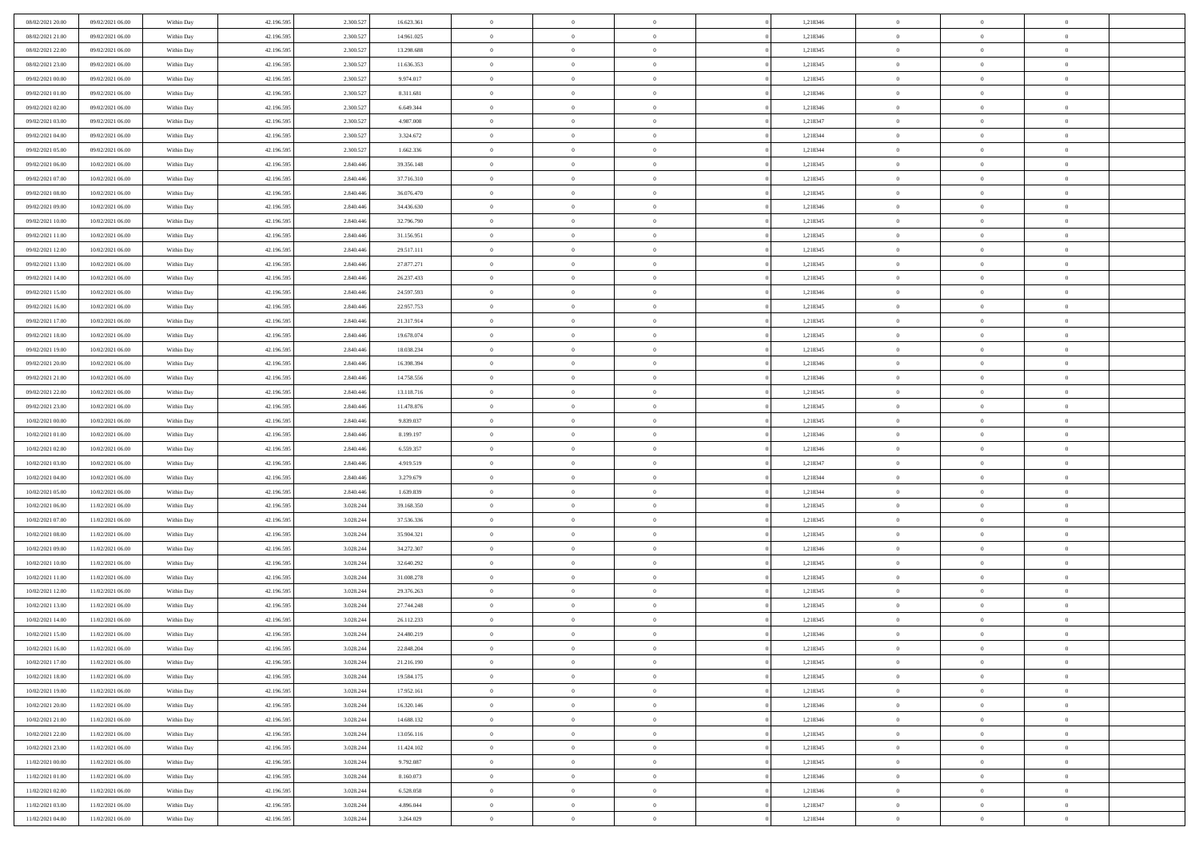| 08/02/2021 20:00 | 09/02/2021 06:00 | Within Day | 42.196.595 | 2.300.527 | 16.623.361 | $\overline{0}$ | $\overline{0}$ | $\Omega$       | 1,218346 | $\bf{0}$       | $\mathbf{0}$   | $\bf{0}$       |  |
|------------------|------------------|------------|------------|-----------|------------|----------------|----------------|----------------|----------|----------------|----------------|----------------|--|
| 08/02/2021 21:00 | 09/02/2021 06:00 | Within Day | 42.196.595 | 2.300.527 | 14.961.025 | $\mathbf{0}$   | $\overline{0}$ | $\overline{0}$ | 1,218346 | $\overline{0}$ | $\overline{0}$ | $\overline{0}$ |  |
| 08/02/2021 22:00 | 09/02/2021 06:00 | Within Day | 42.196.595 | 2.300.527 | 13.298.688 | $\,$ 0         | $\overline{0}$ | $\bf{0}$       | 1,218345 | $\,$ 0         | $\overline{0}$ | $\,$ 0 $\,$    |  |
| 08/02/2021 23:00 | 09/02/2021 06:00 | Within Day | 42.196.595 | 2.300.527 | 11.636.353 | $\bf{0}$       | $\overline{0}$ | $\Omega$       | 1,218345 | $\bf{0}$       | $\mathbf{0}$   | $\theta$       |  |
| 09/02/2021 00:00 | 09/02/2021 06:00 | Within Day | 42.196.595 | 2.300.527 | 9.974.017  | $\bf{0}$       | $\overline{0}$ | $\overline{0}$ | 1,218345 | $\mathbf{0}$   | $\overline{0}$ | $\overline{0}$ |  |
| 09/02/2021 01:00 | 09/02/2021 06:00 | Within Day | 42.196.595 | 2.300.527 | 8.311.681  | $\bf{0}$       | $\overline{0}$ | $\bf{0}$       | 1,218346 | $\,$ 0         | $\overline{0}$ | $\,$ 0 $\,$    |  |
| 09/02/2021 02:00 | 09/02/2021 06:00 | Within Day | 42.196.595 | 2.300.527 | 6.649.344  | $\bf{0}$       | $\overline{0}$ | $\overline{0}$ | 1,218346 | $\theta$       | $\mathbf{0}$   | $\theta$       |  |
| 09/02/2021 03:00 | 09/02/2021 06:00 | Within Day | 42.196.595 | 2.300.527 | 4.987.008  | $\overline{0}$ | $\overline{0}$ | $\overline{0}$ | 1,218347 | $\mathbf{0}$   | $\overline{0}$ | $\overline{0}$ |  |
| 09/02/2021 04:00 | 09/02/2021 06:00 | Within Day | 42.196.595 | 2.300.527 | 3.324.672  | $\bf{0}$       | $\overline{0}$ | $\bf{0}$       | 1,218344 | $\,$ 0         | $\overline{0}$ | $\,$ 0 $\,$    |  |
| 09/02/2021 05:00 | 09/02/2021 06:00 | Within Day | 42.196.595 | 2.300.527 | 1.662.336  | $\bf{0}$       | $\overline{0}$ | $\Omega$       | 1,218344 | $\theta$       | $\mathbf{0}$   | $\theta$       |  |
| 09/02/2021 06:00 | 10/02/2021 06:00 | Within Day | 42.196.595 | 2.840.446 | 39.356.148 | $\overline{0}$ | $\overline{0}$ | $\overline{0}$ | 1,218345 | $\mathbf{0}$   | $\overline{0}$ | $\overline{0}$ |  |
| 09/02/2021 07:00 | 10/02/2021 06:00 | Within Day | 42.196.595 | 2.840.446 | 37.716.310 | $\bf{0}$       | $\overline{0}$ | $\bf{0}$       | 1,218345 | $\,$ 0         | $\overline{0}$ | $\,$ 0 $\,$    |  |
| 09/02/2021 08:00 | 10/02/2021 06:00 | Within Day | 42.196.595 | 2.840.446 | 36.076.470 | $\bf{0}$       | $\overline{0}$ | $\Omega$       | 1,218345 | $\overline{0}$ | $\mathbf{0}$   | $\theta$       |  |
| 09/02/2021 09:00 | 10/02/2021 06:00 | Within Day | 42.196.595 | 2.840.446 | 34.436.630 | $\overline{0}$ | $\overline{0}$ | $\overline{0}$ | 1,218346 | $\mathbf{0}$   | $\overline{0}$ | $\overline{0}$ |  |
| 09/02/2021 10:00 | 10/02/2021 06:00 | Within Day | 42.196.595 | 2.840.446 | 32.796.790 | $\bf{0}$       | $\overline{0}$ | $\bf{0}$       | 1,218345 | $\,$ 0         | $\overline{0}$ | $\,$ 0 $\,$    |  |
| 09/02/2021 11:00 | 10/02/2021 06:00 | Within Day | 42.196.595 | 2.840.446 | 31.156.951 | $\bf{0}$       | $\overline{0}$ | $\overline{0}$ | 1,218345 | $\theta$       | $\mathbf{0}$   | $\theta$       |  |
| 09/02/2021 12:00 | 10/02/2021 06:00 | Within Day | 42.196.595 | 2.840.446 | 29.517.111 | $\overline{0}$ | $\overline{0}$ | $\overline{0}$ | 1,218345 | $\mathbf{0}$   | $\overline{0}$ | $\overline{0}$ |  |
| 09/02/2021 13:00 | 10/02/2021 06:00 | Within Day | 42.196.595 | 2.840.446 | 27.877.271 | $\bf{0}$       | $\overline{0}$ | $\bf{0}$       | 1,218345 | $\,$ 0         | $\overline{0}$ | $\,$ 0 $\,$    |  |
| 09/02/2021 14:00 | 10/02/2021 06:00 | Within Day | 42.196.595 | 2.840.446 | 26.237.433 | $\bf{0}$       | $\overline{0}$ | $\Omega$       | 1,218345 | $\theta$       | $\mathbf{0}$   | $\theta$       |  |
| 09/02/2021 15:00 | 10/02/2021 06:00 | Within Day | 42.196.595 | 2.840.446 | 24.597.593 | $\overline{0}$ | $\overline{0}$ | $\overline{0}$ | 1,218346 | $\mathbf{0}$   | $\overline{0}$ | $\overline{0}$ |  |
| 09/02/2021 16:00 | 10/02/2021 06:00 | Within Day | 42.196.595 | 2.840.446 | 22.957.753 | $\bf{0}$       | $\overline{0}$ | $\bf{0}$       | 1,218345 | $\,$ 0         | $\overline{0}$ | $\,$ 0 $\,$    |  |
| 09/02/2021 17:00 | 10/02/2021 06:00 | Within Day | 42.196.595 | 2.840.446 | 21.317.914 | $\bf{0}$       | $\overline{0}$ | $\Omega$       | 1,218345 | $\bf{0}$       | $\mathbf{0}$   | $\theta$       |  |
| 09/02/2021 18:00 | 10/02/2021 06:00 | Within Day | 42.196.595 | 2.840.446 | 19.678.074 | $\overline{0}$ | $\overline{0}$ | $\overline{0}$ | 1,218345 | $\mathbf{0}$   | $\overline{0}$ | $\overline{0}$ |  |
| 09/02/2021 19:00 | 10/02/2021 06:00 | Within Day | 42.196.595 | 2.840.446 | 18.038.234 | $\bf{0}$       | $\overline{0}$ | $\bf{0}$       | 1,218345 | $\,$ 0         | $\overline{0}$ | $\,$ 0 $\,$    |  |
| 09/02/2021 20:00 | 10/02/2021 06:00 | Within Day | 42.196.595 | 2.840.446 | 16.398.394 | $\bf{0}$       | $\overline{0}$ | $\overline{0}$ | 1,218346 | $\bf{0}$       | $\bf{0}$       | $\bf{0}$       |  |
| 09/02/2021 21:00 | 10/02/2021 06:00 | Within Day | 42.196.595 | 2.840.446 | 14.758.556 | $\overline{0}$ | $\overline{0}$ | $\overline{0}$ | 1,218346 | $\mathbf{0}$   | $\overline{0}$ | $\overline{0}$ |  |
| 09/02/2021 22.00 | 10/02/2021 06:00 | Within Day | 42.196.595 | 2.840.446 | 13.118.716 | $\bf{0}$       | $\overline{0}$ | $\bf{0}$       | 1,218345 | $\,$ 0         | $\overline{0}$ | $\,$ 0 $\,$    |  |
| 09/02/2021 23.00 | 10/02/2021 06:00 | Within Day | 42.196.595 | 2.840.446 | 11.478.876 | $\bf{0}$       | $\overline{0}$ | $\Omega$       | 1,218345 | $\theta$       | $\mathbf{0}$   | $\theta$       |  |
| 10/02/2021 00:00 | 10/02/2021 06:00 | Within Day | 42.196.595 | 2.840.446 | 9.839.037  | $\overline{0}$ | $\overline{0}$ | $\overline{0}$ | 1,218345 | $\mathbf{0}$   | $\overline{0}$ | $\overline{0}$ |  |
| 10/02/2021 01:00 | 10/02/2021 06:00 | Within Day | 42.196.595 | 2.840.446 | 8.199.197  | $\bf{0}$       | $\overline{0}$ | $\bf{0}$       | 1,218346 | $\,$ 0         | $\overline{0}$ | $\,$ 0 $\,$    |  |
| 10/02/2021 02:00 | 10/02/2021 06:00 | Within Day | 42.196.595 | 2.840.446 | 6.559.357  | $\bf{0}$       | $\overline{0}$ | $\overline{0}$ | 1,218346 | $\bf{0}$       | $\overline{0}$ | $\,0\,$        |  |
| 10/02/2021 03:00 | 10/02/2021 06:00 | Within Day | 42.196.595 | 2.840.446 | 4.919.519  | $\overline{0}$ | $\overline{0}$ | $\overline{0}$ | 1,218347 | $\mathbf{0}$   | $\overline{0}$ | $\overline{0}$ |  |
| 10/02/2021 04:00 | 10/02/2021 06:00 | Within Day | 42.196.595 | 2.840.446 | 3.279.679  | $\bf{0}$       | $\overline{0}$ | $\bf{0}$       | 1,218344 | $\,$ 0         | $\overline{0}$ | $\,$ 0 $\,$    |  |
| 10/02/2021 05:00 | 10/02/2021 06:00 | Within Day | 42.196.595 | 2.840.446 | 1.639.839  | $\bf{0}$       | $\overline{0}$ | $\bf{0}$       | 1,218344 | $\bf{0}$       | $\overline{0}$ | $\,0\,$        |  |
| 10/02/2021 06:00 | 11/02/2021 06:00 | Within Day | 42.196.595 | 3.028.244 | 39.168.350 | $\overline{0}$ | $\overline{0}$ | $\overline{0}$ | 1,218345 | $\overline{0}$ | $\overline{0}$ | $\overline{0}$ |  |
| 10/02/2021 07:00 | 11/02/2021 06:00 | Within Day | 42.196.595 | 3.028.244 | 37.536.336 | $\bf{0}$       | $\overline{0}$ | $\bf{0}$       | 1,218345 | $\,$ 0         | $\overline{0}$ | $\,$ 0 $\,$    |  |
| 10/02/2021 08:00 | 11/02/2021 06:00 | Within Day | 42.196.595 | 3.028.244 | 35.904.321 | $\bf{0}$       | $\overline{0}$ | $\overline{0}$ | 1,218345 | $\bf{0}$       | $\overline{0}$ | $\,0\,$        |  |
| 10/02/2021 09:00 | 11/02/2021 06:00 | Within Day | 42.196.595 | 3.028.244 | 34.272.307 | $\overline{0}$ | $\overline{0}$ | $\overline{0}$ | 1,218346 | $\mathbf{0}$   | $\overline{0}$ | $\overline{0}$ |  |
| 10/02/2021 10:00 | 11/02/2021 06:00 | Within Day | 42.196.595 | 3.028.244 | 32.640.292 | $\bf{0}$       | $\overline{0}$ | $\bf{0}$       | 1,218345 | $\,$ 0         | $\overline{0}$ | $\,$ 0 $\,$    |  |
| 10/02/2021 11:00 | 11/02/2021 06:00 | Within Day | 42.196.595 | 3.028.244 | 31.008.278 | $\bf{0}$       | $\overline{0}$ | $\overline{0}$ | 1,218345 | $\bf{0}$       | $\overline{0}$ | $\,0\,$        |  |
| 10/02/2021 12:00 | 11/02/2021 06:00 | Within Day | 42.196.595 | 3.028.244 | 29.376.263 | $\overline{0}$ | $\overline{0}$ | $\overline{0}$ | 1,218345 | $\overline{0}$ | $\overline{0}$ | $\overline{0}$ |  |
| 10/02/2021 13:00 | 11/02/2021 06:00 | Within Day | 42.196.595 | 3.028.244 | 27.744.248 | $\bf{0}$       | $\overline{0}$ | $\bf{0}$       | 1,218345 | $\,$ 0         | $\overline{0}$ | $\,$ 0 $\,$    |  |
| 10/02/2021 14:00 | 11/02/2021 06:00 | Within Day | 42.196.595 | 3.028.244 | 26.112.233 | $\bf{0}$       | $\bf{0}$       | $\bf{0}$       | 1,218345 | $\bf{0}$       | $\overline{0}$ | $\,0\,$        |  |
| 10/02/2021 15:00 | 11/02/2021 06:00 | Within Dav | 42.196.595 | 3.028.244 | 24.480.219 | $\mathbf{0}$   | $\overline{0}$ | $\overline{0}$ | 1,218346 | $\mathbf{0}$   | $\overline{0}$ | $\overline{0}$ |  |
| 10/02/2021 16:00 | 11/02/2021 06:00 | Within Day | 42.196.595 | 3.028.244 | 22.848.204 | $\bf{0}$       | $\overline{0}$ | $\theta$       | 1,218345 | $\overline{0}$ | $\theta$       | $\theta$       |  |
| 10/02/2021 17:00 | 11/02/2021 06:00 | Within Day | 42.196.595 | 3.028.244 | 21.216.190 | $\bf{0}$       | $\bf{0}$       | $\bf{0}$       | 1,218345 | $\bf{0}$       | $\overline{0}$ | $\bf{0}$       |  |
| 10/02/2021 18:00 | 11/02/2021 06:00 | Within Day | 42.196.595 | 3.028.244 | 19.584.175 | $\overline{0}$ | $\overline{0}$ | $\overline{0}$ | 1,218345 | $\overline{0}$ | $\overline{0}$ | $\overline{0}$ |  |
| 10/02/2021 19:00 | 11/02/2021 06:00 | Within Day | 42.196.595 | 3.028.244 | 17.952.161 | $\,$ 0 $\,$    | $\overline{0}$ | $\overline{0}$ | 1,218345 | $\mathbf{0}$   | $\,$ 0 $\,$    | $\,$ 0 $\,$    |  |
| 10/02/2021 20:00 | 11/02/2021 06:00 | Within Day | 42.196.595 | 3.028.244 | 16.320.146 | $\bf{0}$       | $\bf{0}$       | $\overline{0}$ | 1,218346 | $\bf{0}$       | $\overline{0}$ | $\bf{0}$       |  |
| 10/02/2021 21:00 | 11/02/2021 06:00 | Within Day | 42.196.595 | 3.028.244 | 14.688.132 | $\overline{0}$ | $\overline{0}$ | $\overline{0}$ | 1,218346 | $\overline{0}$ | $\bf{0}$       | $\overline{0}$ |  |
| 10/02/2021 22:00 | 11/02/2021 06:00 | Within Day | 42.196.595 | 3.028.244 | 13.056.116 | $\,$ 0 $\,$    | $\overline{0}$ | $\overline{0}$ | 1,218345 | $\mathbf{0}$   | $\overline{0}$ | $\,$ 0 $\,$    |  |
| 10/02/2021 23:00 | 11/02/2021 06:00 | Within Day | 42.196.595 | 3.028.244 | 11.424.102 | $\overline{0}$ | $\overline{0}$ | $\overline{0}$ | 1,218345 | $\bf{0}$       | $\overline{0}$ | $\overline{0}$ |  |
| 11/02/2021 00:00 | 11/02/2021 06:00 | Within Day | 42.196.595 | 3.028.244 | 9.792.087  | $\overline{0}$ | $\overline{0}$ | $\overline{0}$ | 1,218345 | $\overline{0}$ | $\bf{0}$       | $\overline{0}$ |  |
| 11/02/2021 01:00 | 11/02/2021 06:00 | Within Day | 42.196.595 | 3.028.244 | 8.160.073  | $\,$ 0 $\,$    | $\overline{0}$ | $\overline{0}$ | 1,218346 | $\mathbf{0}$   | $\,$ 0 $\,$    | $\,$ 0 $\,$    |  |
| 11/02/2021 02:00 | 11/02/2021 06:00 | Within Day | 42.196.595 | 3.028.244 | 6.528.058  | $\bf{0}$       | $\bf{0}$       | $\overline{0}$ | 1,218346 | $\bf{0}$       | $\overline{0}$ | $\bf{0}$       |  |
| 11/02/2021 03:00 | 11/02/2021 06:00 | Within Day | 42.196.595 | 3.028.244 | 4.896.044  | $\overline{0}$ | $\overline{0}$ | $\overline{0}$ | 1,218347 | $\mathbf{0}$   | $\bf{0}$       | $\overline{0}$ |  |
| 11/02/2021 04:00 | 11/02/2021 06:00 | Within Day | 42.196.595 | 3.028.244 | 3.264.029  | $\,0\,$        | $\overline{0}$ | $\overline{0}$ | 1,218344 | $\,$ 0 $\,$    | $\overline{0}$ | $\,$ 0 $\,$    |  |
|                  |                  |            |            |           |            |                |                |                |          |                |                |                |  |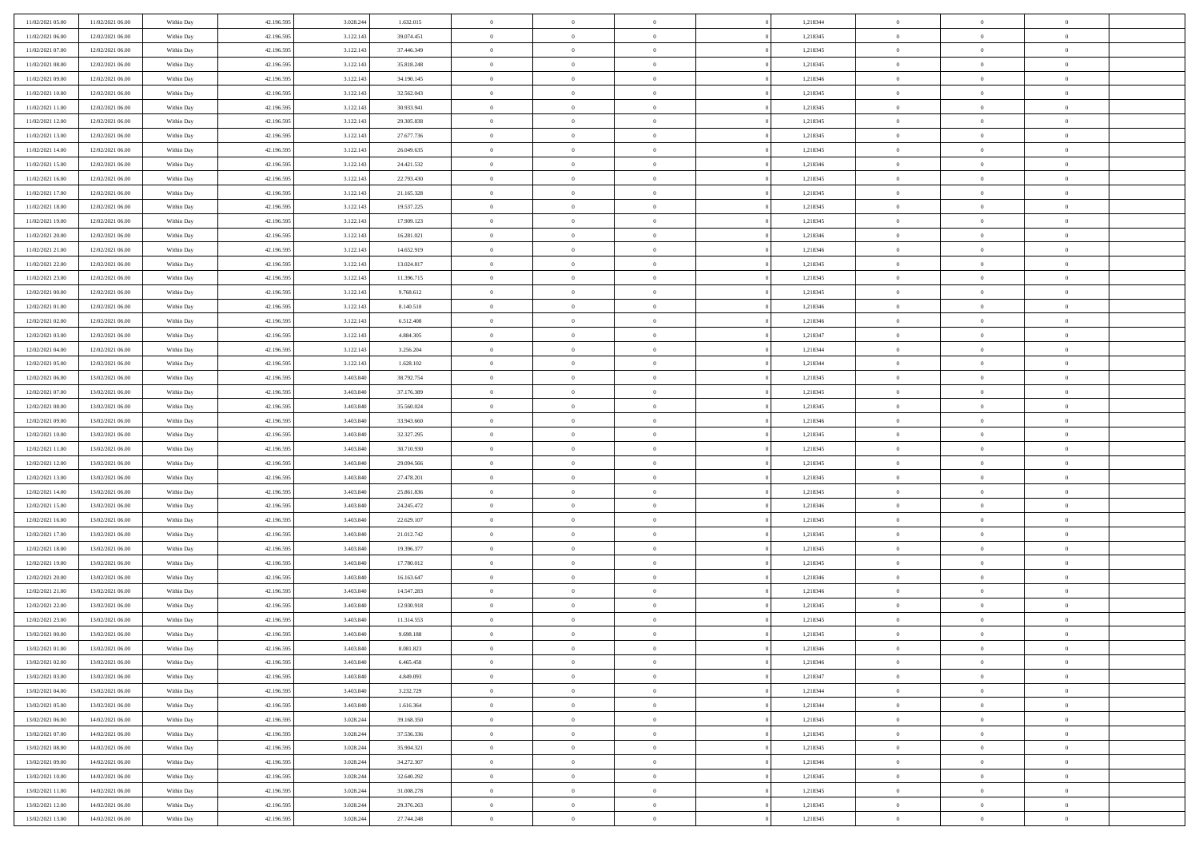| 11/02/2021 05:00 | 11/02/2021 06:00 | Within Day               | 42.196.595 | 3.028.244              | 1.632.015  | $\,$ 0 $\,$    | $\overline{0}$ | $\overline{0}$ |          | 1,218344 | $\bf{0}$       | $\overline{0}$ | $\,0\,$        |  |
|------------------|------------------|--------------------------|------------|------------------------|------------|----------------|----------------|----------------|----------|----------|----------------|----------------|----------------|--|
| 11/02/2021 06:00 | 12/02/2021 06:00 | Within Day               | 42.196.595 | 3.122.143              | 39.074.451 | $\overline{0}$ | $\overline{0}$ | $\mathbf{0}$   |          | 1,218345 | $\theta$       | $\overline{0}$ | $\theta$       |  |
| 11/02/2021 07:00 | 12/02/2021 06:00 | Within Dav               | 42.196.595 | 3.122.143              | 37.446.349 | $\theta$       | $\overline{0}$ | $\overline{0}$ |          | 1,218345 | $\mathbf{0}$   | $\overline{0}$ | $\overline{0}$ |  |
| 11/02/2021 08:00 | 12/02/2021 06:00 | Within Day               | 42.196.595 | 3.122.143              | 35.818.248 | $\,$ 0 $\,$    | $\overline{0}$ | $\overline{0}$ |          | 1,218345 | $\mathbf{0}$   | $\overline{0}$ | $\bf{0}$       |  |
| 11/02/2021 09:00 | 12/02/2021 06:00 | Within Day               | 42.196.595 | 3.122.143              | 34.190.145 | $\,$ 0         | $\overline{0}$ | $\mathbf{0}$   |          | 1,218346 | $\bf{0}$       | $\bf{0}$       | $\,0\,$        |  |
| 11/02/2021 10:00 | 12/02/2021 06:00 | Within Dav               | 42.196.595 | 3.122.143              | 32.562.043 | $\theta$       | $\overline{0}$ | $\mathbf{0}$   |          | 1,218345 | $\mathbf{0}$   | $\overline{0}$ | $\overline{0}$ |  |
| 11/02/2021 11:00 | 12/02/2021 06:00 | Within Day               | 42.196.595 | 3.122.143              | 30.933.941 | $\,$ 0 $\,$    | $\overline{0}$ | $\overline{0}$ |          | 1,218345 | $\bf{0}$       | $\overline{0}$ | $\bf{0}$       |  |
|                  |                  |                          |            |                        |            |                |                |                |          |          |                | $\overline{0}$ | $\overline{0}$ |  |
| 11/02/2021 12:00 | 12/02/2021 06:00 | Within Day               | 42.196.595 | 3.122.143              | 29.305.838 | $\,$ 0         | $\overline{0}$ | $\mathbf{0}$   |          | 1,218345 | $\,$ 0 $\,$    |                |                |  |
| 11/02/2021 13:00 | 12/02/2021 06:00 | Within Day               | 42.196.595 | 3.122.143              | 27.677.736 | $\theta$       | $\overline{0}$ | $\mathbf{0}$   |          | 1,218345 | $\mathbf{0}$   | $\overline{0}$ | $\overline{0}$ |  |
| 11/02/2021 14:00 | 12/02/2021 06:00 | Within Day               | 42.196.595 | 3.122.143              | 26.049.635 | $\,$ 0 $\,$    | $\overline{0}$ | $\Omega$       |          | 1,218345 | $\bf{0}$       | $\overline{0}$ | $\bf{0}$       |  |
| 11/02/2021 15:00 | 12/02/2021 06:00 | Within Day               | 42.196.595 | 3.122.143              | 24.421.532 | $\bf{0}$       | $\overline{0}$ | $\mathbf{0}$   |          | 1,218346 | $\bf{0}$       | $\overline{0}$ | $\theta$       |  |
| 11/02/2021 16:00 | 12/02/2021 06:00 | Within Dav               | 42.196.595 | 3.122.143              | 22.793.430 | $\theta$       | $\overline{0}$ | $\overline{0}$ |          | 1,218345 | $\mathbf{0}$   | $\overline{0}$ | $\overline{0}$ |  |
| 11/02/2021 17:00 | 12/02/2021 06:00 | Within Day               | 42.196.595 | 3.122.143              | 21.165.328 | $\,$ 0 $\,$    | $\overline{0}$ | $\overline{0}$ |          | 1,218345 | $\bf{0}$       | $\overline{0}$ | $\bf{0}$       |  |
| 11/02/2021 18:00 | 12/02/2021 06:00 | Within Day               | 42.196.595 | 3.122.143              | 19.537.225 | $\,$ 0         | $\overline{0}$ | $\mathbf{0}$   |          | 1,218345 | $\bf{0}$       | $\mathbf{0}$   | $\bf{0}$       |  |
| 11/02/2021 19:00 | 12/02/2021 06:00 | Within Dav               | 42.196.595 | 3.122.143              | 17.909.123 | $\theta$       | $\overline{0}$ | $\overline{0}$ |          | 1,218345 | $\mathbf{0}$   | $\overline{0}$ | $\overline{0}$ |  |
| 11/02/2021 20:00 | 12/02/2021 06:00 | Within Day               | 42.196.595 | 3.122.143              | 16.281.021 | $\,$ 0 $\,$    | $\overline{0}$ | $\Omega$       |          | 1,218346 | $\bf{0}$       | $\overline{0}$ | $\bf{0}$       |  |
| 11/02/2021 21:00 | 12/02/2021 06:00 | Within Day               | 42.196.595 | 3.122.143              | 14.652.919 | $\,$ 0 $\,$    | $\overline{0}$ | $\mathbf{0}$   |          | 1,218346 | $\mathbf{0}$   | $\overline{0}$ | $\theta$       |  |
| 11/02/2021 22:00 | 12/02/2021 06:00 | Within Day               | 42.196.595 | 3.122.143              | 13.024.817 | $\theta$       | $\overline{0}$ | $\mathbf{0}$   |          | 1,218345 | $\mathbf{0}$   | $\overline{0}$ | $\overline{0}$ |  |
| 11/02/2021 23:00 | 12/02/2021 06:00 | Within Day               | 42.196.595 | 3.122.143              | 11.396.715 | $\,$ 0 $\,$    | $\overline{0}$ | $\Omega$       |          | 1,218345 | $\bf{0}$       | $\overline{0}$ | $\bf{0}$       |  |
| 12/02/2021 00:00 | 12/02/2021 06:00 | Within Day               | 42.196.595 | 3.122.143              | 9.768.612  | $\bf{0}$       | $\overline{0}$ | $\mathbf{0}$   |          | 1,218345 | $\bf{0}$       | $\overline{0}$ | $\theta$       |  |
| 12/02/2021 01:00 | 12/02/2021 06:00 | Within Dav               | 42.196.595 | 3.122.143              | 8.140.510  | $\theta$       | $\overline{0}$ | $\overline{0}$ |          | 1,218346 | $\mathbf{0}$   | $\overline{0}$ | $\overline{0}$ |  |
| 12/02/2021 02:00 | 12/02/2021 06:00 | Within Day               | 42.196.595 | 3.122.143              | 6.512.408  | $\,$ 0 $\,$    | $\overline{0}$ | $\overline{0}$ |          | 1,218346 | $\bf{0}$       | $\overline{0}$ | $\bf{0}$       |  |
| 12/02/2021 03:00 | 12/02/2021 06:00 | Within Day               | 42.196.595 | 3.122.143              | 4.884.305  | $\,$ 0         | $\overline{0}$ | $\mathbf{0}$   |          | 1,218347 | $\,$ 0 $\,$    | $\bf{0}$       | $\bf{0}$       |  |
| 12/02/2021 04:00 | 12/02/2021 06:00 | Within Dav               | 42.196.595 | 3.122.143              | 3.256.204  | $\theta$       | $\overline{0}$ | $\mathbf{0}$   |          | 1,218344 | $\mathbf{0}$   | $\overline{0}$ | $\overline{0}$ |  |
| 12/02/2021 05:00 | 12/02/2021 06:00 | Within Day               | 42.196.595 | 3.122.143              | 1.628.102  | $\,$ 0 $\,$    | $\overline{0}$ | $\overline{0}$ |          | 1,218344 | $\bf{0}$       | $\overline{0}$ | $\bf{0}$       |  |
| 12/02/2021 06:00 | 13/02/2021 06:00 | Within Day               | 42.196.595 | 3.403.840              | 38.792.754 | $\,$ 0 $\,$    | $\overline{0}$ | $\mathbf{0}$   |          | 1,218345 | $\mathbf{0}$   | $\overline{0}$ | $\theta$       |  |
| 12/02/2021 07:00 | 13/02/2021 06:00 | Within Day               | 42.196.595 | 3.403.840              | 37.176.389 | $\theta$       | $\overline{0}$ | $\overline{0}$ |          | 1,218345 | $\mathbf{0}$   | $\overline{0}$ | $\overline{0}$ |  |
| 12/02/2021 08:00 | 13/02/2021 06:00 | Within Day               | 42.196.595 | 3.403.840              | 35.560.024 | $\,$ 0 $\,$    | $\overline{0}$ | $\Omega$       |          | 1,218345 | $\bf{0}$       | $\overline{0}$ | $\bf{0}$       |  |
| 12/02/2021 09:00 | 13/02/2021 06:00 | Within Day               | 42.196.595 | 3.403.840              | 33.943.660 | $\bf{0}$       | $\overline{0}$ | $\mathbf{0}$   |          | 1,218346 | $\bf{0}$       | $\mathbf{0}$   | $\overline{0}$ |  |
| 12/02/2021 10:00 | 13/02/2021 06:00 | Within Dav               | 42.196.595 | 3.403.840              | 32.327.295 | $\theta$       | $\overline{0}$ | $\overline{0}$ |          | 1,218345 | $\mathbf{0}$   | $\overline{0}$ | $\overline{0}$ |  |
| 12/02/2021 11:00 | 13/02/2021 06:00 | Within Day               | 42.196.595 | 3.403.840              | 30.710.930 | $\,$ 0 $\,$    | $\overline{0}$ | $\overline{0}$ |          | 1,218345 | $\,$ 0         | $\overline{0}$ | $\,$ 0 $\,$    |  |
| 12/02/2021 12:00 | 13/02/2021 06:00 |                          | 42.196.595 | 3.403.840              | 29.094.566 | $\,$ 0         | $\overline{0}$ | $\mathbf{0}$   |          | 1,218345 | $\bf{0}$       | $\overline{0}$ | $\bf{0}$       |  |
| 12/02/2021 13:00 | 13/02/2021 06:00 | Within Day<br>Within Dav | 42.196.595 | 3.403.840              | 27.478.201 | $\theta$       | $\overline{0}$ | $\overline{0}$ |          | 1,218345 | $\mathbf{0}$   | $\overline{0}$ | $\overline{0}$ |  |
|                  |                  |                          |            |                        |            | $\theta$       | $\overline{0}$ | $\overline{0}$ |          |          | $\,$ 0         | $\overline{0}$ | $\theta$       |  |
| 12/02/2021 14:00 | 13/02/2021 06:00 | Within Day               | 42.196.595 | 3.403.840<br>3.403.840 | 25.861.836 |                |                |                |          | 1,218345 |                | $\overline{0}$ | $\overline{0}$ |  |
| 12/02/2021 15:00 | 13/02/2021 06:00 | Within Day               | 42.196.595 |                        | 24.245.472 | $\bf{0}$       | $\overline{0}$ | $\mathbf{0}$   |          | 1,218346 | $\mathbf{0}$   |                |                |  |
| 12/02/2021 16:00 | 13/02/2021 06:00 | Within Day               | 42.196.595 | 3.403.840              | 22.629.107 | $\theta$       | $\overline{0}$ | $\mathbf{0}$   |          | 1,218345 | $\mathbf{0}$   | $\overline{0}$ | $\overline{0}$ |  |
| 12/02/2021 17:00 | 13/02/2021 06:00 | Within Day               | 42.196.595 | 3.403.840              | 21.012.742 | $\theta$       | $\overline{0}$ | $\overline{0}$ |          | 1,218345 | $\,$ 0         | $\overline{0}$ | $\theta$       |  |
| 12/02/2021 18:00 | 13/02/2021 06:00 | Within Day               | 42.196.595 | 3.403.840              | 19.396.377 | $\bf{0}$       | $\overline{0}$ | $\mathbf{0}$   |          | 1,218345 | $\bf{0}$       | $\mathbf{0}$   | $\bf{0}$       |  |
| 12/02/2021 19:00 | 13/02/2021 06:00 | Within Dav               | 42.196.595 | 3.403.840              | 17.780.012 | $\theta$       | $\overline{0}$ | $\overline{0}$ |          | 1,218345 | $\mathbf{0}$   | $\overline{0}$ | $\overline{0}$ |  |
| 12/02/2021 20:00 | 13/02/2021 06:00 | Within Day               | 42.196.595 | 3.403.840              | 16.163.647 | $\,$ 0 $\,$    | $\overline{0}$ | $\overline{0}$ |          | 1,218346 | $\,$ 0         | $\overline{0}$ | $\,$ 0 $\,$    |  |
| 12/02/2021 21:00 | 13/02/2021 06:00 | Within Day               | 42.196.595 | 3.403.840              | 14.547.283 | $\bf{0}$       | $\,$ 0 $\,$    | $\overline{0}$ |          | 1,218346 | $\,$ 0 $\,$    | $\overline{0}$ | $\overline{0}$ |  |
| 12/02/2021 22:00 | 13/02/2021 06:00 | Within Dav               | 42.196.595 | 3.403.840              | 12.930.918 | $\theta$       | $\overline{0}$ | $\mathbf{0}$   |          | 1,218345 | $\mathbf{0}$   | $\overline{0}$ | $\overline{0}$ |  |
| 12/02/2021 23:00 | 13/02/2021 06:00 | Within Day               | 42.196.595 | 3.403.840              | 11.314.553 | $\theta$       | $\overline{0}$ | $\overline{0}$ |          | 1,218345 | $\,$ 0         | $\overline{0}$ | $\theta$       |  |
| 13/02/2021 00:00 | 13/02/2021 06:00 | Within Day               | 42.196.595 | 3.403.840              | 9.698.188  | $\bf{0}$       | $\,$ 0 $\,$    | $\mathbf{0}$   |          | 1,218345 | $\,$ 0 $\,$    | $\overline{0}$ | $\overline{0}$ |  |
| 13/02/2021 01:00 | 13/02/2021 06:00 | Within Day               | 42.196.595 | 3.403.840              | 8.081.823  | $\overline{0}$ | $\theta$       |                |          | 1,218346 | $\overline{0}$ | $\theta$       | $\theta$       |  |
| 13/02/2021 02:00 | 13/02/2021 06:00 | Within Day               | 42.196.595 | 3.403.840              | 6.465.458  | $\,$ 0 $\,$    | $\overline{0}$ | $\overline{0}$ |          | 1,218346 | $\,$ 0 $\,$    | $\bf{0}$       | $\theta$       |  |
| 13/02/2021 03:00 | 13/02/2021 06:00 | Within Day               | 42.196.595 | 3.403.840              | 4.849.093  | $\overline{0}$ | $\,$ 0 $\,$    | $\overline{0}$ |          | 1,218347 | $\,$ 0 $\,$    | $\overline{0}$ | $\overline{0}$ |  |
| 13/02/2021 04:00 | 13/02/2021 06:00 | Within Day               | 42.196.595 | 3.403.840              | 3.232.729  | $\mathbf{0}$   | $\overline{0}$ | $\overline{0}$ |          | 1,218344 | $\,$ 0 $\,$    | $\bf{0}$       | $\overline{0}$ |  |
| 13/02/2021 05:00 | 13/02/2021 06:00 | Within Day               | 42.196.595 | 3.403.840              | 1.616.364  | $\,$ 0 $\,$    | $\overline{0}$ | $\overline{0}$ | $\theta$ | 1,218344 | $\,$ 0 $\,$    | $\bf{0}$       | $\,$ 0 $\,$    |  |
| 13/02/2021 06:00 | 14/02/2021 06:00 | Within Day               | 42.196.595 | 3.028.244              | 39.168.350 | $\,$ 0 $\,$    | $\,$ 0 $\,$    | $\overline{0}$ |          | 1,218345 | $\,$ 0 $\,$    | $\overline{0}$ | $\overline{0}$ |  |
| 13/02/2021 07:00 | 14/02/2021 06:00 | Within Day               | 42.196.595 | 3.028.244              | 37.536.336 | $\mathbf{0}$   | $\overline{0}$ | $\overline{0}$ |          | 1,218345 | $\mathbf{0}$   | $\bf{0}$       | $\overline{0}$ |  |
| 13/02/2021 08:00 | 14/02/2021 06:00 | Within Day               | 42.196.595 | 3.028.244              | 35.904.321 | $\,$ 0 $\,$    | $\overline{0}$ | $\overline{0}$ |          | 1,218345 | $\,$ 0 $\,$    | $\mathbf{0}$   | $\,$ 0 $\,$    |  |
| 13/02/2021 09:00 | 14/02/2021 06:00 | Within Day               | 42.196.595 | 3.028.244              | 34.272.307 | $\overline{0}$ | $\,$ 0 $\,$    | $\overline{0}$ |          | 1,218346 | $\,$ 0 $\,$    | $\overline{0}$ | $\overline{0}$ |  |
| 13/02/2021 10:00 | 14/02/2021 06:00 | Within Day               | 42.196.595 | 3.028.244              | 32.640.292 | $\mathbf{0}$   | $\overline{0}$ | $\overline{0}$ |          | 1,218345 | $\mathbf{0}$   | $\bf{0}$       | $\overline{0}$ |  |
| 13/02/2021 11:00 | 14/02/2021 06:00 | Within Day               | 42.196.595 | 3.028.244              | 31.008.278 | $\,$ 0 $\,$    | $\overline{0}$ | $\overline{0}$ |          | 1,218345 | $\,$ 0 $\,$    | $\overline{0}$ | $\,$ 0 $\,$    |  |
| 13/02/2021 12:00 | 14/02/2021 06:00 | Within Day               | 42.196.595 | 3.028.244              | 29.376.263 | $\,$ 0 $\,$    | $\,$ 0 $\,$    | $\overline{0}$ |          | 1,218345 | $\,$ 0 $\,$    | $\overline{0}$ | $\overline{0}$ |  |
| 13/02/2021 13:00 | 14/02/2021 06:00 | Within Day               | 42.196.595 | 3.028.244              | 27.744.248 | $\theta$       | $\overline{0}$ | $\overline{0}$ |          | 1,218345 | $\,$ 0 $\,$    | $\overline{0}$ | $\overline{0}$ |  |
|                  |                  |                          |            |                        |            |                |                |                |          |          |                |                |                |  |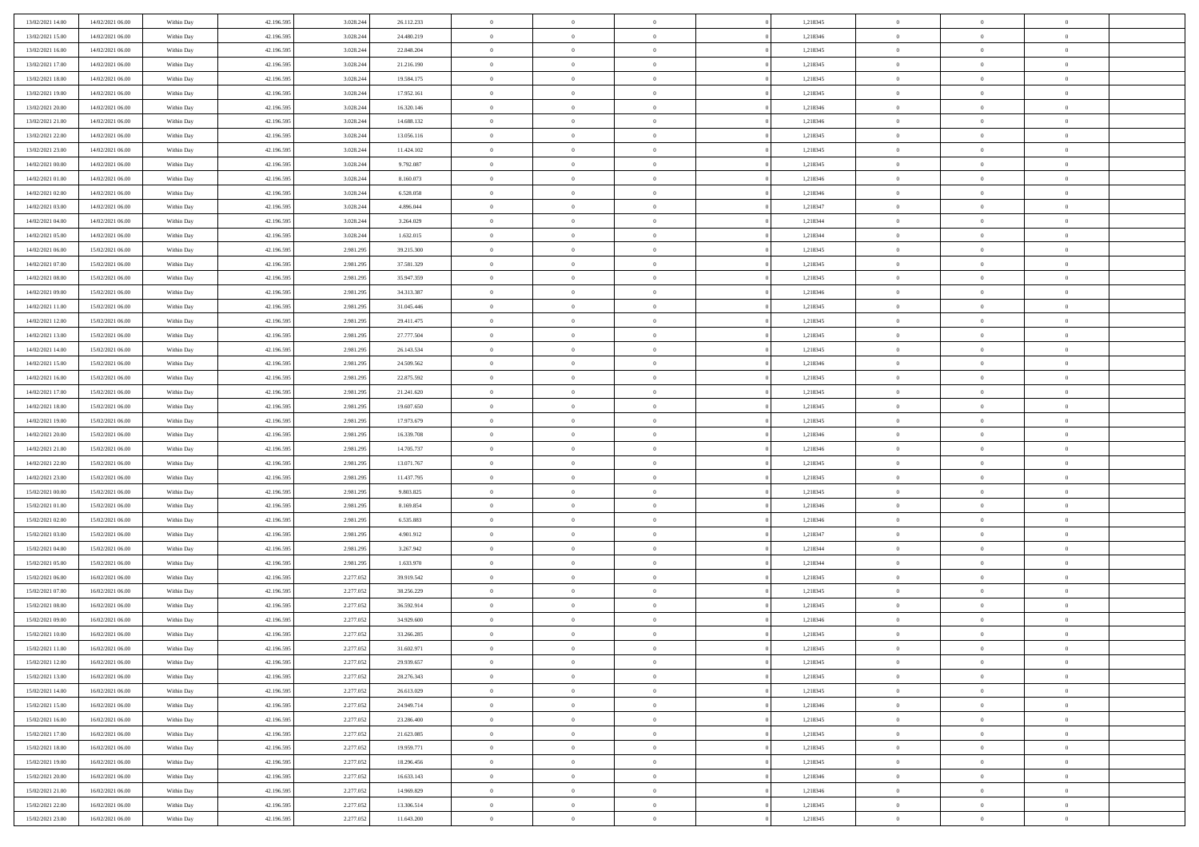| 13/02/2021 14:00 | 14/02/2021 06:00 | Within Day               | 42.196.595 | 3.028.244 | 26.112.233 | $\,$ 0         | $\overline{0}$ | $\theta$       |                | 1,218345 | $\bf{0}$       | $\overline{0}$ | $\theta$       |  |
|------------------|------------------|--------------------------|------------|-----------|------------|----------------|----------------|----------------|----------------|----------|----------------|----------------|----------------|--|
| 13/02/2021 15:00 | 14/02/2021 06:00 | Within Day               | 42.196.595 | 3.028.244 | 24.480.219 | $\overline{0}$ | $\overline{0}$ | $\overline{0}$ |                | 1,218346 | $\theta$       | $\theta$       | $\overline{0}$ |  |
| 13/02/2021 16:00 | 14/02/2021 06:00 | Within Dav               | 42.196.595 | 3.028.244 | 22.848.204 | $\mathbf{0}$   | $\overline{0}$ | $\overline{0}$ |                | 1,218345 | $\theta$       | $\overline{0}$ | $\theta$       |  |
| 13/02/2021 17:00 | 14/02/2021 06:00 | Within Day               | 42.196.595 | 3.028.244 | 21.216.190 | $\bf{0}$       | $\overline{0}$ | $\bf{0}$       |                | 1,218345 | $\bf{0}$       | $\overline{0}$ | $\bf{0}$       |  |
| 13/02/2021 18:00 | 14/02/2021 06:00 | Within Day               | 42.196.595 | 3.028.244 | 19.584.175 | $\bf{0}$       | $\overline{0}$ | $\overline{0}$ |                | 1,218345 | $\bf{0}$       | $\Omega$       | $\bf{0}$       |  |
| 13/02/2021 19:00 | 14/02/2021 06:00 | Within Dav               | 42.196.595 | 3.028.244 | 17.952.161 | $\mathbf{0}$   | $\overline{0}$ | $\overline{0}$ |                | 1,218345 | $\theta$       | $\overline{0}$ | $\theta$       |  |
| 13/02/2021 20:00 | 14/02/2021 06:00 | Within Day               | 42.196.595 | 3.028.244 | 16.320.146 | $\bf{0}$       | $\overline{0}$ | $\overline{0}$ |                | 1,218346 | $\bf{0}$       | $\overline{0}$ | $\theta$       |  |
|                  |                  |                          |            |           |            | $\overline{0}$ | $\overline{0}$ |                |                |          | $\,$ 0 $\,$    | $\overline{0}$ | $\overline{0}$ |  |
| 13/02/2021 21:00 | 14/02/2021 06:00 | Within Day               | 42.196.595 | 3.028.244 | 14.688.132 |                |                | $\overline{0}$ |                | 1,218346 |                |                |                |  |
| 13/02/2021 22:00 | 14/02/2021 06:00 | Within Day               | 42.196.595 | 3.028.244 | 13.056.116 | $\mathbf{0}$   | $\overline{0}$ | $\overline{0}$ |                | 1,218345 | $\theta$       | $\overline{0}$ | $\theta$       |  |
| 13/02/2021 23:00 | 14/02/2021 06:00 | Within Day               | 42.196.595 | 3.028.244 | 11.424.102 | $\bf{0}$       | $\overline{0}$ | $\overline{0}$ |                | 1,218345 | $\bf{0}$       | $\overline{0}$ | $\theta$       |  |
| 14/02/2021 00:00 | 14/02/2021 06:00 | Within Day               | 42.196.595 | 3.028.244 | 9.792.087  | $\bf{0}$       | $\overline{0}$ | $\overline{0}$ |                | 1,218345 | $\bf{0}$       | $\theta$       | $\overline{0}$ |  |
| 14/02/2021 01:00 | 14/02/2021 06:00 | Within Dav               | 42.196.595 | 3.028.244 | 8.160.073  | $\mathbf{0}$   | $\overline{0}$ | $\overline{0}$ |                | 1,218346 | $\theta$       | $\overline{0}$ | $\theta$       |  |
| 14/02/2021 02:00 | 14/02/2021 06:00 | Within Day               | 42.196.595 | 3.028.244 | 6.528.058  | $\bf{0}$       | $\overline{0}$ | $\bf{0}$       |                | 1,218346 | $\bf{0}$       | $\overline{0}$ | $\bf{0}$       |  |
| 14/02/2021 03:00 | 14/02/2021 06:00 | Within Day               | 42.196.595 | 3.028.244 | 4.896.044  | $\bf{0}$       | $\overline{0}$ | $\overline{0}$ |                | 1,218347 | $\bf{0}$       | $\Omega$       | $\bf{0}$       |  |
| 14/02/2021 04:00 | 14/02/2021 06:00 | Within Dav               | 42.196.595 | 3.028.244 | 3.264.029  | $\overline{0}$ | $\overline{0}$ | $\overline{0}$ |                | 1,218344 | $\theta$       | $\overline{0}$ | $\theta$       |  |
| 14/02/2021 05:00 | 14/02/2021 06:00 | Within Day               | 42.196.595 | 3.028.244 | 1.632.015  | $\bf{0}$       | $\overline{0}$ | $\overline{0}$ |                | 1,218344 | $\bf{0}$       | $\overline{0}$ | $\theta$       |  |
| 14/02/2021 06:00 | 15/02/2021 06:00 | Within Day               | 42.196.595 | 2.981.295 | 39.215.300 | $\bf{0}$       | $\overline{0}$ | $\overline{0}$ |                | 1,218345 | $\,$ 0 $\,$    | $\overline{0}$ | $\overline{0}$ |  |
| 14/02/2021 07:00 | 15/02/2021 06:00 | Within Day               | 42.196.595 | 2.981.295 | 37.581.329 | $\mathbf{0}$   | $\overline{0}$ | $\overline{0}$ |                | 1,218345 | $\theta$       | $\overline{0}$ | $\theta$       |  |
| 14/02/2021 08:00 | 15/02/2021 06:00 | Within Day               | 42.196.595 | 2.981.295 | 35.947.359 | $\bf{0}$       | $\overline{0}$ | $\overline{0}$ |                | 1,218345 | $\bf{0}$       | $\overline{0}$ | $\theta$       |  |
| 14/02/2021 09:00 | 15/02/2021 06:00 | Within Day               | 42.196.595 | 2.981.295 | 34.313.387 | $\bf{0}$       | $\overline{0}$ | $\overline{0}$ |                | 1,218346 | $\bf{0}$       | $\theta$       | $\bf{0}$       |  |
| 14/02/2021 11:00 | 15/02/2021 06:00 | Within Dav               | 42.196.595 | 2.981.295 | 31.045.446 | $\mathbf{0}$   | $\overline{0}$ | $\overline{0}$ |                | 1,218345 | $\theta$       | $\overline{0}$ | $\theta$       |  |
| 14/02/2021 12:00 | 15/02/2021 06:00 | Within Day               | 42.196.595 | 2.981.295 | 29.411.475 | $\bf{0}$       | $\overline{0}$ | $\bf{0}$       |                | 1,218345 | $\bf{0}$       | $\overline{0}$ | $\bf{0}$       |  |
| 14/02/2021 13:00 | 15/02/2021 06:00 | Within Day               | 42.196.595 | 2.981.295 | 27.777.504 | $\bf{0}$       | $\bf{0}$       | $\overline{0}$ |                | 1,218345 | $\bf{0}$       | $\overline{0}$ | $\bf{0}$       |  |
| 14/02/2021 14:00 | 15/02/2021 06:00 | Within Dav               | 42.196.595 | 2.981.295 | 26.143.534 | $\mathbf{0}$   | $\overline{0}$ | $\overline{0}$ |                | 1,218345 | $\theta$       | $\overline{0}$ | $\theta$       |  |
| 14/02/2021 15:00 | 15/02/2021 06:00 | Within Day               | 42.196.595 | 2.981.295 | 24.509.562 | $\bf{0}$       | $\bf{0}$       | $\overline{0}$ |                | 1,218346 | $\bf{0}$       | $\overline{0}$ | $\theta$       |  |
| 14/02/2021 16:00 | 15/02/2021 06:00 | Within Day               | 42.196.595 | 2.981.295 | 22.875.592 | $\bf{0}$       | $\overline{0}$ | $\overline{0}$ |                | 1,218345 | $\,$ 0 $\,$    | $\overline{0}$ | $\bf{0}$       |  |
| 14/02/2021 17:00 | 15/02/2021 06:00 | Within Day               | 42.196.595 | 2.981.295 | 21.241.620 | $\mathbf{0}$   | $\overline{0}$ | $\overline{0}$ |                | 1,218345 | $\theta$       | $\overline{0}$ | $\theta$       |  |
| 14/02/2021 18:00 | 15/02/2021 06:00 | Within Day               | 42.196.595 | 2.981.295 | 19.607.650 | $\bf{0}$       | $\bf{0}$       | $\overline{0}$ |                | 1,218345 | $\bf{0}$       | $\overline{0}$ | $\theta$       |  |
| 14/02/2021 19:00 | 15/02/2021 06:00 | Within Day               | 42.196.595 | 2.981.295 | 17.973.679 | $\bf{0}$       | $\overline{0}$ | $\overline{0}$ |                | 1,218345 | $\bf{0}$       | $\theta$       | $\bf{0}$       |  |
| 14/02/2021 20:00 | 15/02/2021 06:00 | Within Dav               | 42.196.595 | 2.981.295 | 16.339.708 | $\mathbf{0}$   | $\overline{0}$ | $\overline{0}$ |                | 1,218346 | $\theta$       | $\overline{0}$ | $\theta$       |  |
| 14/02/2021 21:00 | 15/02/2021 06:00 | Within Day               | 42.196.595 | 2.981.295 | 14.705.737 | $\bf{0}$       | $\overline{0}$ | $\overline{0}$ |                | 1,218346 | $\,0\,$        | $\overline{0}$ | $\theta$       |  |
| 14/02/2021 22:00 | 15/02/2021 06:00 |                          | 42.196.595 | 2.981.295 | 13.071.767 | $\bf{0}$       | $\overline{0}$ | $\overline{0}$ |                | 1,218345 | $\bf{0}$       | $\overline{0}$ | $\bf{0}$       |  |
| 14/02/2021 23:00 | 15/02/2021 06:00 | Within Day<br>Within Dav | 42.196.595 | 2.981.295 | 11.437.795 | $\overline{0}$ | $\overline{0}$ | $\overline{0}$ |                | 1,218345 | $\theta$       | $\overline{0}$ | $\theta$       |  |
|                  |                  |                          |            |           |            |                |                |                |                |          |                |                |                |  |
| 15/02/2021 00:00 | 15/02/2021 06:00 | Within Day               | 42.196.595 | 2.981.295 | 9.803.825  | $\bf{0}$       | $\overline{0}$ | $\theta$       |                | 1,218345 | $\,0\,$        | $\overline{0}$ | $\theta$       |  |
| 15/02/2021 01:00 | 15/02/2021 06:00 | Within Day               | 42.196.595 | 2.981.295 | 8.169.854  | $\overline{0}$ | $\overline{0}$ | $\overline{0}$ |                | 1,218346 | $\bf{0}$       | $\overline{0}$ | $\bf{0}$       |  |
| 15/02/2021 02:00 | 15/02/2021 06:00 | Within Day               | 42.196.595 | 2.981.295 | 6.535.883  | $\mathbf{0}$   | $\overline{0}$ | $\overline{0}$ |                | 1,218346 | $\theta$       | $\overline{0}$ | $\theta$       |  |
| 15/02/2021 03:00 | 15/02/2021 06:00 | Within Day               | 42.196.595 | 2.981.295 | 4.901.912  | $\bf{0}$       | $\overline{0}$ | $\overline{0}$ |                | 1,218347 | $\,0\,$        | $\overline{0}$ | $\theta$       |  |
| 15/02/2021 04:00 | 15/02/2021 06:00 | Within Day               | 42.196.595 | 2.981.295 | 3.267.942  | $\bf{0}$       | $\overline{0}$ | $\overline{0}$ |                | 1,218344 | $\bf{0}$       | $\theta$       | $\bf{0}$       |  |
| 15/02/2021 05:00 | 15/02/2021 06:00 | Within Dav               | 42.196.595 | 2.981.295 | 1.633.970  | $\mathbf{0}$   | $\overline{0}$ | $\overline{0}$ |                | 1,218344 | $\theta$       | $\overline{0}$ | $\theta$       |  |
| 15/02/2021 06:00 | 16/02/2021 06:00 | Within Day               | 42.196.595 | 2.277.052 | 39.919.542 | $\,0\,$        | $\overline{0}$ | $\overline{0}$ |                | 1,218345 | $\,0\,$        | $\overline{0}$ | $\theta$       |  |
| 15/02/2021 07:00 | 16/02/2021 06:00 | Within Day               | 42.196.595 | 2.277.052 | 38.256.229 | $\bf{0}$       | $\overline{0}$ | $\overline{0}$ |                | 1,218345 | $\bf{0}$       | $\overline{0}$ | $\bf{0}$       |  |
| 15/02/2021 08:00 | 16/02/2021 06:00 | Within Day               | 42.196.595 | 2.277.052 | 36.592.914 | $\mathbf{0}$   | $\overline{0}$ | $\overline{0}$ |                | 1,218345 | $\theta$       | $\overline{0}$ | $\theta$       |  |
| 15/02/2021 09:00 | 16/02/2021 06:00 | Within Day               | 42.196.595 | 2.277.052 | 34.929.600 | $\bf{0}$       | $\overline{0}$ | $\overline{0}$ |                | 1,218346 | $\,0\,$        | $\overline{0}$ | $\theta$       |  |
| 15/02/2021 10:00 | 16/02/2021 06:00 | Within Day               | 42.196.595 | 2.277.052 | 33.266.285 | $\bf{0}$       | $\overline{0}$ | $\overline{0}$ |                | 1,218345 | $\,$ 0 $\,$    | $\overline{0}$ | $\bf{0}$       |  |
| 15/02/2021 11:00 | 16/02/2021 06:00 | Within Day               | 42.196.595 | 2.277.052 | 31.602.971 | $\bf{0}$       | $\overline{0}$ |                |                | 1,218345 | $\bf{0}$       | $\Omega$       | $\theta$       |  |
| 15/02/2021 12:00 | 16/02/2021 06:00 | Within Day               | 42.196.595 | 2.277.052 | 29.939.657 | $\,0\,$        | $\overline{0}$ | $\overline{0}$ |                | 1,218345 | $\,$ 0 $\,$    | $\overline{0}$ | $\theta$       |  |
| 15/02/2021 13:00 | 16/02/2021 06:00 | Within Day               | 42.196.595 | 2.277.052 | 28.276.343 | $\overline{0}$ | $\overline{0}$ | $\overline{0}$ |                | 1,218345 | $\overline{0}$ | $\overline{0}$ | $\overline{0}$ |  |
| 15/02/2021 14:00 | 16/02/2021 06:00 | Within Day               | 42.196.595 | 2.277.052 | 26.613.029 | $\overline{0}$ | $\overline{0}$ | $\overline{0}$ |                | 1,218345 | $\mathbf{0}$   | $\overline{0}$ | $\overline{0}$ |  |
| 15/02/2021 15:00 | 16/02/2021 06:00 | Within Day               | 42.196.595 | 2.277.052 | 24.949.714 | $\,$ 0 $\,$    | $\overline{0}$ | $\overline{0}$ | $\overline{0}$ | 1,218346 | $\,$ 0 $\,$    | $\overline{0}$ | $\,$ 0         |  |
| 15/02/2021 16:00 | 16/02/2021 06:00 | Within Day               | 42.196.595 | 2.277.052 | 23.286.400 | $\,$ 0 $\,$    | $\overline{0}$ | $\overline{0}$ |                | 1,218345 | $\,$ 0 $\,$    | $\overline{0}$ | $\overline{0}$ |  |
| 15/02/2021 17:00 | 16/02/2021 06:00 | Within Day               | 42.196.595 | 2.277.052 | 21.623.085 | $\overline{0}$ | $\overline{0}$ | $\overline{0}$ |                | 1,218345 | $\overline{0}$ | $\overline{0}$ | $\overline{0}$ |  |
| 15/02/2021 18:00 | 16/02/2021 06:00 | Within Day               | 42.196.595 | 2.277.052 | 19.959.771 | $\,$ 0 $\,$    | $\overline{0}$ | $\overline{0}$ | $\theta$       | 1,218345 | $\,$ 0 $\,$    | $\overline{0}$ | $\theta$       |  |
| 15/02/2021 19:00 | 16/02/2021 06:00 | Within Day               | 42.196.595 | 2.277.052 | 18.296.456 | $\overline{0}$ | $\overline{0}$ | $\overline{0}$ |                | 1,218345 | $\overline{0}$ | $\overline{0}$ | $\overline{0}$ |  |
| 15/02/2021 20:00 | 16/02/2021 06:00 | Within Day               | 42.196.595 | 2.277.052 | 16.633.143 | $\mathbf{0}$   | $\overline{0}$ | $\overline{0}$ |                | 1,218346 | $\mathbf{0}$   | $\overline{0}$ | $\overline{0}$ |  |
| 15/02/2021 21:00 | 16/02/2021 06:00 | Within Day               | 42.196.595 | 2.277.052 | 14.969.829 | $\,$ 0 $\,$    | $\overline{0}$ | $\overline{0}$ |                | 1,218346 | $\,$ 0 $\,$    | $\overline{0}$ | $\,$ 0 $\,$    |  |
| 15/02/2021 22.00 | 16/02/2021 06:00 | Within Day               | 42.196.595 | 2.277.052 | 13.306.514 | $\bf{0}$       | $\bf{0}$       | $\overline{0}$ |                | 1,218345 | $\,$ 0 $\,$    | $\overline{0}$ | $\overline{0}$ |  |
| 15/02/2021 23:00 | 16/02/2021 06:00 | Within Day               | 42.196.595 | 2.277.052 | 11.643.200 | $\mathbf{0}$   | $\overline{0}$ | $\overline{0}$ |                | 1,218345 | $\,$ 0 $\,$    | $\overline{0}$ | $\overline{0}$ |  |
|                  |                  |                          |            |           |            |                |                |                |                |          |                |                |                |  |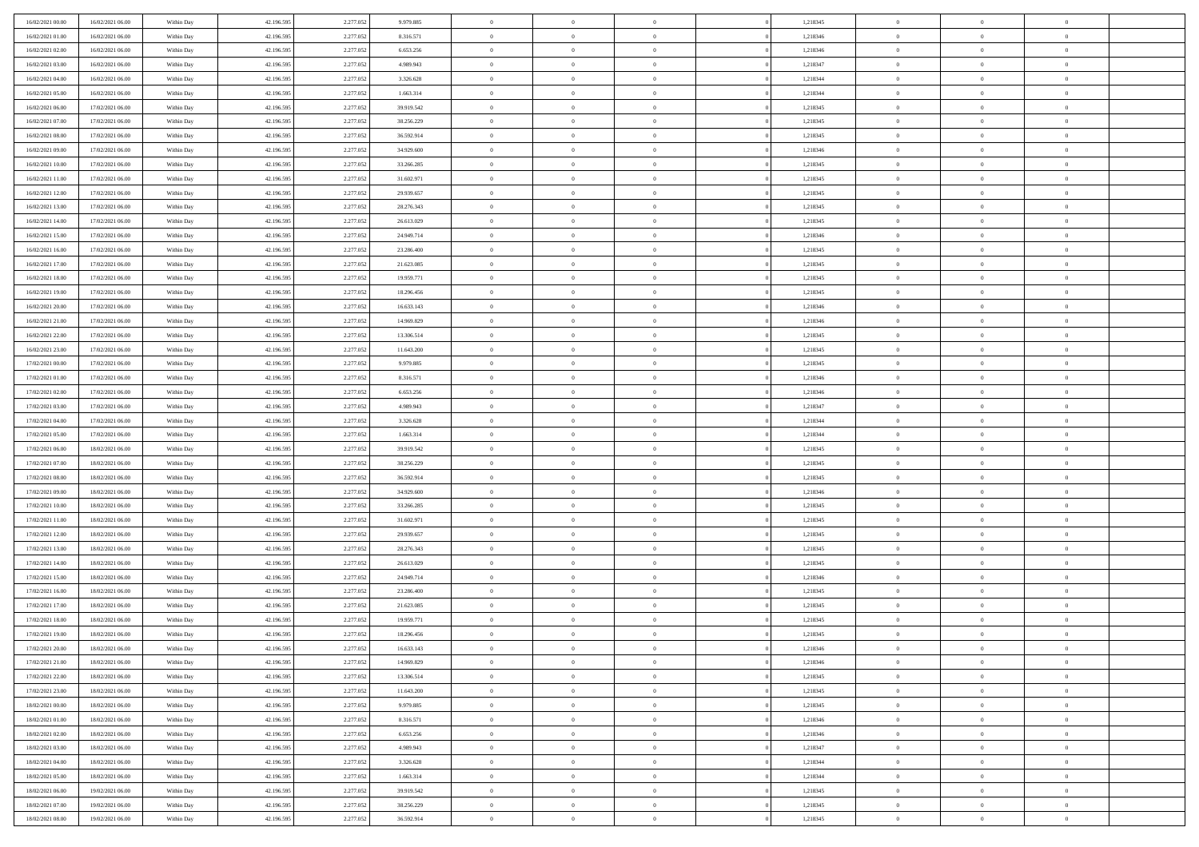| 16/02/2021 00:00 | 16/02/2021 06:00 | Within Day | 42.196.595 | 2.277.052 | 9.979.885  | $\overline{0}$ | $\overline{0}$ | $\Omega$       |          | 1,218345 | $\bf{0}$       | $\mathbf{0}$   | $\bf{0}$       |  |
|------------------|------------------|------------|------------|-----------|------------|----------------|----------------|----------------|----------|----------|----------------|----------------|----------------|--|
| 16/02/2021 01:00 | 16/02/2021 06:00 | Within Day | 42.196.595 | 2.277.052 | 8.316.571  | $\mathbf{0}$   | $\overline{0}$ | $\overline{0}$ |          | 1,218346 | $\overline{0}$ | $\overline{0}$ | $\overline{0}$ |  |
| 16/02/2021 02:00 | 16/02/2021 06:00 | Within Day | 42.196.595 | 2.277.052 | 6.653.256  | $\,$ 0         | $\overline{0}$ | $\bf{0}$       |          | 1,218346 | $\,$ 0         | $\overline{0}$ | $\,$ 0 $\,$    |  |
| 16/02/2021 03:00 | 16/02/2021 06:00 | Within Day | 42.196.595 | 2.277.052 | 4.989.943  | $\bf{0}$       | $\overline{0}$ | $\Omega$       |          | 1,218347 | $\bf{0}$       | $\mathbf{0}$   | $\theta$       |  |
| 16/02/2021 04:00 | 16/02/2021 06:00 | Within Day | 42.196.595 | 2.277.052 | 3.326.628  | $\bf{0}$       | $\overline{0}$ | $\overline{0}$ |          | 1,218344 | $\overline{0}$ | $\overline{0}$ | $\overline{0}$ |  |
| 16/02/2021 05:00 | 16/02/2021 06:00 | Within Day | 42.196.595 | 2.277.052 | 1.663.314  | $\bf{0}$       | $\overline{0}$ | $\bf{0}$       |          | 1,218344 | $\,$ 0         | $\overline{0}$ | $\,$ 0 $\,$    |  |
| 16/02/2021 06:00 | 17/02/2021 06:00 | Within Day | 42.196.595 | 2.277.052 | 39.919.542 | $\bf{0}$       | $\overline{0}$ | $\overline{0}$ |          | 1,218345 | $\bf{0}$       | $\bf{0}$       | $\theta$       |  |
| 16/02/2021 07:00 | 17/02/2021 06:00 | Within Day | 42.196.595 | 2.277.052 | 38.256.229 | $\overline{0}$ | $\overline{0}$ | $\overline{0}$ |          | 1,218345 | $\mathbf{0}$   | $\overline{0}$ | $\overline{0}$ |  |
| 16/02/2021 08:00 | 17/02/2021 06:00 | Within Day | 42.196.595 | 2.277.052 | 36.592.914 | $\bf{0}$       | $\overline{0}$ | $\bf{0}$       |          | 1,218345 | $\,$ 0         | $\overline{0}$ | $\,$ 0 $\,$    |  |
| 16/02/2021 09:00 | 17/02/2021 06:00 | Within Day | 42.196.595 | 2.277.052 | 34.929.600 | $\bf{0}$       | $\overline{0}$ | $\Omega$       |          | 1,218346 | $\theta$       | $\mathbf{0}$   | $\theta$       |  |
| 16/02/2021 10:00 | 17/02/2021 06:00 | Within Day | 42.196.595 | 2.277.052 | 33.266.285 | $\overline{0}$ | $\overline{0}$ | $\overline{0}$ |          | 1,218345 | $\mathbf{0}$   | $\overline{0}$ | $\overline{0}$ |  |
| 16/02/2021 11:00 | 17/02/2021 06:00 | Within Day | 42.196.595 | 2.277.052 | 31.602.971 | $\bf{0}$       | $\overline{0}$ | $\bf{0}$       |          | 1,218345 | $\,$ 0         | $\overline{0}$ | $\,$ 0 $\,$    |  |
| 16/02/2021 12:00 | 17/02/2021 06:00 | Within Day | 42.196.595 | 2.277.052 | 29.939.657 | $\bf{0}$       | $\overline{0}$ | $\Omega$       |          | 1,218345 | $\bf{0}$       | $\mathbf{0}$   | $\theta$       |  |
| 16/02/2021 13:00 | 17/02/2021 06:00 | Within Day | 42.196.595 | 2.277.052 | 28.276.343 | $\overline{0}$ | $\overline{0}$ | $\overline{0}$ |          | 1,218345 | $\mathbf{0}$   | $\overline{0}$ | $\overline{0}$ |  |
| 16/02/2021 14:00 | 17/02/2021 06:00 | Within Day | 42.196.595 | 2.277.052 | 26.613.029 | $\bf{0}$       | $\overline{0}$ | $\bf{0}$       |          | 1,218345 | $\,$ 0         | $\overline{0}$ | $\,$ 0 $\,$    |  |
| 16/02/2021 15:00 | 17/02/2021 06:00 | Within Day | 42.196.595 | 2.277.052 | 24.949.714 | $\bf{0}$       | $\overline{0}$ | $\overline{0}$ |          | 1,218346 | $\bf{0}$       | $\mathbf{0}$   | $\theta$       |  |
| 16/02/2021 16:00 | 17/02/2021 06:00 | Within Day | 42.196.595 | 2.277.052 | 23.286.400 | $\overline{0}$ | $\overline{0}$ | $\overline{0}$ |          | 1,218345 | $\mathbf{0}$   | $\overline{0}$ | $\overline{0}$ |  |
| 16/02/2021 17:00 | 17/02/2021 06:00 | Within Day | 42.196.595 | 2.277.052 | 21.623.085 | $\bf{0}$       | $\overline{0}$ | $\bf{0}$       |          | 1,218345 | $\,$ 0         | $\overline{0}$ | $\,$ 0 $\,$    |  |
| 16/02/2021 18:00 | 17/02/2021 06:00 | Within Day | 42.196.595 | 2.277.052 | 19.959.771 | $\bf{0}$       | $\overline{0}$ | $\Omega$       |          | 1,218345 | $\theta$       | $\mathbf{0}$   | $\theta$       |  |
| 16/02/2021 19:00 | 17/02/2021 06:00 | Within Day | 42.196.595 | 2.277.052 | 18.296.456 | $\overline{0}$ | $\overline{0}$ | $\overline{0}$ |          | 1,218345 | $\mathbf{0}$   | $\overline{0}$ | $\overline{0}$ |  |
| 16/02/2021 20:00 | 17/02/2021 06:00 | Within Day | 42.196.595 | 2.277.052 | 16.633.143 | $\bf{0}$       | $\overline{0}$ | $\bf{0}$       |          | 1,218346 | $\,$ 0         | $\overline{0}$ | $\,$ 0 $\,$    |  |
| 16/02/2021 21:00 | 17/02/2021 06:00 | Within Day | 42.196.595 | 2.277.052 | 14.969.829 | $\bf{0}$       | $\overline{0}$ | $\Omega$       |          | 1,218346 | $\bf{0}$       | $\mathbf{0}$   | $\theta$       |  |
| 16/02/2021 22:00 | 17/02/2021 06:00 | Within Day | 42.196.595 | 2.277.052 | 13.306.514 | $\overline{0}$ | $\overline{0}$ | $\overline{0}$ |          | 1,218345 | $\mathbf{0}$   | $\overline{0}$ | $\overline{0}$ |  |
| 16/02/2021 23:00 | 17/02/2021 06:00 | Within Day | 42.196.595 | 2.277.052 | 11.643.200 | $\bf{0}$       | $\overline{0}$ | $\bf{0}$       |          | 1,218345 | $\,$ 0         | $\overline{0}$ | $\,$ 0 $\,$    |  |
| 17/02/2021 00:00 | 17/02/2021 06:00 | Within Day | 42.196.595 | 2.277.052 | 9.979.885  | $\bf{0}$       | $\overline{0}$ | $\overline{0}$ |          | 1,218345 | $\bf{0}$       | $\bf{0}$       | $\bf{0}$       |  |
| 17/02/2021 01:00 | 17/02/2021 06:00 | Within Day | 42.196.595 | 2.277.052 | 8.316.571  | $\overline{0}$ | $\overline{0}$ | $\overline{0}$ |          | 1,218346 | $\mathbf{0}$   | $\overline{0}$ | $\overline{0}$ |  |
| 17/02/2021 02:00 | 17/02/2021 06:00 | Within Day | 42.196.595 | 2.277.052 | 6.653.256  | $\bf{0}$       | $\overline{0}$ | $\bf{0}$       |          | 1,218346 | $\,$ 0         | $\overline{0}$ | $\,$ 0 $\,$    |  |
| 17/02/2021 03:00 | 17/02/2021 06:00 | Within Day | 42.196.595 | 2.277.052 | 4.989.943  | $\bf{0}$       | $\overline{0}$ | $\Omega$       |          | 1,218347 | $\theta$       | $\mathbf{0}$   | $\theta$       |  |
| 17/02/2021 04:00 | 17/02/2021 06:00 | Within Day | 42.196.595 | 2.277.052 | 3.326.628  | $\overline{0}$ | $\overline{0}$ | $\overline{0}$ |          | 1,218344 | $\mathbf{0}$   | $\overline{0}$ | $\overline{0}$ |  |
| 17/02/2021 05:00 | 17/02/2021 06:00 | Within Day | 42.196.595 | 2.277.052 | 1.663.314  | $\bf{0}$       | $\overline{0}$ | $\bf{0}$       |          | 1,218344 | $\,$ 0         | $\overline{0}$ | $\,$ 0 $\,$    |  |
| 17/02/2021 06:00 | 18/02/2021 06:00 | Within Day | 42.196.595 | 2.277.052 | 39.919.542 | $\bf{0}$       | $\overline{0}$ | $\overline{0}$ |          | 1,218345 | $\bf{0}$       | $\overline{0}$ | $\,0\,$        |  |
| 17/02/2021 07:00 | 18/02/2021 06:00 | Within Day | 42.196.595 | 2.277.052 | 38.256.229 | $\overline{0}$ | $\overline{0}$ | $\overline{0}$ |          | 1,218345 | $\mathbf{0}$   | $\overline{0}$ | $\overline{0}$ |  |
| 17/02/2021 08:00 | 18/02/2021 06:00 | Within Day | 42.196.595 | 2.277.052 | 36.592.914 | $\bf{0}$       | $\overline{0}$ | $\bf{0}$       |          | 1,218345 | $\,$ 0         | $\overline{0}$ | $\,$ 0 $\,$    |  |
| 17/02/2021 09:00 | 18/02/2021 06:00 | Within Day | 42.196.595 | 2.277.052 | 34.929.600 | $\bf{0}$       | $\overline{0}$ | $\bf{0}$       |          | 1,218346 | $\bf{0}$       | $\overline{0}$ | $\,0\,$        |  |
| 17/02/2021 10:00 | 18/02/2021 06:00 | Within Day | 42.196.595 | 2.277.052 | 33.266.285 | $\overline{0}$ | $\overline{0}$ | $\overline{0}$ |          | 1,218345 | $\overline{0}$ | $\overline{0}$ | $\overline{0}$ |  |
| 17/02/2021 11:00 | 18/02/2021 06:00 | Within Day | 42.196.595 | 2.277.052 | 31.602.971 | $\bf{0}$       | $\overline{0}$ | $\bf{0}$       |          | 1,218345 | $\,$ 0         | $\overline{0}$ | $\,$ 0 $\,$    |  |
| 17/02/2021 12:00 | 18/02/2021 06:00 | Within Day | 42.196.595 | 2.277.052 | 29.939.657 | $\bf{0}$       | $\overline{0}$ | $\overline{0}$ |          | 1,218345 | $\bf{0}$       | $\overline{0}$ | $\,0\,$        |  |
| 17/02/2021 13:00 | 18/02/2021 06:00 | Within Day | 42.196.595 | 2.277.052 | 28.276.343 | $\overline{0}$ | $\overline{0}$ | $\overline{0}$ |          | 1,218345 | $\mathbf{0}$   | $\overline{0}$ | $\overline{0}$ |  |
| 17/02/2021 14:00 | 18/02/2021 06:00 | Within Day | 42.196.595 | 2.277.052 | 26.613.029 | $\bf{0}$       | $\overline{0}$ | $\bf{0}$       |          | 1,218345 | $\,$ 0         | $\overline{0}$ | $\,$ 0 $\,$    |  |
| 17/02/2021 15:00 | 18/02/2021 06:00 | Within Day | 42.196.595 | 2.277.052 | 24.949.714 | $\bf{0}$       | $\overline{0}$ | $\overline{0}$ |          | 1,218346 | $\bf{0}$       | $\overline{0}$ | $\,0\,$        |  |
| 17/02/2021 16:00 | 18/02/2021 06:00 | Within Day | 42.196.595 | 2.277.052 | 23.286.400 | $\overline{0}$ | $\overline{0}$ | $\overline{0}$ |          | 1,218345 | $\overline{0}$ | $\overline{0}$ | $\overline{0}$ |  |
| 17/02/2021 17:00 | 18/02/2021 06:00 | Within Day | 42.196.595 | 2.277.052 | 21.623.085 | $\bf{0}$       | $\overline{0}$ | $\bf{0}$       |          | 1,218345 | $\,$ 0         | $\overline{0}$ | $\,$ 0 $\,$    |  |
| 17/02/2021 18:00 | 18/02/2021 06:00 | Within Day | 42.196.595 | 2.277.052 | 19.959.771 | $\bf{0}$       | $\bf{0}$       | $\bf{0}$       |          | 1,218345 | $\bf{0}$       | $\overline{0}$ | $\,0\,$        |  |
| 17/02/2021 19:00 | 18/02/2021 06:00 | Within Day | 42.196.595 | 2.277.052 | 18.296.456 | $\mathbf{0}$   | $\overline{0}$ | $\overline{0}$ |          | 1,218345 | $\mathbf{0}$   | $\overline{0}$ | $\overline{0}$ |  |
| 17/02/2021 20:00 | 18/02/2021 06:00 | Within Day | 42.196.595 | 2.277.052 | 16.633.143 | $\bf{0}$       | $\overline{0}$ | $\overline{0}$ |          | 1,218346 | $\overline{0}$ | $\overline{0}$ | $\theta$       |  |
| 17/02/2021 21:00 | 18/02/2021 06:00 | Within Day | 42.196.595 | 2.277.052 | 14.969.829 | $\bf{0}$       | $\bf{0}$       | $\bf{0}$       |          | 1,218346 | $\bf{0}$       | $\overline{0}$ | $\,0\,$        |  |
| 17/02/2021 22:00 | 18/02/2021 06:00 | Within Day | 42.196.595 | 2.277.052 | 13.306.514 | $\overline{0}$ | $\overline{0}$ | $\overline{0}$ |          | 1,218345 | $\overline{0}$ | $\bf{0}$       | $\overline{0}$ |  |
| 17/02/2021 23:00 | 18/02/2021 06:00 | Within Day | 42.196.595 | 2.277.052 | 11.643.200 | $\,$ 0 $\,$    | $\overline{0}$ | $\overline{0}$ |          | 1,218345 | $\,$ 0 $\,$    | $\,$ 0 $\,$    | $\,$ 0 $\,$    |  |
| 18/02/2021 00:00 | 18/02/2021 06:00 | Within Day | 42.196.595 | 2.277.052 | 9.979.885  | $\bf{0}$       | $\bf{0}$       | $\overline{0}$ |          | 1,218345 | $\bf{0}$       | $\overline{0}$ | $\bf{0}$       |  |
| 18/02/2021 01:00 | 18/02/2021 06:00 | Within Day | 42.196.595 | 2.277.052 | 8.316.571  | $\overline{0}$ | $\overline{0}$ | $\overline{0}$ |          | 1,218346 | $\overline{0}$ | $\bf{0}$       | $\overline{0}$ |  |
| 18/02/2021 02:00 | 18/02/2021 06:00 | Within Day | 42.196.595 | 2.277.052 | 6.653.256  | $\,$ 0 $\,$    | $\overline{0}$ | $\overline{0}$ |          | 1,218346 | $\,$ 0 $\,$    | $\overline{0}$ | $\,$ 0 $\,$    |  |
| 18/02/2021 03:00 | 18/02/2021 06:00 | Within Day | 42.196.595 | 2.277.052 | 4.989.943  | $\overline{0}$ | $\overline{0}$ | $\overline{0}$ | $\Omega$ | 1,218347 | $\bf{0}$       | $\overline{0}$ | $\overline{0}$ |  |
| 18/02/2021 04:00 | 18/02/2021 06:00 | Within Day | 42.196.595 | 2.277.052 | 3.326.628  | $\overline{0}$ | $\overline{0}$ | $\overline{0}$ |          | 1,218344 | $\overline{0}$ | $\bf{0}$       | $\mathbf{0}$   |  |
| 18/02/2021 05:00 | 18/02/2021 06:00 | Within Day | 42.196.595 | 2.277.052 | 1.663.314  | $\,$ 0 $\,$    | $\overline{0}$ | $\overline{0}$ |          | 1,218344 | $\,$ 0 $\,$    | $\overline{0}$ | $\,$ 0 $\,$    |  |
| 18/02/2021 06:00 | 19/02/2021 06:00 | Within Day | 42.196.595 | 2.277.052 | 39.919.542 | $\bf{0}$       | $\bf{0}$       | $\overline{0}$ |          | 1,218345 | $\mathbf{0}$   | $\overline{0}$ | $\bf{0}$       |  |
| 18/02/2021 07:00 | 19/02/2021 06:00 | Within Day | 42.196.595 | 2.277.052 | 38.256.229 | $\overline{0}$ | $\overline{0}$ | $\overline{0}$ |          | 1,218345 | $\mathbf{0}$   | $\bf{0}$       | $\overline{0}$ |  |
| 18/02/2021 08:00 | 19/02/2021 06:00 | Within Day | 42.196.595 | 2.277.052 | 36.592.914 | $\,0\,$        | $\overline{0}$ | $\overline{0}$ |          | 1,218345 | $\,$ 0         | $\overline{0}$ | $\,$ 0 $\,$    |  |
|                  |                  |            |            |           |            |                |                |                |          |          |                |                |                |  |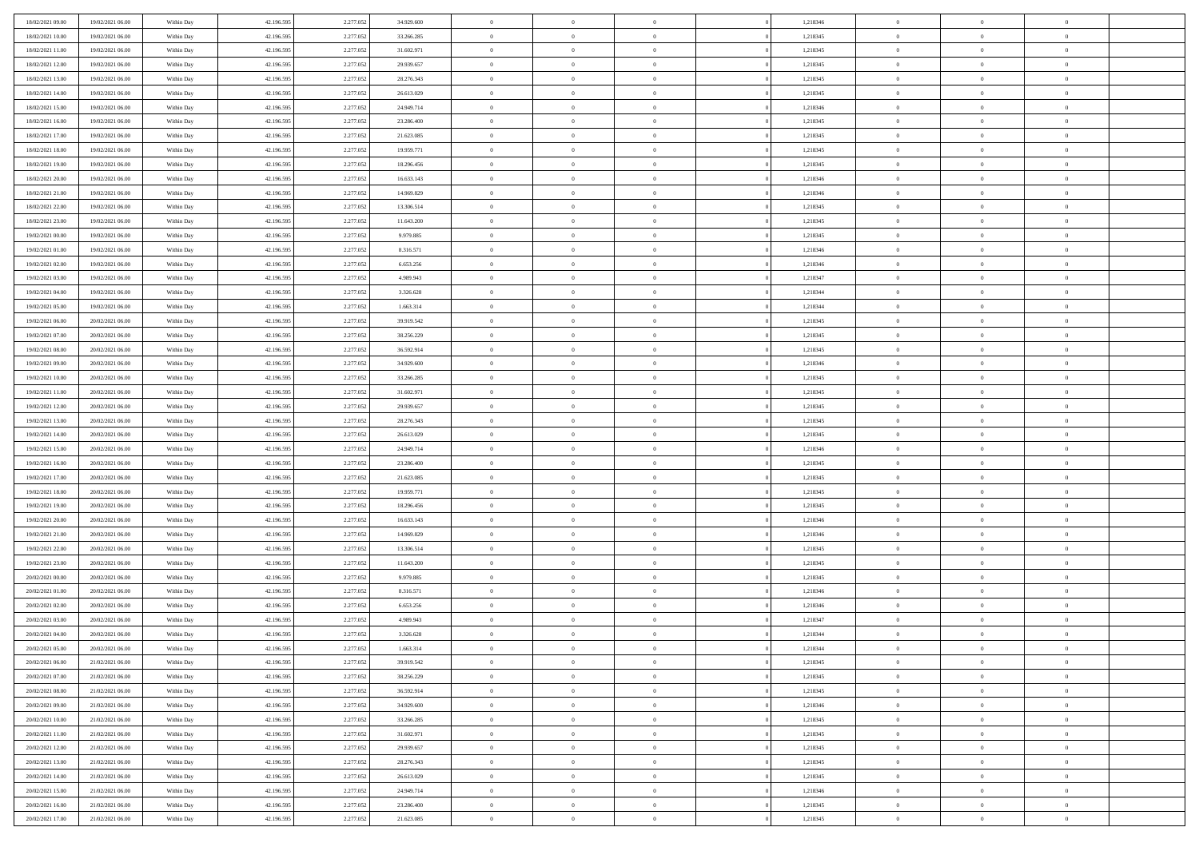| 18/02/2021 09:00 | 19/02/2021 06:00 | Within Day | 42.196.595 | 2.277.052 | 34.929.600 | $\overline{0}$ | $\overline{0}$ | $\Omega$       |          | 1,218346 | $\bf{0}$       | $\mathbf{0}$   | $\bf{0}$       |  |
|------------------|------------------|------------|------------|-----------|------------|----------------|----------------|----------------|----------|----------|----------------|----------------|----------------|--|
| 18/02/2021 10:00 | 19/02/2021 06:00 | Within Day | 42.196.595 | 2.277.052 | 33.266.285 | $\mathbf{0}$   | $\overline{0}$ | $\overline{0}$ |          | 1,218345 | $\overline{0}$ | $\overline{0}$ | $\overline{0}$ |  |
| 18/02/2021 11:00 | 19/02/2021 06:00 | Within Day | 42.196.595 | 2.277.052 | 31.602.971 | $\,$ 0         | $\overline{0}$ | $\bf{0}$       |          | 1,218345 | $\,$ 0         | $\overline{0}$ | $\,$ 0 $\,$    |  |
| 18/02/2021 12:00 | 19/02/2021 06:00 | Within Day | 42.196.595 | 2.277.052 | 29.939.657 | $\bf{0}$       | $\overline{0}$ | $\Omega$       |          | 1,218345 | $\bf{0}$       | $\mathbf{0}$   | $\theta$       |  |
| 18/02/2021 13:00 | 19/02/2021 06:00 | Within Day | 42.196.595 | 2.277.052 | 28.276.343 | $\bf{0}$       | $\overline{0}$ | $\overline{0}$ |          | 1,218345 | $\overline{0}$ | $\overline{0}$ | $\overline{0}$ |  |
| 18/02/2021 14:00 | 19/02/2021 06:00 | Within Day | 42.196.595 | 2.277.052 | 26.613.029 | $\bf{0}$       | $\overline{0}$ | $\bf{0}$       |          | 1,218345 | $\,$ 0         | $\overline{0}$ | $\,$ 0 $\,$    |  |
| 18/02/2021 15:00 | 19/02/2021 06:00 | Within Day | 42.196.595 | 2.277.052 | 24.949.714 | $\bf{0}$       | $\overline{0}$ | $\overline{0}$ |          | 1,218346 | $\theta$       | $\mathbf{0}$   | $\theta$       |  |
| 18/02/2021 16:00 | 19/02/2021 06:00 | Within Day | 42.196.595 | 2.277.052 | 23.286.400 | $\overline{0}$ | $\overline{0}$ | $\overline{0}$ |          | 1,218345 | $\mathbf{0}$   | $\overline{0}$ | $\overline{0}$ |  |
| 18/02/2021 17:00 | 19/02/2021 06:00 | Within Day | 42.196.595 | 2.277.052 | 21.623.085 | $\bf{0}$       | $\overline{0}$ | $\bf{0}$       |          | 1,218345 | $\,$ 0         | $\overline{0}$ | $\,$ 0 $\,$    |  |
| 18/02/2021 18:00 | 19/02/2021 06:00 | Within Day | 42.196.595 | 2.277.052 | 19.959.771 | $\bf{0}$       | $\overline{0}$ | $\Omega$       |          | 1,218345 | $\theta$       | $\mathbf{0}$   | $\theta$       |  |
| 18/02/2021 19:00 | 19/02/2021 06:00 | Within Day | 42.196.595 | 2.277.052 | 18.296.456 | $\overline{0}$ | $\overline{0}$ | $\overline{0}$ |          | 1,218345 | $\mathbf{0}$   | $\overline{0}$ | $\overline{0}$ |  |
| 18/02/2021 20:00 | 19/02/2021 06:00 | Within Day | 42.196.595 | 2.277.052 | 16.633.143 | $\bf{0}$       | $\overline{0}$ | $\bf{0}$       |          | 1,218346 | $\,$ 0         | $\overline{0}$ | $\,$ 0 $\,$    |  |
| 18/02/2021 21:00 | 19/02/2021 06:00 | Within Day | 42.196.595 | 2.277.052 | 14.969.829 | $\bf{0}$       | $\overline{0}$ | $\Omega$       |          | 1,218346 | $\bf{0}$       | $\mathbf{0}$   | $\theta$       |  |
| 18/02/2021 22:00 | 19/02/2021 06:00 | Within Day | 42.196.595 | 2.277.052 | 13.306.514 | $\overline{0}$ | $\overline{0}$ | $\overline{0}$ |          | 1,218345 | $\mathbf{0}$   | $\overline{0}$ | $\overline{0}$ |  |
| 18/02/2021 23:00 | 19/02/2021 06:00 | Within Day | 42.196.595 | 2.277.052 | 11.643.200 | $\bf{0}$       | $\overline{0}$ | $\bf{0}$       |          | 1,218345 | $\,$ 0         | $\overline{0}$ | $\,$ 0 $\,$    |  |
| 19/02/2021 00:00 | 19/02/2021 06:00 | Within Day | 42.196.595 | 2.277.052 | 9.979.885  | $\bf{0}$       | $\overline{0}$ | $\overline{0}$ |          | 1,218345 | $\bf{0}$       | $\mathbf{0}$   | $\theta$       |  |
| 19/02/2021 01:00 | 19/02/2021 06:00 | Within Day | 42.196.595 | 2.277.052 | 8.316.571  | $\overline{0}$ | $\overline{0}$ | $\overline{0}$ |          | 1,218346 | $\mathbf{0}$   | $\overline{0}$ | $\overline{0}$ |  |
| 19/02/2021 02:00 | 19/02/2021 06:00 | Within Day | 42.196.595 | 2.277.052 | 6.653.256  | $\bf{0}$       | $\overline{0}$ | $\bf{0}$       |          | 1,218346 | $\,$ 0         | $\overline{0}$ | $\,$ 0 $\,$    |  |
| 19/02/2021 03:00 | 19/02/2021 06:00 | Within Day | 42.196.595 | 2.277.052 | 4.989.943  | $\bf{0}$       | $\overline{0}$ | $\Omega$       |          | 1,218347 | $\theta$       | $\mathbf{0}$   | $\theta$       |  |
| 19/02/2021 04:00 | 19/02/2021 06:00 | Within Day | 42.196.595 | 2.277.052 | 3.326.628  | $\overline{0}$ | $\overline{0}$ | $\overline{0}$ |          | 1,218344 | $\mathbf{0}$   | $\overline{0}$ | $\overline{0}$ |  |
| 19/02/2021 05:00 | 19/02/2021 06:00 | Within Day | 42.196.595 | 2.277.052 | 1.663.314  | $\bf{0}$       | $\overline{0}$ | $\bf{0}$       |          | 1,218344 | $\,$ 0         | $\overline{0}$ | $\,$ 0 $\,$    |  |
| 19/02/2021 06:00 | 20/02/2021 06:00 | Within Day | 42.196.595 | 2.277.052 | 39.919.542 | $\bf{0}$       | $\overline{0}$ | $\Omega$       |          | 1,218345 | $\bf{0}$       | $\mathbf{0}$   | $\theta$       |  |
| 19/02/2021 07:00 | 20/02/2021 06:00 | Within Day | 42.196.595 | 2.277.052 | 38.256.229 | $\overline{0}$ | $\overline{0}$ | $\overline{0}$ |          | 1,218345 | $\mathbf{0}$   | $\overline{0}$ | $\overline{0}$ |  |
| 19/02/2021 08:00 | 20/02/2021 06:00 | Within Day | 42.196.595 | 2.277.052 | 36.592.914 | $\bf{0}$       | $\overline{0}$ | $\bf{0}$       |          | 1,218345 | $\,$ 0         | $\overline{0}$ | $\,$ 0 $\,$    |  |
| 19/02/2021 09:00 | 20/02/2021 06:00 | Within Day | 42.196.595 | 2.277.052 | 34.929.600 | $\bf{0}$       | $\overline{0}$ | $\overline{0}$ |          | 1,218346 | $\bf{0}$       | $\bf{0}$       | $\bf{0}$       |  |
| 19/02/2021 10:00 | 20/02/2021 06:00 | Within Day | 42.196.595 | 2.277.052 | 33.266.285 | $\overline{0}$ | $\overline{0}$ | $\overline{0}$ |          | 1,218345 | $\mathbf{0}$   | $\overline{0}$ | $\overline{0}$ |  |
| 19/02/2021 11:00 | 20/02/2021 06:00 | Within Day | 42.196.595 | 2.277.052 | 31.602.971 | $\bf{0}$       | $\overline{0}$ | $\bf{0}$       |          | 1,218345 | $\,$ 0         | $\overline{0}$ | $\,$ 0 $\,$    |  |
| 19/02/2021 12:00 | 20/02/2021 06:00 | Within Day | 42.196.595 | 2.277.052 | 29.939.657 | $\bf{0}$       | $\overline{0}$ | $\Omega$       |          | 1,218345 | $\theta$       | $\mathbf{0}$   | $\theta$       |  |
| 19/02/2021 13:00 | 20/02/2021 06:00 | Within Day | 42.196.595 | 2.277.052 | 28.276.343 | $\overline{0}$ | $\overline{0}$ | $\overline{0}$ |          | 1,218345 | $\mathbf{0}$   | $\overline{0}$ | $\overline{0}$ |  |
| 19/02/2021 14:00 | 20/02/2021 06:00 | Within Day | 42.196.595 | 2.277.052 | 26.613.029 | $\bf{0}$       | $\overline{0}$ | $\bf{0}$       |          | 1,218345 | $\,$ 0         | $\overline{0}$ | $\,$ 0 $\,$    |  |
| 19/02/2021 15:00 | 20/02/2021 06:00 | Within Day | 42.196.595 | 2.277.052 | 24.949.714 | $\,$ 0         | $\overline{0}$ | $\overline{0}$ |          | 1,218346 | $\bf{0}$       | $\overline{0}$ | $\,0\,$        |  |
| 19/02/2021 16:00 | 20/02/2021 06:00 | Within Day | 42.196.595 | 2.277.052 | 23.286.400 | $\overline{0}$ | $\overline{0}$ | $\overline{0}$ |          | 1,218345 | $\mathbf{0}$   | $\overline{0}$ | $\overline{0}$ |  |
| 19/02/2021 17:00 | 20/02/2021 06:00 | Within Day | 42.196.595 | 2.277.052 | 21.623.085 | $\bf{0}$       | $\overline{0}$ | $\bf{0}$       |          | 1,218345 | $\,$ 0         | $\overline{0}$ | $\,$ 0 $\,$    |  |
| 19/02/2021 18:00 | 20/02/2021 06:00 | Within Day | 42.196.595 | 2.277.052 | 19.959.771 | $\bf{0}$       | $\overline{0}$ | $\bf{0}$       |          | 1,218345 | $\bf{0}$       | $\overline{0}$ | $\,0\,$        |  |
| 19/02/2021 19:00 | 20/02/2021 06:00 | Within Day | 42.196.595 | 2.277.052 | 18.296.456 | $\overline{0}$ | $\overline{0}$ | $\overline{0}$ |          | 1,218345 | $\overline{0}$ | $\overline{0}$ | $\overline{0}$ |  |
| 19/02/2021 20:00 | 20/02/2021 06:00 | Within Day | 42.196.595 | 2.277.052 | 16.633.143 | $\bf{0}$       | $\overline{0}$ | $\bf{0}$       |          | 1,218346 | $\,$ 0         | $\overline{0}$ | $\,$ 0 $\,$    |  |
| 19/02/2021 21:00 | 20/02/2021 06:00 | Within Day | 42.196.595 | 2.277.052 | 14.969.829 | $\bf{0}$       | $\overline{0}$ | $\overline{0}$ |          | 1,218346 | $\bf{0}$       | $\overline{0}$ | $\,0\,$        |  |
| 19/02/2021 22:00 | 20/02/2021 06:00 | Within Day | 42.196.595 | 2.277.052 | 13.306.514 | $\overline{0}$ | $\overline{0}$ | $\overline{0}$ |          | 1,218345 | $\mathbf{0}$   | $\overline{0}$ | $\overline{0}$ |  |
| 19/02/2021 23:00 | 20/02/2021 06:00 | Within Day | 42.196.595 | 2.277.052 | 11.643.200 | $\bf{0}$       | $\overline{0}$ | $\bf{0}$       |          | 1,218345 | $\,$ 0         | $\overline{0}$ | $\,$ 0 $\,$    |  |
| 20/02/2021 00:00 | 20/02/2021 06:00 | Within Day | 42.196.595 | 2.277.052 | 9.979.885  | $\bf{0}$       | $\overline{0}$ | $\overline{0}$ |          | 1,218345 | $\bf{0}$       | $\overline{0}$ | $\,0\,$        |  |
| 20/02/2021 01:00 | 20/02/2021 06:00 | Within Day | 42.196.595 | 2.277.052 | 8.316.571  | $\overline{0}$ | $\overline{0}$ | $\overline{0}$ |          | 1,218346 | $\overline{0}$ | $\overline{0}$ | $\overline{0}$ |  |
| 20/02/2021 02:00 | 20/02/2021 06:00 | Within Day | 42.196.595 | 2.277.052 | 6.653.256  | $\bf{0}$       | $\overline{0}$ | $\bf{0}$       |          | 1,218346 | $\,$ 0         | $\overline{0}$ | $\,$ 0 $\,$    |  |
| 20/02/2021 03:00 | 20/02/2021 06:00 | Within Day | 42.196.595 | 2.277.052 | 4.989.943  | $\bf{0}$       | $\bf{0}$       | $\bf{0}$       |          | 1,218347 | $\bf{0}$       | $\overline{0}$ | $\,0\,$        |  |
| 20/02/2021 04:00 | 20/02/2021 06:00 | Within Dav | 42.196.595 | 2.277.052 | 3.326.628  | $\mathbf{0}$   | $\overline{0}$ | $\overline{0}$ |          | 1,218344 | $\mathbf{0}$   | $\overline{0}$ | $\overline{0}$ |  |
| 20/02/2021 05:00 | 20/02/2021 06:00 | Within Day | 42.196.595 | 2.277.052 | 1.663.314  | $\bf{0}$       | $\overline{0}$ | $\overline{0}$ |          | 1,218344 | $\overline{0}$ | $\overline{0}$ | $\theta$       |  |
| 20/02/2021 06:00 | 21/02/2021 06:00 | Within Day | 42.196.595 | 2.277.052 | 39.919.542 | $\bf{0}$       | $\bf{0}$       | $\bf{0}$       |          | 1,218345 | $\bf{0}$       | $\overline{0}$ | $\bf{0}$       |  |
| 20/02/2021 07:00 | 21/02/2021 06:00 | Within Day | 42.196.595 | 2.277.052 | 38.256.229 | $\overline{0}$ | $\overline{0}$ | $\overline{0}$ |          | 1,218345 | $\overline{0}$ | $\overline{0}$ | $\overline{0}$ |  |
| 20/02/2021 08:00 | 21/02/2021 06:00 | Within Day | 42.196.595 | 2.277.052 | 36.592.914 | $\,$ 0 $\,$    | $\overline{0}$ | $\overline{0}$ |          | 1,218345 | $\mathbf{0}$   | $\,$ 0 $\,$    | $\,$ 0 $\,$    |  |
| 20/02/2021 09:00 | 21/02/2021 06:00 | Within Day | 42.196.595 | 2.277.052 | 34.929.600 | $\bf{0}$       | $\bf{0}$       | $\overline{0}$ |          | 1,218346 | $\bf{0}$       | $\overline{0}$ | $\bf{0}$       |  |
| 20/02/2021 10:00 | 21/02/2021 06:00 | Within Day | 42.196.595 | 2.277.052 | 33.266.285 | $\overline{0}$ | $\overline{0}$ | $\overline{0}$ |          | 1,218345 | $\overline{0}$ | $\bf{0}$       | $\overline{0}$ |  |
| 20/02/2021 11:00 | 21/02/2021 06:00 | Within Day | 42.196.595 | 2.277.052 | 31.602.971 | $\,$ 0 $\,$    | $\overline{0}$ | $\overline{0}$ |          | 1,218345 | $\,$ 0 $\,$    | $\overline{0}$ | $\,$ 0 $\,$    |  |
| 20/02/2021 12:00 | 21/02/2021 06:00 | Within Day | 42.196.595 | 2.277.052 | 29.939.657 | $\overline{0}$ | $\overline{0}$ | $\overline{0}$ | $\Omega$ | 1,218345 | $\bf{0}$       | $\overline{0}$ | $\overline{0}$ |  |
| 20/02/2021 13:00 | 21/02/2021 06:00 | Within Day | 42.196.595 | 2.277.052 | 28.276.343 | $\overline{0}$ | $\overline{0}$ | $\overline{0}$ |          | 1,218345 | $\overline{0}$ | $\bf{0}$       | $\mathbf{0}$   |  |
| 20/02/2021 14:00 | 21/02/2021 06:00 | Within Day | 42.196.595 | 2.277.052 | 26.613.029 | $\,$ 0 $\,$    | $\overline{0}$ | $\overline{0}$ |          | 1,218345 | $\,$ 0 $\,$    | $\,$ 0 $\,$    | $\,$ 0 $\,$    |  |
| 20/02/2021 15:00 | 21/02/2021 06:00 | Within Day | 42.196.595 | 2.277.052 | 24.949.714 | $\bf{0}$       | $\bf{0}$       | $\overline{0}$ |          | 1,218346 | $\mathbf{0}$   | $\overline{0}$ | $\bf{0}$       |  |
| 20/02/2021 16:00 | 21/02/2021 06:00 | Within Day | 42.196.595 | 2.277.052 | 23.286.400 | $\overline{0}$ | $\overline{0}$ | $\overline{0}$ |          | 1,218345 | $\mathbf{0}$   | $\bf{0}$       | $\overline{0}$ |  |
| 20/02/2021 17:00 | 21/02/2021 06:00 | Within Day | 42.196.595 | 2.277.052 | 21.623.085 | $\,0\,$        | $\overline{0}$ | $\overline{0}$ |          | 1,218345 | $\,$ 0 $\,$    | $\overline{0}$ | $\,$ 0 $\,$    |  |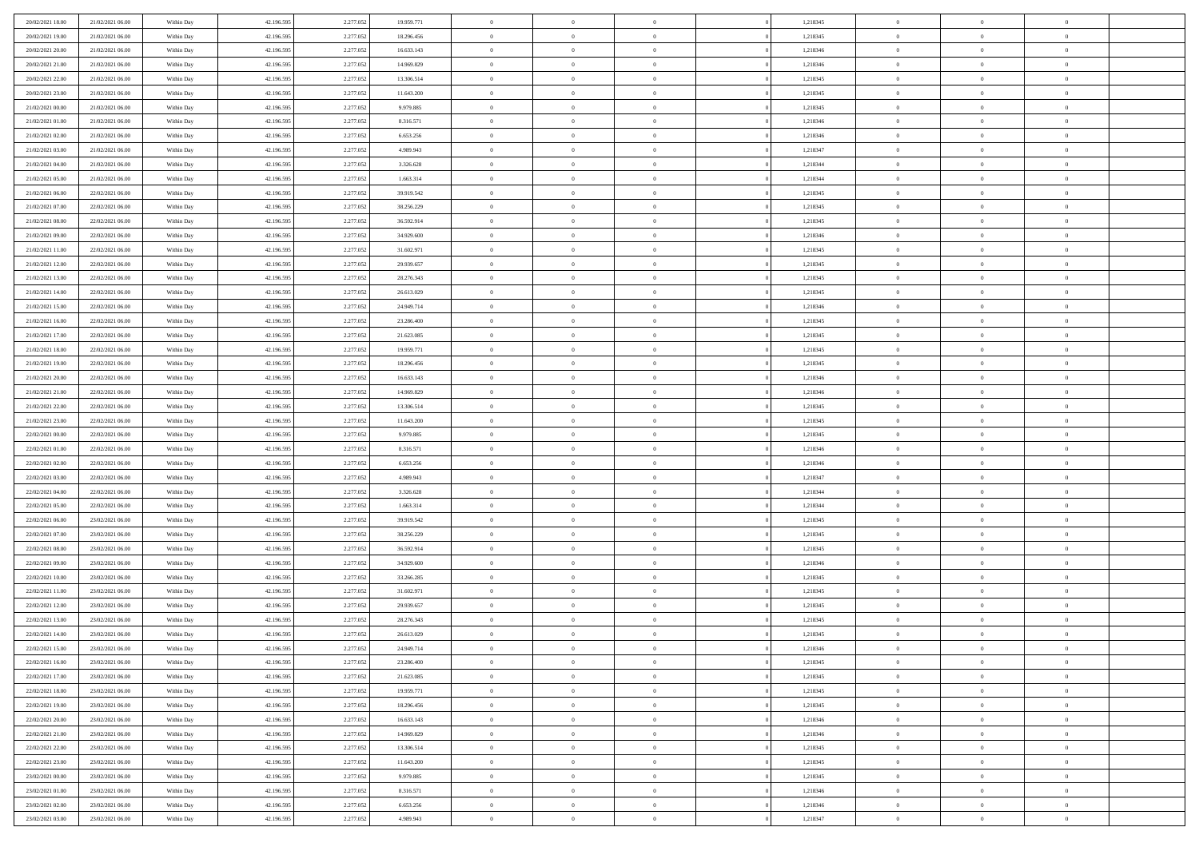| 20/02/2021 18:00 | 21/02/2021 06:00 | Within Day | 42.196.595 | 2.277.052 | 19.959.771 | $\bf{0}$       | $\overline{0}$ | $\Omega$       |          | 1,218345 | $\bf{0}$       | $\mathbf{0}$   | $\bf{0}$       |  |
|------------------|------------------|------------|------------|-----------|------------|----------------|----------------|----------------|----------|----------|----------------|----------------|----------------|--|
| 20/02/2021 19:00 | 21/02/2021 06:00 | Within Day | 42.196.595 | 2.277.052 | 18.296.456 | $\mathbf{0}$   | $\overline{0}$ | $\overline{0}$ |          | 1,218345 | $\mathbf{0}$   | $\overline{0}$ | $\overline{0}$ |  |
| 20/02/2021 20:00 | 21/02/2021 06:00 | Within Day | 42.196.595 | 2.277.052 | 16.633.143 | $\,$ 0         | $\overline{0}$ | $\bf{0}$       |          | 1,218346 | $\,$ 0         | $\overline{0}$ | $\,$ 0 $\,$    |  |
| 20/02/2021 21:00 | 21/02/2021 06:00 | Within Day | 42.196.595 | 2.277.052 | 14.969.829 | $\bf{0}$       | $\overline{0}$ | $\Omega$       |          | 1,218346 | $\bf{0}$       | $\mathbf{0}$   | $\theta$       |  |
| 20/02/2021 22:00 | 21/02/2021 06:00 | Within Day | 42.196.595 | 2.277.052 | 13.306.514 | $\bf{0}$       | $\overline{0}$ | $\overline{0}$ |          | 1,218345 | $\mathbf{0}$   | $\bf{0}$       | $\overline{0}$ |  |
| 20/02/2021 23:00 | 21/02/2021 06:00 | Within Day | 42.196.595 | 2.277.052 | 11.643.200 | $\bf{0}$       | $\overline{0}$ | $\bf{0}$       |          | 1,218345 | $\,$ 0         | $\overline{0}$ | $\,$ 0 $\,$    |  |
| 21/02/2021 00:00 | 21/02/2021 06:00 | Within Day | 42.196.595 | 2.277.052 | 9.979.885  | $\bf{0}$       | $\overline{0}$ | $\overline{0}$ |          | 1,218345 | $\bf{0}$       | $\bf{0}$       | $\theta$       |  |
| 21/02/2021 01:00 | 21/02/2021 06:00 | Within Day | 42.196.595 | 2.277.052 | 8.316.571  | $\overline{0}$ | $\overline{0}$ | $\overline{0}$ |          | 1,218346 | $\mathbf{0}$   | $\overline{0}$ | $\overline{0}$ |  |
| 21/02/2021 02:00 | 21/02/2021 06:00 | Within Day | 42.196.595 | 2.277.052 | 6.653.256  | $\bf{0}$       | $\overline{0}$ | $\bf{0}$       |          | 1,218346 | $\,$ 0         | $\overline{0}$ | $\,$ 0 $\,$    |  |
| 21/02/2021 03:00 | 21/02/2021 06:00 | Within Day | 42.196.595 | 2.277.052 | 4.989.943  | $\bf{0}$       | $\overline{0}$ | $\Omega$       |          | 1,218347 | $\theta$       | $\mathbf{0}$   | $\theta$       |  |
| 21/02/2021 04:00 | 21/02/2021 06:00 | Within Day | 42.196.595 | 2.277.052 | 3.326.628  | $\bf{0}$       | $\overline{0}$ | $\overline{0}$ |          | 1,218344 | $\mathbf{0}$   | $\overline{0}$ | $\overline{0}$ |  |
| 21/02/2021 05:00 | 21/02/2021 06:00 | Within Day | 42.196.595 | 2.277.052 | 1.663.314  | $\bf{0}$       | $\overline{0}$ | $\bf{0}$       |          | 1,218344 | $\,$ 0         | $\overline{0}$ | $\,$ 0 $\,$    |  |
| 21/02/2021 06:00 | 22/02/2021 06:00 | Within Day | 42.196.595 | 2.277.052 | 39.919.542 | $\bf{0}$       | $\overline{0}$ | $\Omega$       |          | 1,218345 | $\theta$       | $\mathbf{0}$   | $\theta$       |  |
| 21/02/2021 07:00 | 22/02/2021 06:00 | Within Day | 42.196.595 | 2.277.052 | 38.256.229 | $\overline{0}$ | $\overline{0}$ | $\overline{0}$ |          | 1,218345 | $\mathbf{0}$   | $\overline{0}$ | $\overline{0}$ |  |
| 21/02/2021 08:00 | 22/02/2021 06:00 | Within Day | 42.196.595 | 2.277.052 | 36.592.914 | $\bf{0}$       | $\overline{0}$ | $\bf{0}$       |          | 1,218345 | $\,$ 0         | $\overline{0}$ | $\,$ 0 $\,$    |  |
| 21/02/2021 09:00 | 22/02/2021 06:00 | Within Day | 42.196.595 | 2.277.052 | 34.929.600 | $\bf{0}$       | $\overline{0}$ | $\overline{0}$ |          | 1,218346 | $\bf{0}$       | $\mathbf{0}$   | $\theta$       |  |
| 21/02/2021 11:00 | 22/02/2021 06:00 | Within Day | 42.196.595 | 2.277.052 | 31.602.971 | $\overline{0}$ | $\overline{0}$ | $\overline{0}$ |          | 1,218345 | $\mathbf{0}$   | $\overline{0}$ | $\overline{0}$ |  |
| 21/02/2021 12:00 | 22/02/2021 06:00 | Within Day | 42.196.595 | 2.277.052 | 29.939.657 | $\bf{0}$       | $\overline{0}$ | $\bf{0}$       |          | 1,218345 | $\,$ 0         | $\overline{0}$ | $\,$ 0 $\,$    |  |
| 21/02/2021 13:00 | 22/02/2021 06:00 | Within Day | 42.196.595 | 2.277.052 | 28.276.343 | $\bf{0}$       | $\overline{0}$ | $\Omega$       |          | 1,218345 | $\theta$       | $\mathbf{0}$   | $\theta$       |  |
| 21/02/2021 14:00 | 22/02/2021 06:00 | Within Day | 42.196.595 | 2.277.052 | 26.613.029 | $\overline{0}$ | $\overline{0}$ | $\overline{0}$ |          | 1,218345 | $\mathbf{0}$   | $\overline{0}$ | $\overline{0}$ |  |
| 21/02/2021 15:00 | 22/02/2021 06:00 | Within Day | 42.196.595 | 2.277.052 | 24.949.714 | $\bf{0}$       | $\overline{0}$ | $\bf{0}$       |          | 1,218346 | $\,$ 0         | $\overline{0}$ | $\,$ 0 $\,$    |  |
| 21/02/2021 16:00 | 22/02/2021 06:00 | Within Day | 42.196.595 | 2.277.052 | 23.286.400 | $\bf{0}$       | $\overline{0}$ | $\Omega$       |          | 1,218345 | $\theta$       | $\mathbf{0}$   | $\theta$       |  |
| 21/02/2021 17:00 | 22/02/2021 06:00 | Within Day | 42.196.595 | 2.277.052 | 21.623.085 | $\overline{0}$ | $\overline{0}$ | $\overline{0}$ |          | 1,218345 | $\mathbf{0}$   | $\overline{0}$ | $\overline{0}$ |  |
| 21/02/2021 18:00 | 22/02/2021 06:00 | Within Day | 42.196.595 | 2.277.052 | 19.959.771 | $\bf{0}$       | $\overline{0}$ | $\bf{0}$       |          | 1,218345 | $\,$ 0         | $\overline{0}$ | $\,$ 0 $\,$    |  |
| 21/02/2021 19:00 | 22/02/2021 06:00 | Within Day | 42.196.595 | 2.277.052 | 18.296.456 | $\bf{0}$       | $\overline{0}$ | $\overline{0}$ |          | 1,218345 | $\bf{0}$       | $\bf{0}$       | $\bf{0}$       |  |
| 21/02/2021 20:00 | 22/02/2021 06:00 | Within Day | 42.196.595 | 2.277.052 | 16.633.143 | $\overline{0}$ | $\overline{0}$ | $\overline{0}$ |          | 1,218346 | $\mathbf{0}$   | $\overline{0}$ | $\overline{0}$ |  |
| 21/02/2021 21:00 | 22/02/2021 06:00 | Within Day | 42.196.595 | 2.277.052 | 14.969.829 | $\bf{0}$       | $\overline{0}$ | $\bf{0}$       |          | 1,218346 | $\,$ 0         | $\overline{0}$ | $\,$ 0 $\,$    |  |
| 21/02/2021 22.00 | 22/02/2021 06:00 | Within Day | 42.196.595 | 2.277.052 | 13.306.514 | $\bf{0}$       | $\overline{0}$ | $\Omega$       |          | 1,218345 | $\theta$       | $\mathbf{0}$   | $\theta$       |  |
| 21/02/2021 23:00 | 22/02/2021 06:00 | Within Day | 42.196.595 | 2.277.052 | 11.643.200 | $\bf{0}$       | $\overline{0}$ | $\overline{0}$ |          | 1,218345 | $\mathbf{0}$   | $\overline{0}$ | $\overline{0}$ |  |
| 22/02/2021 00:00 | 22/02/2021 06:00 | Within Day | 42.196.595 | 2.277.052 | 9.979.885  | $\bf{0}$       | $\overline{0}$ | $\bf{0}$       |          | 1,218345 | $\,$ 0         | $\overline{0}$ | $\,$ 0 $\,$    |  |
| 22/02/2021 01:00 | 22/02/2021 06:00 | Within Day | 42.196.595 | 2.277.052 | 8.316.571  | $\bf{0}$       | $\overline{0}$ | $\overline{0}$ |          | 1,218346 | $\bf{0}$       | $\overline{0}$ | $\,0\,$        |  |
| 22/02/2021 02:00 | 22/02/2021 06:00 | Within Day | 42.196.595 | 2.277.052 | 6.653.256  | $\overline{0}$ | $\overline{0}$ | $\overline{0}$ |          | 1,218346 | $\mathbf{0}$   | $\overline{0}$ | $\overline{0}$ |  |
| 22/02/2021 03:00 | 22/02/2021 06:00 | Within Day | 42.196.595 | 2.277.052 | 4.989.943  | $\bf{0}$       | $\overline{0}$ | $\bf{0}$       |          | 1,218347 | $\,$ 0         | $\overline{0}$ | $\,$ 0 $\,$    |  |
| 22/02/2021 04:00 | 22/02/2021 06:00 | Within Day | 42.196.595 | 2.277.052 | 3.326.628  | $\bf{0}$       | $\overline{0}$ | $\bf{0}$       |          | 1,218344 | $\bf{0}$       | $\overline{0}$ | $\bf{0}$       |  |
| 22/02/2021 05:00 | 22/02/2021 06:00 | Within Day | 42.196.595 | 2.277.052 | 1.663.314  | $\overline{0}$ | $\overline{0}$ | $\overline{0}$ |          | 1,218344 | $\mathbf{0}$   | $\overline{0}$ | $\overline{0}$ |  |
| 22/02/2021 06:00 | 23/02/2021 06:00 | Within Day | 42.196.595 | 2.277.052 | 39.919.542 | $\bf{0}$       | $\overline{0}$ | $\bf{0}$       |          | 1,218345 | $\,$ 0         | $\overline{0}$ | $\,$ 0 $\,$    |  |
| 22/02/2021 07:00 | 23/02/2021 06:00 | Within Day | 42.196.595 | 2.277.052 | 38.256.229 | $\bf{0}$       | $\overline{0}$ | $\overline{0}$ |          | 1,218345 | $\bf{0}$       | $\overline{0}$ | $\,0\,$        |  |
| 22/02/2021 08:00 | 23/02/2021 06:00 | Within Day | 42.196.595 | 2.277.052 | 36.592.914 | $\overline{0}$ | $\overline{0}$ | $\overline{0}$ |          | 1,218345 | $\mathbf{0}$   | $\overline{0}$ | $\overline{0}$ |  |
| 22/02/2021 09:00 | 23/02/2021 06:00 | Within Day | 42.196.595 | 2.277.052 | 34.929.600 | $\bf{0}$       | $\overline{0}$ | $\bf{0}$       |          | 1,218346 | $\,$ 0         | $\overline{0}$ | $\,$ 0 $\,$    |  |
| 22/02/2021 10:00 | 23/02/2021 06:00 | Within Day | 42.196.595 | 2.277.052 | 33.266.285 | $\bf{0}$       | $\bf{0}$       | $\overline{0}$ |          | 1,218345 | $\bf{0}$       | $\overline{0}$ | $\,0\,$        |  |
| 22/02/2021 11:00 | 23/02/2021 06:00 | Within Day | 42.196.595 | 2.277.052 | 31.602.971 | $\overline{0}$ | $\overline{0}$ | $\overline{0}$ |          | 1,218345 | $\mathbf{0}$   | $\overline{0}$ | $\overline{0}$ |  |
| 22/02/2021 12:00 | 23/02/2021 06:00 | Within Day | 42.196.595 | 2.277.052 | 29.939.657 | $\bf{0}$       | $\overline{0}$ | $\bf{0}$       |          | 1,218345 | $\,$ 0         | $\overline{0}$ | $\,$ 0 $\,$    |  |
| 22/02/2021 13:00 | 23/02/2021 06:00 | Within Day | 42.196.595 | 2.277.052 | 28.276.343 | $\bf{0}$       | $\bf{0}$       | $\bf{0}$       |          | 1,218345 | $\bf{0}$       | $\overline{0}$ | $\bf{0}$       |  |
| 22/02/2021 14:00 | 23/02/2021 06:00 | Within Day | 42.196.595 | 2.277.052 | 26.613.029 | $\mathbf{0}$   | $\overline{0}$ | $\overline{0}$ |          | 1,218345 | $\mathbf{0}$   | $\overline{0}$ | $\overline{0}$ |  |
| 22/02/2021 15:00 | 23/02/2021 06:00 | Within Day | 42.196.595 | 2.277.052 | 24.949.714 | $\bf{0}$       | $\overline{0}$ | $\theta$       |          | 1,218346 | $\overline{0}$ | $\theta$       | $\theta$       |  |
| 22/02/2021 16:00 | 23/02/2021 06:00 | Within Day | 42.196.595 | 2.277.052 | 23.286.400 | $\bf{0}$       | $\bf{0}$       | $\bf{0}$       |          | 1,218345 | $\bf{0}$       | $\overline{0}$ | $\bf{0}$       |  |
| 22/02/2021 17:00 | 23/02/2021 06:00 | Within Day | 42.196.595 | 2.277.052 | 21.623.085 | $\overline{0}$ | $\overline{0}$ | $\overline{0}$ |          | 1,218345 | $\overline{0}$ | $\overline{0}$ | $\overline{0}$ |  |
| 22/02/2021 18:00 | 23/02/2021 06:00 | Within Day | 42.196.595 | 2.277.052 | 19.959.771 | $\,$ 0 $\,$    | $\overline{0}$ | $\overline{0}$ |          | 1,218345 | $\mathbf{0}$   | $\,$ 0 $\,$    | $\,$ 0 $\,$    |  |
| 22/02/2021 19:00 | 23/02/2021 06:00 | Within Day | 42.196.595 | 2.277.052 | 18.296.456 | $\bf{0}$       | $\bf{0}$       | $\overline{0}$ |          | 1,218345 | $\bf{0}$       | $\overline{0}$ | $\bf{0}$       |  |
| 22/02/2021 20:00 | 23/02/2021 06:00 | Within Day | 42.196.595 | 2.277.052 | 16.633.143 | $\overline{0}$ | $\overline{0}$ | $\overline{0}$ |          | 1,218346 | $\overline{0}$ | $\bf{0}$       | $\overline{0}$ |  |
| 22/02/2021 21:00 | 23/02/2021 06:00 | Within Day | 42.196.595 | 2.277.052 | 14.969.829 | $\,$ 0 $\,$    | $\overline{0}$ | $\overline{0}$ |          | 1,218346 | $\,$ 0 $\,$    | $\overline{0}$ | $\,$ 0 $\,$    |  |
| 22/02/2021 22.00 | 23/02/2021 06:00 | Within Day | 42.196.595 | 2.277.052 | 13.306.514 | $\overline{0}$ | $\overline{0}$ | $\overline{0}$ | $\Omega$ | 1,218345 | $\bf{0}$       | $\overline{0}$ | $\overline{0}$ |  |
| 22/02/2021 23:00 | 23/02/2021 06:00 | Within Day | 42.196.595 | 2.277.052 | 11.643.200 | $\overline{0}$ | $\overline{0}$ | $\overline{0}$ |          | 1,218345 | $\overline{0}$ | $\bf{0}$       | $\mathbf{0}$   |  |
| 23/02/2021 00:00 | 23/02/2021 06:00 | Within Day | 42.196.595 | 2.277.052 | 9.979.885  | $\,$ 0 $\,$    | $\overline{0}$ | $\overline{0}$ |          | 1,218345 | $\,$ 0 $\,$    | $\,$ 0 $\,$    | $\,$ 0 $\,$    |  |
| 23/02/2021 01:00 | 23/02/2021 06:00 | Within Day | 42.196.595 | 2.277.052 | 8.316.571  | $\bf{0}$       | $\bf{0}$       | $\overline{0}$ |          | 1,218346 | $\mathbf{0}$   | $\overline{0}$ | $\bf{0}$       |  |
| 23/02/2021 02:00 | 23/02/2021 06:00 | Within Day | 42.196.595 | 2.277.052 | 6.653.256  | $\overline{0}$ | $\overline{0}$ | $\overline{0}$ |          | 1,218346 | $\mathbf{0}$   | $\bf{0}$       | $\overline{0}$ |  |
| 23/02/2021 03:00 | 23/02/2021 06:00 | Within Day | 42.196.595 | 2.277.052 | 4.989.943  | $\,0\,$        | $\overline{0}$ | $\overline{0}$ |          | 1,218347 | $\,$ 0 $\,$    | $\overline{0}$ | $\,$ 0 $\,$    |  |
|                  |                  |            |            |           |            |                |                |                |          |          |                |                |                |  |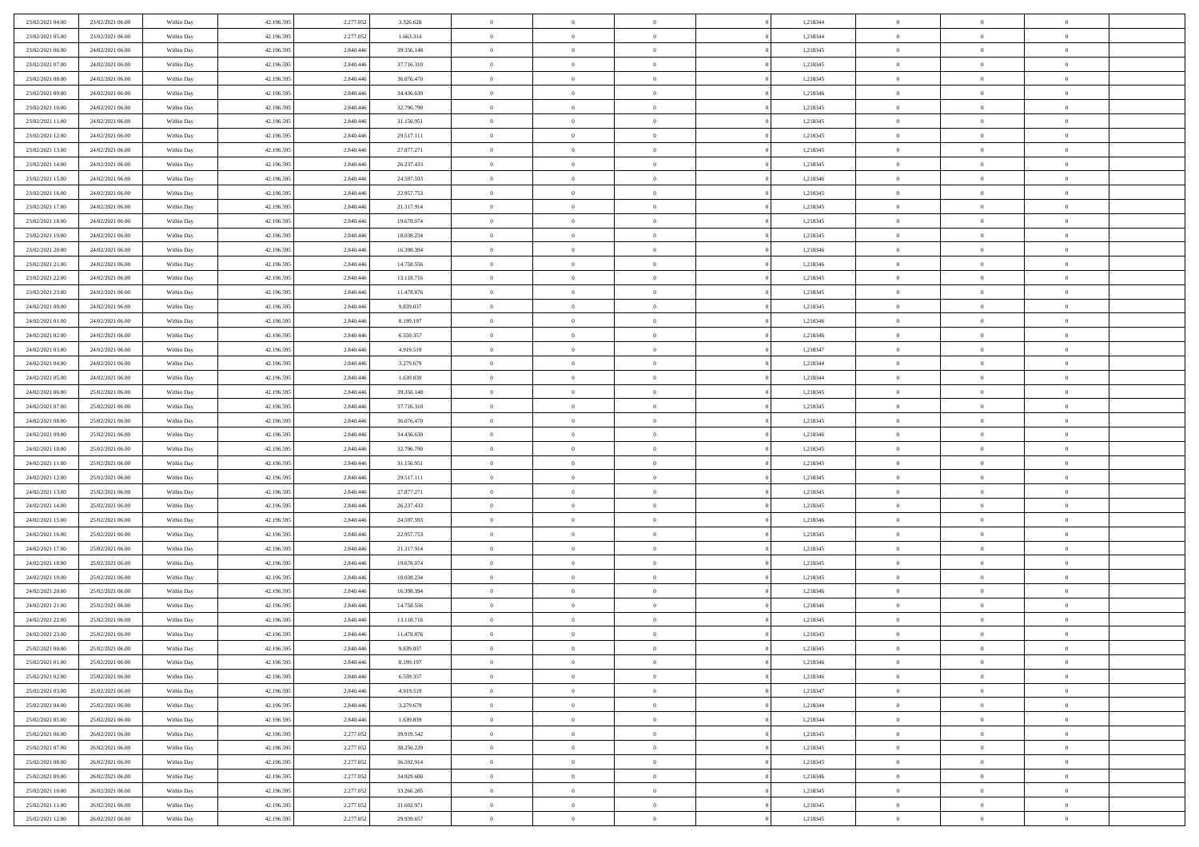| 23/02/2021 04:00 | 23/02/2021 06:00                     | Within Day | 42.196.595 | 2.277.052 | 3.326.628  | $\,$ 0         | $\bf{0}$       | $\theta$       |          | 1,218344 | $\bf{0}$       | $\overline{0}$             | $\,0\,$        |  |
|------------------|--------------------------------------|------------|------------|-----------|------------|----------------|----------------|----------------|----------|----------|----------------|----------------------------|----------------|--|
| 23/02/2021 05:00 | 23/02/2021 06:00                     | Within Day | 42.196.595 | 2.277.052 | 1.663.314  | $\overline{0}$ | $\overline{0}$ | $\overline{0}$ |          | 1,218344 | $\theta$       | $\overline{0}$             | $\theta$       |  |
| 23/02/2021 06:00 | 24/02/2021 06:00                     | Within Dav | 42.196.595 | 2.840.446 | 39.356.148 | $\mathbf{0}$   | $\overline{0}$ | $\overline{0}$ |          | 1,218345 | $\mathbf{0}$   | $\overline{0}$             | $\overline{0}$ |  |
| 23/02/2021 07:00 | 24/02/2021 06:00                     | Within Day | 42.196.595 | 2.840.446 | 37.716.310 | $\bf{0}$       | $\overline{0}$ | $\overline{0}$ |          | 1,218345 | $\bf{0}$       | $\overline{0}$             | $\bf{0}$       |  |
| 23/02/2021 08:00 | 24/02/2021 06:00                     | Within Day | 42.196.595 | 2.840.446 | 36.076.470 | $\bf{0}$       | $\bf{0}$       | $\overline{0}$ |          | 1,218345 | $\bf{0}$       | $\bf{0}$                   | $\,0\,$        |  |
| 23/02/2021 09:00 | 24/02/2021 06:00                     | Within Dav | 42.196.595 | 2.840.446 | 34.436.630 | $\overline{0}$ | $\overline{0}$ | $\overline{0}$ |          | 1,218346 | $\mathbf{0}$   | $\overline{0}$             | $\overline{0}$ |  |
| 23/02/2021 10:00 | 24/02/2021 06:00                     | Within Day | 42.196.595 | 2.840.446 | 32.796.790 | $\bf{0}$       | $\bf{0}$       | $\overline{0}$ |          | 1,218345 | $\bf{0}$       | $\overline{0}$             | $\,0\,$        |  |
| 23/02/2021 11:00 | 24/02/2021 06:00                     | Within Day | 42.196.595 | 2.840.446 | 31.156.951 | $\overline{0}$ | $\overline{0}$ | $\overline{0}$ |          | 1,218345 | $\,$ 0 $\,$    | $\overline{0}$             | $\overline{0}$ |  |
| 23/02/2021 12:00 | 24/02/2021 06:00                     | Within Dav | 42.196.595 | 2.840.446 | 29.517.111 | $\mathbf{0}$   | $\overline{0}$ | $\overline{0}$ |          | 1,218345 | $\mathbf{0}$   | $\overline{0}$             | $\overline{0}$ |  |
|                  | 24/02/2021 06:00                     |            | 42.196.595 | 2.840.446 | 27.877.271 | $\bf{0}$       | $\overline{0}$ | $\overline{0}$ |          | 1,218345 | $\bf{0}$       | $\overline{0}$             | $\,0\,$        |  |
| 23/02/2021 13:00 |                                      | Within Day |            |           |            |                | $\overline{0}$ |                |          |          |                | $\overline{0}$             | $\theta$       |  |
| 23/02/2021 14:00 | 24/02/2021 06:00<br>24/02/2021 06:00 | Within Day | 42.196.595 | 2.840.446 | 26.237.433 | $\bf{0}$       |                | $\overline{0}$ |          | 1,218345 | $\bf{0}$       |                            |                |  |
| 23/02/2021 15:00 |                                      | Within Dav | 42.196.595 | 2.840.446 | 24.597.593 | $\mathbf{0}$   | $\overline{0}$ | $\overline{0}$ |          | 1,218346 | $\mathbf{0}$   | $\overline{0}$             | $\overline{0}$ |  |
| 23/02/2021 16:00 | 24/02/2021 06:00                     | Within Day | 42.196.595 | 2.840.446 | 22.957.753 | $\bf{0}$       | $\overline{0}$ | $\bf{0}$       |          | 1,218345 | $\bf{0}$       | $\overline{0}$             | $\bf{0}$       |  |
| 23/02/2021 17:00 | 24/02/2021 06:00                     | Within Day | 42.196.595 | 2.840.446 | 21.317.914 | $\bf{0}$       | $\overline{0}$ | $\overline{0}$ |          | 1,218345 | $\bf{0}$       | $\bf{0}$                   | $\,0\,$        |  |
| 23/02/2021 18:00 | 24/02/2021 06:00                     | Within Dav | 42.196.595 | 2.840.446 | 19.678.074 | $\overline{0}$ | $\overline{0}$ | $\overline{0}$ |          | 1,218345 | $\mathbf{0}$   | $\overline{0}$             | $\overline{0}$ |  |
| 23/02/2021 19:00 | 24/02/2021 06:00                     | Within Day | 42.196.595 | 2.840.446 | 18.038.234 | $\bf{0}$       | $\overline{0}$ | $\overline{0}$ |          | 1,218345 | $\bf{0}$       | $\overline{0}$             | $\bf{0}$       |  |
| 23/02/2021 20:00 | 24/02/2021 06:00                     | Within Day | 42.196.595 | 2.840.446 | 16.398.394 | $\bf{0}$       | $\overline{0}$ | $\overline{0}$ |          | 1,218346 | $\,$ 0 $\,$    | $\overline{0}$             | $\theta$       |  |
| 23/02/2021 21:00 | 24/02/2021 06:00                     | Within Day | 42.196.595 | 2.840.446 | 14.758.556 | $\mathbf{0}$   | $\overline{0}$ | $\overline{0}$ |          | 1,218346 | $\mathbf{0}$   | $\overline{0}$             | $\overline{0}$ |  |
| 23/02/2021 22:00 | 24/02/2021 06:00                     | Within Day | 42.196.595 | 2.840.446 | 13.118.716 | $\bf{0}$       | $\overline{0}$ | $\overline{0}$ |          | 1,218345 | $\bf{0}$       | $\overline{0}$             | $\,0\,$        |  |
| 23/02/2021 23:00 | 24/02/2021 06:00                     | Within Day | 42.196.595 | 2.840.446 | 11.478.876 | $\bf{0}$       | $\overline{0}$ | $\overline{0}$ |          | 1,218345 | $\bf{0}$       | $\overline{0}$             | $\bf{0}$       |  |
| 24/02/2021 00:00 | 24/02/2021 06:00                     | Within Dav | 42.196.595 | 2.840.446 | 9.839.037  | $\mathbf{0}$   | $\overline{0}$ | $\overline{0}$ |          | 1,218345 | $\mathbf{0}$   | $\overline{0}$             | $\overline{0}$ |  |
| 24/02/2021 01:00 | 24/02/2021 06:00                     | Within Day | 42.196.595 | 2.840.446 | 8.199.197  | $\bf{0}$       | $\overline{0}$ | $\overline{0}$ |          | 1,218346 | $\bf{0}$       | $\overline{0}$             | $\bf{0}$       |  |
| 24/02/2021 02:00 | 24/02/2021 06:00                     | Within Day | 42.196.595 | 2.840.446 | 6.559.357  | $\bf{0}$       | $\overline{0}$ | $\overline{0}$ |          | 1,218346 | $\,$ 0 $\,$    | $\bf{0}$                   | $\bf{0}$       |  |
| 24/02/2021 03:00 | 24/02/2021 06:00                     | Within Dav | 42.196.595 | 2.840.446 | 4.919.519  | $\mathbf{0}$   | $\overline{0}$ | $\overline{0}$ |          | 1,218347 | $\mathbf{0}$   | $\overline{0}$             | $\overline{0}$ |  |
| 24/02/2021 04:00 | 24/02/2021 06:00                     | Within Day | 42.196.595 | 2.840.446 | 3.279.679  | $\bf{0}$       | $\overline{0}$ | $\overline{0}$ |          | 1,218344 | $\bf{0}$       | $\overline{0}$             | $\bf{0}$       |  |
| 24/02/2021 05:00 | 24/02/2021 06:00                     | Within Day | 42.196.595 | 2.840.446 | 1.639.839  | $\bf{0}$       | $\overline{0}$ | $\overline{0}$ |          | 1,218344 | $\bf{0}$       | $\mathbf{0}$               | $\overline{0}$ |  |
| 24/02/2021 06:00 | 25/02/2021 06:00                     | Within Dav | 42.196.595 | 2.840.446 | 39.356.148 | $\mathbf{0}$   | $\overline{0}$ | $\overline{0}$ |          | 1,218345 | $\mathbf{0}$   | $\overline{0}$             | $\overline{0}$ |  |
| 24/02/2021 07:00 | 25/02/2021 06:00                     | Within Day | 42.196.595 | 2.840.446 | 37.716.310 | $\bf{0}$       | $\overline{0}$ | $\overline{0}$ |          | 1,218345 | $\bf{0}$       | $\overline{0}$             | $\,0\,$        |  |
| 24/02/2021 08:00 | 25/02/2021 06:00                     | Within Day | 42.196.595 | 2.840.446 | 36.076.470 | $\bf{0}$       | $\overline{0}$ | $\overline{0}$ |          | 1,218345 | $\bf{0}$       | $\bf{0}$                   | $\bf{0}$       |  |
| 24/02/2021 09:00 | 25/02/2021 06:00                     | Within Dav | 42.196.595 | 2.840.446 | 34.436.630 | $\mathbf{0}$   | $\overline{0}$ | $\overline{0}$ |          | 1,218346 | $\mathbf{0}$   | $\overline{0}$             | $\overline{0}$ |  |
| 24/02/2021 10:00 | 25/02/2021 06:00                     | Within Day | 42.196.595 | 2.840.446 | 32.796.790 | $\bf{0}$       | $\overline{0}$ | $\overline{0}$ |          | 1,218345 | $\,$ 0         | $\overline{0}$             | $\theta$       |  |
| 24/02/2021 11:00 | 25/02/2021 06:00                     | Within Day | 42.196.595 | 2.840.446 | 31.156.951 | $\bf{0}$       | $\bf{0}$       | $\overline{0}$ |          | 1,218345 | $\bf{0}$       | $\overline{0}$             | $\overline{0}$ |  |
| 24/02/2021 12:00 | 25/02/2021 06:00                     | Within Dav | 42.196.595 | 2.840.446 | 29.517.111 | $\overline{0}$ | $\overline{0}$ | $\overline{0}$ |          | 1,218345 | $\mathbf{0}$   | $\overline{0}$             | $\overline{0}$ |  |
| 24/02/2021 13:00 | 25/02/2021 06:00                     | Within Day | 42.196.595 | 2.840.446 | 27.877.271 | $\bf{0}$       | $\overline{0}$ | $\overline{0}$ |          | 1,218345 | $\,$ 0         | $\overline{0}$             | $\theta$       |  |
| 24/02/2021 14:00 | 25/02/2021 06:00                     | Within Day | 42.196.595 | 2.840.446 | 26.237.433 | $\overline{0}$ | $\overline{0}$ | $\overline{0}$ |          | 1,218345 | $\bf{0}$       | $\overline{0}$             | $\overline{0}$ |  |
| 24/02/2021 15:00 | 25/02/2021 06:00                     | Within Day | 42.196.595 | 2.840.446 | 24.597.593 | $\mathbf{0}$   | $\overline{0}$ | $\overline{0}$ |          | 1,218346 | $\mathbf{0}$   | $\overline{0}$             | $\overline{0}$ |  |
| 24/02/2021 16:00 | 25/02/2021 06:00                     | Within Day | 42.196.595 | 2.840.446 | 22.957.753 | $\bf{0}$       | $\overline{0}$ | $\overline{0}$ |          | 1,218345 | $\,$ 0         | $\overline{0}$             | $\theta$       |  |
| 24/02/2021 17:00 | 25/02/2021 06:00                     | Within Day | 42.196.595 | 2.840.446 | 21.317.914 | $\bf{0}$       | $\overline{0}$ | $\overline{0}$ |          | 1,218345 | $\bf{0}$       | $\overline{0}$             | $\overline{0}$ |  |
| 24/02/2021 18:00 | 25/02/2021 06:00                     | Within Dav | 42.196.595 | 2.840.446 | 19.678.074 | $\mathbf{0}$   | $\overline{0}$ | $\overline{0}$ |          | 1,218345 | $\mathbf{0}$   | $\overline{0}$             | $\overline{0}$ |  |
| 24/02/2021 19:00 | 25/02/2021 06:00                     | Within Day | 42.196.595 | 2.840.446 | 18.038.234 | $\,0\,$        | $\overline{0}$ | $\overline{0}$ |          | 1,218345 | $\,$ 0         | $\overline{0}$             | $\theta$       |  |
| 24/02/2021 20:00 | 25/02/2021 06:00                     | Within Day | 42.196.595 | 2.840.446 | 16.398.394 | $\bf{0}$       | $\overline{0}$ | $\overline{0}$ |          | 1,218346 | $\bf{0}$       | $\overline{0}$             | $\overline{0}$ |  |
| 24/02/2021 21:00 | 25/02/2021 06:00                     | Within Dav | 42.196.595 | 2.840.446 | 14.758.556 | $\mathbf{0}$   | $\overline{0}$ | $\overline{0}$ |          | 1,218346 | $\mathbf{0}$   | $\overline{0}$             | $\overline{0}$ |  |
| 24/02/2021 22:00 | 25/02/2021 06:00                     | Within Day | 42.196.595 | 2.840.446 | 13.118.716 | $\bf{0}$       | $\overline{0}$ | $\overline{0}$ |          | 1,218345 | $\,$ 0         | $\overline{0}$             | $\theta$       |  |
| 24/02/2021 23.00 | 25/02/2021 06:00                     | Within Day | 42.196.595 | 2.840.446 | 11.478.876 | $\bf{0}$       | $\overline{0}$ | $\overline{0}$ |          | 1,218345 | $\,$ 0 $\,$    | $\overline{0}$             | $\overline{0}$ |  |
| 25/02/2021 00:00 | 25/02/2021 06:00                     | Within Day | 42.196.595 | 2.840.446 | 9.839.037  | $\bf{0}$       | $\overline{0}$ |                |          | 1,218345 | $\overline{0}$ | $\theta$                   | $\theta$       |  |
| 25/02/2021 01:00 | 25/02/2021 06:00                     | Within Day | 42.196.595 | 2.840.446 | 8.199.197  | $\,0\,$        | $\overline{0}$ | $\overline{0}$ |          | 1,218346 | $\,$ 0 $\,$    | $\bf{0}$                   | $\theta$       |  |
| 25/02/2021 02:00 | 25/02/2021 06:00                     | Within Day | 42.196.595 | 2.840.446 | 6.559.357  | $\overline{0}$ | $\overline{0}$ | $\overline{0}$ |          | 1,218346 | $\overline{0}$ | $\overline{0}$             | $\overline{0}$ |  |
| 25/02/2021 03:00 | 25/02/2021 06:00                     | Within Day | 42.196.595 | 2.840.446 | 4.919.519  | $\bf{0}$       | $\overline{0}$ | $\overline{0}$ |          | 1,218347 | $\overline{0}$ | $\bf{0}$                   | $\mathbf{0}$   |  |
|                  |                                      |            |            |           |            |                |                |                |          |          |                |                            |                |  |
| 25/02/2021 04:00 | 25/02/2021 06:00                     | Within Day | 42.196.595 | 2.840.446 | 3.279.679  | $\bf{0}$       | $\overline{0}$ | $\overline{0}$ | $\theta$ | 1,218344 | $\mathbf{0}$   | $\bf{0}$<br>$\overline{0}$ | $\,$ 0 $\,$    |  |
| 25/02/2021 05:00 | 25/02/2021 06:00                     | Within Day | 42.196.595 | 2.840.446 | 1.639.839  | $\bf{0}$       | $\overline{0}$ | $\overline{0}$ |          | 1,218344 | $\,$ 0 $\,$    |                            | $\overline{0}$ |  |
| 25/02/2021 06:00 | 26/02/2021 06:00                     | Within Day | 42.196.595 | 2.277.052 | 39.919.542 | $\bf{0}$       | $\overline{0}$ | $\overline{0}$ |          | 1,218345 | $\mathbf{0}$   | $\overline{0}$             | $\overline{0}$ |  |
| 25/02/2021 07:00 | 26/02/2021 06:00                     | Within Day | 42.196.595 | 2.277.052 | 38.256.229 | $\,$ 0 $\,$    | $\overline{0}$ | $\overline{0}$ | $\theta$ | 1,218345 | $\,$ 0 $\,$    | $\overline{0}$             | $\,$ 0 $\,$    |  |
| 25/02/2021 08:00 | 26/02/2021 06:00                     | Within Day | 42.196.595 | 2.277.052 | 36.592.914 | $\bf{0}$       | $\overline{0}$ | $\overline{0}$ |          | 1,218345 | $\overline{0}$ | $\overline{0}$             | $\overline{0}$ |  |
| 25/02/2021 09:00 | 26/02/2021 06:00                     | Within Day | 42.196.595 | 2.277.052 | 34.929.600 | $\bf{0}$       | $\overline{0}$ | $\overline{0}$ |          | 1,218346 | $\mathbf{0}$   | $\overline{0}$             | $\overline{0}$ |  |
| 25/02/2021 10:00 | 26/02/2021 06:00                     | Within Day | 42.196.595 | 2.277.052 | 33.266.285 | $\,0\,$        | $\overline{0}$ | $\overline{0}$ |          | 1,218345 | $\,$ 0 $\,$    | $\mathbf{0}$               | $\,$ 0 $\,$    |  |
| 25/02/2021 11:00 | 26/02/2021 06:00                     | Within Day | 42.196.595 | 2.277.052 | 31.602.971 | $\bf{0}$       | $\overline{0}$ | $\overline{0}$ |          | 1,218345 | $\mathbf{0}$   | $\mathbf{0}$               | $\overline{0}$ |  |
| 25/02/2021 12:00 | 26/02/2021 06:00                     | Within Day | 42.196.595 | 2.277.052 | 29.939.657 | $\bf{0}$       | $\overline{0}$ | $\overline{0}$ |          | 1,218345 | $\mathbf{0}$   | $\overline{0}$             | $\overline{0}$ |  |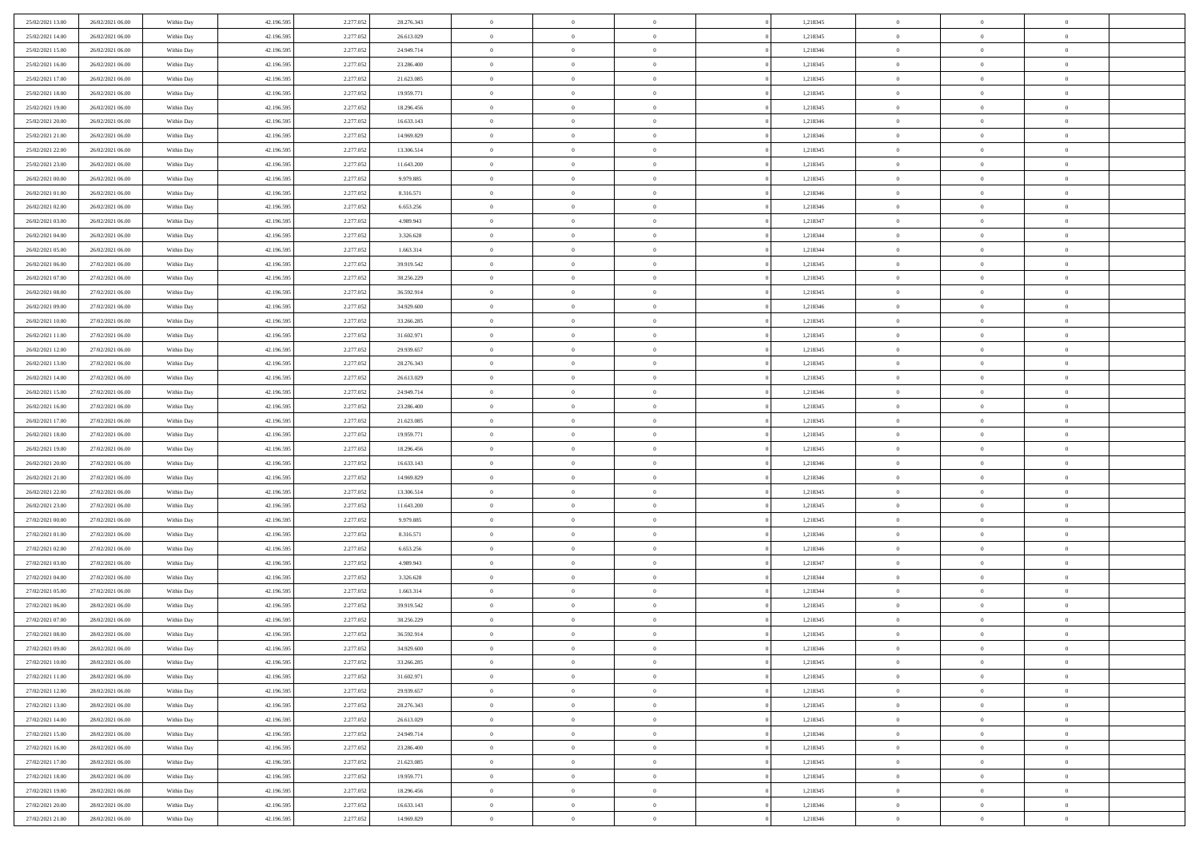| 25/02/2021 13:00 | 26/02/2021 06:00 | Within Day | 42.196.595 | 2.277.052 | 28.276.343 | $\overline{0}$ | $\overline{0}$ | $\Omega$       |          | 1,218345 | $\bf{0}$       | $\mathbf{0}$   | $\bf{0}$       |  |
|------------------|------------------|------------|------------|-----------|------------|----------------|----------------|----------------|----------|----------|----------------|----------------|----------------|--|
| 25/02/2021 14:00 | 26/02/2021 06:00 | Within Day | 42.196.595 | 2.277.052 | 26.613.029 | $\mathbf{0}$   | $\overline{0}$ | $\overline{0}$ |          | 1,218345 | $\mathbf{0}$   | $\overline{0}$ | $\overline{0}$ |  |
| 25/02/2021 15:00 | 26/02/2021 06:00 | Within Day | 42.196.595 | 2.277.052 | 24.949.714 | $\,$ 0         | $\overline{0}$ | $\bf{0}$       |          | 1,218346 | $\,$ 0         | $\overline{0}$ | $\,$ 0 $\,$    |  |
| 25/02/2021 16:00 | 26/02/2021 06:00 | Within Day | 42.196.595 | 2.277.052 | 23.286.400 | $\bf{0}$       | $\overline{0}$ | $\Omega$       |          | 1,218345 | $\bf{0}$       | $\mathbf{0}$   | $\theta$       |  |
| 25/02/2021 17:00 | 26/02/2021 06:00 | Within Day | 42.196.595 | 2.277.052 | 21.623.085 | $\bf{0}$       | $\overline{0}$ | $\overline{0}$ |          | 1,218345 | $\mathbf{0}$   | $\overline{0}$ | $\overline{0}$ |  |
| 25/02/2021 18:00 | 26/02/2021 06:00 | Within Day | 42.196.595 | 2.277.052 | 19.959.771 | $\bf{0}$       | $\overline{0}$ | $\bf{0}$       |          | 1,218345 | $\,$ 0         | $\overline{0}$ | $\,$ 0 $\,$    |  |
| 25/02/2021 19:00 | 26/02/2021 06:00 | Within Day | 42.196.595 | 2.277.052 | 18.296.456 | $\bf{0}$       | $\overline{0}$ | $\overline{0}$ |          | 1,218345 | $\bf{0}$       | $\overline{0}$ | $\theta$       |  |
| 25/02/2021 20:00 | 26/02/2021 06:00 | Within Day | 42.196.595 | 2.277.052 | 16.633.143 | $\overline{0}$ | $\overline{0}$ | $\overline{0}$ |          | 1,218346 | $\mathbf{0}$   | $\overline{0}$ | $\overline{0}$ |  |
| 25/02/2021 21:00 | 26/02/2021 06:00 | Within Day | 42.196.595 | 2.277.052 | 14.969.829 | $\bf{0}$       | $\overline{0}$ | $\bf{0}$       |          | 1,218346 | $\,$ 0         | $\overline{0}$ | $\,$ 0 $\,$    |  |
| 25/02/2021 22.00 | 26/02/2021 06:00 | Within Day | 42.196.595 | 2.277.052 | 13.306.514 | $\bf{0}$       | $\overline{0}$ | $\Omega$       |          | 1,218345 | $\theta$       | $\mathbf{0}$   | $\theta$       |  |
| 25/02/2021 23:00 | 26/02/2021 06:00 | Within Day | 42.196.595 | 2.277.052 | 11.643.200 | $\bf{0}$       | $\overline{0}$ | $\overline{0}$ |          | 1,218345 | $\mathbf{0}$   | $\overline{0}$ | $\overline{0}$ |  |
| 26/02/2021 00:00 | 26/02/2021 06:00 | Within Day | 42.196.595 | 2.277.052 | 9.979.885  | $\bf{0}$       | $\overline{0}$ | $\bf{0}$       |          | 1,218345 | $\,$ 0         | $\overline{0}$ | $\,$ 0 $\,$    |  |
| 26/02/2021 01:00 | 26/02/2021 06:00 | Within Day | 42.196.595 | 2.277.052 | 8.316.571  | $\bf{0}$       | $\overline{0}$ | $\Omega$       |          | 1,218346 | $\bf{0}$       | $\mathbf{0}$   | $\theta$       |  |
| 26/02/2021 02:00 | 26/02/2021 06:00 | Within Day | 42.196.595 | 2.277.052 | 6.653.256  | $\bf{0}$       | $\overline{0}$ | $\overline{0}$ |          | 1,218346 | $\mathbf{0}$   | $\overline{0}$ | $\overline{0}$ |  |
| 26/02/2021 03:00 | 26/02/2021 06:00 | Within Day | 42.196.595 | 2.277.052 | 4.989.943  | $\bf{0}$       | $\overline{0}$ | $\bf{0}$       |          | 1,218347 | $\,$ 0         | $\overline{0}$ | $\,$ 0 $\,$    |  |
| 26/02/2021 04:00 | 26/02/2021 06:00 | Within Day | 42.196.595 | 2.277.052 | 3.326.628  | $\bf{0}$       | $\overline{0}$ | $\overline{0}$ |          | 1,218344 | $\bf{0}$       | $\overline{0}$ | $\theta$       |  |
| 26/02/2021 05:00 | 26/02/2021 06:00 | Within Day | 42.196.595 | 2.277.052 | 1.663.314  | $\overline{0}$ | $\overline{0}$ | $\overline{0}$ |          | 1,218344 | $\mathbf{0}$   | $\overline{0}$ | $\overline{0}$ |  |
| 26/02/2021 06:00 | 27/02/2021 06:00 | Within Day | 42.196.595 | 2.277.052 | 39.919.542 | $\bf{0}$       | $\overline{0}$ | $\bf{0}$       |          | 1,218345 | $\,$ 0         | $\overline{0}$ | $\,$ 0 $\,$    |  |
| 26/02/2021 07:00 | 27/02/2021 06:00 | Within Day | 42.196.595 | 2.277.052 | 38.256.229 | $\bf{0}$       | $\overline{0}$ | $\Omega$       |          | 1,218345 | $\theta$       | $\mathbf{0}$   | $\theta$       |  |
| 26/02/2021 08:00 | 27/02/2021 06:00 | Within Day | 42.196.595 | 2.277.052 | 36.592.914 | $\overline{0}$ | $\overline{0}$ | $\overline{0}$ |          | 1,218345 | $\mathbf{0}$   | $\overline{0}$ | $\overline{0}$ |  |
| 26/02/2021 09:00 | 27/02/2021 06:00 | Within Day | 42.196.595 | 2.277.052 | 34.929.600 | $\bf{0}$       | $\overline{0}$ | $\bf{0}$       |          | 1,218346 | $\,$ 0         | $\overline{0}$ | $\,$ 0 $\,$    |  |
| 26/02/2021 10:00 | 27/02/2021 06:00 | Within Day | 42.196.595 | 2.277.052 | 33.266.285 | $\bf{0}$       | $\overline{0}$ | $\Omega$       |          | 1,218345 | $\theta$       | $\mathbf{0}$   | $\theta$       |  |
| 26/02/2021 11:00 | 27/02/2021 06:00 | Within Day | 42.196.595 | 2.277.052 | 31.602.971 | $\overline{0}$ | $\overline{0}$ | $\overline{0}$ |          | 1,218345 | $\mathbf{0}$   | $\overline{0}$ | $\overline{0}$ |  |
| 26/02/2021 12:00 | 27/02/2021 06:00 | Within Day | 42.196.595 | 2.277.052 | 29.939.657 | $\bf{0}$       | $\overline{0}$ | $\bf{0}$       |          | 1,218345 | $\,$ 0         | $\overline{0}$ | $\,$ 0 $\,$    |  |
| 26/02/2021 13:00 | 27/02/2021 06:00 | Within Day | 42.196.595 | 2.277.052 | 28.276.343 | $\bf{0}$       | $\overline{0}$ | $\overline{0}$ |          | 1,218345 | $\bf{0}$       | $\bf{0}$       | $\bf{0}$       |  |
| 26/02/2021 14:00 | 27/02/2021 06:00 | Within Day | 42.196.595 | 2.277.052 | 26.613.029 | $\overline{0}$ | $\overline{0}$ | $\overline{0}$ |          | 1,218345 | $\mathbf{0}$   | $\overline{0}$ | $\overline{0}$ |  |
| 26/02/2021 15:00 | 27/02/2021 06:00 | Within Day | 42.196.595 | 2.277.052 | 24.949.714 | $\bf{0}$       | $\overline{0}$ | $\bf{0}$       |          | 1,218346 | $\,$ 0         | $\overline{0}$ | $\,$ 0 $\,$    |  |
| 26/02/2021 16:00 | 27/02/2021 06:00 | Within Day | 42.196.595 | 2.277.052 | 23.286.400 | $\bf{0}$       | $\overline{0}$ | $\Omega$       |          | 1,218345 | $\theta$       | $\mathbf{0}$   | $\theta$       |  |
| 26/02/2021 17:00 | 27/02/2021 06:00 | Within Day | 42.196.595 | 2.277.052 | 21.623.085 | $\overline{0}$ | $\overline{0}$ | $\overline{0}$ |          | 1,218345 | $\mathbf{0}$   | $\overline{0}$ | $\overline{0}$ |  |
| 26/02/2021 18:00 | 27/02/2021 06:00 | Within Day | 42.196.595 | 2.277.052 | 19.959.771 | $\bf{0}$       | $\overline{0}$ | $\bf{0}$       |          | 1,218345 | $\,$ 0         | $\overline{0}$ | $\,$ 0 $\,$    |  |
| 26/02/2021 19:00 | 27/02/2021 06:00 | Within Day | 42.196.595 | 2.277.052 | 18.296.456 | $\,$ 0         | $\bf{0}$       | $\overline{0}$ |          | 1,218345 | $\bf{0}$       | $\overline{0}$ | $\,0\,$        |  |
| 26/02/2021 20:00 | 27/02/2021 06:00 | Within Day | 42.196.595 | 2.277.052 | 16.633.143 | $\overline{0}$ | $\overline{0}$ | $\overline{0}$ |          | 1,218346 | $\mathbf{0}$   | $\overline{0}$ | $\overline{0}$ |  |
| 26/02/2021 21:00 | 27/02/2021 06:00 | Within Day | 42.196.595 | 2.277.052 | 14.969.829 | $\bf{0}$       | $\overline{0}$ | $\bf{0}$       |          | 1,218346 | $\,$ 0         | $\overline{0}$ | $\,$ 0 $\,$    |  |
| 26/02/2021 22.00 | 27/02/2021 06:00 | Within Day | 42.196.595 | 2.277.052 | 13.306.514 | $\bf{0}$       | $\bf{0}$       | $\bf{0}$       |          | 1,218345 | $\bf{0}$       | $\overline{0}$ | $\,0\,$        |  |
| 26/02/2021 23:00 | 27/02/2021 06:00 | Within Day | 42.196.595 | 2.277.052 | 11.643.200 | $\overline{0}$ | $\overline{0}$ | $\overline{0}$ |          | 1,218345 | $\mathbf{0}$   | $\overline{0}$ | $\overline{0}$ |  |
| 27/02/2021 00:00 | 27/02/2021 06:00 | Within Day | 42.196.595 | 2.277.052 | 9.979.885  | $\bf{0}$       | $\overline{0}$ | $\bf{0}$       |          | 1,218345 | $\,$ 0         | $\overline{0}$ | $\,$ 0 $\,$    |  |
| 27/02/2021 01:00 | 27/02/2021 06:00 | Within Day | 42.196.595 | 2.277.052 | 8.316.571  | $\bf{0}$       | $\bf{0}$       | $\overline{0}$ |          | 1,218346 | $\bf{0}$       | $\overline{0}$ | $\,0\,$        |  |
| 27/02/2021 02:00 | 27/02/2021 06:00 | Within Day | 42.196.595 | 2.277.052 | 6.653.256  | $\overline{0}$ | $\overline{0}$ | $\overline{0}$ |          | 1,218346 | $\mathbf{0}$   | $\overline{0}$ | $\overline{0}$ |  |
| 27/02/2021 03:00 | 27/02/2021 06:00 | Within Day | 42.196.595 | 2.277.052 | 4.989.943  | $\bf{0}$       | $\overline{0}$ | $\bf{0}$       |          | 1,218347 | $\,$ 0         | $\overline{0}$ | $\,$ 0 $\,$    |  |
| 27/02/2021 04:00 | 27/02/2021 06:00 | Within Day | 42.196.595 | 2.277.052 | 3.326.628  | $\bf{0}$       | $\bf{0}$       | $\overline{0}$ |          | 1,218344 | $\bf{0}$       | $\overline{0}$ | $\,0\,$        |  |
| 27/02/2021 05:00 | 27/02/2021 06:00 | Within Day | 42.196.595 | 2.277.052 | 1.663.314  | $\overline{0}$ | $\overline{0}$ | $\overline{0}$ |          | 1,218344 | $\mathbf{0}$   | $\overline{0}$ | $\overline{0}$ |  |
| 27/02/2021 06:00 | 28/02/2021 06:00 | Within Day | 42.196.595 | 2.277.052 | 39.919.542 | $\bf{0}$       | $\overline{0}$ | $\bf{0}$       |          | 1,218345 | $\,$ 0         | $\overline{0}$ | $\,$ 0 $\,$    |  |
| 27/02/2021 07:00 | 28/02/2021 06:00 | Within Day | 42.196.595 | 2.277.052 | 38.256.229 | $\bf{0}$       | $\bf{0}$       | $\bf{0}$       |          | 1,218345 | $\bf{0}$       | $\overline{0}$ | $\,0\,$        |  |
| 27/02/2021 08:00 | 28/02/2021 06:00 | Within Day | 42.196.595 | 2.277.052 | 36.592.914 | $\mathbf{0}$   | $\overline{0}$ | $\overline{0}$ |          | 1,218345 | $\mathbf{0}$   | $\overline{0}$ | $\overline{0}$ |  |
| 27/02/2021 09:00 | 28/02/2021 06:00 | Within Day | 42.196.595 | 2.277.052 | 34.929.600 | $\bf{0}$       | $\overline{0}$ | $\theta$       |          | 1,218346 | $\overline{0}$ | $\overline{0}$ | $\theta$       |  |
| 27/02/2021 10:00 | 28/02/2021 06:00 | Within Day | 42.196.595 | 2.277.052 | 33.266.285 | $\bf{0}$       | $\bf{0}$       | $\bf{0}$       |          | 1,218345 | $\bf{0}$       | $\overline{0}$ | $\bf{0}$       |  |
| 27/02/2021 11:00 | 28/02/2021 06:00 | Within Day | 42.196.595 | 2.277.052 | 31.602.971 | $\overline{0}$ | $\overline{0}$ | $\overline{0}$ |          | 1,218345 | $\overline{0}$ | $\bf{0}$       | $\overline{0}$ |  |
| 27/02/2021 12:00 | 28/02/2021 06:00 | Within Day | 42.196.595 | 2.277.052 | 29.939.657 | $\,$ 0 $\,$    | $\overline{0}$ | $\overline{0}$ |          | 1,218345 | $\mathbf{0}$   | $\,$ 0 $\,$    | $\,$ 0 $\,$    |  |
| 27/02/2021 13:00 | 28/02/2021 06:00 | Within Day | 42.196.595 | 2.277.052 | 28.276.343 | $\bf{0}$       | $\bf{0}$       | $\overline{0}$ |          | 1,218345 | $\bf{0}$       | $\overline{0}$ | $\bf{0}$       |  |
| 27/02/2021 14:00 | 28/02/2021 06:00 | Within Day | 42.196.595 | 2.277.052 | 26.613.029 | $\overline{0}$ | $\overline{0}$ | $\overline{0}$ |          | 1,218345 | $\overline{0}$ | $\bf{0}$       | $\overline{0}$ |  |
| 27/02/2021 15:00 | 28/02/2021 06:00 | Within Day | 42.196.595 | 2.277.052 | 24.949.714 | $\,$ 0 $\,$    | $\overline{0}$ | $\overline{0}$ |          | 1,218346 | $\,$ 0 $\,$    | $\overline{0}$ | $\,$ 0 $\,$    |  |
| 27/02/2021 16:00 | 28/02/2021 06:00 | Within Day | 42.196.595 | 2.277.052 | 23.286.400 | $\overline{0}$ | $\overline{0}$ | $\overline{0}$ | $\Omega$ | 1,218345 | $\bf{0}$       | $\overline{0}$ | $\overline{0}$ |  |
| 27/02/2021 17:00 | 28/02/2021 06:00 | Within Day | 42.196.595 | 2.277.052 | 21.623.085 | $\overline{0}$ | $\overline{0}$ | $\overline{0}$ |          | 1,218345 | $\overline{0}$ | $\bf{0}$       | $\mathbf{0}$   |  |
| 27/02/2021 18:00 | 28/02/2021 06:00 | Within Day | 42.196.595 | 2.277.052 | 19.959.771 | $\,$ 0 $\,$    | $\overline{0}$ | $\overline{0}$ |          | 1,218345 | $\,$ 0 $\,$    | $\overline{0}$ | $\,$ 0 $\,$    |  |
| 27/02/2021 19:00 | 28/02/2021 06:00 | Within Day | 42.196.595 | 2.277.052 | 18.296.456 | $\bf{0}$       | $\overline{0}$ | $\overline{0}$ |          | 1,218345 | $\mathbf{0}$   | $\overline{0}$ | $\bf{0}$       |  |
| 27/02/2021 20:00 | 28/02/2021 06:00 | Within Day | 42.196.595 | 2.277.052 | 16.633.143 | $\overline{0}$ | $\overline{0}$ | $\overline{0}$ |          | 1,218346 | $\mathbf{0}$   | $\bf{0}$       | $\overline{0}$ |  |
| 27/02/2021 21:00 | 28/02/2021 06:00 | Within Day | 42.196.595 | 2.277.052 | 14.969.829 | $\,0\,$        | $\overline{0}$ | $\overline{0}$ |          | 1,218346 | $\,$ 0 $\,$    | $\overline{0}$ | $\,$ 0 $\,$    |  |
|                  |                  |            |            |           |            |                |                |                |          |          |                |                |                |  |